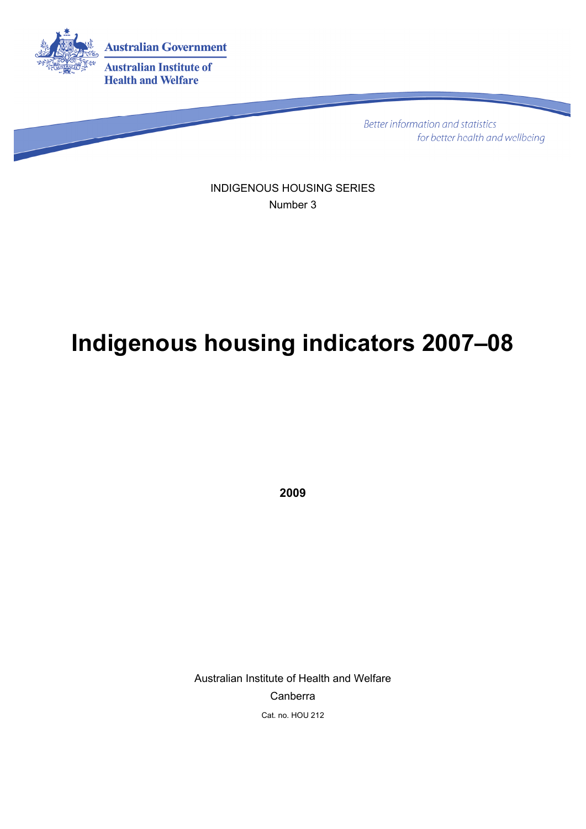

**Better information and statistics** for better health and wellbeing

INDIGENOUS HOUSING SERIES Number 3

# **Indigenous housing indicators 2007–08**

**2009**

Australian Institute of Health and Welfare Canberra Cat. no. HOU 212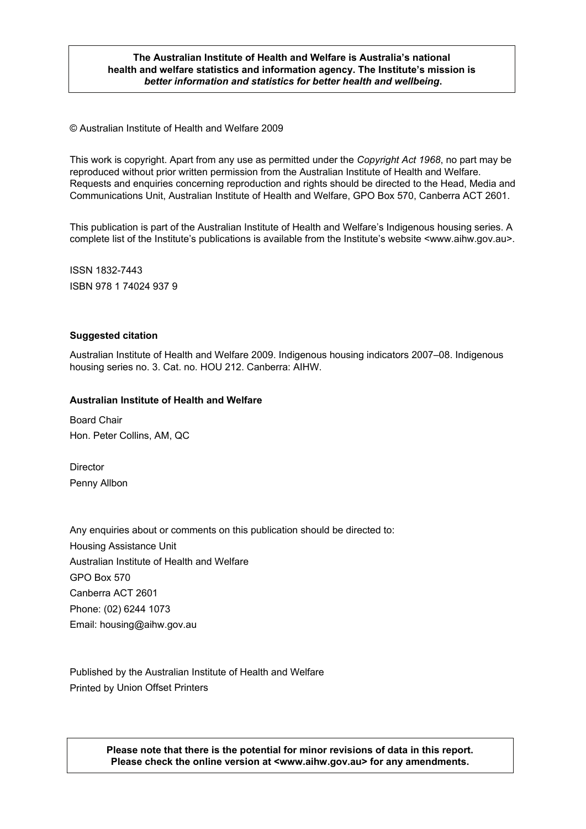#### **The Australian Institute of Health and Welfare is Australia's national health and welfare statistics and information agency. The Institute's mission is**  *better information and statistics for better health and wellbeing***.**

© Australian Institute of Health and Welfare 2009

This work is copyright. Apart from any use as permitted under the *Copyright Act 1968*, no part may be reproduced without prior written permission from the Australian Institute of Health and Welfare. Requests and enquiries concerning reproduction and rights should be directed to the Head, Media and Communications Unit, Australian Institute of Health and Welfare, GPO Box 570, Canberra ACT 2601.

This publication is part of the Australian Institute of Health and Welfare's Indigenous housing series. A complete list of the Institute's publications is available from the Institute's website <www.aihw.gov.au>.

ISSN 1832-7443 ISBN 978 1 74024 937 9

#### **Suggested citation**

Australian Institute of Health and Welfare 2009. Indigenous housing indicators 2007–08. Indigenous housing series no. 3. Cat. no. HOU 212. Canberra: AIHW.

#### **Australian Institute of Health and Welfare**

Board Chair Hon. Peter Collins, AM, QC

**Director** Penny Allbon

Any enquiries about or comments on this publication should be directed to: Housing Assistance Unit Australian Institute of Health and Welfare GPO Box 570 Canberra ACT 2601 Phone: (02) 6244 1073 Email: housing@aihw.gov.au

Published by the Australian Institute of Health and Welfare Printed by Union Offset Printers

> **Please note that there is the potential for minor revisions of data in this report. Please check the online version at <www.aihw.gov.au> for any amendments.**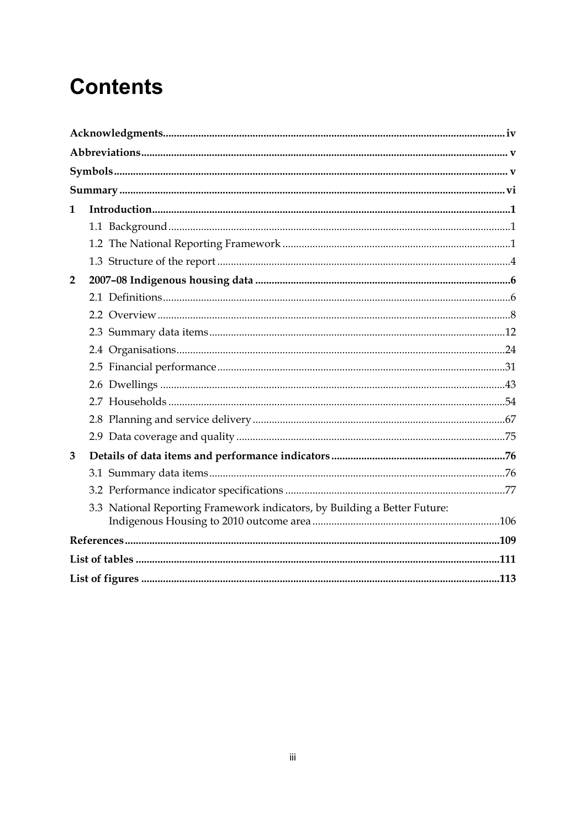# **Contents**

| 1                                                                         |  |
|---------------------------------------------------------------------------|--|
|                                                                           |  |
|                                                                           |  |
|                                                                           |  |
| $\overline{2}$                                                            |  |
|                                                                           |  |
|                                                                           |  |
|                                                                           |  |
|                                                                           |  |
|                                                                           |  |
|                                                                           |  |
|                                                                           |  |
|                                                                           |  |
|                                                                           |  |
| 3                                                                         |  |
|                                                                           |  |
|                                                                           |  |
| 3.3 National Reporting Framework indicators, by Building a Better Future: |  |
|                                                                           |  |
|                                                                           |  |
|                                                                           |  |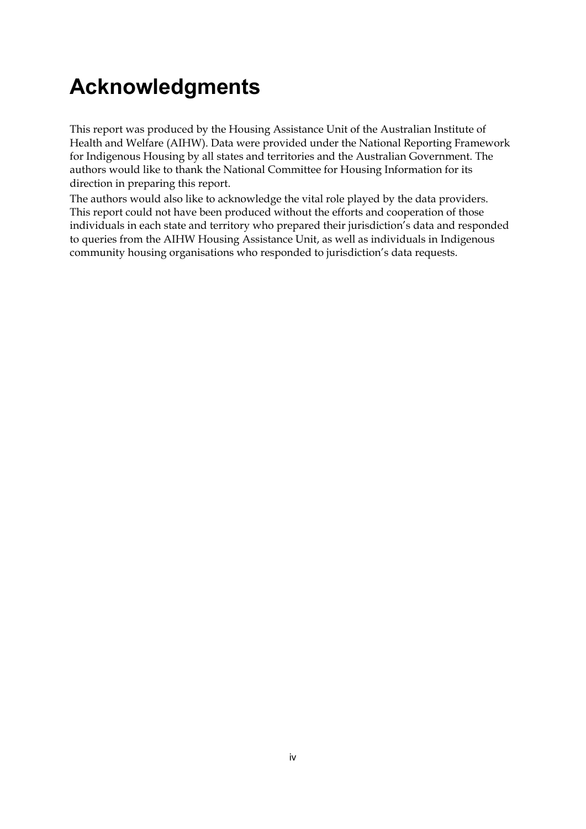# **Acknowledgments**

This report was produced by the Housing Assistance Unit of the Australian Institute of Health and Welfare (AIHW). Data were provided under the National Reporting Framework for Indigenous Housing by all states and territories and the Australian Government. The authors would like to thank the National Committee for Housing Information for its direction in preparing this report.

The authors would also like to acknowledge the vital role played by the data providers. This report could not have been produced without the efforts and cooperation of those individuals in each state and territory who prepared their jurisdiction's data and responded to queries from the AIHW Housing Assistance Unit, as well as individuals in Indigenous community housing organisations who responded to jurisdiction's data requests.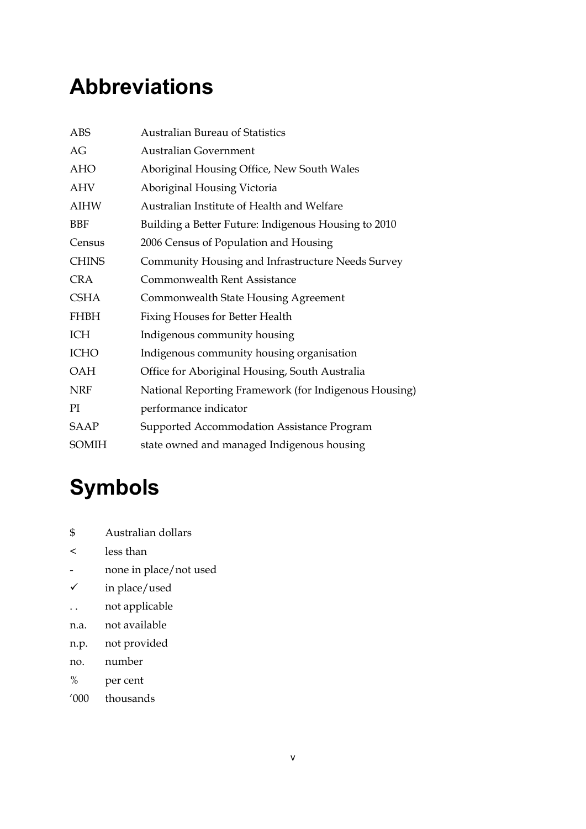# **Abbreviations**

| ABS          | <b>Australian Bureau of Statistics</b>                |
|--------------|-------------------------------------------------------|
| AG           | <b>Australian Government</b>                          |
| <b>AHO</b>   | Aboriginal Housing Office, New South Wales            |
| <b>AHV</b>   | Aboriginal Housing Victoria                           |
| <b>AIHW</b>  | Australian Institute of Health and Welfare            |
| BBF          | Building a Better Future: Indigenous Housing to 2010  |
| Census       | 2006 Census of Population and Housing                 |
| <b>CHINS</b> | Community Housing and Infrastructure Needs Survey     |
| <b>CRA</b>   | Commonwealth Rent Assistance                          |
| <b>CSHA</b>  | <b>Commonwealth State Housing Agreement</b>           |
| <b>FHBH</b>  | <b>Fixing Houses for Better Health</b>                |
| ICH          | Indigenous community housing                          |
| <b>ICHO</b>  | Indigenous community housing organisation             |
| <b>OAH</b>   | Office for Aboriginal Housing, South Australia        |
| <b>NRF</b>   | National Reporting Framework (for Indigenous Housing) |
| PI           | performance indicator                                 |
| SAAP         | Supported Accommodation Assistance Program            |
| <b>SOMIH</b> | state owned and managed Indigenous housing            |

# **Symbols**

- \$ Australian dollars
- < less than
- none in place/not used
- $\checkmark$  in place/used
- . . not applicable
- n.a. not available
- n.p. not provided
- no. number
- % per cent
- '000 thousands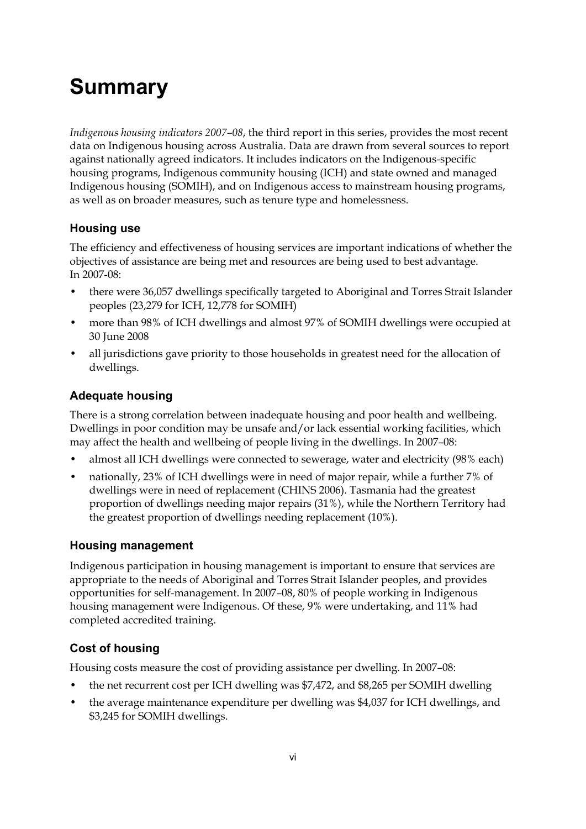# **Summary**

*Indigenous housing indicators 2007–08*, the third report in this series, provides the most recent data on Indigenous housing across Australia. Data are drawn from several sources to report against nationally agreed indicators. It includes indicators on the Indigenous-specific housing programs, Indigenous community housing (ICH) and state owned and managed Indigenous housing (SOMIH), and on Indigenous access to mainstream housing programs, as well as on broader measures, such as tenure type and homelessness.

### **Housing use**

The efficiency and effectiveness of housing services are important indications of whether the objectives of assistance are being met and resources are being used to best advantage. In 2007-08:

- there were 36,057 dwellings specifically targeted to Aboriginal and Torres Strait Islander peoples (23,279 for ICH, 12,778 for SOMIH)
- more than 98% of ICH dwellings and almost 97% of SOMIH dwellings were occupied at 30 June 2008
- all jurisdictions gave priority to those households in greatest need for the allocation of dwellings.

### **Adequate housing**

There is a strong correlation between inadequate housing and poor health and wellbeing. Dwellings in poor condition may be unsafe and/or lack essential working facilities, which may affect the health and wellbeing of people living in the dwellings. In 2007–08:

- almost all ICH dwellings were connected to sewerage, water and electricity (98% each)
- nationally, 23% of ICH dwellings were in need of major repair, while a further 7% of dwellings were in need of replacement (CHINS 2006). Tasmania had the greatest proportion of dwellings needing major repairs (31%), while the Northern Territory had the greatest proportion of dwellings needing replacement (10%).

### **Housing management**

Indigenous participation in housing management is important to ensure that services are appropriate to the needs of Aboriginal and Torres Strait Islander peoples, and provides opportunities for self-management. In 2007–08, 80% of people working in Indigenous housing management were Indigenous. Of these, 9% were undertaking, and 11% had completed accredited training.

## **Cost of housing**

Housing costs measure the cost of providing assistance per dwelling. In 2007–08:

- the net recurrent cost per ICH dwelling was \$7,472, and \$8,265 per SOMIH dwelling
- the average maintenance expenditure per dwelling was \$4,037 for ICH dwellings, and \$3,245 for SOMIH dwellings.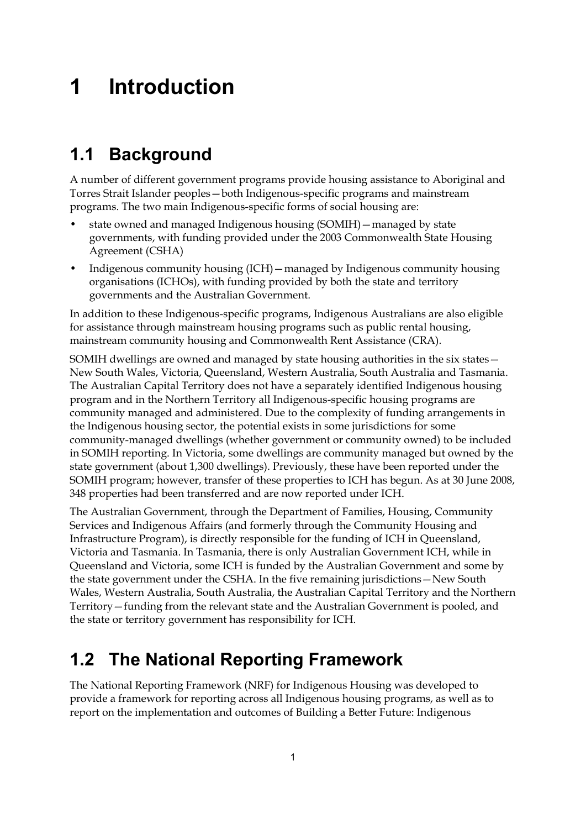# **1 Introduction**

# **1.1 Background**

A number of different government programs provide housing assistance to Aboriginal and Torres Strait Islander peoples—both Indigenous-specific programs and mainstream programs. The two main Indigenous-specific forms of social housing are:

- state owned and managed Indigenous housing (SOMIH)—managed by state governments, with funding provided under the 2003 Commonwealth State Housing Agreement (CSHA)
- Indigenous community housing (ICH)—managed by Indigenous community housing organisations (ICHOs), with funding provided by both the state and territory governments and the Australian Government.

In addition to these Indigenous-specific programs, Indigenous Australians are also eligible for assistance through mainstream housing programs such as public rental housing, mainstream community housing and Commonwealth Rent Assistance (CRA).

SOMIH dwellings are owned and managed by state housing authorities in the six states— New South Wales, Victoria, Queensland, Western Australia, South Australia and Tasmania. The Australian Capital Territory does not have a separately identified Indigenous housing program and in the Northern Territory all Indigenous-specific housing programs are community managed and administered. Due to the complexity of funding arrangements in the Indigenous housing sector, the potential exists in some jurisdictions for some community-managed dwellings (whether government or community owned) to be included in SOMIH reporting. In Victoria, some dwellings are community managed but owned by the state government (about 1,300 dwellings). Previously, these have been reported under the SOMIH program; however, transfer of these properties to ICH has begun. As at 30 June 2008, 348 properties had been transferred and are now reported under ICH.

The Australian Government, through the Department of Families, Housing, Community Services and Indigenous Affairs (and formerly through the Community Housing and Infrastructure Program), is directly responsible for the funding of ICH in Queensland, Victoria and Tasmania. In Tasmania, there is only Australian Government ICH, while in Queensland and Victoria, some ICH is funded by the Australian Government and some by the state government under the CSHA. In the five remaining jurisdictions—New South Wales, Western Australia, South Australia, the Australian Capital Territory and the Northern Territory—funding from the relevant state and the Australian Government is pooled, and the state or territory government has responsibility for ICH.

# **1.2 The National Reporting Framework**

The National Reporting Framework (NRF) for Indigenous Housing was developed to provide a framework for reporting across all Indigenous housing programs, as well as to report on the implementation and outcomes of Building a Better Future: Indigenous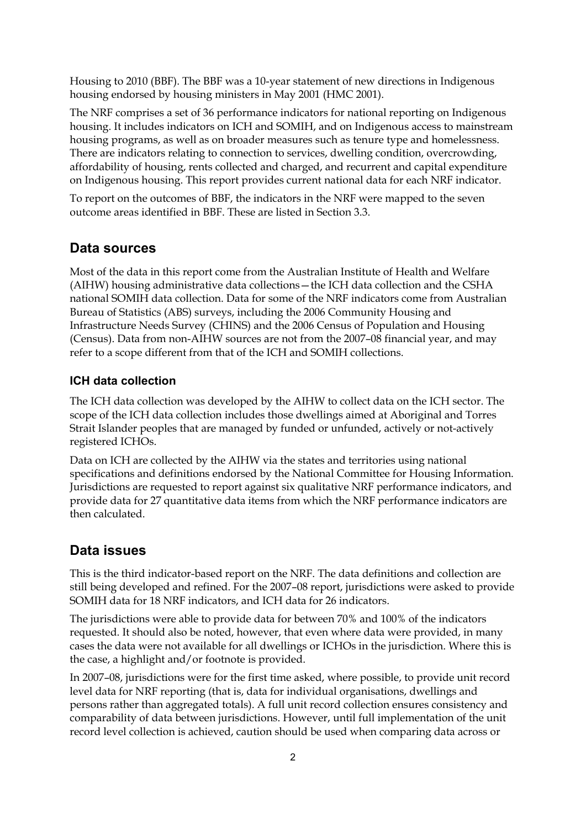Housing to 2010 (BBF). The BBF was a 10-year statement of new directions in Indigenous housing endorsed by housing ministers in May 2001 (HMC 2001).

The NRF comprises a set of 36 performance indicators for national reporting on Indigenous housing. It includes indicators on ICH and SOMIH, and on Indigenous access to mainstream housing programs, as well as on broader measures such as tenure type and homelessness. There are indicators relating to connection to services, dwelling condition, overcrowding, affordability of housing, rents collected and charged, and recurrent and capital expenditure on Indigenous housing. This report provides current national data for each NRF indicator.

To report on the outcomes of BBF, the indicators in the NRF were mapped to the seven outcome areas identified in BBF. These are listed in Section 3.3.

### **Data sources**

Most of the data in this report come from the Australian Institute of Health and Welfare (AIHW) housing administrative data collections—the ICH data collection and the CSHA national SOMIH data collection. Data for some of the NRF indicators come from Australian Bureau of Statistics (ABS) surveys, including the 2006 Community Housing and Infrastructure Needs Survey (CHINS) and the 2006 Census of Population and Housing (Census). Data from non-AIHW sources are not from the 2007–08 financial year, and may refer to a scope different from that of the ICH and SOMIH collections.

#### **ICH data collection**

The ICH data collection was developed by the AIHW to collect data on the ICH sector. The scope of the ICH data collection includes those dwellings aimed at Aboriginal and Torres Strait Islander peoples that are managed by funded or unfunded, actively or not-actively registered ICHOs.

Data on ICH are collected by the AIHW via the states and territories using national specifications and definitions endorsed by the National Committee for Housing Information. Jurisdictions are requested to report against six qualitative NRF performance indicators, and provide data for 27 quantitative data items from which the NRF performance indicators are then calculated.

### **Data issues**

This is the third indicator-based report on the NRF. The data definitions and collection are still being developed and refined. For the 2007–08 report, jurisdictions were asked to provide SOMIH data for 18 NRF indicators, and ICH data for 26 indicators.

The jurisdictions were able to provide data for between 70% and 100% of the indicators requested. It should also be noted, however, that even where data were provided, in many cases the data were not available for all dwellings or ICHOs in the jurisdiction. Where this is the case, a highlight and/or footnote is provided.

In 2007–08, jurisdictions were for the first time asked, where possible, to provide unit record level data for NRF reporting (that is, data for individual organisations, dwellings and persons rather than aggregated totals). A full unit record collection ensures consistency and comparability of data between jurisdictions. However, until full implementation of the unit record level collection is achieved, caution should be used when comparing data across or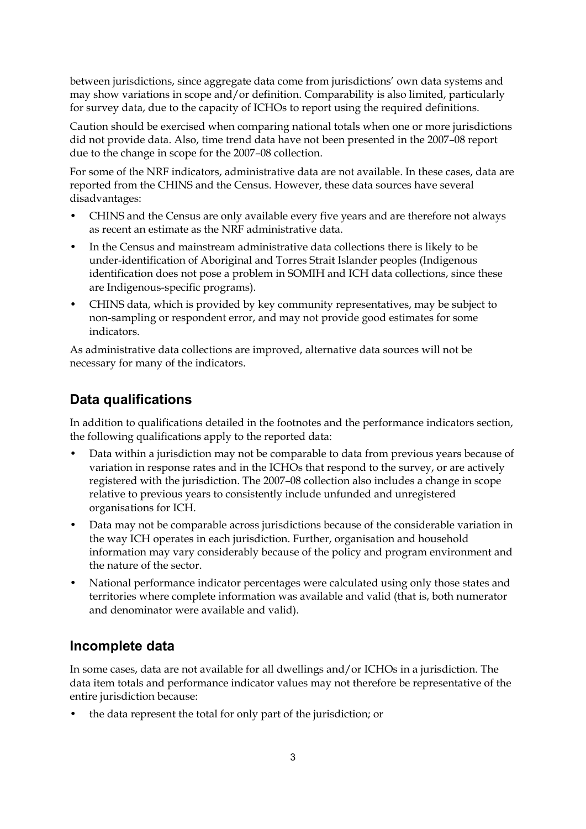between jurisdictions, since aggregate data come from jurisdictions' own data systems and may show variations in scope and/or definition. Comparability is also limited, particularly for survey data, due to the capacity of ICHOs to report using the required definitions.

Caution should be exercised when comparing national totals when one or more jurisdictions did not provide data. Also, time trend data have not been presented in the 2007–08 report due to the change in scope for the 2007–08 collection.

For some of the NRF indicators, administrative data are not available. In these cases, data are reported from the CHINS and the Census. However, these data sources have several disadvantages:

- CHINS and the Census are only available every five years and are therefore not always as recent an estimate as the NRF administrative data.
- In the Census and mainstream administrative data collections there is likely to be under-identification of Aboriginal and Torres Strait Islander peoples (Indigenous identification does not pose a problem in SOMIH and ICH data collections, since these are Indigenous-specific programs).
- CHINS data, which is provided by key community representatives, may be subject to non-sampling or respondent error, and may not provide good estimates for some indicators.

As administrative data collections are improved, alternative data sources will not be necessary for many of the indicators.

# **Data qualifications**

In addition to qualifications detailed in the footnotes and the performance indicators section, the following qualifications apply to the reported data:

- Data within a jurisdiction may not be comparable to data from previous years because of variation in response rates and in the ICHOs that respond to the survey, or are actively registered with the jurisdiction. The 2007–08 collection also includes a change in scope relative to previous years to consistently include unfunded and unregistered organisations for ICH.
- Data may not be comparable across jurisdictions because of the considerable variation in the way ICH operates in each jurisdiction. Further, organisation and household information may vary considerably because of the policy and program environment and the nature of the sector.
- National performance indicator percentages were calculated using only those states and territories where complete information was available and valid (that is, both numerator and denominator were available and valid).

# **Incomplete data**

In some cases, data are not available for all dwellings and/or ICHOs in a jurisdiction. The data item totals and performance indicator values may not therefore be representative of the entire jurisdiction because:

• the data represent the total for only part of the jurisdiction; or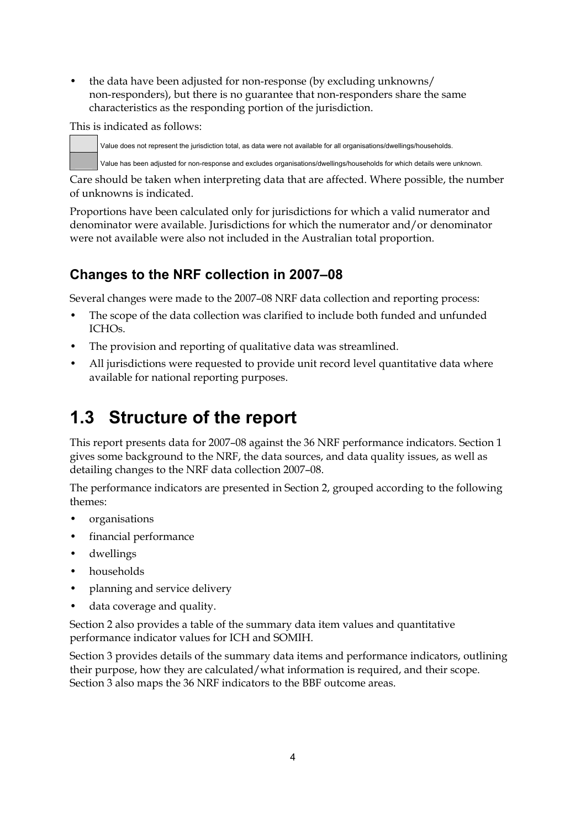• the data have been adjusted for non-response (by excluding unknowns/ non-responders), but there is no guarantee that non-responders share the same characteristics as the responding portion of the jurisdiction.

This is indicated as follows:

Value does not represent the jurisdiction total, as data were not available for all organisations/dwellings/households.

Value has been adjusted for non-response and excludes organisations/dwellings/households for which details were unknown.

Care should be taken when interpreting data that are affected. Where possible, the number of unknowns is indicated.

Proportions have been calculated only for jurisdictions for which a valid numerator and denominator were available. Jurisdictions for which the numerator and/or denominator were not available were also not included in the Australian total proportion.

# **Changes to the NRF collection in 2007–08**

Several changes were made to the 2007–08 NRF data collection and reporting process:

- The scope of the data collection was clarified to include both funded and unfunded ICHOs.
- The provision and reporting of qualitative data was streamlined.
- All jurisdictions were requested to provide unit record level quantitative data where available for national reporting purposes.

# **1.3 Structure of the report**

This report presents data for 2007–08 against the 36 NRF performance indicators. Section 1 gives some background to the NRF, the data sources, and data quality issues, as well as detailing changes to the NRF data collection 2007–08.

The performance indicators are presented in Section 2, grouped according to the following themes:

- organisations
- financial performance
- dwellings
- households
- planning and service delivery
- data coverage and quality.

Section 2 also provides a table of the summary data item values and quantitative performance indicator values for ICH and SOMIH.

Section 3 provides details of the summary data items and performance indicators, outlining their purpose, how they are calculated/what information is required, and their scope. Section 3 also maps the 36 NRF indicators to the BBF outcome areas.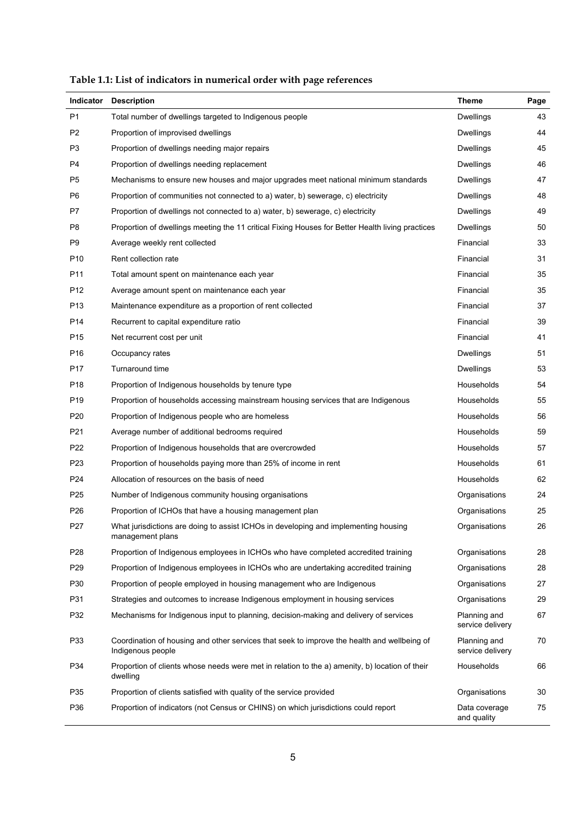| <b>Indicator</b> | <b>Description</b>                                                                                               | <b>Theme</b>                     | Page |
|------------------|------------------------------------------------------------------------------------------------------------------|----------------------------------|------|
| P1               | Total number of dwellings targeted to Indigenous people                                                          | <b>Dwellings</b>                 | 43   |
| P <sub>2</sub>   | Proportion of improvised dwellings                                                                               | Dwellings                        | 44   |
| P3               | Proportion of dwellings needing major repairs                                                                    | Dwellings                        | 45   |
| P4               | Proportion of dwellings needing replacement                                                                      | Dwellings                        | 46   |
| P5               | Mechanisms to ensure new houses and major upgrades meet national minimum standards                               | Dwellings                        | 47   |
| P6               | Proportion of communities not connected to a) water, b) sewerage, c) electricity                                 | <b>Dwellings</b>                 | 48   |
| P7               | Proportion of dwellings not connected to a) water, b) sewerage, c) electricity                                   | Dwellings                        | 49   |
| P8               | Proportion of dwellings meeting the 11 critical Fixing Houses for Better Health living practices                 | Dwellings                        | 50   |
| P9               | Average weekly rent collected                                                                                    | Financial                        | 33   |
| P10              | Rent collection rate                                                                                             | Financial                        | 31   |
| P11              | Total amount spent on maintenance each year                                                                      | Financial                        | 35   |
| P12              | Average amount spent on maintenance each year                                                                    | Financial                        | 35   |
| P13              | Maintenance expenditure as a proportion of rent collected                                                        | Financial                        | 37   |
| P14              | Recurrent to capital expenditure ratio                                                                           | Financial                        | 39   |
| P <sub>15</sub>  | Net recurrent cost per unit                                                                                      | Financial                        | 41   |
| P16              | Occupancy rates                                                                                                  | Dwellings                        | 51   |
| P17              | Turnaround time                                                                                                  | Dwellings                        | 53   |
| P18              | Proportion of Indigenous households by tenure type                                                               | Households                       | 54   |
| P19              | Proportion of households accessing mainstream housing services that are Indigenous                               | Households                       | 55   |
| P20              | Proportion of Indigenous people who are homeless                                                                 | Households                       | 56   |
| P21              | Average number of additional bedrooms required                                                                   | Households                       | 59   |
| P22              | Proportion of Indigenous households that are overcrowded                                                         | Households                       | 57   |
| P23              | Proportion of households paying more than 25% of income in rent                                                  | Households                       | 61   |
| P24              | Allocation of resources on the basis of need                                                                     | Households                       | 62   |
| P25              | Number of Indigenous community housing organisations                                                             | Organisations                    | 24   |
| P26              | Proportion of ICHOs that have a housing management plan                                                          | Organisations                    | 25   |
| P27              | What jurisdictions are doing to assist ICHOs in developing and implementing housing<br>management plans          | Organisations                    | 26   |
| P28              | Proportion of Indigenous employees in ICHOs who have completed accredited training                               | Organisations                    | 28   |
| P29              | Proportion of Indigenous employees in ICHOs who are undertaking accredited training                              | Organisations                    | 28   |
| P30              | Proportion of people employed in housing management who are Indigenous                                           | Organisations                    | 27   |
| P31              | Strategies and outcomes to increase Indigenous employment in housing services                                    | Organisations                    | 29   |
| P32              | Mechanisms for Indigenous input to planning, decision-making and delivery of services                            | Planning and<br>service delivery | 67   |
| P33              | Coordination of housing and other services that seek to improve the health and wellbeing of<br>Indigenous people | Planning and<br>service delivery | 70   |
| P34              | Proportion of clients whose needs were met in relation to the a) amenity, b) location of their<br>dwelling       | Households                       | 66   |
| P35              | Proportion of clients satisfied with quality of the service provided                                             | Organisations                    | 30   |
| P36              | Proportion of indicators (not Census or CHINS) on which jurisdictions could report                               | Data coverage<br>and quality     | 75   |

**Table 1.1: List of indicators in numerical order with page references**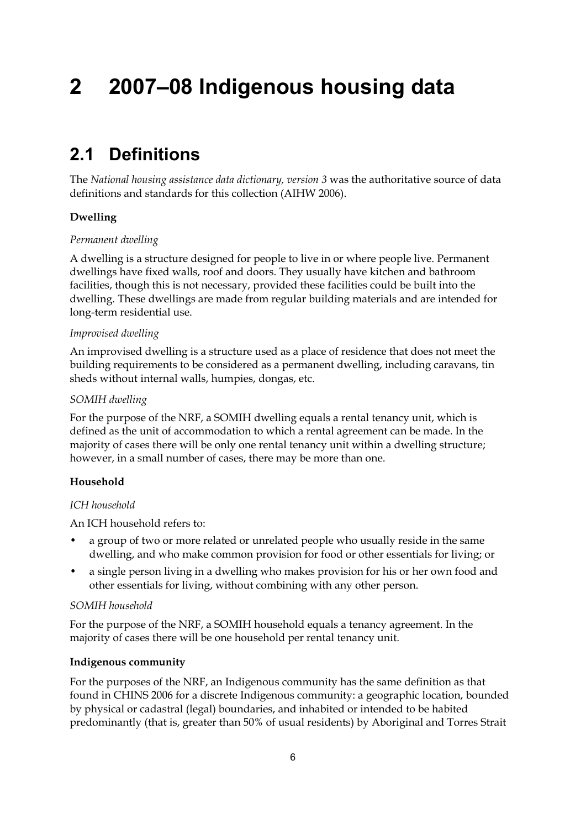# **2 2007–08 Indigenous housing data**

# **2.1 Definitions**

The *National housing assistance data dictionary, version 3* was the authoritative source of data definitions and standards for this collection (AIHW 2006).

#### **Dwelling**

#### *Permanent dwelling*

A dwelling is a structure designed for people to live in or where people live. Permanent dwellings have fixed walls, roof and doors. They usually have kitchen and bathroom facilities, though this is not necessary, provided these facilities could be built into the dwelling. These dwellings are made from regular building materials and are intended for long-term residential use.

#### *Improvised dwelling*

An improvised dwelling is a structure used as a place of residence that does not meet the building requirements to be considered as a permanent dwelling, including caravans, tin sheds without internal walls, humpies, dongas, etc.

#### *SOMIH dwelling*

For the purpose of the NRF, a SOMIH dwelling equals a rental tenancy unit, which is defined as the unit of accommodation to which a rental agreement can be made. In the majority of cases there will be only one rental tenancy unit within a dwelling structure; however, in a small number of cases, there may be more than one.

#### **Household**

#### *ICH household*

An ICH household refers to:

- a group of two or more related or unrelated people who usually reside in the same dwelling, and who make common provision for food or other essentials for living; or
- a single person living in a dwelling who makes provision for his or her own food and other essentials for living, without combining with any other person.

#### *SOMIH household*

For the purpose of the NRF, a SOMIH household equals a tenancy agreement. In the majority of cases there will be one household per rental tenancy unit.

#### **Indigenous community**

For the purposes of the NRF, an Indigenous community has the same definition as that found in CHINS 2006 for a discrete Indigenous community: a geographic location, bounded by physical or cadastral (legal) boundaries, and inhabited or intended to be habited predominantly (that is, greater than 50% of usual residents) by Aboriginal and Torres Strait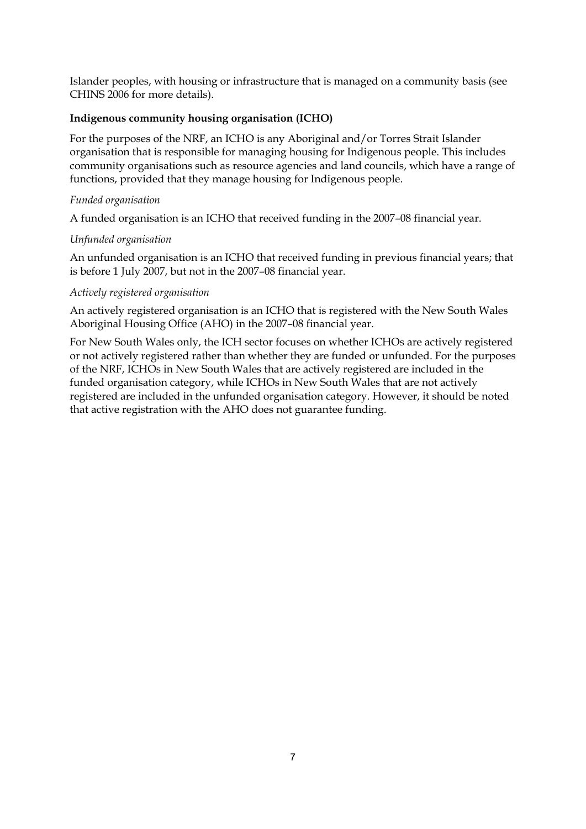Islander peoples, with housing or infrastructure that is managed on a community basis (see CHINS 2006 for more details).

#### **Indigenous community housing organisation (ICHO)**

For the purposes of the NRF, an ICHO is any Aboriginal and/or Torres Strait Islander organisation that is responsible for managing housing for Indigenous people. This includes community organisations such as resource agencies and land councils, which have a range of functions, provided that they manage housing for Indigenous people.

#### *Funded organisation*

A funded organisation is an ICHO that received funding in the 2007–08 financial year.

#### *Unfunded organisation*

An unfunded organisation is an ICHO that received funding in previous financial years; that is before 1 July 2007, but not in the 2007–08 financial year.

#### *Actively registered organisation*

An actively registered organisation is an ICHO that is registered with the New South Wales Aboriginal Housing Office (AHO) in the 2007–08 financial year.

For New South Wales only, the ICH sector focuses on whether ICHOs are actively registered or not actively registered rather than whether they are funded or unfunded. For the purposes of the NRF, ICHOs in New South Wales that are actively registered are included in the funded organisation category, while ICHOs in New South Wales that are not actively registered are included in the unfunded organisation category. However, it should be noted that active registration with the AHO does not guarantee funding.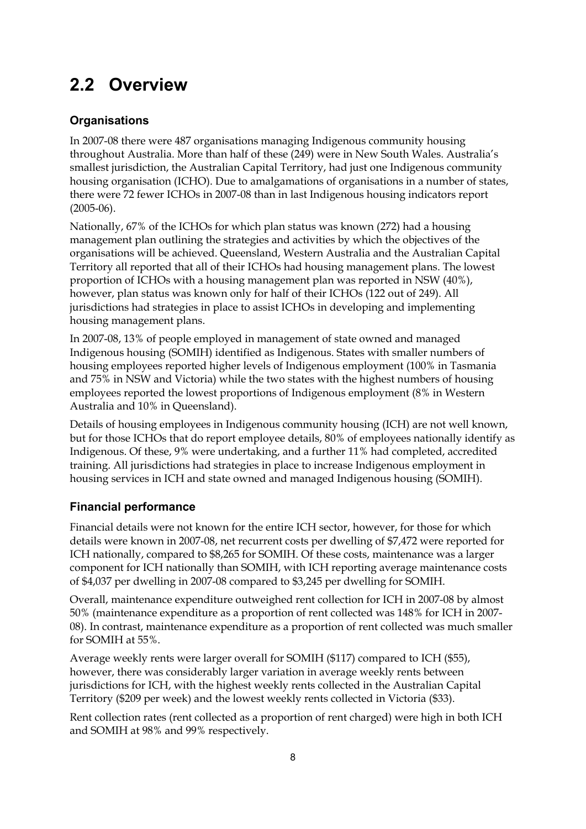# **2.2 Overview**

## **Organisations**

In 2007-08 there were 487 organisations managing Indigenous community housing throughout Australia. More than half of these (249) were in New South Wales. Australia's smallest jurisdiction, the Australian Capital Territory, had just one Indigenous community housing organisation (ICHO). Due to amalgamations of organisations in a number of states, there were 72 fewer ICHOs in 2007-08 than in last Indigenous housing indicators report (2005-06).

Nationally, 67% of the ICHOs for which plan status was known (272) had a housing management plan outlining the strategies and activities by which the objectives of the organisations will be achieved. Queensland, Western Australia and the Australian Capital Territory all reported that all of their ICHOs had housing management plans. The lowest proportion of ICHOs with a housing management plan was reported in NSW (40%), however, plan status was known only for half of their ICHOs (122 out of 249). All jurisdictions had strategies in place to assist ICHOs in developing and implementing housing management plans.

In 2007-08, 13% of people employed in management of state owned and managed Indigenous housing (SOMIH) identified as Indigenous. States with smaller numbers of housing employees reported higher levels of Indigenous employment (100% in Tasmania and 75% in NSW and Victoria) while the two states with the highest numbers of housing employees reported the lowest proportions of Indigenous employment (8% in Western Australia and 10% in Queensland).

Details of housing employees in Indigenous community housing (ICH) are not well known, but for those ICHOs that do report employee details, 80% of employees nationally identify as Indigenous. Of these, 9% were undertaking, and a further 11% had completed, accredited training. All jurisdictions had strategies in place to increase Indigenous employment in housing services in ICH and state owned and managed Indigenous housing (SOMIH).

### **Financial performance**

Financial details were not known for the entire ICH sector, however, for those for which details were known in 2007-08, net recurrent costs per dwelling of \$7,472 were reported for ICH nationally, compared to \$8,265 for SOMIH. Of these costs, maintenance was a larger component for ICH nationally than SOMIH, with ICH reporting average maintenance costs of \$4,037 per dwelling in 2007-08 compared to \$3,245 per dwelling for SOMIH.

Overall, maintenance expenditure outweighed rent collection for ICH in 2007-08 by almost 50% (maintenance expenditure as a proportion of rent collected was 148% for ICH in 2007- 08). In contrast, maintenance expenditure as a proportion of rent collected was much smaller for SOMIH at 55%.

Average weekly rents were larger overall for SOMIH (\$117) compared to ICH (\$55), however, there was considerably larger variation in average weekly rents between jurisdictions for ICH, with the highest weekly rents collected in the Australian Capital Territory (\$209 per week) and the lowest weekly rents collected in Victoria (\$33).

Rent collection rates (rent collected as a proportion of rent charged) were high in both ICH and SOMIH at 98% and 99% respectively.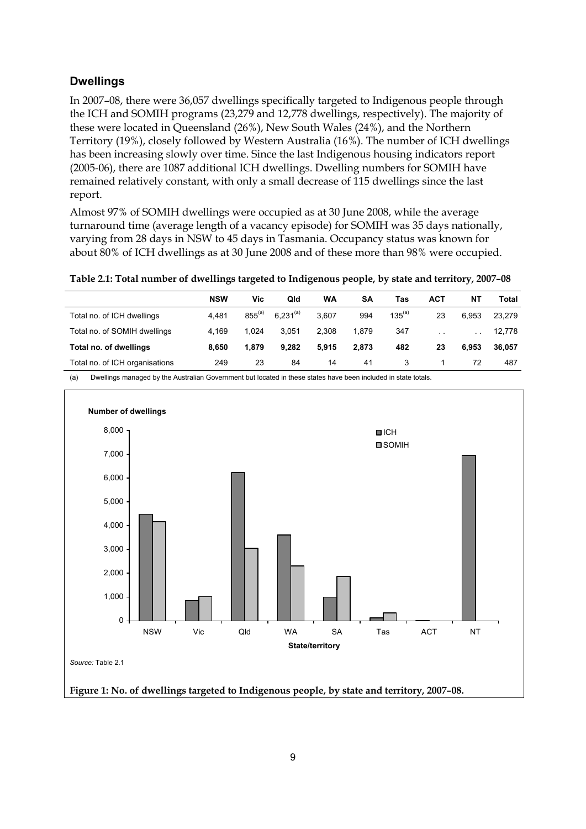#### **Dwellings**

In 2007–08, there were 36,057 dwellings specifically targeted to Indigenous people through the ICH and SOMIH programs (23,279 and 12,778 dwellings, respectively). The majority of these were located in Queensland (26%), New South Wales (24%), and the Northern Territory (19%), closely followed by Western Australia (16%). The number of ICH dwellings has been increasing slowly over time. Since the last Indigenous housing indicators report (2005-06), there are 1087 additional ICH dwellings. Dwelling numbers for SOMIH have remained relatively constant, with only a small decrease of 115 dwellings since the last report.

Almost 97% of SOMIH dwellings were occupied as at 30 June 2008, while the average turnaround time (average length of a vacancy episode) for SOMIH was 35 days nationally, varying from 28 days in NSW to 45 days in Tasmania. Occupancy status was known for about 80% of ICH dwellings as at 30 June 2008 and of these more than 98% were occupied.

**Table 2.1: Total number of dwellings targeted to Indigenous people, by state and territory, 2007–08** 

|                                | <b>NSW</b> | Vic         | Qld           | WA    | SΑ    | Tas         | ACT                  | NΤ            | Total  |
|--------------------------------|------------|-------------|---------------|-------|-------|-------------|----------------------|---------------|--------|
| Total no. of ICH dwellings     | 4.481      | $855^{(a)}$ | $6.231^{(a)}$ | 3.607 | 994   | $135^{(a)}$ | 23                   | 6.953         | 23.279 |
| Total no. of SOMIH dwellings   | 4.169      | 1.024       | 3.051         | 2.308 | 1.879 | 347         | $\ddot{\phantom{0}}$ | $\sim$ $\sim$ | 12,778 |
| Total no. of dwellings         | 8.650      | 1.879       | 9.282         | 5.915 | 2.873 | 482         | 23                   | 6.953         | 36.057 |
| Total no. of ICH organisations | 249        | 23          | 84            | 14    | 41    | 3           |                      | 72            | 487    |

(a) Dwellings managed by the Australian Government but located in these states have been included in state totals.

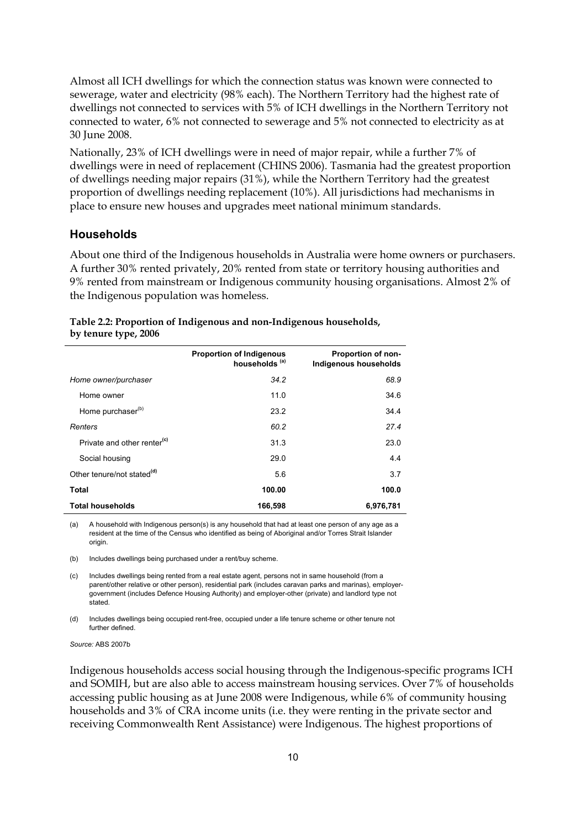Almost all ICH dwellings for which the connection status was known were connected to sewerage, water and electricity (98% each). The Northern Territory had the highest rate of dwellings not connected to services with 5% of ICH dwellings in the Northern Territory not connected to water, 6% not connected to sewerage and 5% not connected to electricity as at 30 June 2008.

Nationally, 23% of ICH dwellings were in need of major repair, while a further 7% of dwellings were in need of replacement (CHINS 2006). Tasmania had the greatest proportion of dwellings needing major repairs (31%), while the Northern Territory had the greatest proportion of dwellings needing replacement (10%). All jurisdictions had mechanisms in place to ensure new houses and upgrades meet national minimum standards.

#### **Households**

About one third of the Indigenous households in Australia were home owners or purchasers. A further 30% rented privately, 20% rented from state or territory housing authorities and 9% rented from mainstream or Indigenous community housing organisations. Almost 2% of the Indigenous population was homeless.

|                      | Table 2.2: Proportion of Indigenous and non-Indigenous households, |
|----------------------|--------------------------------------------------------------------|
| by tenure type, 2006 |                                                                    |

|                                         | <b>Proportion of Indigenous</b><br>households <sup>(a)</sup> | Proportion of non-<br>Indigenous households |
|-----------------------------------------|--------------------------------------------------------------|---------------------------------------------|
| Home owner/purchaser                    | 34.2                                                         | 68.9                                        |
| Home owner                              | 11.0                                                         | 34.6                                        |
| Home purchaser <sup>(b)</sup>           | 23.2                                                         | 34.4                                        |
| Renters                                 | 60.2                                                         | 27.4                                        |
| Private and other renter <sup>(c)</sup> | 31.3                                                         | 23.0                                        |
| Social housing                          | 29.0                                                         | 4.4                                         |
| Other tenure/not stated <sup>(d)</sup>  | 5.6                                                          | 3.7                                         |
| Total                                   | 100.00                                                       | 100.0                                       |
| <b>Total households</b>                 | 166,598                                                      | 6,976,781                                   |

(a) A household with Indigenous person(s) is any household that had at least one person of any age as a resident at the time of the Census who identified as being of Aboriginal and/or Torres Strait Islander origin.

(b) Includes dwellings being purchased under a rent/buy scheme.

(c) Includes dwellings being rented from a real estate agent, persons not in same household (from a parent/other relative or other person), residential park (includes caravan parks and marinas), employergovernment (includes Defence Housing Authority) and employer-other (private) and landlord type not stated.

(d) Includes dwellings being occupied rent-free, occupied under a life tenure scheme or other tenure not further defined.

*Source:* ABS 2007b

Indigenous households access social housing through the Indigenous-specific programs ICH and SOMIH, but are also able to access mainstream housing services. Over 7% of households accessing public housing as at June 2008 were Indigenous, while 6% of community housing households and 3% of CRA income units (i.e. they were renting in the private sector and receiving Commonwealth Rent Assistance) were Indigenous. The highest proportions of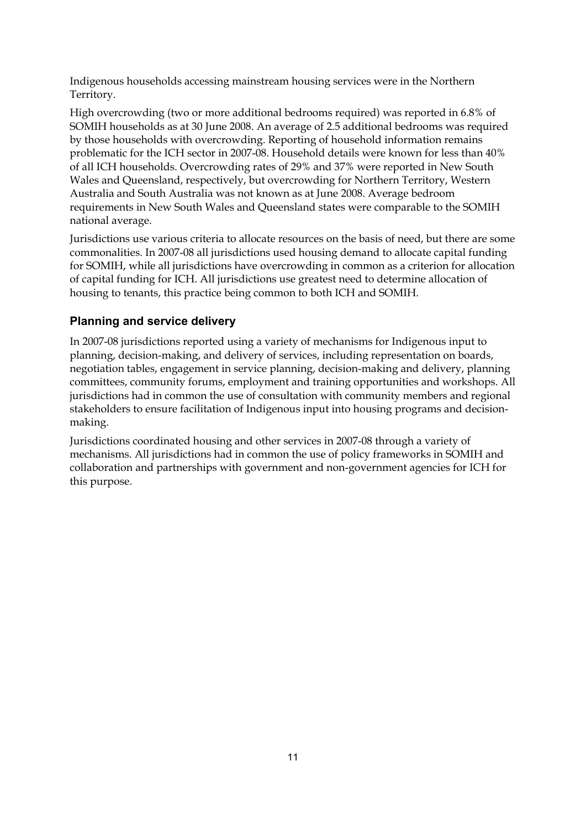Indigenous households accessing mainstream housing services were in the Northern Territory.

High overcrowding (two or more additional bedrooms required) was reported in 6.8% of SOMIH households as at 30 June 2008. An average of 2.5 additional bedrooms was required by those households with overcrowding. Reporting of household information remains problematic for the ICH sector in 2007-08. Household details were known for less than 40% of all ICH households. Overcrowding rates of 29% and 37% were reported in New South Wales and Queensland, respectively, but overcrowding for Northern Territory, Western Australia and South Australia was not known as at June 2008. Average bedroom requirements in New South Wales and Queensland states were comparable to the SOMIH national average.

Jurisdictions use various criteria to allocate resources on the basis of need, but there are some commonalities. In 2007-08 all jurisdictions used housing demand to allocate capital funding for SOMIH, while all jurisdictions have overcrowding in common as a criterion for allocation of capital funding for ICH. All jurisdictions use greatest need to determine allocation of housing to tenants, this practice being common to both ICH and SOMIH.

### **Planning and service delivery**

In 2007-08 jurisdictions reported using a variety of mechanisms for Indigenous input to planning, decision-making, and delivery of services, including representation on boards, negotiation tables, engagement in service planning, decision-making and delivery, planning committees, community forums, employment and training opportunities and workshops. All jurisdictions had in common the use of consultation with community members and regional stakeholders to ensure facilitation of Indigenous input into housing programs and decisionmaking.

Jurisdictions coordinated housing and other services in 2007-08 through a variety of mechanisms. All jurisdictions had in common the use of policy frameworks in SOMIH and collaboration and partnerships with government and non-government agencies for ICH for this purpose.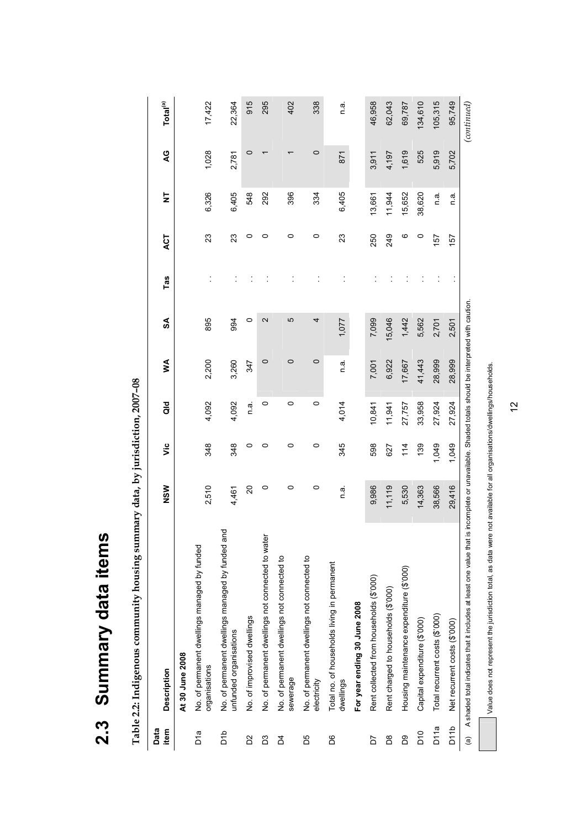| ì                |
|------------------|
| 5                |
| ì<br>Í<br>ć<br>١ |
| ί<br>Ì           |
| $\mathbf$<br>t   |

Table 2.2: Indigenous community housing summary data, by jurisdiction, 2007-08 **Table 2.2: Indigenous community housing summary data, by jurisdiction, 2007–08** 

| Data<br>item      | <b>Description</b>                                                                                                      | NSW     | υã    | $\frac{d}{d}$ | ≸       | SA                                                                              | Tas | ACT | $\overline{\mathsf{z}}$ | QG      | Total <sup>(a)</sup> |
|-------------------|-------------------------------------------------------------------------------------------------------------------------|---------|-------|---------------|---------|---------------------------------------------------------------------------------|-----|-----|-------------------------|---------|----------------------|
|                   | At 30 June 2008                                                                                                         |         |       |               |         |                                                                                 |     |     |                         |         |                      |
| b"a               | No. of permanent dwellings managed by funded<br>organisations                                                           | 2,510   | 348   | 4,092         | 2,200   | 895                                                                             |     | 23  | 6,326                   | 1,028   | 17,422               |
| dıd               | No. of permanent dwellings managed by funded and<br>unfunded organisations                                              | 4,461   | 348   | 4,092         | 3,260   | 994                                                                             |     | 23  | 6,405                   | 2,781   | 22,364               |
| δ                 | No. of improvised dwellings                                                                                             | 20      | 0     | ດ.<br>⊏       | 347     | $\circ$                                                                         |     | 0   | 548                     | 0       | 915                  |
| S                 | No. of permanent dwellings not connected to water                                                                       | 0       | 0     | 0             | $\circ$ | 2                                                                               |     | 0   | 292                     |         | 295                  |
| Z4                | No. of permanent dwellings not connected to<br>sewerage                                                                 | $\circ$ | 0     | $\circ$       | $\circ$ | 5                                                                               |     | 0   | 396                     |         | 402                  |
| ЪS                | No. of permanent dwellings not connected to<br>electricity                                                              | $\circ$ | 0     | $\circ$       | $\circ$ | 4                                                                               |     | 0   | 334                     | $\circ$ | 338                  |
| δG                | Total no. of households living in permanent<br>dwellings                                                                | n.a     | 345   | 4,014         | πā.     | 1,077                                                                           |     | 23  | 6,405                   | 871     | e.<br>D              |
|                   | For year ending 30 June 2008                                                                                            |         |       |               |         |                                                                                 |     |     |                         |         |                      |
| <b>PD</b>         | Rent collected from households (\$'000)                                                                                 | 9,986   | 598   | 10,841        | 7,001   | 7,099                                                                           |     | 250 | 13,661                  | 3,911   | 46,958               |
| 80                | Rent charged to households (\$'000)                                                                                     | 11,119  | 627   | 11,941        | 6,922   | 15,046                                                                          |     | 249 | 11,944                  | 4,197   | 62,043               |
| BS                | Housing maintenance expenditure (\$'000)                                                                                | 5,530   | 114   | 27,757        | 17,667  | 1,442                                                                           |     | ဖ   | 15,652                  | 1,619   | 69,787               |
| $\overline{D}$ 10 | Capital expenditure (\$'000)                                                                                            | 14,363  | 139   | 33,958        | 41,443  | 5,562                                                                           |     | 0   | 38,620                  | 525     | 134,610              |
| D <sub>11a</sub>  | Total recurrent costs (\$'000)                                                                                          | 38,566  | 1,049 | 27,924        | 28,999  | 2,701                                                                           |     | 157 | n a                     | 5,919   | 105,315              |
| D <sub>11</sub> b | Net recurrent costs (\$'000)                                                                                            | 29,416  | 1,049 | 27,924        | 28,999  | 2,501                                                                           |     | 157 | ة<br>C                  | 5,702   | 95,749               |
| $\widehat{a}$     | A shaded total indicates that it includes at least one value that                                                       |         |       |               |         | is incomplete or unavailable. Shaded totals should be interpreted with caution. |     |     |                         |         | (continued)          |
|                   | Value does not represent the jurisdiction total, as data were not available for all organisations/dwellings/households. |         |       |               |         |                                                                                 |     |     |                         |         |                      |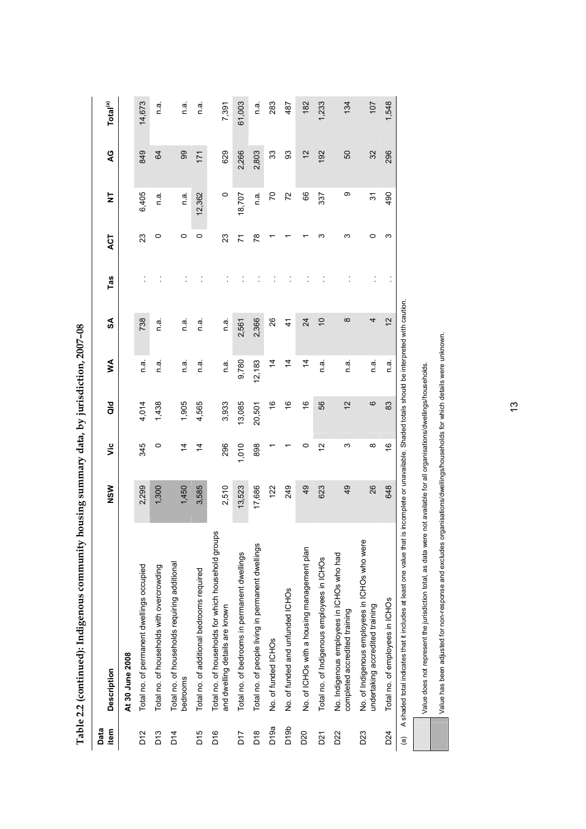| È<br>S<br>Ĺ<br>$\frac{1}{2}$<br>, uuut<br>$\mathbf{r}$<br>てくら そうそうこく しゃ |  |
|-------------------------------------------------------------------------|--|
| ו<br>ז<br>ļ<br>İ<br>1<br>$\frac{1}{2}$<br>Ì                             |  |

|                   | Table 2.2 (continued): Indigenous community h                                                                  | lousing summary data, by jurisdiction, 2007-08 |                |               |                |                                                                             |     |         |                         |       |                      |
|-------------------|----------------------------------------------------------------------------------------------------------------|------------------------------------------------|----------------|---------------|----------------|-----------------------------------------------------------------------------|-----|---------|-------------------------|-------|----------------------|
| Data<br>item      | <b>Description</b>                                                                                             | NSW                                            | š              | aio           | ≸              | SA                                                                          | Tas | ACT     | $\overline{\mathsf{z}}$ | Q     | Total <sup>(a)</sup> |
|                   | At 30 June 2008                                                                                                |                                                |                |               |                |                                                                             |     |         |                         |       |                      |
| D <sub>12</sub>   | Total no. of permanent dwellings occupied                                                                      | 2,299                                          | 345            | 4,014         | n.a.           | 738                                                                         |     | 23      | 6,405                   | 849   | 14,673               |
| D13               | Total no. of households with overcrowding                                                                      | 1,300                                          | $\circ$        | 1,438         | ia<br>C        | e<br>O                                                                      |     | 0       | n.a.                    | S4    | n.a                  |
| $\overline{D}$ 14 | Total no. of households requiring additional<br>bedrooms                                                       | 1,450                                          | $\overline{4}$ | 1,905         | n a            | n.a.                                                                        |     | $\circ$ | n a.                    | 99    | n a                  |
| <b>PIQ</b>        | Total no. of additional bedrooms required                                                                      | 3,585                                          | $\overline{4}$ | 4,565         | n.a            | n a                                                                         |     | 0       | 12,362                  | 171   | n a                  |
| <b>Pro</b>        | Total no. of households for which household groups<br>and dwelling details are known                           | 2,510                                          | 296            | 3,933         | n.a.           | n a                                                                         |     | 23      | $\circ$                 | 629   | 7,391                |
| <b>LIQ</b>        | Total no. of bedrooms in permanent dwellings                                                                   | 13,523                                         | 1,010          | 13,085        | 9,780          | 2,561                                                                       |     | 77      | 18,707                  | 2,266 | 61,003               |
| $\frac{8}{2}$     | Total no. of people living in permanent dwellings                                                              | 17,686                                         | 898            | 20,501        | 12,183         | 2,366                                                                       |     | R8      | e u                     | 2,803 | n a                  |
| D <sub>19a</sub>  | No. of funded ICHOs                                                                                            | 122                                            |                | 9             | $\overline{4}$ | 26                                                                          |     |         | 20                      | 33    | 283                  |
| D <sub>19</sub> b | No. of funded and unfunded ICHOs                                                                               | 249                                            |                | \$            | $\overline{4}$ | 4                                                                           |     |         | 72                      | SS    | 487                  |
| D20               | No. of ICHOs with a housing management plan                                                                    | 49                                             | 0              | $\frac{6}{5}$ | $\overline{4}$ | 24                                                                          |     |         | 89                      | 12    | 182                  |
| D21               | Total no. of Indigenous employees in ICHOs                                                                     | 623                                            | $\frac{2}{3}$  | 56            | πa<br>Π        | $\overline{0}$                                                              |     | ω       | 337                     | 192   | 1,233                |
| D22               | No. Indigenous employees in ICHOs who had<br>completed accredited training                                     | 49                                             | ო              | $\frac{1}{2}$ | n.a            | $\infty$                                                                    |     | ω       | თ                       | 50    | 134                  |
| D23               | No. of Indigenous employees in ICHOs who were<br>undertaking accredited training                               | 26                                             | ∞              | ဖ             | e u            | 4                                                                           |     | 0       | $\tilde{\bm{c}}$        | 32    | 107                  |
| D24               | Total no. of employees in ICHOs                                                                                | 648                                            | $\frac{6}{5}$  | 83            | n.a.           | $\tilde{c}$                                                                 |     | ω       | 490                     | 296   | 1,548                |
|                   | ited: aniev and the applies which it includes that hands are all of that is a few form of the first part of th |                                                |                |               |                | incomplete or unavailable. Shaded totals should be interpreted with caution |     |         |                         |       |                      |

(a) A shaded total indicates that it includes at least one value that is incomplete or unavailable. Shaded totals should be interpreted with caution. (a) A shaded total indicates that it includes at least one value that is incomplete or unavailable. Shaded totals should be interpreted with caution.

Value has been adjusted for non-response and excludes organisations/dwellings/households for which details were unknown. Value has been adjusted for non-response and excludes organisations/dwellings/households for which details were unknown.Value does not represent the jurisdiction total, as data were not available for all organisations/dwellings/households. Value does not represent the jurisdiction total, as data were not available for all organisations/dwellings/households.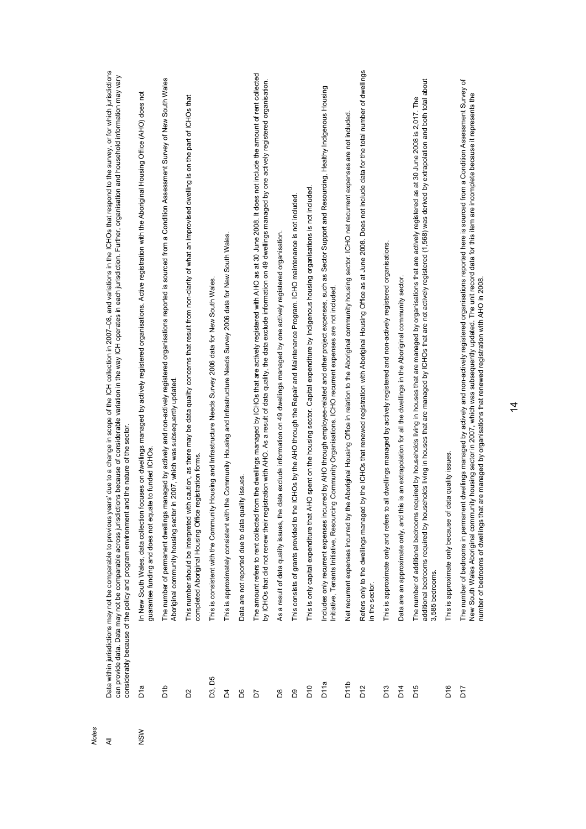| <b>Notes</b> |                  |                                                                                                                                                                                                                                                                                                                                                                                                                                                                                                                            |
|--------------|------------------|----------------------------------------------------------------------------------------------------------------------------------------------------------------------------------------------------------------------------------------------------------------------------------------------------------------------------------------------------------------------------------------------------------------------------------------------------------------------------------------------------------------------------|
| ₹            |                  | Data within jurisdictions may not be comparable to previous years' due to a change in scope of the ICH collection in 2007–08, and variations in the ICHOs that respond to the survey, or for which jurisdictions<br>can provide data. Data may not be comparable across jurisdictions because of considerable variation in the way ICH operates in each jurisdiction. Further, organisation and household information may vary<br>considerably because of the policy and program environment and the nature of the sector. |
| <b>NSW</b>   | D1a              | In New South Wales, data collection focuses on dwellings managed by actively registered organisations. Active registration with the Aboriginal Housing Office (AHO) does not<br>guarantee funding and does not equate to funded ICHOs                                                                                                                                                                                                                                                                                      |
|              | ara              | The number of permanent dwellings managed by actively and non-actively registered organisations reported is sourced from a Condition Assessment Survey of New South Wales<br>in 2007, which was subsequently updated<br>Aboriginal community housing sector                                                                                                                                                                                                                                                                |
|              | 2S               | This number should be interpreted with caution, as there may be data quality concerns that result from non-clarity of what an improvised dwelling is on the part of ICHOs that<br>completed Aboriginal Housing Office registration forms                                                                                                                                                                                                                                                                                   |
|              | D3, D5           | Housing and Infrastructure Needs Survey 2006 data for New South Wales.<br>This is consistent with the Community                                                                                                                                                                                                                                                                                                                                                                                                            |
|              | Å                | the Community Housing and Infrastructure Needs Survey 2006 data for New South Wales.<br>This is approximately consistent with                                                                                                                                                                                                                                                                                                                                                                                              |
|              | 8                | lity issues<br>Data are not reported due to data qua                                                                                                                                                                                                                                                                                                                                                                                                                                                                       |
|              | 5d               | The amount refers to rent collected from the dwellings managed by ICHOs that are actively registered with AHO as at 30 June 2008. It does not include the amount of rent collected<br>by ICHOs that did not renew their registration with AHO. As a result of data quality, the data exclude information on 49 dwellings managed by one actively registered organisation.                                                                                                                                                  |
|              | B <sub>8</sub>   | data exclude information on 49 dwellings managed by one actively registered organisation<br>As a result of data quality issues, the                                                                                                                                                                                                                                                                                                                                                                                        |
|              | BQ               | This consists of grants provided to the ICHOs by the AHO through the Repair and Maintenance Program. ICHO maintenance is not included                                                                                                                                                                                                                                                                                                                                                                                      |
|              | D <sub>10</sub>  | This is only capital expenditure that AHO spent on the housing sector. Capital expenditure by Indigenous housing organisations is not included.                                                                                                                                                                                                                                                                                                                                                                            |
|              | D <sub>11a</sub> | Includes only recurrent expenses incurred by AHO through employee-related and other project expenses, such as Sector Support and Resourcing, Healthy Indigenous Housing<br>Initiative, Tenants Initiative, Resourcing Community Organisations. ICHO recurrent expenses are not included                                                                                                                                                                                                                                    |
|              | D <sub>11b</sub> | Net recurrent expenses incurred by the Aboriginal Housing Office in relation to the Aboriginal community housing sector. ICHO net recurrent expenses are not included                                                                                                                                                                                                                                                                                                                                                      |
|              | D12              | by the ICHOs that renewed registration with Aboriginal Housing Office as at June 2008. Does not include data for the total number of dwellings<br>Refers only to the dwellings managed<br>in the sector.                                                                                                                                                                                                                                                                                                                   |
|              | D <sub>13</sub>  | all dwellings managed by actively registered and non-actively registered organisations<br>This is approximate only and refers to                                                                                                                                                                                                                                                                                                                                                                                           |
|              | $\overline{D14}$ | Data are an approximate only, and this is an extrapolation for all the dwellings in the Aboriginal community sector.                                                                                                                                                                                                                                                                                                                                                                                                       |
|              | D <sub>15</sub>  | additional bedrooms required by households living in houses that are managed by ICHOs that are not actively registered (1,568) was derived by extrapolation and both total about<br>The number of additional bedrooms required by households living in houses that are managed by organisations that are actively registered as at 30 June 2008 is 2,017. The<br>3,585 bedrooms.                                                                                                                                           |
|              | D <sub>16</sub>  | This is approximate only because of data quality issues.                                                                                                                                                                                                                                                                                                                                                                                                                                                                   |
|              | <b>Pro</b>       | The number of bedrooms in permanent dwellings managed by actively and non-actively registered organisations reported here is sourced from a Condition Assessment Survey of<br>New South Wales Aboriginal community housing sector in 2007, which was subsequently updated. The unit record data for this item are incomplete because it represents the<br>are managed by organisations that renewed registration with AHO in 2008.<br>number of bedrooms of dwellings that                                                 |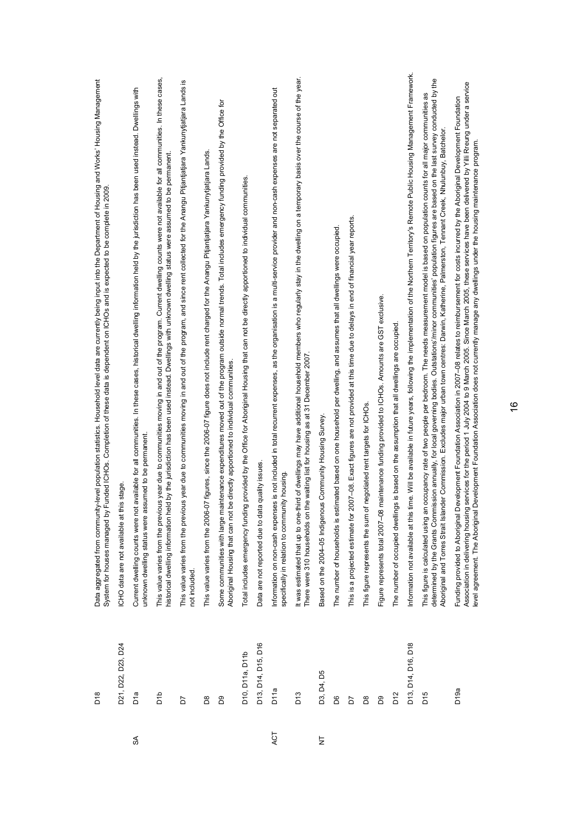|                | D21, D22, D23, D24<br>D <sub>18</sub> | Data aggregated from community-level population statistics. Household level data are currently being input into the Department of Housing and Works' Housing Management<br>Funded ICHOs. Completion of these data is dependent on ICHOs and is expected to be complete in 2009.<br>this stage<br>System for houses managed by<br>CHO data are not available at t                                                                                                                                               |
|----------------|---------------------------------------|----------------------------------------------------------------------------------------------------------------------------------------------------------------------------------------------------------------------------------------------------------------------------------------------------------------------------------------------------------------------------------------------------------------------------------------------------------------------------------------------------------------|
| S              | Día                                   | Current dwelling counts were not available for all communities. In these cases, historical dwelling information held by the jurisdiction has been used instead. Dwellings with<br>unknown dwelling status were assumed to be permanent                                                                                                                                                                                                                                                                         |
|                | ard                                   | This value varies from the previous year due to communities moving in and out of the program. Current dwelling counts were not available for all communities. In these cases,<br>historical dwelling information held by the jurisdiction has been used instead. Dwellings with unknown dwelling status were assumed to be permanent                                                                                                                                                                           |
|                | 5                                     | This value varies from the previous year due to communities moving in and out of the program, and since rent collected for the Anangu Pitjantjatjara Yankunytjatjara Lands is<br>not included.                                                                                                                                                                                                                                                                                                                 |
|                | BS <sub>0</sub>                       | This value varies from the 2006-07 figures, since the 2006-07 figure does not include rent charged for the Anangu Pitjantjatjara Yankunytjatjara Lands                                                                                                                                                                                                                                                                                                                                                         |
|                | B9                                    | Some communities with large maintenance expenditures moved out of the program outside normal trends. Total includes emergency funding provided by the Office for<br>be directly apportioned to individual communities.<br>Aboriginal Housing that can not                                                                                                                                                                                                                                                      |
|                | D10, D11a, D11b                       | Total includes emergency funding provided by the Office for Aboriginal Housing that can not be directly apportioned to individual communities.                                                                                                                                                                                                                                                                                                                                                                 |
|                | D13, D14, D15, D16                    | Data are not reported due to data quality issues                                                                                                                                                                                                                                                                                                                                                                                                                                                               |
| ACT            | D <sub>11a</sub>                      | Information on non-cash expenses is not included in total recurrent expenses, as the organisation is a multi-service provider and non-cash expenses are not separated out<br>specifically in relation to community housing.                                                                                                                                                                                                                                                                                    |
|                | D <sub>13</sub>                       | It was estimated that up to one-third of dwellings may have additional household members who regularly stay in the dwelling on a temporary basis over the course of the year.<br>There were 310 households on the waiting list for housing as at 31 December 2007.                                                                                                                                                                                                                                             |
| $\overline{z}$ | D3, D4, D5                            | Based on the 2004-05 Indigenous Community Housing Survey                                                                                                                                                                                                                                                                                                                                                                                                                                                       |
|                | 8G                                    | The number of households is estimated based on one household per dwelling, and assumes that all dwellings were occupied                                                                                                                                                                                                                                                                                                                                                                                        |
|                | 5                                     | 2007-08. Exact figures are not provided at this time due to delays in end of financial year reports.<br>This is a projected estimate for                                                                                                                                                                                                                                                                                                                                                                       |
|                | B8                                    | This figure represents the sum of negotiated rent targets for ICHOs.                                                                                                                                                                                                                                                                                                                                                                                                                                           |
|                | 80                                    | Figure represents total 2007-08 maintenance funding provided to ICHOs. Amounts are GST exclusive.                                                                                                                                                                                                                                                                                                                                                                                                              |
|                | D12                                   | The number of occupied dwellings is based on the assumption that all dwellings are occupied                                                                                                                                                                                                                                                                                                                                                                                                                    |
|                | D13, D14, D16, D18                    | time. Will be available in future years, following the implementation of the Northern Territory's Remote Public Housing Management Framework.<br>Information not available at this                                                                                                                                                                                                                                                                                                                             |
|                | D <sub>15</sub>                       | determined by the Grants Commission annually, for local governing bodies. Outstations/minor communities' population figures are based on the last survey conducted by the<br>This figure is calculated using an occupancy rate of two people per bedroom. The needs measurement model is based on population counts for all major communities as<br>Aboriginal and Torres Strait Islander Commission. Excludes major urban town centres: Darwin, Katherine, Palmerston, Tennant Creek, Nhulunbuy, Batchelor.   |
|                | D <sub>19a</sub>                      | g services for the period 1 July 2004 to 9 March 2005. Since March 2005, these services have been delivered by Yilli Rreung under a service<br>Development Foundation Association in 2007-08 relates to reimbursement for costs incurred by the Aboriginal Development Foundation<br>Development Foundation Association does not currently manage any dwellings under the housing maintenance program<br>level agreement. The Aboriginal<br>Association in delivering housin<br>Funding provided to Aboriginal |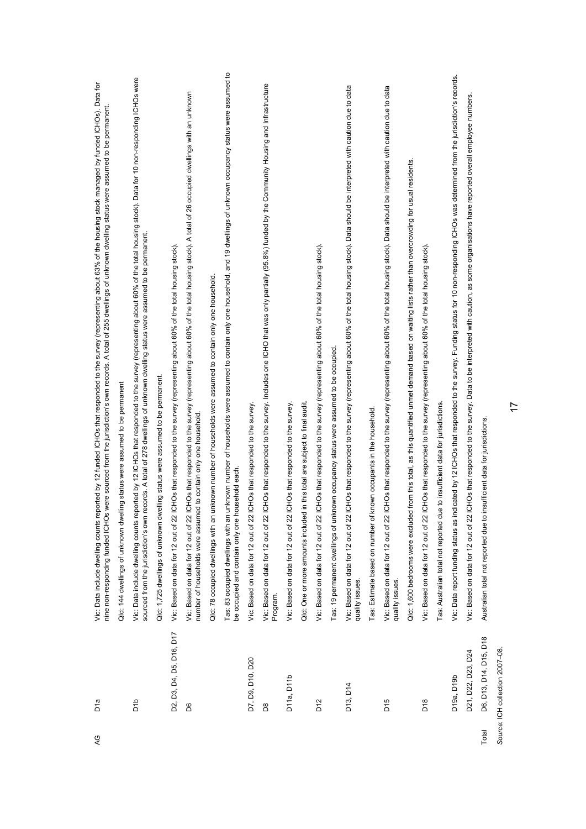| Q     | Día                             | Vic: Data include dwelling counts reported by 12 funded ICHOs that responded to the survey (representing about 63% of the housing stock managed by funded ICHOs). Data for<br>nine non-responding funded ICHOs were sourced from the jurisdiction's own records. A total of 255 dwellings of unknown dwelling status were assumed to be permanent. |
|-------|---------------------------------|----------------------------------------------------------------------------------------------------------------------------------------------------------------------------------------------------------------------------------------------------------------------------------------------------------------------------------------------------|
|       |                                 | ing status were assumed to be permanent<br>Qld: 144 dwellings of unknown dwell                                                                                                                                                                                                                                                                     |
|       | ara<br>Di                       | Vic: Data include dwelling courtis reported by 12 ICHOs that responded to the survey (representing about 60% of the total housing stock). Data for 10 non-responding ICHOs were<br>sourced from the jurisdiction's own records. A total of 278 dwellings of unknown dwelling status were assumed to be permanent.                                  |
|       |                                 | Qld: 1,725 dwellings of unknown dwelling status were assumed to be permanent.                                                                                                                                                                                                                                                                      |
|       | D2, D3, D4, D5, D16, D17        | Vic: Based on data for 12 out of 22 ICHOs that responded to the survey (representing about 60% of the total housing stock)                                                                                                                                                                                                                         |
|       | 8G                              | Vic: Based on data for 12 out of 22 ICHOs that responded to the survey (representing about 60% of the total housing stock). A total of 26 occupied dwellings with an unknown<br>number of households were assumed to contain only one household                                                                                                    |
|       |                                 | Qld: 78 occupied dwellings with an unknown number of households were assumed to contain only one household                                                                                                                                                                                                                                         |
|       |                                 | Tas: 83 occupied dwellings with an unknown number of households were assumed to contain only one household, and 19 dwellings of unknown occupancy status were assumed to<br>be occupied and contain only one household each.                                                                                                                       |
|       | D7, D9, D10, D20                | Vic: Based on data for 12 out of 22 ICHOs that responded to the survey                                                                                                                                                                                                                                                                             |
|       | BS <sub>D</sub>                 | Vic: Based on data for 12 out of 22 ICHOs that responded to the survey. Includes one ICHO that was only partially (95.8%) funded by the Community Housing and Infrastructure<br>Program.                                                                                                                                                           |
|       | D11a, D11b                      | Vic: Based on data for 12 out of 22 ICHOs that responded to the survey                                                                                                                                                                                                                                                                             |
|       |                                 | Qld: One or more amounts included in this total are subject to final audit                                                                                                                                                                                                                                                                         |
|       | D <sub>12</sub>                 | Vic: Based on data for 12 out of 221 ICHOs that responded to the survey (representing about 60% of the total housing stock).                                                                                                                                                                                                                       |
|       |                                 | Tas: 19 permanent dwellings of unknown occupancy status were assumed to be occupied                                                                                                                                                                                                                                                                |
|       | D13, D14                        | Vic: Based on data for 12 out of 22 ICHOs that responded to the survey (representing about 60% of the total housing stock). Data should be interpreted with caution due to data<br>quality issues.                                                                                                                                                 |
|       |                                 | Tas: Estimate based on number of known occupants in the household                                                                                                                                                                                                                                                                                  |
|       | D <sub>15</sub>                 | Vic: Based on data for 12 out of 22 ICHOs that responded to the survey (representing about 60% of the total housing stock). Data should be interpreted with caution due to data<br>quality issues.                                                                                                                                                 |
|       |                                 | from this total, as this quantified unmet demand based on waiting lists rather than overcrowding for usual residents.<br>Qld: 1,600 bedrooms were excluded                                                                                                                                                                                         |
|       | D18                             | Vic: Based on data for 12 out of 22 ICHOs that responded to the survey (representing about 60% of the total housing stock)                                                                                                                                                                                                                         |
|       |                                 | Tas: Australian total not reported due to insufficient data for jurisdictions                                                                                                                                                                                                                                                                      |
|       | D19a, D19b                      | Vic: Data report funding status as indicated by 12 ICHOs that responded to the survey. Funding status for 10 non-responding ICHOs was determined from the jurisdiction's records.                                                                                                                                                                  |
|       | D21, D22, D23, D24              | Vic: Based on data for 12 out of 22 ICHOs that responded to the survey. Data to be interpreted with caution, as some organisations have reported overall employee numbers                                                                                                                                                                          |
| Total | D6, D13, D14, D15, D18          | Australian total not reported due to insufficient data for jurisdictions                                                                                                                                                                                                                                                                           |
|       | Source: ICH collection 2007-08. |                                                                                                                                                                                                                                                                                                                                                    |

17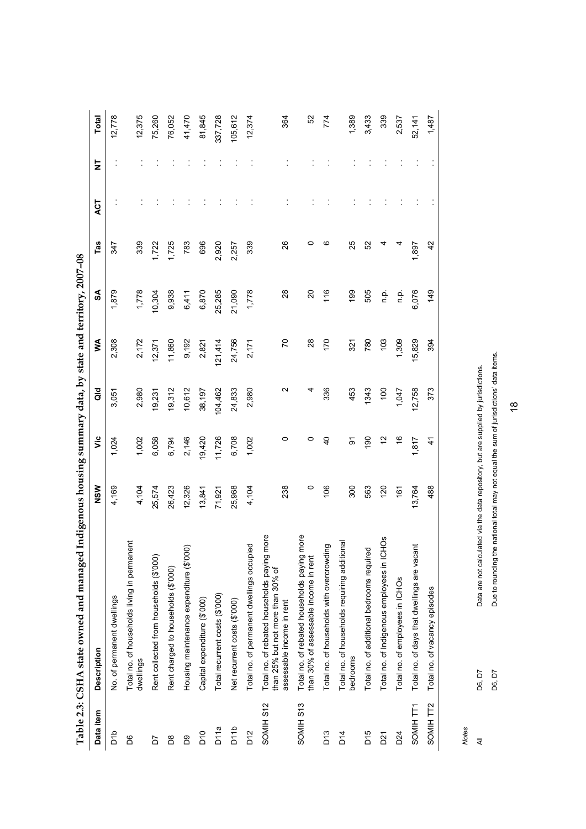| ≸<br>2,308<br>20<br>28<br>170<br>1,309<br>5,829<br>11,860<br>9,192<br>24,756<br>780<br>103<br>2,172<br>121,414<br>2,821<br>321<br>2,171<br>12,371<br>aio<br>Ν<br>12,758<br>2,980<br>104,462<br>24,833<br>2,980<br>336<br>453<br>1343<br>$\frac{100}{2}$<br>19,312<br>10,612<br>38,197<br>1,047<br>3,051<br>19,231<br>νiς<br>19,420<br>0<br>$\frac{6}{5}$<br>6,058<br>6,794<br>2,146<br>11,726<br>6,708<br>1,002<br>0<br>$\overline{a}$<br>$\overline{190}$<br>51<br>1,817<br>1,024<br>1,002<br>ଚ<br>300<br>NSW<br>4,169<br>238<br>$\circ$<br>106<br>563<br>120<br>13,764<br>12,326<br>25,968<br>25,574<br>26,423<br>4,104<br>4,104<br>13,841<br>161<br>71,921<br>more<br>more<br><b>SOH:</b><br><b>Ti</b> e<br>Total no. of households requiring additional<br>Total no. of permanent dwellings occupied<br>Total no. of households with overcrowding<br>Total no. of days that dwellings are vacant<br>Housing maintenance expenditure (\$'000)<br>Total no. of additional bedrooms required<br>Total no. of households living in perman<br>Total no. of Indigenous employees in IC<br>Rent collected from households (\$'000)<br>Total no. of rebated households paying<br>Total no. of rebated households paying<br>than 30% of assessable income in rent<br>Rent charged to households (\$'000)<br>than 25% but not more than 30% of<br>Total no. of employees in ICHOs<br>Total recurrent costs (\$'000)<br>No. of permanent dwellings<br>Capital expenditure (\$'000)<br>Net recurrent costs (\$'000)<br>assessable income in rent<br><b>Description</b><br>bedrooms<br>dwellings<br>SOMIH S12<br>SOMIH S13<br>SOMIH TT1<br>Data item<br>D <sub>11</sub> p<br>D <sub>11a</sub><br>D <sup>12</sup><br>ard<br>D <sub>10</sub><br>D <sub>15</sub><br>D <sub>13</sub><br>D14<br>D <sub>24</sub><br>D <sub>21</sub><br>Bg<br>8G<br>$^{8}$<br>5G | Indigenous housing summary data, by state and territory, 2007-08 |         |               |           |   |              |
|--------------------------------------------------------------------------------------------------------------------------------------------------------------------------------------------------------------------------------------------------------------------------------------------------------------------------------------------------------------------------------------------------------------------------------------------------------------------------------------------------------------------------------------------------------------------------------------------------------------------------------------------------------------------------------------------------------------------------------------------------------------------------------------------------------------------------------------------------------------------------------------------------------------------------------------------------------------------------------------------------------------------------------------------------------------------------------------------------------------------------------------------------------------------------------------------------------------------------------------------------------------------------------------------------------------------------------------------------------------------------------------------------------------------------------------------------------------------------------------------------------------------------------------------------------------------------------------------------------------------------------------------------------------------------------------------------------------------------------------------------------------------------------------------------------------------------------------------------|------------------------------------------------------------------|---------|---------------|-----------|---|--------------|
|                                                                                                                                                                                                                                                                                                                                                                                                                                                                                                                                                                                                                                                                                                                                                                                                                                                                                                                                                                                                                                                                                                                                                                                                                                                                                                                                                                                                                                                                                                                                                                                                                                                                                                                                                                                                                                                  |                                                                  | SA      | Tas           | <b>LS</b> | 5 | <b>Total</b> |
|                                                                                                                                                                                                                                                                                                                                                                                                                                                                                                                                                                                                                                                                                                                                                                                                                                                                                                                                                                                                                                                                                                                                                                                                                                                                                                                                                                                                                                                                                                                                                                                                                                                                                                                                                                                                                                                  |                                                                  | 1,879   | 347           |           |   | 12,778       |
|                                                                                                                                                                                                                                                                                                                                                                                                                                                                                                                                                                                                                                                                                                                                                                                                                                                                                                                                                                                                                                                                                                                                                                                                                                                                                                                                                                                                                                                                                                                                                                                                                                                                                                                                                                                                                                                  |                                                                  | 1,778   | 339           |           |   | 12,375       |
|                                                                                                                                                                                                                                                                                                                                                                                                                                                                                                                                                                                                                                                                                                                                                                                                                                                                                                                                                                                                                                                                                                                                                                                                                                                                                                                                                                                                                                                                                                                                                                                                                                                                                                                                                                                                                                                  |                                                                  | 10,304  | 1,722         |           |   | 75,260       |
|                                                                                                                                                                                                                                                                                                                                                                                                                                                                                                                                                                                                                                                                                                                                                                                                                                                                                                                                                                                                                                                                                                                                                                                                                                                                                                                                                                                                                                                                                                                                                                                                                                                                                                                                                                                                                                                  |                                                                  | 9,938   | 1,725         |           |   | 76,052       |
|                                                                                                                                                                                                                                                                                                                                                                                                                                                                                                                                                                                                                                                                                                                                                                                                                                                                                                                                                                                                                                                                                                                                                                                                                                                                                                                                                                                                                                                                                                                                                                                                                                                                                                                                                                                                                                                  |                                                                  | 6,411   | 783           |           |   | 41,470       |
|                                                                                                                                                                                                                                                                                                                                                                                                                                                                                                                                                                                                                                                                                                                                                                                                                                                                                                                                                                                                                                                                                                                                                                                                                                                                                                                                                                                                                                                                                                                                                                                                                                                                                                                                                                                                                                                  |                                                                  | 6,870   | 696           |           |   | 81,845       |
|                                                                                                                                                                                                                                                                                                                                                                                                                                                                                                                                                                                                                                                                                                                                                                                                                                                                                                                                                                                                                                                                                                                                                                                                                                                                                                                                                                                                                                                                                                                                                                                                                                                                                                                                                                                                                                                  |                                                                  | 25,285  | 2,920         |           |   | 337,728      |
|                                                                                                                                                                                                                                                                                                                                                                                                                                                                                                                                                                                                                                                                                                                                                                                                                                                                                                                                                                                                                                                                                                                                                                                                                                                                                                                                                                                                                                                                                                                                                                                                                                                                                                                                                                                                                                                  |                                                                  | 21,090  | 2,257         |           |   | 105,612      |
|                                                                                                                                                                                                                                                                                                                                                                                                                                                                                                                                                                                                                                                                                                                                                                                                                                                                                                                                                                                                                                                                                                                                                                                                                                                                                                                                                                                                                                                                                                                                                                                                                                                                                                                                                                                                                                                  |                                                                  | 1,778   | 339           |           |   | 12,374       |
|                                                                                                                                                                                                                                                                                                                                                                                                                                                                                                                                                                                                                                                                                                                                                                                                                                                                                                                                                                                                                                                                                                                                                                                                                                                                                                                                                                                                                                                                                                                                                                                                                                                                                                                                                                                                                                                  |                                                                  | 28      | 26            |           |   | 364          |
|                                                                                                                                                                                                                                                                                                                                                                                                                                                                                                                                                                                                                                                                                                                                                                                                                                                                                                                                                                                                                                                                                                                                                                                                                                                                                                                                                                                                                                                                                                                                                                                                                                                                                                                                                                                                                                                  |                                                                  | 20      |               |           |   | S            |
|                                                                                                                                                                                                                                                                                                                                                                                                                                                                                                                                                                                                                                                                                                                                                                                                                                                                                                                                                                                                                                                                                                                                                                                                                                                                                                                                                                                                                                                                                                                                                                                                                                                                                                                                                                                                                                                  |                                                                  | 116     | ဖ             |           |   | 774          |
|                                                                                                                                                                                                                                                                                                                                                                                                                                                                                                                                                                                                                                                                                                                                                                                                                                                                                                                                                                                                                                                                                                                                                                                                                                                                                                                                                                                                                                                                                                                                                                                                                                                                                                                                                                                                                                                  |                                                                  | 199     | 25            |           |   | 1,389        |
|                                                                                                                                                                                                                                                                                                                                                                                                                                                                                                                                                                                                                                                                                                                                                                                                                                                                                                                                                                                                                                                                                                                                                                                                                                                                                                                                                                                                                                                                                                                                                                                                                                                                                                                                                                                                                                                  |                                                                  | 505     | 52            |           |   | 3,433        |
|                                                                                                                                                                                                                                                                                                                                                                                                                                                                                                                                                                                                                                                                                                                                                                                                                                                                                                                                                                                                                                                                                                                                                                                                                                                                                                                                                                                                                                                                                                                                                                                                                                                                                                                                                                                                                                                  |                                                                  | ρ.<br>Γ | 4             |           |   | 339          |
|                                                                                                                                                                                                                                                                                                                                                                                                                                                                                                                                                                                                                                                                                                                                                                                                                                                                                                                                                                                                                                                                                                                                                                                                                                                                                                                                                                                                                                                                                                                                                                                                                                                                                                                                                                                                                                                  |                                                                  | ن<br>ء  |               |           |   | 2,537        |
|                                                                                                                                                                                                                                                                                                                                                                                                                                                                                                                                                                                                                                                                                                                                                                                                                                                                                                                                                                                                                                                                                                                                                                                                                                                                                                                                                                                                                                                                                                                                                                                                                                                                                                                                                                                                                                                  |                                                                  | 6,076   | 1,897         |           |   | 52,141       |
| 394<br>373<br>$\frac{4}{1}$<br>488<br>Total no. of vacancy episodes<br>SOMIH TT2                                                                                                                                                                                                                                                                                                                                                                                                                                                                                                                                                                                                                                                                                                                                                                                                                                                                                                                                                                                                                                                                                                                                                                                                                                                                                                                                                                                                                                                                                                                                                                                                                                                                                                                                                                 |                                                                  | 149     | $\frac{2}{3}$ |           |   | 1,487        |

Due to rounding the national total may not equal the sum of jurisdictions' data items. D6, D7 Due to rounding the national total may not equal the sum of jurisdictions' data items. Data are not calculated via the data repository, but are supplied by jurisdictions.

18

*Notes*  All D6, D7 Data are not calculated via the data repository, but are supplied by jurisdictions.

D6, D7 D6, D7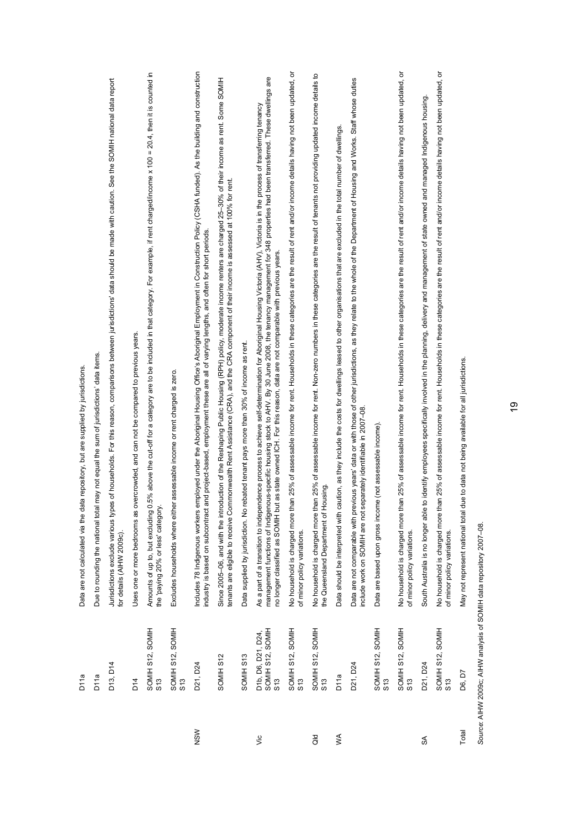|         | D11a                                         | Data are not calculated via the data repository, but are supplied by jurisdictions                                                                                                                                                                                                                                                                                                                                                                                         |
|---------|----------------------------------------------|----------------------------------------------------------------------------------------------------------------------------------------------------------------------------------------------------------------------------------------------------------------------------------------------------------------------------------------------------------------------------------------------------------------------------------------------------------------------------|
|         | D <sub>11a</sub>                             | may not equal the sum of jurisdictions' data items<br>Due to rounding the national total                                                                                                                                                                                                                                                                                                                                                                                   |
|         | D13, D14                                     | s of households. For this reason, comparisons between jurisdictions' data should be made with caution. See the SOMIH national data report<br>Jurisdictions exclude various type<br>for details (AIHW 2009c)                                                                                                                                                                                                                                                                |
|         | D14                                          | Uses one or more bedrooms as overcrowded, and can not be compared to previous years.                                                                                                                                                                                                                                                                                                                                                                                       |
|         | SOMIH S12, SOMIH<br>S13                      | .5% above the cut-off for a category are to be included in that category. For example, if rent charged/income x 100 = 20.4, then it is counted in<br>Amounts of up to, but excluding 0<br>the 'paying 20% or less' category.                                                                                                                                                                                                                                               |
|         | SOMIH S12, SOMIH<br>S13                      | Excludes households where either assessable income or rent charged is zero.                                                                                                                                                                                                                                                                                                                                                                                                |
| NSW     | D21, D24                                     | Includes 78 Indigenous workers employed under the Aboriginal Housing Office's Aboriginal Employment in Construction Policy (CSHA funded). As the building and construction<br>and project-based, employment these are all of varying lengths, and often for short periods.<br>industry is based on subcontract                                                                                                                                                             |
|         | SOMIH S12                                    | Since 2005-06, and with the introduction of the Reshaping Public Housing (RPH) policy, moderate income are charged 25-30% of their income as rent. Some SOMIH<br>tenants are eligible to receive Commonwealth Rent Assistance (CRA), and the CRA component of their income is assessed at 100% for rent.                                                                                                                                                                   |
|         | SOMIH S13                                    | Data supplied by jurisdiction. No rebated tenant pays more than 30% of income as rent.                                                                                                                                                                                                                                                                                                                                                                                     |
| vic     | SOMIH S12, SOMIH<br>D1b, D6, D21, D24<br>S13 | management functions of Indigenous-specific housing stock to AHV. By 30 June 2008, the tenancy management for 348 properties had been transferred. These dwellings are<br>As a part of a transition to independence process to achieve self-determination for Aboriginal Housing Vidtoria (AHV), Vidtoria is in the process of transferring tenancy<br>no longer classified as SOMIH but as state owned ICH. For this reason, data are not comparable with previous years. |
|         | SOMIH S12, SOMIH<br>S13                      | No household is charged more than 25% of assessable income for rent. Households in these categories are the result of rent and/or income details having not been updated, or<br>of minor policy variations.                                                                                                                                                                                                                                                                |
| as<br>O | SOMIH S12, SOMIH<br>S13                      | No household is charged more than 25% of assessable income for rent. Non-zero numbers in these categories are the result of tenants not providing updated income details to<br>the Queensland Department of Housing                                                                                                                                                                                                                                                        |
| $\leq$  | D11a                                         | Data should be interpreted with caution, as they include the costs for dwellings leased to other organisations that are excluded in the total number of dwellings.                                                                                                                                                                                                                                                                                                         |
|         | D21, D24                                     | Data are not comparable with previous years' data or with those of other jurisdictions, as they relate to the whole of the Department of Housing and Works. Staff whose duties<br>include work on SOMH are not separately identifiable in 2007-08                                                                                                                                                                                                                          |
|         | SOMIH S12, SOMIH<br>S13                      | Data are based upon gross income (not assessable income)                                                                                                                                                                                                                                                                                                                                                                                                                   |
|         | SOMIH S12, SOMIH<br>S13                      | No household is charged more than 25% of assessable income for rent. Households in these categories are the result of rent and/or income details having not been updated, or<br>of minor policy variations.                                                                                                                                                                                                                                                                |
| ઙే      | D21, D24                                     | South Australia is no longer able to identify employees specifically involved in the planning, delivery and management of state owned and managed Indigenous housing                                                                                                                                                                                                                                                                                                       |
|         | SOMIH S12, SOMIH<br>S13                      | No household is charged more than 25% of assessable income for rent. Households in these categories are the result of rent and/or income details having not been updated, or<br>of minor policy variations.                                                                                                                                                                                                                                                                |
| Total   | D6, D7                                       | May not represent national total due to data not being available for all jurisdictions.                                                                                                                                                                                                                                                                                                                                                                                    |
|         |                                              |                                                                                                                                                                                                                                                                                                                                                                                                                                                                            |

Source: AIHW 2009c; AIHW analysis of SOMIH data repository 2007-08. *Source*: AIHW 2009c; AIHW analysis of SOMIH data repository 2007–08.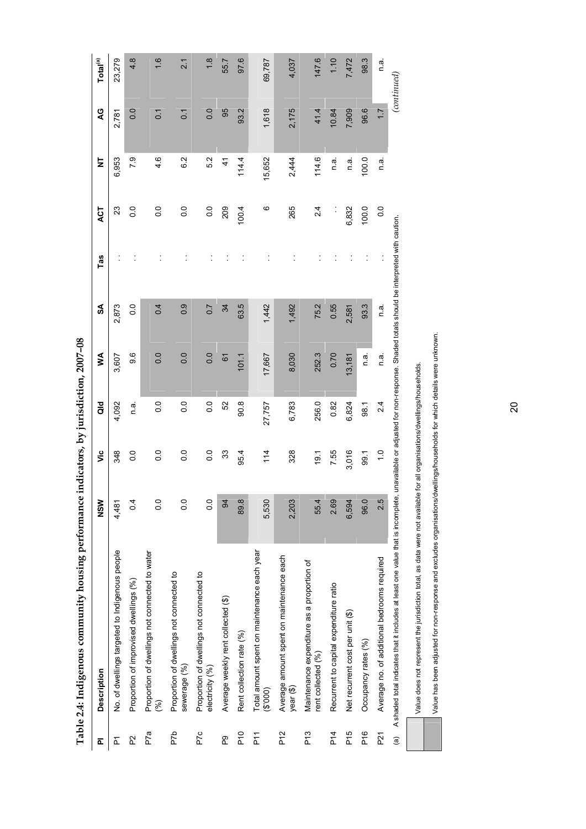| ᇟ               | <b>Description</b>                                                                                                                                                           | NSW              | ۊ                | aio              | ≸      | SA             | Tas | ACT            | ż      | Q                | Total <sup>(a)</sup> |
|-----------------|------------------------------------------------------------------------------------------------------------------------------------------------------------------------------|------------------|------------------|------------------|--------|----------------|-----|----------------|--------|------------------|----------------------|
| <u>، ح</u>      | No. of dwellings targeted to Indigenous people                                                                                                                               | 4,481            | 348              | 4,092            | 3,607  | 2,873          |     | 23             | 6,953  | 2,781            | 23,279               |
| P2              | Proportion of improvised dwellings (%)                                                                                                                                       | $\overline{0}$   | $\frac{0}{0}$    | e.<br>D          | 9.6    | $\overline{0}$ |     | $\frac{0}{2}$  | 79     | $\overline{0}$ . | 4.8                  |
| P7a             | Proportion of dwellings not connected to water<br>$(\%)$                                                                                                                     | $\overline{0}$ . | $\overline{0}$ . | $\overline{0}$ . | 0.0    | 0.4            |     | o.o            | 4.6    | $\overline{0}$ . | $\frac{6}{1}$        |
| P7b             | Proportion of dwellings not connected to<br>sewerage (%)                                                                                                                     | $\overline{0}$ . | $\overline{0}$ . | $\overline{0}$ . | 0.0    | 0.9            |     | o.o            | 6.2    | $\overline{0}$   | 2.1                  |
| P7c             | Proportion of dwellings not connected to<br>electricity (%)                                                                                                                  | $\frac{0}{0}$    | 0.0              | $\overline{0}$ . | 0.0    | 0.7            |     | $\overline{0}$ | 5.2    | $\overline{0}$ . | $\frac{8}{1}$        |
| P.              | Average weekly rent collected (\$)                                                                                                                                           | $\overline{a}$   | 33               | 52               | 67     | 34             |     | 209            | 4      | 95               | 55.7                 |
| $P$ 10          | Rent collection rate (%)                                                                                                                                                     | 89.8             | 95.4             | 90.8             | 101.1  | 63.5           |     | 1004           | 114.4  | 93.2             | 97.6                 |
| $\overline{P}$  | Total amount spent on maintenance each year<br>(6003)                                                                                                                        | 5,530            | 114              | 27,757           | 17,667 | 1,442          |     | ဖ              | 15,652 | 1,618            | 69,787               |
| P <sub>12</sub> | Average amount spent on maintenance each<br>year (\$)                                                                                                                        | 2,203            | 328              | 6,783            | 8,030  | 1,492          |     | 265            | 2,444  | 2,175            | 4,037                |
| P13             | Maintenance expenditure as a proportion of<br>rent collected (%)                                                                                                             | 55.4             | 19.1             | 256.0            | 252.3  | 75.2           |     | 24             | 114.6  | 41.4             | 147.6                |
| P <sub>14</sub> | Recurrent to capital expenditure ratio                                                                                                                                       | 2.69             | 7.55             | 0.82             | 0.70   | 0.55           |     | $\ddot{\cdot}$ | n a    | 10.84            | 1.10                 |
| P <sub>15</sub> | Net recurrent cost per unit (\$)                                                                                                                                             | 6,594            | 3,016            | 6,824            | 13,181 | 2,581          |     | 6,832          | n a    | 7,909            | 7,472                |
| $P$ 16          | Occupancy rates (%)                                                                                                                                                          | 96.0             | 99.1             | 98.1             | n a    | 93.3           |     | 100.0          | 100.0  | 96.6             | 98.3                 |
| P <sub>21</sub> | Average no. of additional bedrooms required                                                                                                                                  | 2.5              | $\frac{0}{1}$    | 2.4              | n a    | n.a.           |     | $\frac{0}{0}$  | n a.   | $\overline{1}$ . | πā.                  |
| $\widehat{a}$   | A shaded total indicates that it includes at least one value that is incomplete, unavailable or adjusted for non-response. Shaded totals should be interpreted with caution. |                  |                  |                  |        |                |     |                |        |                  | (continued)          |

Table 2.4: Indigenous community housing performance indicators, by jurisdiction, 2007-08 **Table 2.4: Indigenous community housing performance indicators, by jurisdiction, 2007–08** 

20

Value does not represent the jurisdiction total, as data were not available for all organisations/dwellings/households.

Value does not represent the jurisdiction total, as data were not available for all organisations/dwellings/households.

Value has been adjusted for non-response and excludes organisations/dwellings/households for which details were unknown. Value has been adjusted for non-response and excludes organisations/dwellings/households for which details were unknown.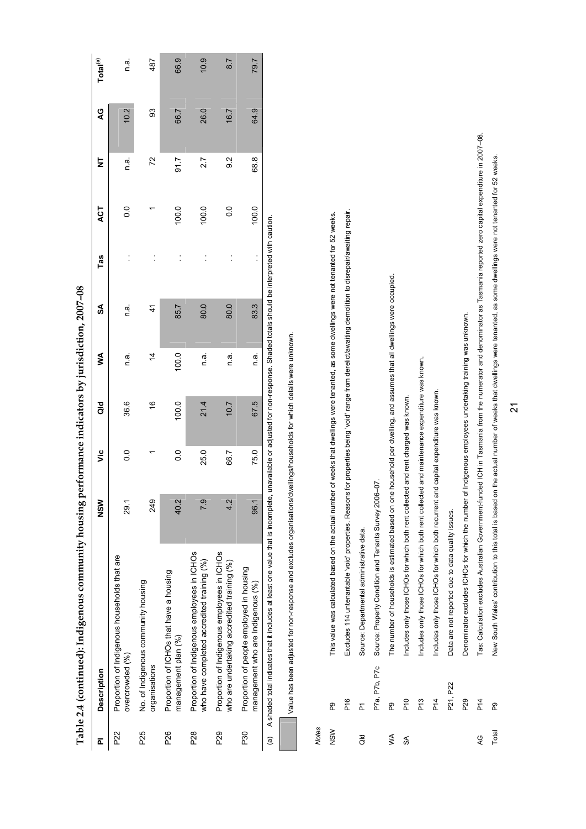| Total <sup>(a)</sup> | πā.                                                             | 487                                                  | 66.9                                                           | 10.9                                                                                      | 8.7                                                                                        | 79.7                                                                          |
|----------------------|-----------------------------------------------------------------|------------------------------------------------------|----------------------------------------------------------------|-------------------------------------------------------------------------------------------|--------------------------------------------------------------------------------------------|-------------------------------------------------------------------------------|
| Q                    | 10.2                                                            | 93                                                   | 66.7                                                           | 26.0                                                                                      | 16.7                                                                                       | 64.9                                                                          |
|                      |                                                                 |                                                      |                                                                |                                                                                           |                                                                                            |                                                                               |
| ż                    | n a                                                             | 72                                                   | 51.7                                                           | 2.7                                                                                       | $\frac{2}{9}$                                                                              | 68.8                                                                          |
| ACT                  | $\frac{0}{2}$                                                   |                                                      | 100.0                                                          | 100.0                                                                                     | $\overline{0}$                                                                             | 100.0                                                                         |
| Tas                  |                                                                 |                                                      |                                                                |                                                                                           |                                                                                            |                                                                               |
| S                    | n a                                                             | 4                                                    | 85.7                                                           | 80.0                                                                                      | 80.0                                                                                       | 83.3                                                                          |
| ≸                    | n a                                                             | $\dot{4}$                                            | 100.0                                                          | n a                                                                                       | n a.                                                                                       | rai<br>⊂                                                                      |
| ិ<br>ฮ               | 36.6                                                            | $\frac{6}{5}$                                        | 100.0                                                          | 21.4                                                                                      | 10.7                                                                                       | 67.5                                                                          |
| ئا                   | $\overline{0}$ .                                                |                                                      | $\frac{0}{2}$                                                  | 25.0                                                                                      | 66.7                                                                                       | 75.0                                                                          |
| NSM                  | 29.1                                                            | 249                                                  | 40.2                                                           | <b>P.S</b>                                                                                | 4.2                                                                                        | 96.1                                                                          |
| Description          | Proportion of Indigenous households that are<br>overcrowded (%) | No. of Indigenous community housing<br>organisations | Proportion of ICHOs that have a housing<br>management plan (%) | Proportion of Indigenous employees in ICHOs<br>who have completed accredited training (%) | Proportion of Indigenous employees in ICHOs<br>who are undertaking accredited training (%) | Proportion of people employed in housing<br>management who are Indigenous (%) |
| ō                    | P22                                                             | P25                                                  | P26                                                            | P28                                                                                       | P29                                                                                        | P30                                                                           |

Table 2.4 (continued): Indigenous community housing performance indicators by iurisdiction. 2007-08 **Table 2.4 (continued): Indigenous community housing performance indicators by jurisdiction, 2007–08** 

(a) A shaded total indicates that it includes at least one value that is incomplete, unavailable or adjusted for non-response. Shaded totals should be interpreted with caution. (a) A shaded total indicates that it includes at least one value that is incomplete, unavailable or adjusted for non-response. Shaded totals should be interpreted with caution.

Value has been adjusted for non-response and excludes organisations/dwellings/households for which details were unknown. Value has been adjusted for non-response and excludes organisations/dwellings/households for which details were unknown.

*Notes* 

| NSW     | ஜ               | based on the actual number of weeks that dwellings were tenanted, as some dwellings were not tenanted for 52 weeks.<br>This value was calculated                    |
|---------|-----------------|---------------------------------------------------------------------------------------------------------------------------------------------------------------------|
|         |                 |                                                                                                                                                                     |
|         | P <sub>16</sub> | Excludes 114 unternantable 'void' properties. Reasons for properties being 'void' range from derelict/awaiting demolition to disrepair/awaiting repair.             |
| as<br>O | Σ               | Source: Departmental administrative data.                                                                                                                           |
|         | P7a, P7b, P7c   | and Tenants Survey 2006-07.<br>Source: Property Condition                                                                                                           |
| ≸       | ဥ               | The number of households is estimated based on one household per dwelling, and assumes that all dwellings were occupied.                                            |
| S       | P10             | Includes only those ICHOs for which both rent collected and rent charged was known.                                                                                 |
|         | P <sub>13</sub> | Includes only those ICHOs for which both rent collected and maintenance expenditure was known.                                                                      |
|         | P14             | for which both recurrent and capital expenditure was known.<br>Includes only those ICHOs                                                                            |
|         | P21, P22        | to data quality issues.<br>Data are not reported due t                                                                                                              |
|         | P <sub>29</sub> | Denominator excludes ICHOs for which the number of Indigenous employees undertaking training was unknown.                                                           |
| Q       | P14             | Tas: Calculation excludes Australian Government-funded ICH in Tasmania from the numerator and denominator as Tasmania reported zero capital expenditure in 2007-08. |

21

Total P9 New South Wales' contribution to this total is based on the actual number of weeks that dwellings were tenanted, as some dwellings were not tenanted for 52 weeks.

ஜ

Total

New South Wales' contribution to this total is based on the actual number of weeks that dwellings were tenanted, as some dwellings were not tenanted for 52 weeks.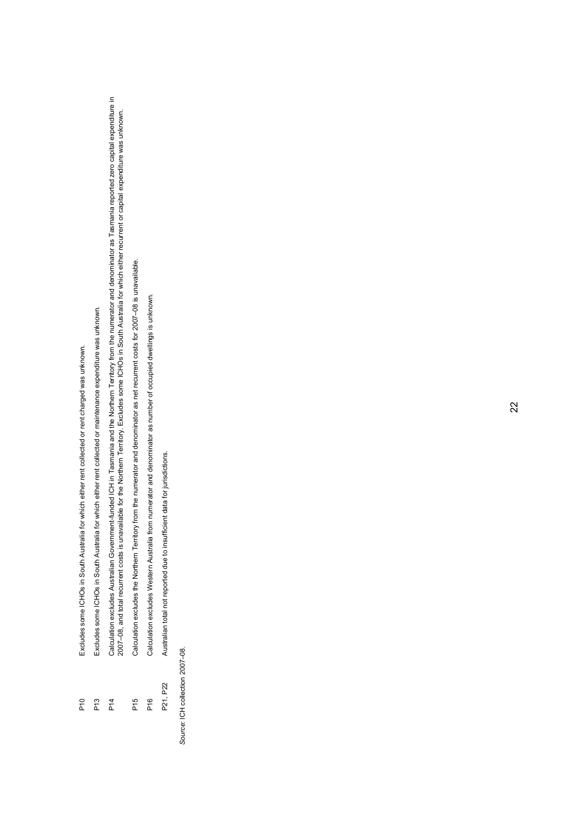- P10 Excludes some ICHOs in South Australia for which either rent collected or rent charged was unknown. Excludes some ICHOs in South Australia for which either rent collected or rent charged was unknown. P10
- P13 Excludes some ICHOs in South Australia for which either rent collected or maintenance expenditure was unknown. Excludes some ICHOs in South Australia for which either rent collected or maintenance expenditure was unknown.  $P13$
- Calculation excludes Australian Government-funded ICH in Tasmania and the Northern Territory from the numerator and denominator as Tasmania reported zero capital expenditure in<br>2007–08, and total recurrent costs is unavail P14 Calculation excludes Australian Government-funded ICH in Tasmania and the Northern Territory from the numerator and denominator as Tasmania reported zero capital expenditure in 2007–08, and total recurrent costs is unavailable for the Northern Territory. Excludes some ICHOs in South Australia for which either recurrent or capital expenditure was unknown.  $P14$
- Calculation excludes the Northern Territory from the numerator and denominator as net recurrent costs for 2007-08 is unavailable. P15 Calculation excludes the Northern Territory from the numerator and denominator as net recurrent costs for 2007–08 is unavailable. P<sub>15</sub>
- P16 Calculation excludes Western Australia from numerator and denominator as number of occupied dwellings is unknown. Calculation excludes Western Australia from numerator and denominator as number of occupied dwellings is unknown. P16
- Australian total not reported due to insufficient data for jurisdictions. P21, P22 Australian total not reported due to insufficient data for jurisdictions. P21, P22

*Source*: ICH collection 2007–08. Source: ICH collection 2007-08.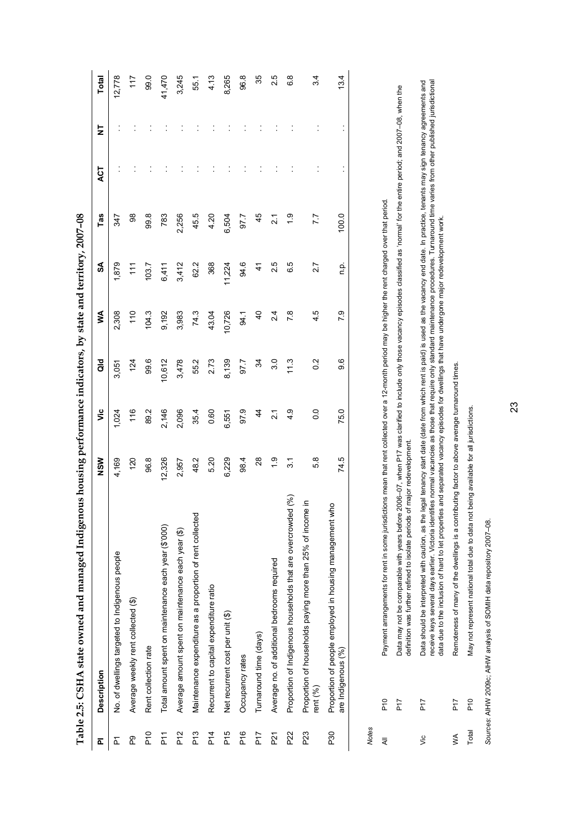| ᇎ               | <b>Description</b>                                                              | NSW           | ۶Ë               | $\overline{a}$   | ≸             | SA         | Tas             | 4CT | Ż | <b>Total</b>    |
|-----------------|---------------------------------------------------------------------------------|---------------|------------------|------------------|---------------|------------|-----------------|-----|---|-----------------|
| Σ               | No. of dwellings targeted to Indigenous people                                  | 4,169         | 1,024            | 3,051            | 2,308         | 1,879      | 347             |     |   | 12,778          |
| P.              | Average weekly rent collected (\$)                                              | 120           | 116              | 124              | 110           | 111        | 88              |     |   | 117             |
| $\frac{1}{2}$   | Rent collection rate                                                            | 96.8          | 89.2             | 99.6             | 104.3         | 103.7      | 99.8            |     |   | 99.0            |
| ۲T<br>م         | Total amount spent on maintenance each year (\$'000)                            | 12,326        | 2,146            | 10,612           | 9,192         | 6,411      | 783             |     |   | 41,470          |
| P <sub>12</sub> | Average amount spent on maintenance each year (\$)                              | 2,957         | 2,096            | 3,478            | 3,983         | 3,412      | 2,256           |     |   | 3,245           |
| P13             | Maintenance expenditure as a proportion of rent collected                       | 48.2          | 35.4             | 55.2             | 74.3          | 62.2       | 45.5            |     |   | 55.1            |
| P14             | Recurrent to capital expenditure ratio                                          | 5.20          | 0.60             | 2.73<br>8,139    | 43.04         | 368        | 4.20            |     |   | 4.13            |
| P15             | Net recurrent cost per unit (\$)                                                | 6,229         | 6,551            |                  | 10,726        | 11,224     | 6,504           |     |   | 8,265           |
| $P$ 16          | Occupancy rates                                                                 | 98.4          | 97.9             | 97.7             | 94.1          | 94.6       | 97.7            |     |   | 96.8            |
| hT              | Turnaround time (days)                                                          | $^{8}$        | $\frac{4}{4}$    | 34               | $\frac{1}{2}$ | $\ddot{t}$ | 45              |     |   | 35              |
| <b>P21</b>      | Average no. of additional bedrooms required                                     | $\frac{6}{1}$ | $\frac{1}{2}$    | 3.0              | 24            | 25         | $\overline{21}$ |     |   | 2.5             |
| P22             | (%)<br>Proportion of Indigenous households that are overcrowded                 | 3.1           | 4.9              | 11.3             | 7.8           | 65         | $\frac{0}{1}$   |     |   | 6.8             |
| P <sub>23</sub> | $\equiv$<br>Proportion of households paying more than 25% of income<br>rent (%) | 58            | $\overline{0}$ . | $0.\overline{2}$ | 4.5           | 2.7        | 7.7             |     |   | $3\overline{4}$ |
| P30             | Proportion of people employed in housing management who<br>are Indigenous (%)   | 74.5          | 75.0             | 9.6              | 7.9           | ن<br>E     | 100.0           |     |   | 13.4            |
|                 |                                                                                 |               |                  |                  |               |            |                 |     |   |                 |

Table 2.5: CSHA state owned and managed Indigenous housing performance indicators, by state and territory, 2007-08 **Table 2.5: CSHA state owned and managed Indigenous housing performance indicators, by state and territory, 2007–08** 

*Notes* 

Data may not be comparable with years before 2006–07, when P17 was clarified to include only those vacancy episodes classified as 'normal' for the entire period; and 2007–08, when the<br>definition was further refined to isol P17 Data may not be comparable with years before 2006–07, when P17 was clarified to include only those vacancy episodes classified as 'normal' for the entire period; and 2007–08, when the Payment arrangements for rent in some jurisdictions mean that rent collected over a 12-month period may be higher the rent charged over that period. All P10 Payment arrangements for rent in some jurisdictions mean that rent collected over a 12-month period may be higher the rent charged over that period. definition was further refined to isolate periods of major redevelopment. P<sub>10</sub> P17  $\overline{a}$ 

Data should be interpreted with caution, as the legal tenancy start date (date from which rent is paid) is used as the vacancy end date. In practice, tenants may sign tenancy agreements and<br>receive keys several days earlie receive keys several days earlier. Victoria identifies normal vacancies as those that require only standard maintenance procedures. Turnaround time varies from other published jurisdictional Vic P17 Data should be interpreted with caution, as the legal tenancy start date (date from which rent is paid) is used as the vacancy end date. In practice, tenants may sign tenancy agreements and data due to the inclusion of hard to let properties and separated vacancy episodes for dwellings that have undergone major redevelopment work. data due to the inclusion of hard to let properties and separated vacancy episodes for dwellings that have undergone major redevelopment work. P17  $\frac{1}{2}$ 

WA P17 Remoteness of many of the dwellings is a contributing factor to above average turnaround times. Remoteness of many of the dwellings is a contributing factor to above average turnaround times. **Frq**  $\leq$ 

May not represent national total due to data not being available for all jurisdictions. Total P10 May not represent national total due to data not being available for all jurisdictions. P10 Total

Sources: AIHW 2009c; AIHW analysis of SOMIH data repository 2007-08. *Sources*: AIHW 2009c; AIHW analysis of SOMIH data repository 2007–08.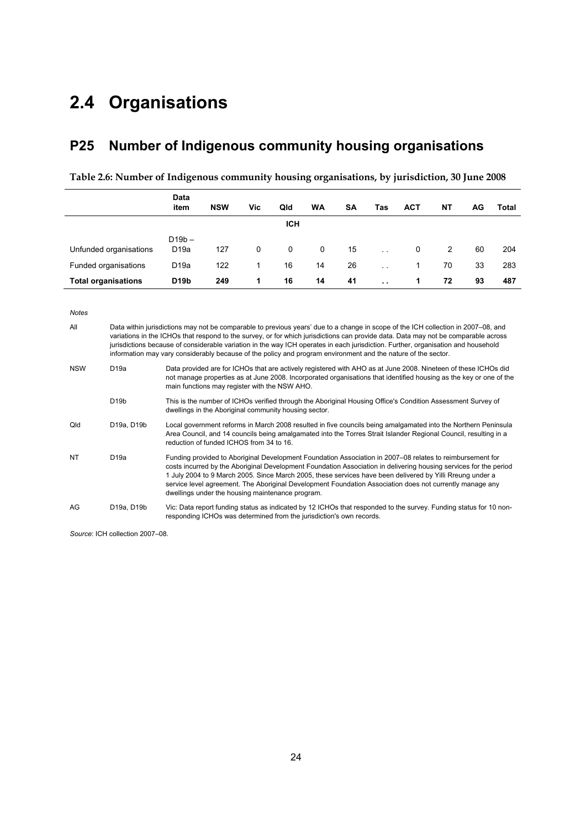# **2.4 Organisations**

# **P25 Number of Indigenous community housing organisations**

| Table 2.6: Number of Indigenous community housing organisations, by jurisdiction, 30 June 2008 |  |  |
|------------------------------------------------------------------------------------------------|--|--|
|                                                                                                |  |  |

|                            | Data<br>item                 | <b>NSW</b> | Vic | Qld        | <b>WA</b> | <b>SA</b> | Tas                  | <b>ACT</b> | NΤ | AG | Total |
|----------------------------|------------------------------|------------|-----|------------|-----------|-----------|----------------------|------------|----|----|-------|
|                            |                              |            |     | <b>ICH</b> |           |           |                      |            |    |    |       |
| Unfunded organisations     | $D19b -$<br>D <sub>19a</sub> | 127        | 0   | 0          | 0         | 15        | $\ddot{\phantom{a}}$ | 0          | 2  | 60 | 204   |
| Funded organisations       | D <sub>19a</sub>             | 122        | 1   | 16         | 14        | 26        | $\mathbf{r}$         |            | 70 | 33 | 283   |
| <b>Total organisations</b> | D <sub>19</sub> b            | 249        | 1   | 16         | 14        | 41        | $\ddot{\phantom{a}}$ |            | 72 | 93 | 487   |

*Notes* 

| All        |                   | Data within jurisdictions may not be comparable to previous years' due to a change in scope of the ICH collection in 2007–08, and<br>variations in the ICHOs that respond to the survey, or for which jurisdictions can provide data. Data may not be comparable across<br>jurisdictions because of considerable variation in the way ICH operates in each jurisdiction. Further, organisation and household<br>information may vary considerably because of the policy and program environment and the nature of the sector. |
|------------|-------------------|-------------------------------------------------------------------------------------------------------------------------------------------------------------------------------------------------------------------------------------------------------------------------------------------------------------------------------------------------------------------------------------------------------------------------------------------------------------------------------------------------------------------------------|
| <b>NSW</b> | D <sub>19a</sub>  | Data provided are for ICHOs that are actively registered with AHO as at June 2008. Nineteen of these ICHOs did<br>not manage properties as at June 2008. Incorporated organisations that identified housing as the key or one of the<br>main functions may register with the NSW AHO.                                                                                                                                                                                                                                         |
|            | D <sub>19</sub> b | This is the number of ICHOs verified through the Aboriginal Housing Office's Condition Assessment Survey of<br>dwellings in the Aboriginal community housing sector.                                                                                                                                                                                                                                                                                                                                                          |
| Qld        | D19a, D19b        | Local government reforms in March 2008 resulted in five councils being amalgamated into the Northern Peninsula<br>Area Council, and 14 councils being amalgamated into the Torres Strait Islander Regional Council, resulting in a<br>reduction of funded ICHOS from 34 to 16.                                                                                                                                                                                                                                                |
| <b>NT</b>  | D19a              | Funding provided to Aboriginal Development Foundation Association in 2007–08 relates to reimbursement for<br>costs incurred by the Aboriginal Development Foundation Association in delivering housing services for the period<br>1 July 2004 to 9 March 2005. Since March 2005, these services have been delivered by Yilli Rreung under a<br>service level agreement. The Aboriginal Development Foundation Association does not currently manage any<br>dwellings under the housing maintenance program.                   |
| AG         | D19a, D19b        | Vic: Data report funding status as indicated by 12 ICHOs that responded to the survey. Funding status for 10 non-<br>responding ICHOs was determined from the jurisdiction's own records.                                                                                                                                                                                                                                                                                                                                     |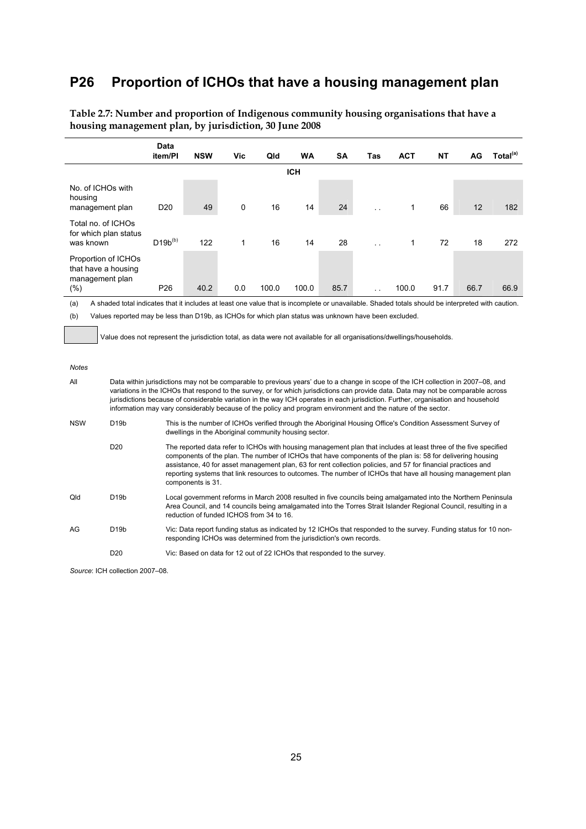# **P26 Proportion of ICHOs that have a housing management plan**

|                                                                         | Data<br>item/Pl | <b>NSW</b> | Vic         | Qld   | <b>WA</b>  | <b>SA</b> | Tas             | <b>ACT</b> | <b>NT</b> | AG.  | Total <sup>(a)</sup> |
|-------------------------------------------------------------------------|-----------------|------------|-------------|-------|------------|-----------|-----------------|------------|-----------|------|----------------------|
|                                                                         |                 |            |             |       | <b>ICH</b> |           |                 |            |           |      |                      |
| No. of ICHOs with<br>housing<br>management plan                         | D <sub>20</sub> | 49         | $\mathbf 0$ | 16    | 14         | 24        |                 | 1          | 66        | 12   | 182                  |
| Total no. of ICHOs<br>for which plan status<br>was known                | $D19b^{(b)}$    | 122        | 1           | 16    | 14         | 28        |                 | 1          | 72        | 18   | 272                  |
| Proportion of ICHOs<br>that have a housing<br>management plan<br>$(\%)$ | P <sub>26</sub> | 40.2       | 0.0         | 100.0 | 100.0      | 85.7      | $\cdot$ $\cdot$ | 100.0      | 91.7      | 66.7 | 66.9                 |

**Table 2.7: Number and proportion of Indigenous community housing organisations that have a housing management plan, by jurisdiction, 30 June 2008** 

(a) A shaded total indicates that it includes at least one value that is incomplete or unavailable. Shaded totals should be interpreted with caution. (b) Values reported may be less than D19b, as ICHOs for which plan status was unknown have been excluded.

Value does not represent the jurisdiction total, as data were not available for all organisations/dwellings/households.

#### *Notes*

| All        | Data within jurisdictions may not be comparable to previous years' due to a change in scope of the ICH collection in 2007–08, and<br>variations in the ICHOs that respond to the survey, or for which jurisdictions can provide data. Data may not be comparable across<br>jurisdictions because of considerable variation in the way ICH operates in each jurisdiction. Further, organisation and household<br>information may vary considerably because of the policy and program environment and the nature of the sector. |                                                                                                                                                                                                                                                                                                                                                                                                                                                                                      |  |  |  |  |  |  |
|------------|-------------------------------------------------------------------------------------------------------------------------------------------------------------------------------------------------------------------------------------------------------------------------------------------------------------------------------------------------------------------------------------------------------------------------------------------------------------------------------------------------------------------------------|--------------------------------------------------------------------------------------------------------------------------------------------------------------------------------------------------------------------------------------------------------------------------------------------------------------------------------------------------------------------------------------------------------------------------------------------------------------------------------------|--|--|--|--|--|--|
| <b>NSW</b> | D <sub>19</sub> b                                                                                                                                                                                                                                                                                                                                                                                                                                                                                                             | This is the number of ICHOs verified through the Aboriginal Housing Office's Condition Assessment Survey of<br>dwellings in the Aboriginal community housing sector.                                                                                                                                                                                                                                                                                                                 |  |  |  |  |  |  |
|            | D <sub>20</sub>                                                                                                                                                                                                                                                                                                                                                                                                                                                                                                               | The reported data refer to ICHOs with housing management plan that includes at least three of the five specified<br>components of the plan. The number of ICHOs that have components of the plan is: 58 for delivering housing<br>assistance, 40 for asset management plan, 63 for rent collection policies, and 57 for financial practices and<br>reporting systems that link resources to outcomes. The number of ICHOs that have all housing management plan<br>components is 31. |  |  |  |  |  |  |
| Qld        | D <sub>19</sub> b                                                                                                                                                                                                                                                                                                                                                                                                                                                                                                             | Local government reforms in March 2008 resulted in five councils being amalgamated into the Northern Peninsula<br>Area Council, and 14 councils being amalgamated into the Torres Strait Islander Regional Council, resulting in a<br>reduction of funded ICHOS from 34 to 16.                                                                                                                                                                                                       |  |  |  |  |  |  |
| AG         | D <sub>19</sub> b                                                                                                                                                                                                                                                                                                                                                                                                                                                                                                             | Vic: Data report funding status as indicated by 12 ICHOs that responded to the survey. Funding status for 10 non-<br>responding ICHOs was determined from the jurisdiction's own records.                                                                                                                                                                                                                                                                                            |  |  |  |  |  |  |
|            | D <sub>20</sub>                                                                                                                                                                                                                                                                                                                                                                                                                                                                                                               | Vic: Based on data for 12 out of 22 ICHOs that responded to the survey.                                                                                                                                                                                                                                                                                                                                                                                                              |  |  |  |  |  |  |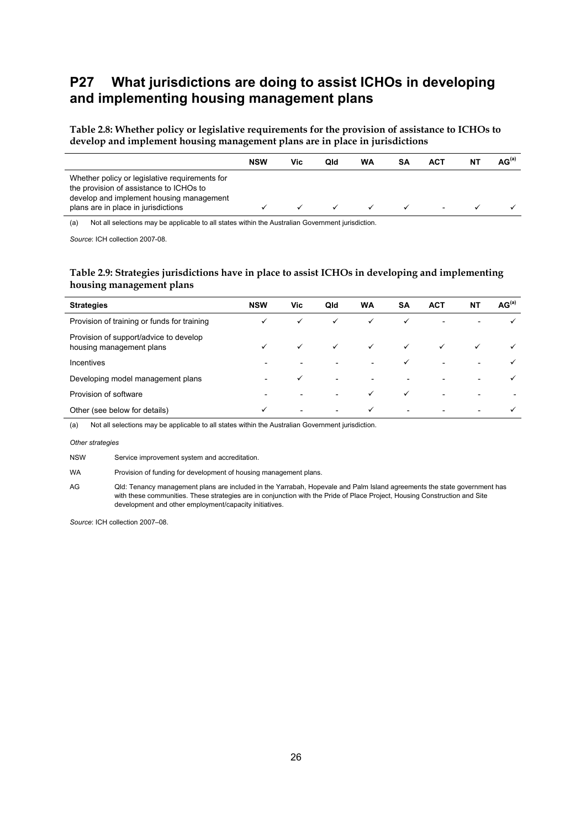## **P27 What jurisdictions are doing to assist ICHOs in developing and implementing housing management plans**

**Table 2.8: Whether policy or legislative requirements for the provision of assistance to ICHOs to develop and implement housing management plans are in place in jurisdictions** 

|                                                                                                                                                                              | <b>NSW</b> | Vic | Qld | WA | SΑ | ACT | AG <sup>(a)</sup> |
|------------------------------------------------------------------------------------------------------------------------------------------------------------------------------|------------|-----|-----|----|----|-----|-------------------|
| Whether policy or legislative requirements for<br>the provision of assistance to ICHOs to<br>develop and implement housing management<br>plans are in place in jurisdictions |            |     |     |    |    |     |                   |

(a) Not all selections may be applicable to all states within the Australian Government jurisdiction.

*Source*: ICH collection 2007-08.

#### **Table 2.9: Strategies jurisdictions have in place to assist ICHOs in developing and implementing housing management plans**

| <b>Strategies</b>                                                  | <b>NSW</b> | Vic                      | Qld                      | WA                       | <b>SA</b> | <b>ACT</b> | <b>NT</b> | AG <sup>(a)</sup> |
|--------------------------------------------------------------------|------------|--------------------------|--------------------------|--------------------------|-----------|------------|-----------|-------------------|
| Provision of training or funds for training                        | ✓          | $\checkmark$             | ✓                        | ✓                        |           |            |           |                   |
| Provision of support/advice to develop<br>housing management plans |            | ✓                        | ✓                        | $\checkmark$             |           |            |           |                   |
| <b>Incentives</b>                                                  |            |                          | ۰                        | $\overline{\phantom{0}}$ |           |            |           |                   |
| Developing model management plans                                  |            | ✓                        | $\overline{\phantom{a}}$ | $\overline{\phantom{a}}$ |           |            |           |                   |
| Provision of software                                              |            |                          |                          |                          |           |            |           |                   |
| Other (see below for details)                                      | ✓          | $\overline{\phantom{0}}$ | $\overline{\phantom{a}}$ | ✓                        |           |            |           |                   |

(a) Not all selections may be applicable to all states within the Australian Government jurisdiction.

*Other strategies* 

NSW Service improvement system and accreditation.

WA Provision of funding for development of housing management plans.

AG Qld: Tenancy management plans are included in the Yarrabah, Hopevale and Palm Island agreements the state government has with these communities. These strategies are in conjunction with the Pride of Place Project, Housing Construction and Site development and other employment/capacity initiatives.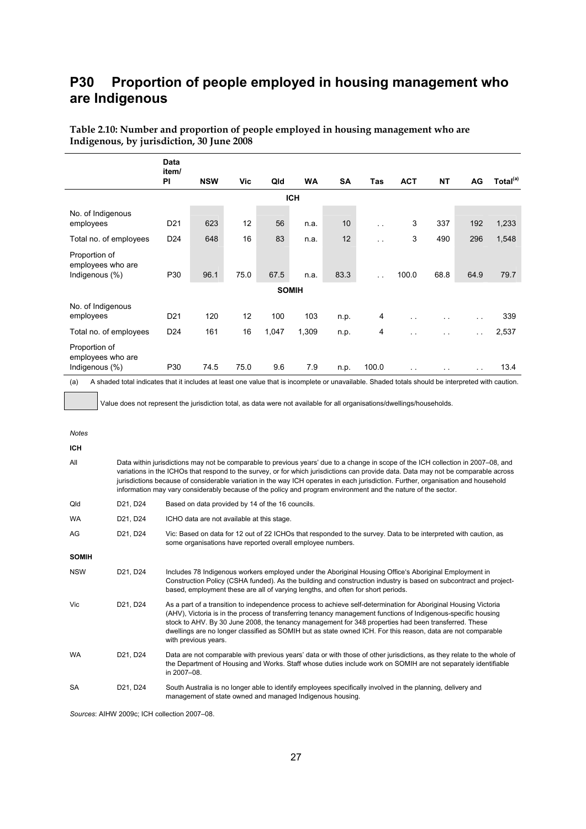## **P30 Proportion of people employed in housing management who are Indigenous**

|                                                      | Data<br>item/   |            |      |              |           |           |                      |                      |                      |               |                      |  |  |
|------------------------------------------------------|-----------------|------------|------|--------------|-----------|-----------|----------------------|----------------------|----------------------|---------------|----------------------|--|--|
|                                                      | PI              | <b>NSW</b> | Vic  | Qld          | <b>WA</b> | <b>SA</b> | <b>Tas</b>           | <b>ACT</b>           | <b>NT</b>            | AG            | Total <sup>(a)</sup> |  |  |
| <b>ICH</b>                                           |                 |            |      |              |           |           |                      |                      |                      |               |                      |  |  |
| No. of Indigenous<br>employees                       | D <sub>21</sub> | 623        | 12   | 56           | n.a.      | 10        | $\ddot{\phantom{1}}$ | 3                    | 337                  | 192           | 1,233                |  |  |
| Total no. of employees                               | D <sub>24</sub> | 648        | 16   | 83           | n.a.      | 12        | $\sim$               | 3                    | 490                  | 296           | 1,548                |  |  |
| Proportion of<br>employees who are<br>Indigenous (%) | P30             | 96.1       | 75.0 | 67.5         | n.a.      | 83.3      | $\ddot{\phantom{1}}$ | 100.0                | 68.8                 | 64.9          | 79.7                 |  |  |
|                                                      |                 |            |      | <b>SOMIH</b> |           |           |                      |                      |                      |               |                      |  |  |
| No. of Indigenous<br>employees                       | D <sub>21</sub> | 120        | 12   | 100          | 103       | n.p.      | 4                    | $\ddot{\phantom{0}}$ | $\cdot$ .            | $\sim$ $\sim$ | 339                  |  |  |
| Total no. of employees                               | D <sub>24</sub> | 161        | 16   | 1,047        | 1,309     | n.p.      | 4                    | $\ddot{\phantom{1}}$ | $\ddot{\phantom{1}}$ | $\sim$ $\sim$ | 2,537                |  |  |
| Proportion of<br>employees who are<br>Indigenous (%) | P30             | 74.5       | 75.0 | 9.6          | 7.9       | n.p.      | 100.0                | $\ddot{\phantom{0}}$ | $\cdot$ .            | $\sim$ $\sim$ | 13.4                 |  |  |

**Table 2.10: Number and proportion of people employed in housing management who are Indigenous, by jurisdiction, 30 June 2008** 

(a) A shaded total indicates that it includes at least one value that is incomplete or unavailable. Shaded totals should be interpreted with caution.

Value does not represent the jurisdiction total, as data were not available for all organisations/dwellings/households.

*Notes* 

**ICH** 

| All          | Data within jurisdictions may not be comparable to previous years' due to a change in scope of the ICH collection in 2007–08, and<br>variations in the ICHOs that respond to the survey, or for which jurisdictions can provide data. Data may not be comparable across<br>jurisdictions because of considerable variation in the way ICH operates in each jurisdiction. Further, organisation and household<br>information may vary considerably because of the policy and program environment and the nature of the sector. |                                                                                                                                                                                                                                                                                                                                                                                                                                                                                  |  |  |  |  |  |  |
|--------------|-------------------------------------------------------------------------------------------------------------------------------------------------------------------------------------------------------------------------------------------------------------------------------------------------------------------------------------------------------------------------------------------------------------------------------------------------------------------------------------------------------------------------------|----------------------------------------------------------------------------------------------------------------------------------------------------------------------------------------------------------------------------------------------------------------------------------------------------------------------------------------------------------------------------------------------------------------------------------------------------------------------------------|--|--|--|--|--|--|
| Qld          | D21, D24                                                                                                                                                                                                                                                                                                                                                                                                                                                                                                                      | Based on data provided by 14 of the 16 councils.                                                                                                                                                                                                                                                                                                                                                                                                                                 |  |  |  |  |  |  |
| <b>WA</b>    | D21, D24                                                                                                                                                                                                                                                                                                                                                                                                                                                                                                                      | ICHO data are not available at this stage.                                                                                                                                                                                                                                                                                                                                                                                                                                       |  |  |  |  |  |  |
| AG           | D21, D24                                                                                                                                                                                                                                                                                                                                                                                                                                                                                                                      | Vic: Based on data for 12 out of 22 ICHOs that responded to the survey. Data to be interpreted with caution, as<br>some organisations have reported overall employee numbers.                                                                                                                                                                                                                                                                                                    |  |  |  |  |  |  |
| <b>SOMIH</b> |                                                                                                                                                                                                                                                                                                                                                                                                                                                                                                                               |                                                                                                                                                                                                                                                                                                                                                                                                                                                                                  |  |  |  |  |  |  |
| <b>NSW</b>   | D21, D24                                                                                                                                                                                                                                                                                                                                                                                                                                                                                                                      | Includes 78 Indigenous workers employed under the Aboriginal Housing Office's Aboriginal Employment in<br>Construction Policy (CSHA funded). As the building and construction industry is based on subcontract and project-<br>based, employment these are all of varying lengths, and often for short periods.                                                                                                                                                                  |  |  |  |  |  |  |
| Vic          | D <sub>21</sub> , D <sub>24</sub>                                                                                                                                                                                                                                                                                                                                                                                                                                                                                             | As a part of a transition to independence process to achieve self-determination for Aboriginal Housing Victoria<br>(AHV), Victoria is in the process of transferring tenancy management functions of Indigenous-specific housing<br>stock to AHV. By 30 June 2008, the tenancy management for 348 properties had been transferred. These<br>dwellings are no longer classified as SOMIH but as state owned ICH. For this reason, data are not comparable<br>with previous years. |  |  |  |  |  |  |
| <b>WA</b>    | D21, D24                                                                                                                                                                                                                                                                                                                                                                                                                                                                                                                      | Data are not comparable with previous years' data or with those of other jurisdictions, as they relate to the whole of<br>the Department of Housing and Works. Staff whose duties include work on SOMIH are not separately identifiable<br>in 2007-08.                                                                                                                                                                                                                           |  |  |  |  |  |  |
| <b>SA</b>    | D21, D24                                                                                                                                                                                                                                                                                                                                                                                                                                                                                                                      | South Australia is no longer able to identify employees specifically involved in the planning, delivery and<br>management of state owned and managed Indigenous housing.                                                                                                                                                                                                                                                                                                         |  |  |  |  |  |  |

*Sources*: AIHW 2009c; ICH collection 2007–08.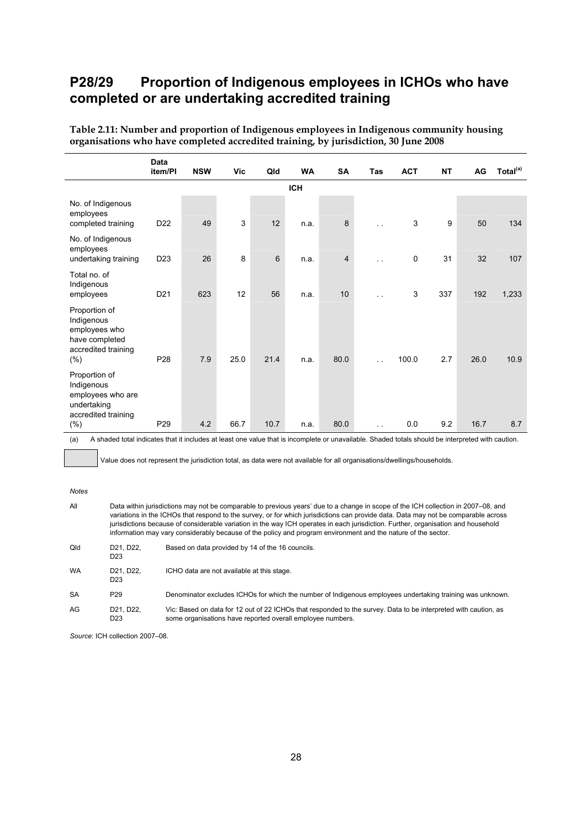## **P28/29 Proportion of Indigenous employees in ICHOs who have completed or are undertaking accredited training**

|                                                                                                | <b>Data</b><br>item/PI | <b>NSW</b> | Vic  | Qld  | <b>WA</b>  | <b>SA</b>      | Tas                  | <b>ACT</b> | <b>NT</b> | AG   | Total <sup>(a)</sup> |
|------------------------------------------------------------------------------------------------|------------------------|------------|------|------|------------|----------------|----------------------|------------|-----------|------|----------------------|
|                                                                                                |                        |            |      |      | <b>ICH</b> |                |                      |            |           |      |                      |
| No. of Indigenous<br>employees<br>completed training                                           | D <sub>22</sub>        | 49         | 3    | 12   | n.a.       | 8              |                      | 3          | 9         | 50   | 134                  |
| No. of Indigenous<br>employees<br>undertaking training                                         | D <sub>23</sub>        | 26         | 8    | 6    | n.a.       | $\overline{4}$ | $\ddotsc$            | 0          | 31        | 32   | 107                  |
| Total no. of<br>Indigenous<br>employees                                                        | D <sub>21</sub>        | 623        | 12   | 56   | n.a.       | 10             | $\ddot{\phantom{1}}$ | 3          | 337       | 192  | 1,233                |
| Proportion of<br>Indigenous<br>employees who<br>have completed<br>accredited training<br>(% )  | P <sub>28</sub>        | 7.9        | 25.0 | 21.4 | n.a.       | 80.0           |                      | 100.0      | 2.7       | 26.0 | 10.9                 |
| Proportion of<br>Indigenous<br>employees who are<br>undertaking<br>accredited training<br>(% ) | P <sub>29</sub>        | 4.2        | 66.7 | 10.7 | n.a.       | 80.0           | $\ddotsc$            | 0.0        | 9.2       | 16.7 | 8.7                  |

**Table 2.11: Number and proportion of Indigenous employees in Indigenous community housing organisations who have completed accredited training, by jurisdiction, 30 June 2008** 

(a) A shaded total indicates that it includes at least one value that is incomplete or unavailable. Shaded totals should be interpreted with caution.

Value does not represent the jurisdiction total, as data were not available for all organisations/dwellings/households.

#### *Notes*

| All       | Data within jurisdictions may not be comparable to previous years' due to a change in scope of the ICH collection in 2007–08, and<br>variations in the ICHOs that respond to the survey, or for which jurisdictions can provide data. Data may not be comparable across<br>jurisdictions because of considerable variation in the way ICH operates in each jurisdiction. Further, organisation and household<br>information may vary considerably because of the policy and program environment and the nature of the sector. |                                                                                                                 |  |  |  |  |  |  |
|-----------|-------------------------------------------------------------------------------------------------------------------------------------------------------------------------------------------------------------------------------------------------------------------------------------------------------------------------------------------------------------------------------------------------------------------------------------------------------------------------------------------------------------------------------|-----------------------------------------------------------------------------------------------------------------|--|--|--|--|--|--|
| Qld       | D21, D22.<br>D23                                                                                                                                                                                                                                                                                                                                                                                                                                                                                                              | Based on data provided by 14 of the 16 councils.                                                                |  |  |  |  |  |  |
| <b>WA</b> | D21, D22.<br>D <sub>23</sub>                                                                                                                                                                                                                                                                                                                                                                                                                                                                                                  | ICHO data are not available at this stage.                                                                      |  |  |  |  |  |  |
| <b>SA</b> | P <sub>29</sub>                                                                                                                                                                                                                                                                                                                                                                                                                                                                                                               | Denominator excludes ICHOs for which the number of Indigenous employees undertaking training was unknown.       |  |  |  |  |  |  |
| AG        | D21. D22.                                                                                                                                                                                                                                                                                                                                                                                                                                                                                                                     | Vic: Based on data for 12 out of 22 ICHOs that responded to the survey. Data to be interpreted with caution, as |  |  |  |  |  |  |

D<sub>23</sub> some organisations have reported overall employee numbers.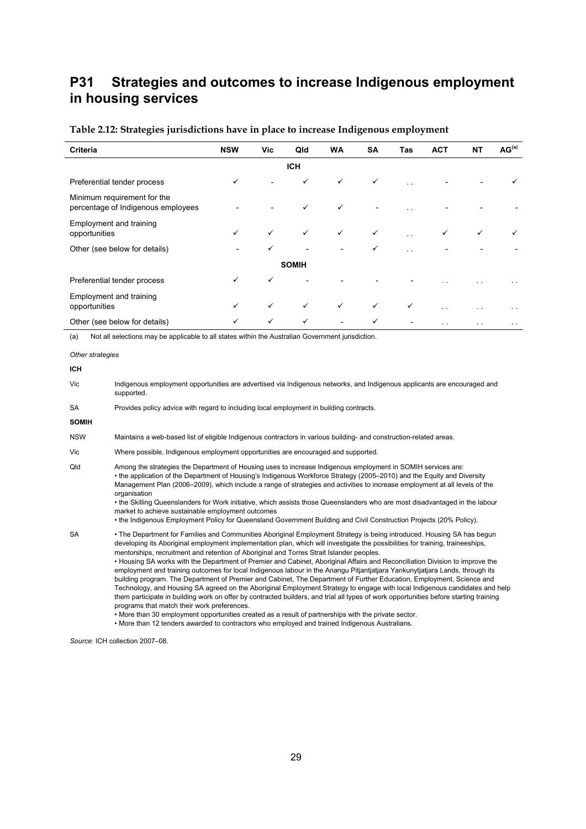## **P31 Strategies and outcomes to increase Indigenous employment in housing services**

| Criteria                                                          | <b>NSW</b> | Vic          | Qld          | <b>WA</b>    | <b>SA</b>    | Tas                  | <b>ACT</b>    | NT           | AG <sup>(a)</sup>    |  |  |  |
|-------------------------------------------------------------------|------------|--------------|--------------|--------------|--------------|----------------------|---------------|--------------|----------------------|--|--|--|
| <b>ICH</b>                                                        |            |              |              |              |              |                      |               |              |                      |  |  |  |
| Preferential tender process                                       | ✓          |              | ✓            | $\checkmark$ | $\checkmark$ | $\ddot{\phantom{1}}$ |               |              |                      |  |  |  |
| Minimum requirement for the<br>percentage of Indigenous employees |            |              | $\checkmark$ | $\checkmark$ |              | $\ddot{\phantom{0}}$ |               |              |                      |  |  |  |
| Employment and training<br>opportunities                          | ✓          | $\checkmark$ | $\checkmark$ | $\checkmark$ | ✓            | $\ddot{\phantom{a}}$ | ✓             | $\checkmark$ |                      |  |  |  |
| Other (see below for details)                                     |            | ✓            |              |              | ✓            | $\sim$               |               |              |                      |  |  |  |
|                                                                   |            |              | <b>SOMIH</b> |              |              |                      |               |              |                      |  |  |  |
| Preferential tender process                                       | ✓          | $\checkmark$ |              |              |              |                      |               |              |                      |  |  |  |
| Employment and training<br>opportunities                          | ✓          | $\checkmark$ | $\checkmark$ | $\checkmark$ | $\checkmark$ | $\checkmark$         | $\sim$        |              | $\ddot{\phantom{1}}$ |  |  |  |
| Other (see below for details)                                     | ✓          | $\checkmark$ | $\checkmark$ |              | ✓            |                      | $\sim$ $\sim$ |              | $\ddot{\phantom{1}}$ |  |  |  |

#### **Table 2.12: Strategies jurisdictions have in place to increase Indigenous employment**

(a) Not all selections may be applicable to all states within the Australian Government jurisdiction.

*Other strategies* 

Vic Indigenous employment opportunities are advertised via Indigenous networks, and Indigenous applicants are encouraged and supported.

SA Provides policy advice with regard to including local employment in building contracts.

**SOMIH** 

**ICH** 

- NSW Maintains a web-based list of eligible Indigenous contractors in various building- and construction-related areas.
- Vic Where possible, Indigenous employment opportunities are encouraged and supported.
- Qld Among the strategies the Department of Housing uses to increase Indigenous employment in SOMIH services are: • the application of the Department of Housing's Indigenous Workforce Strategy (2005–2010) and the Equity and Diversity Management Plan (2006–2009), which include a range of strategies and activities to increase employment at all levels of the organisation

• the Skilling Queenslanders for Work initiative, which assists those Queenslanders who are most disadvantaged in the labour market to achieve sustainable employment outcomes

• the Indigenous Employment Policy for Queensland Government Building and Civil Construction Projects (20% Policy).

SA • The Department for Families and Communities Aboriginal Employment Strategy is being introduced. Housing SA has begun developing its Aboriginal employment implementation plan, which will investigate the possibilities for training, traineeships, mentorships, recruitment and retention of Aboriginal and Torres Strait Islander peoples. • Housing SA works with the Department of Premier and Cabinet, Aboriginal Affairs and Reconciliation Division to improve the employment and training outcomes for local Indigenous labour in the Anangu Pitjantjatjara Yankunytjatjara Lands, through its

building program. The Department of Premier and Cabinet, The Department of Further Education, Employment, Science and Technology, and Housing SA agreed on the Aboriginal Employment Strategy to engage with local Indigenous candidates and help them participate in building work on offer by contracted builders, and trial all types of work opportunities before starting training programs that match their work preferences.

• More than 30 employment opportunities created as a result of partnerships with the private sector.

• More than 12 tenders awarded to contractors who employed and trained Indigenous Australians.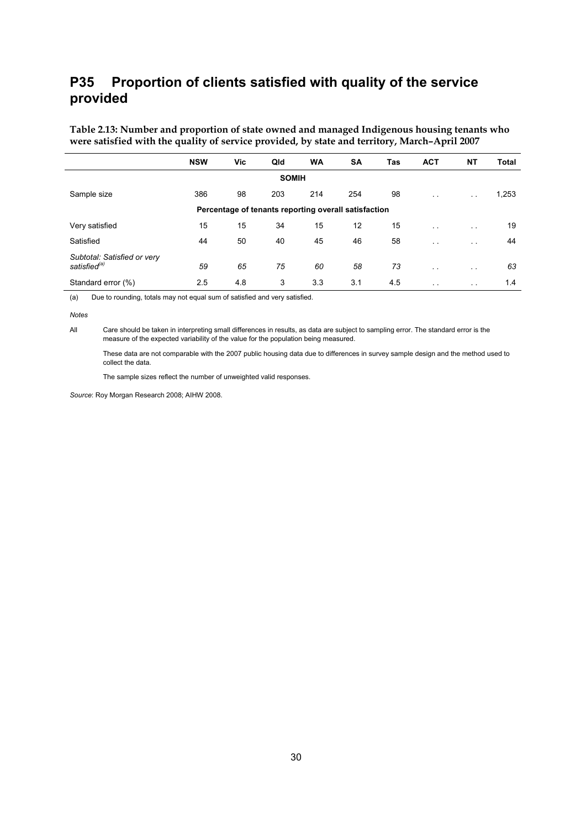## **P35 Proportion of clients satisfied with quality of the service provided**

**Table 2.13: Number and proportion of state owned and managed Indigenous housing tenants who were satisfied with the quality of service provided, by state and territory, March–April 2007** 

|                                                         | <b>NSW</b> | Vic | Qld | <b>WA</b> | <b>SA</b> | Tas | <b>ACT</b>           | ΝT                   | Total |  |  |  |
|---------------------------------------------------------|------------|-----|-----|-----------|-----------|-----|----------------------|----------------------|-------|--|--|--|
| <b>SOMIH</b>                                            |            |     |     |           |           |     |                      |                      |       |  |  |  |
| Sample size                                             | 386        | 98  | 203 | 214       | 254       | 98  | $\sim$ $\sim$        | $\sim$ $\sim$        | 1,253 |  |  |  |
| Percentage of tenants reporting overall satisfaction    |            |     |     |           |           |     |                      |                      |       |  |  |  |
| Very satisfied                                          | 15         | 15  | 34  | 15        | 12        | 15  | $\sim$ $\sim$        | $\sim$ $\sim$        | 19    |  |  |  |
| Satisfied                                               | 44         | 50  | 40  | 45        | 46        | 58  | $\sim$ $\sim$        | $\sim$ $\sim$        | 44    |  |  |  |
| Subtotal: Satisfied or very<br>satisfied <sup>(a)</sup> | 59         | 65  | 75  | 60        | 58        | 73  | $\sim$ $\sim$        | $\sim$ $\sim$        | 63    |  |  |  |
| Standard error (%)                                      | 2.5        | 4.8 | 3   | 3.3       | 3.1       | 4.5 | $\ddot{\phantom{0}}$ | $\ddot{\phantom{0}}$ | 1.4   |  |  |  |

(a) Due to rounding, totals may not equal sum of satisfied and very satisfied.

#### *Notes*

All Care should be taken in interpreting small differences in results, as data are subject to sampling error. The standard error is the measure of the expected variability of the value for the population being measured.

 These data are not comparable with the 2007 public housing data due to differences in survey sample design and the method used to collect the data.

The sample sizes reflect the number of unweighted valid responses.

*Source*: Roy Morgan Research 2008; AIHW 2008.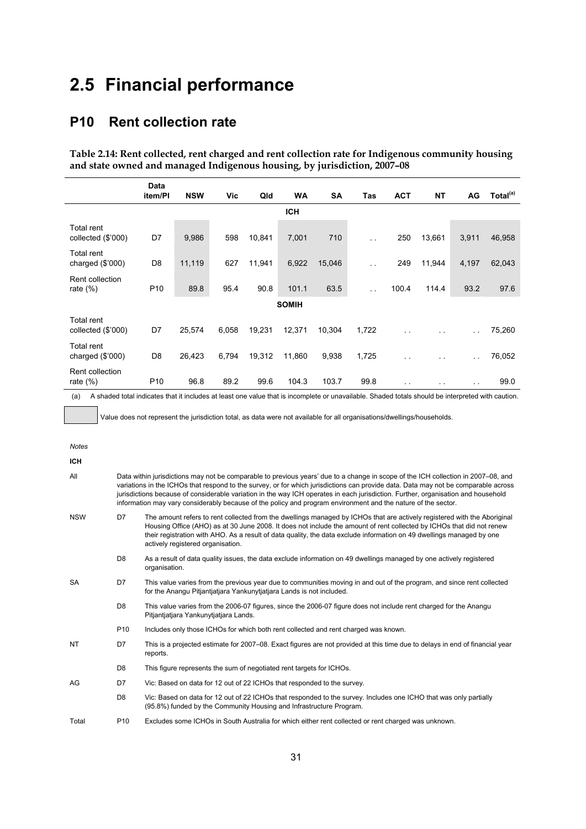# **2.5 Financial performance**

### **P10 Rent collection rate**

**Table 2.14: Rent collected, rent charged and rent collection rate for Indigenous community housing and state owned and managed Indigenous housing, by jurisdiction, 2007–08** 

|                                         | <b>Data</b><br>item/Pl | <b>NSW</b> | Vic   | Qld    | WA           | <b>SA</b> | Tas                  | <b>ACT</b> | <b>NT</b> | AG                   | Total <sup>(a)</sup> |
|-----------------------------------------|------------------------|------------|-------|--------|--------------|-----------|----------------------|------------|-----------|----------------------|----------------------|
|                                         |                        |            |       |        | <b>ICH</b>   |           |                      |            |           |                      |                      |
| Total rent<br>collected (\$'000)        | D7                     | 9,986      | 598   | 10,841 | 7,001        | 710       | $\ddot{\phantom{1}}$ | 250        | 13,661    | 3,911                | 46,958               |
| Total rent<br>charged $(\$'000)$        | D <sub>8</sub>         | 11,119     | 627   | 11,941 | 6,922        | 15,046    | $\ddotsc$            | 249        | 11,944    | 4,197                | 62,043               |
| Rent collection<br>rate $(\%)$          | P <sub>10</sub>        | 89.8       | 95.4  | 90.8   | 101.1        | 63.5      | $\ddot{\phantom{a}}$ | 100.4      | 114.4     | 93.2                 | 97.6                 |
|                                         |                        |            |       |        | <b>SOMIH</b> |           |                      |            |           |                      |                      |
| <b>Total rent</b><br>collected (\$'000) | D7                     | 25,574     | 6,058 | 19,231 | 12,371       | 10,304    | 1,722                |            |           | $\ddot{\phantom{1}}$ | 75,260               |
| Total rent<br>charged $(\$'000)$        | D <sub>8</sub>         | 26,423     | 6,794 | 19,312 | 11,860       | 9,938     | 1,725                | $\sim$     |           | $\sim$ $\sim$        | 76,052               |
| Rent collection<br>rate $(\%)$          | P <sub>10</sub>        | 96.8       | 89.2  | 99.6   | 104.3        | 103.7     | 99.8                 | . .        |           | $\sim$ $\sim$        | 99.0                 |

(a) A shaded total indicates that it includes at least one value that is incomplete or unavailable. Shaded totals should be interpreted with caution.

Value does not represent the jurisdiction total, as data were not available for all organisations/dwellings/households.

*Notes* 

**ICH** 

| All | Data within jurisdictions may not be comparable to previous years' due to a change in scope of the ICH collection in 2007–08, and  |
|-----|------------------------------------------------------------------------------------------------------------------------------------|
|     | variations in the ICHOs that respond to the survey, or for which jurisdictions can provide data. Data may not be comparable across |
|     | jurisdictions because of considerable variation in the way ICH operates in each jurisdiction. Further, organisation and household  |
|     | information may vary considerably because of the policy and program environment and the nature of the sector.                      |

NSW D7 The amount refers to rent collected from the dwellings managed by ICHOs that are actively registered with the Aboriginal Housing Office (AHO) as at 30 June 2008. It does not include the amount of rent collected by ICHOs that did not renew their registration with AHO. As a result of data quality, the data exclude information on 49 dwellings managed by one actively registered organisation.

D8 As a result of data quality issues, the data exclude information on 49 dwellings managed by one actively registered organisation.

SA D7 This value varies from the previous year due to communities moving in and out of the program, and since rent collected for the Anangu Pitjantjatjara Yankunytjatjara Lands is not included.

- D8 This value varies from the 2006-07 figures, since the 2006-07 figure does not include rent charged for the Anangu Pitjantjatjara Yankunytjatjara Lands.
- P10 Includes only those ICHOs for which both rent collected and rent charged was known.
- NT D7 This is a projected estimate for 2007–08. Exact figures are not provided at this time due to delays in end of financial year reports.
	- D8 This figure represents the sum of negotiated rent targets for ICHOs.
- AG D7 Vic: Based on data for 12 out of 22 ICHOs that responded to the survey.
	- D8 Vic: Based on data for 12 out of 22 ICHOs that responded to the survey. Includes one ICHO that was only partially (95.8%) funded by the Community Housing and Infrastructure Program.
- Total P10 Excludes some ICHOs in South Australia for which either rent collected or rent charged was unknown.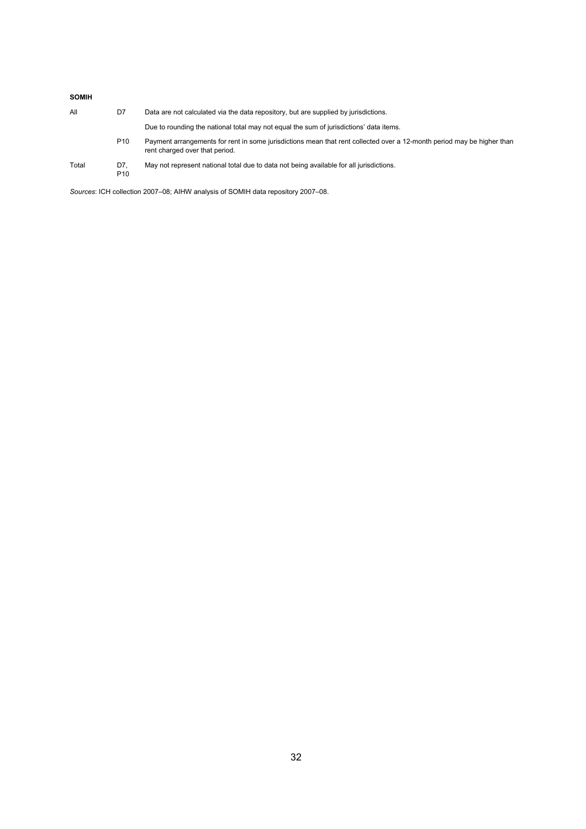#### **SOMIH**

| All   | D7                     | Data are not calculated via the data repository, but are supplied by jurisdictions.                                                                      |
|-------|------------------------|----------------------------------------------------------------------------------------------------------------------------------------------------------|
|       |                        | Due to rounding the national total may not equal the sum of jurisdictions' data items.                                                                   |
|       | P <sub>10</sub>        | Payment arrangements for rent in some jurisdictions mean that rent collected over a 12-month period may be higher than<br>rent charged over that period. |
| Total | D7.<br>P <sub>10</sub> | May not represent national total due to data not being available for all jurisdictions.                                                                  |

*Sources*: ICH collection 2007–08; AIHW analysis of SOMIH data repository 2007–08.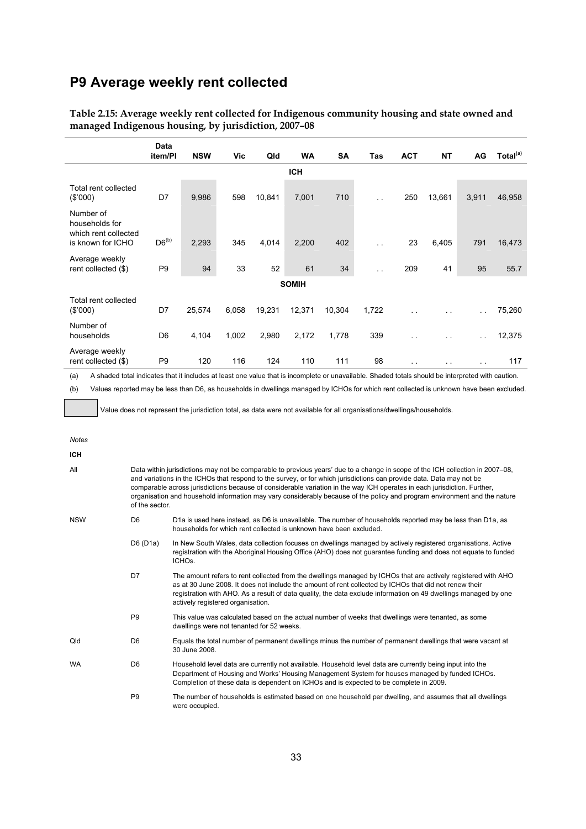### **P9 Average weekly rent collected**

|                                                                          | Data<br>item/PI | <b>NSW</b> | Vic   | Qld    | <b>WA</b>    | <b>SA</b> | Tas                  | <b>ACT</b>    | <b>NT</b>     | AG            | Total <sup>(a)</sup> |
|--------------------------------------------------------------------------|-----------------|------------|-------|--------|--------------|-----------|----------------------|---------------|---------------|---------------|----------------------|
|                                                                          |                 |            |       |        | <b>ICH</b>   |           |                      |               |               |               |                      |
| Total rent collected<br>(\$'000)                                         | D7              | 9,986      | 598   | 10,841 | 7,001        | 710       | $\sim$ $\sim$        | 250           | 13,661        | 3,911         | 46,958               |
| Number of<br>households for<br>which rent collected<br>is known for ICHO | $D6^{(b)}$      | 2,293      | 345   | 4,014  | 2,200        | 402       | $\ddotsc$            | 23            | 6,405         | 791           | 16,473               |
| Average weekly<br>rent collected (\$)                                    | P <sub>9</sub>  | 94         | 33    | 52     | 61           | 34        | $\ddot{\phantom{1}}$ | 209           | 41            | 95            | 55.7                 |
|                                                                          |                 |            |       |        | <b>SOMIH</b> |           |                      |               |               |               |                      |
| Total rent collected<br>(\$'000)                                         | D7              | 25,574     | 6,058 | 19,231 | 12,371       | 10,304    | 1,722                | $\sim$ $\sim$ |               | $\sim$ $\sim$ | 75,260               |
| Number of<br>households                                                  | D <sub>6</sub>  | 4,104      | 1,002 | 2,980  | 2,172        | 1,778     | 339                  | . .           | . .           | . .           | 12,375               |
| Average weekly<br>rent collected (\$)                                    | P <sub>9</sub>  | 120        | 116   | 124    | 110          | 111       | 98                   | $\sim$ $\sim$ | $\sim$ $\sim$ | $\sim$ $\sim$ | 117                  |

**Table 2.15: Average weekly rent collected for Indigenous community housing and state owned and managed Indigenous housing, by jurisdiction, 2007–08** 

(a) A shaded total indicates that it includes at least one value that is incomplete or unavailable. Shaded totals should be interpreted with caution.

(b) Values reported may be less than D6, as households in dwellings managed by ICHOs for which rent collected is unknown have been excluded.

Value does not represent the jurisdiction total, as data were not available for all organisations/dwellings/households.

| <b>Notes</b> |                                                                                                                                                                                                                                                                                                                                                                                                                                                                                                                                  |                                                                                                                                                                                                                                                                                                                                                                                 |  |  |  |  |  |
|--------------|----------------------------------------------------------------------------------------------------------------------------------------------------------------------------------------------------------------------------------------------------------------------------------------------------------------------------------------------------------------------------------------------------------------------------------------------------------------------------------------------------------------------------------|---------------------------------------------------------------------------------------------------------------------------------------------------------------------------------------------------------------------------------------------------------------------------------------------------------------------------------------------------------------------------------|--|--|--|--|--|
| <b>ICH</b>   |                                                                                                                                                                                                                                                                                                                                                                                                                                                                                                                                  |                                                                                                                                                                                                                                                                                                                                                                                 |  |  |  |  |  |
| All          | Data within jurisdictions may not be comparable to previous years' due to a change in scope of the ICH collection in 2007–08.<br>and variations in the ICHOs that respond to the survey, or for which jurisdictions can provide data. Data may not be<br>comparable across jurisdictions because of considerable variation in the way ICH operates in each jurisdiction. Further,<br>organisation and household information may vary considerably because of the policy and program environment and the nature<br>of the sector. |                                                                                                                                                                                                                                                                                                                                                                                 |  |  |  |  |  |
| <b>NSW</b>   | D <sub>6</sub>                                                                                                                                                                                                                                                                                                                                                                                                                                                                                                                   | D1a is used here instead, as D6 is unavailable. The number of households reported may be less than D1a, as<br>households for which rent collected is unknown have been excluded.                                                                                                                                                                                                |  |  |  |  |  |
|              | D6(D1a)                                                                                                                                                                                                                                                                                                                                                                                                                                                                                                                          | In New South Wales, data collection focuses on dwellings managed by actively registered organisations. Active<br>registration with the Aboriginal Housing Office (AHO) does not guarantee funding and does not equate to funded<br>ICHO <sub>s</sub>                                                                                                                            |  |  |  |  |  |
|              | D7                                                                                                                                                                                                                                                                                                                                                                                                                                                                                                                               | The amount refers to rent collected from the dwellings managed by ICHOs that are actively registered with AHO<br>as at 30 June 2008. It does not include the amount of rent collected by ICHOs that did not renew their<br>registration with AHO. As a result of data quality, the data exclude information on 49 dwellings managed by one<br>actively registered organisation. |  |  |  |  |  |
|              | P <sub>9</sub>                                                                                                                                                                                                                                                                                                                                                                                                                                                                                                                   | This value was calculated based on the actual number of weeks that dwellings were tenanted, as some<br>dwellings were not tenanted for 52 weeks.                                                                                                                                                                                                                                |  |  |  |  |  |
| Qld          | D <sub>6</sub>                                                                                                                                                                                                                                                                                                                                                                                                                                                                                                                   | Equals the total number of permanent dwellings minus the number of permanent dwellings that were vacant at<br>30 June 2008.                                                                                                                                                                                                                                                     |  |  |  |  |  |
| <b>WA</b>    | D <sub>6</sub>                                                                                                                                                                                                                                                                                                                                                                                                                                                                                                                   | Household level data are currently not available. Household level data are currently being input into the<br>Department of Housing and Works' Housing Management System for houses managed by funded ICHOs.<br>Completion of these data is dependent on ICHOs and is expected to be complete in 2009.                                                                           |  |  |  |  |  |

> P9 The number of households is estimated based on one household per dwelling, and assumes that all dwellings were occupied.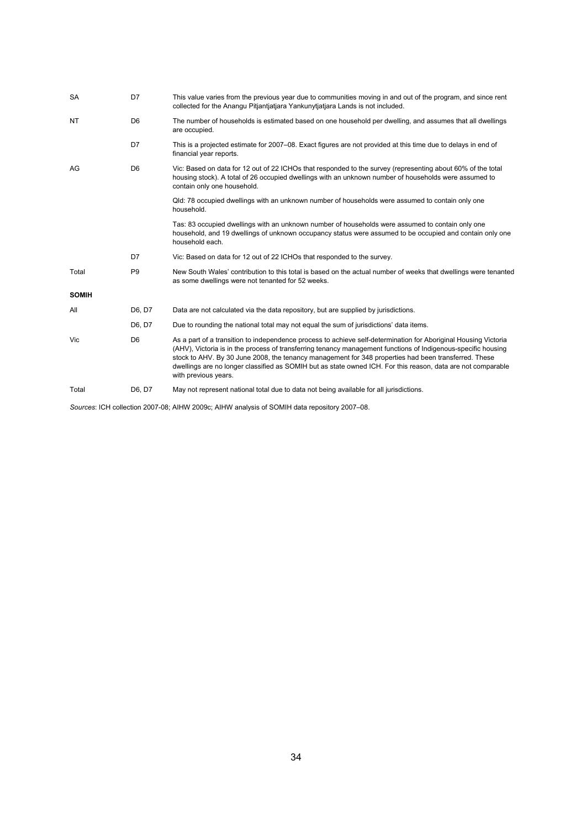| <b>SA</b>    | D7             | This value varies from the previous year due to communities moving in and out of the program, and since rent<br>collected for the Anangu Pitjantjatjara Yankunytjatjara Lands is not included.                                                                                                                                                                                                                                                                                   |
|--------------|----------------|----------------------------------------------------------------------------------------------------------------------------------------------------------------------------------------------------------------------------------------------------------------------------------------------------------------------------------------------------------------------------------------------------------------------------------------------------------------------------------|
| <b>NT</b>    | D <sub>6</sub> | The number of households is estimated based on one household per dwelling, and assumes that all dwellings<br>are occupied.                                                                                                                                                                                                                                                                                                                                                       |
|              | D7             | This is a projected estimate for 2007–08. Exact figures are not provided at this time due to delays in end of<br>financial year reports.                                                                                                                                                                                                                                                                                                                                         |
| AG           | D <sub>6</sub> | Vic: Based on data for 12 out of 22 ICHOs that responded to the survey (representing about 60% of the total<br>housing stock). A total of 26 occupied dwellings with an unknown number of households were assumed to<br>contain only one household.                                                                                                                                                                                                                              |
|              |                | Qld: 78 occupied dwellings with an unknown number of households were assumed to contain only one<br>household.                                                                                                                                                                                                                                                                                                                                                                   |
|              |                | Tas: 83 occupied dwellings with an unknown number of households were assumed to contain only one<br>household, and 19 dwellings of unknown occupancy status were assumed to be occupied and contain only one<br>household each.                                                                                                                                                                                                                                                  |
|              | D7             | Vic: Based on data for 12 out of 22 ICHOs that responded to the survey.                                                                                                                                                                                                                                                                                                                                                                                                          |
| Total        | P <sub>9</sub> | New South Wales' contribution to this total is based on the actual number of weeks that dwellings were tenanted<br>as some dwellings were not tenanted for 52 weeks.                                                                                                                                                                                                                                                                                                             |
| <b>SOMIH</b> |                |                                                                                                                                                                                                                                                                                                                                                                                                                                                                                  |
| All          | D6, D7         | Data are not calculated via the data repository, but are supplied by jurisdictions.                                                                                                                                                                                                                                                                                                                                                                                              |
|              | D6, D7         | Due to rounding the national total may not equal the sum of jurisdictions' data items.                                                                                                                                                                                                                                                                                                                                                                                           |
| Vic          | D <sub>6</sub> | As a part of a transition to independence process to achieve self-determination for Aboriginal Housing Victoria<br>(AHV), Victoria is in the process of transferring tenancy management functions of Indigenous-specific housing<br>stock to AHV. By 30 June 2008, the tenancy management for 348 properties had been transferred. These<br>dwellings are no longer classified as SOMIH but as state owned ICH. For this reason, data are not comparable<br>with previous years. |
| Total        | D6, D7         | May not represent national total due to data not being available for all jurisdictions.                                                                                                                                                                                                                                                                                                                                                                                          |

*Sources*: ICH collection 2007-08; AIHW 2009c; AIHW analysis of SOMIH data repository 2007–08.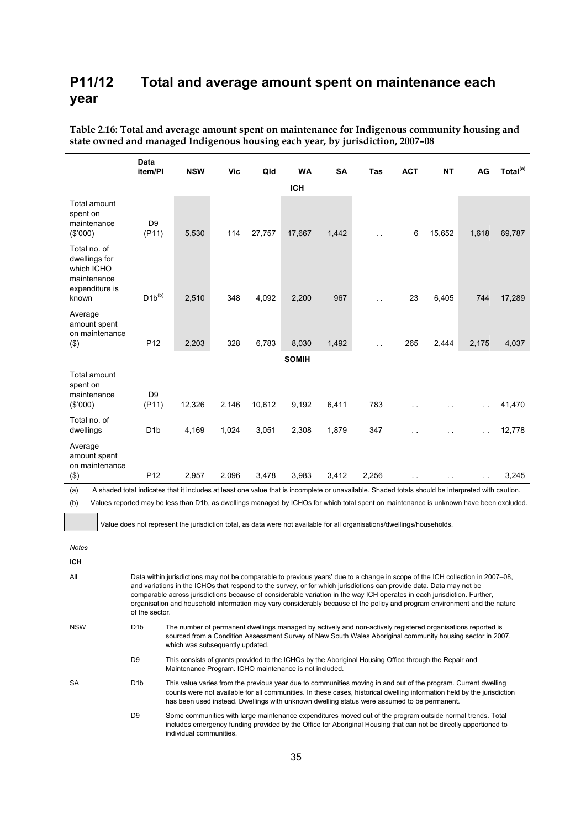### **P11/12 Total and average amount spent on maintenance each year**

|                                                                                       | Data<br>item/PI                                                                                                                                                                                                                | <b>NSW</b> | Vic   | Qld    | <b>WA</b>    | SA    | Tas   | <b>ACT</b> | <b>NT</b> | AG    | Total <sup>(a)</sup> |
|---------------------------------------------------------------------------------------|--------------------------------------------------------------------------------------------------------------------------------------------------------------------------------------------------------------------------------|------------|-------|--------|--------------|-------|-------|------------|-----------|-------|----------------------|
|                                                                                       |                                                                                                                                                                                                                                |            |       |        | <b>ICH</b>   |       |       |            |           |       |                      |
| Total amount<br>spent on<br>maintenance<br>(\$'000)                                   | D <sub>9</sub><br>(P11)                                                                                                                                                                                                        | 5,530      | 114   | 27,757 | 17,667       | 1,442 |       | 6          | 15,652    | 1,618 | 69,787               |
| Total no. of<br>dwellings for<br>which ICHO<br>maintenance<br>expenditure is<br>known | $\mathsf{D1b}^{(\mathsf{b})}$                                                                                                                                                                                                  | 2,510      | 348   | 4,092  | 2,200        | 967   |       | 23         | 6,405     | 744   | 17,289               |
| Average<br>amount spent<br>on maintenance                                             |                                                                                                                                                                                                                                |            |       |        |              |       |       |            |           |       |                      |
| $($ \$)                                                                               | P <sub>12</sub>                                                                                                                                                                                                                | 2,203      | 328   | 6,783  | 8,030        | 1,492 |       | 265        | 2,444     | 2,175 | 4,037                |
|                                                                                       |                                                                                                                                                                                                                                |            |       |        | <b>SOMIH</b> |       |       |            |           |       |                      |
| Total amount<br>spent on<br>maintenance<br>(\$'000)                                   | D <sub>9</sub><br>(P11)                                                                                                                                                                                                        | 12,326     | 2,146 | 10,612 | 9,192        | 6,411 | 783   |            |           |       | 41,470               |
| Total no. of<br>dwellings                                                             | D <sub>1</sub> b                                                                                                                                                                                                               | 4,169      | 1,024 | 3,051  | 2,308        | 1,879 | 347   |            |           |       | 12,778               |
| Average<br>amount spent<br>on maintenance                                             |                                                                                                                                                                                                                                |            |       |        |              |       |       |            |           |       |                      |
| $($ \$)                                                                               | P <sub>12</sub>                                                                                                                                                                                                                | 2,957      | 2,096 | 3,478  | 3,983        | 3,412 | 2,256 |            |           |       | 3,245                |
| (a)                                                                                   | mothics dividends to the technical part of the back and clience in a statement at tech and technical technical technical technical technical technical technical technical technical technical technical technical technical t |            |       |        |              |       |       |            |           |       |                      |

**Table 2.16: Total and average amount spent on maintenance for Indigenous community housing and state owned and managed Indigenous housing each year, by jurisdiction, 2007–08** 

(a) A shaded total indicates that it includes at least one value that is incomplete or unavailable. Shaded totals should be interpreted with caution.

(b) Values reported may be less than D1b, as dwellings managed by ICHOs for which total spent on maintenance is unknown have been excluded.

Value does not represent the jurisdiction total, as data were not available for all organisations/dwellings/households.

| <b>Notes</b> |                  |                                                                                                                                                                                                                                                                                                                                                                                                                                                                                                                |
|--------------|------------------|----------------------------------------------------------------------------------------------------------------------------------------------------------------------------------------------------------------------------------------------------------------------------------------------------------------------------------------------------------------------------------------------------------------------------------------------------------------------------------------------------------------|
| <b>ICH</b>   |                  |                                                                                                                                                                                                                                                                                                                                                                                                                                                                                                                |
| All          | of the sector.   | Data within jurisdictions may not be comparable to previous years' due to a change in scope of the ICH collection in 2007–08,<br>and variations in the ICHOs that respond to the survey, or for which jurisdictions can provide data. Data may not be<br>comparable across jurisdictions because of considerable variation in the way ICH operates in each jurisdiction. Further,<br>organisation and household information may vary considerably because of the policy and program environment and the nature |
| <b>NSW</b>   | D <sub>1</sub> b | The number of permanent dwellings managed by actively and non-actively registered organisations reported is<br>sourced from a Condition Assessment Survey of New South Wales Aboriginal community housing sector in 2007,<br>which was subsequently updated.                                                                                                                                                                                                                                                   |
|              | D <sub>9</sub>   | This consists of grants provided to the ICHOs by the Aboriginal Housing Office through the Repair and<br>Maintenance Program. ICHO maintenance is not included.                                                                                                                                                                                                                                                                                                                                                |
| <b>SA</b>    | D <sub>1</sub> b | This value varies from the previous year due to communities moving in and out of the program. Current dwelling<br>counts were not available for all communities. In these cases, historical dwelling information held by the jurisdiction<br>has been used instead. Dwellings with unknown dwelling status were assumed to be permanent.                                                                                                                                                                       |
|              | D <sub>9</sub>   | Some communities with large maintenance expenditures moved out of the program outside normal trends. Total<br>includes emergency funding provided by the Office for Aboriginal Housing that can not be directly apportioned to<br>individual communities.                                                                                                                                                                                                                                                      |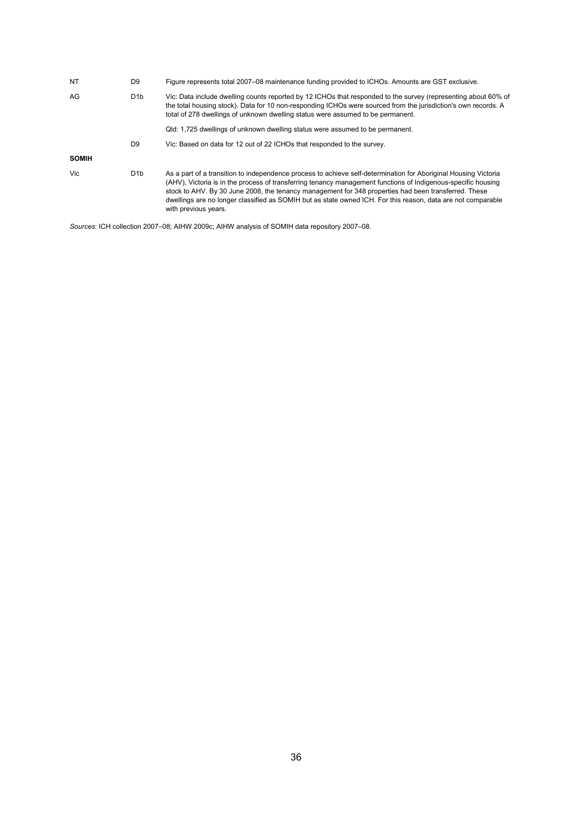| NT           | D <sub>9</sub>   | Figure represents total 2007–08 maintenance funding provided to ICHOs. Amounts are GST exclusive.                                                                                                                                                                                                                                                                                                                                                                                |
|--------------|------------------|----------------------------------------------------------------------------------------------------------------------------------------------------------------------------------------------------------------------------------------------------------------------------------------------------------------------------------------------------------------------------------------------------------------------------------------------------------------------------------|
| AG           | D <sub>1</sub> b | Vic: Data include dwelling counts reported by 12 ICHOs that responded to the survey (representing about 60% of<br>the total housing stock). Data for 10 non-responding ICHOs were sourced from the jurisdiction's own records. A<br>total of 278 dwellings of unknown dwelling status were assumed to be permanent.                                                                                                                                                              |
|              |                  | Qld: 1,725 dwellings of unknown dwelling status were assumed to be permanent.                                                                                                                                                                                                                                                                                                                                                                                                    |
|              | D <sub>9</sub>   | Vic: Based on data for 12 out of 22 ICHOs that responded to the survey.                                                                                                                                                                                                                                                                                                                                                                                                          |
| <b>SOMIH</b> |                  |                                                                                                                                                                                                                                                                                                                                                                                                                                                                                  |
| Vic.         | D <sub>1</sub> b | As a part of a transition to independence process to achieve self-determination for Aboriginal Housing Victoria<br>(AHV), Victoria is in the process of transferring tenancy management functions of Indigenous-specific housing<br>stock to AHV. By 30 June 2008, the tenancy management for 348 properties had been transferred. These<br>dwellings are no longer classified as SOMIH but as state owned ICH. For this reason, data are not comparable<br>with previous years. |

*Sources*: ICH collection 2007–08; AIHW 2009c; AIHW analysis of SOMIH data repository 2007–08.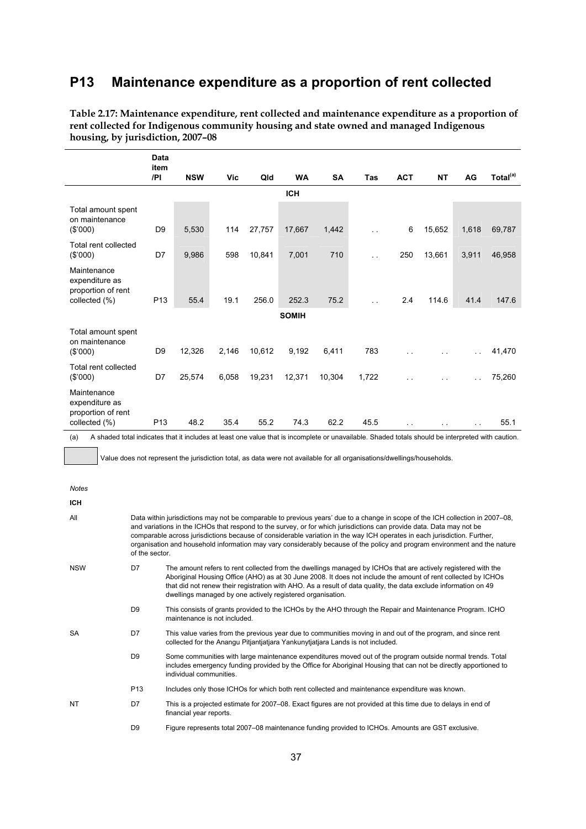### **P13 Maintenance expenditure as a proportion of rent collected**

|                                                                      | <b>Data</b><br>item |            |       |        |              |           |            |               |           |               |                      |
|----------------------------------------------------------------------|---------------------|------------|-------|--------|--------------|-----------|------------|---------------|-----------|---------------|----------------------|
|                                                                      | /PI                 | <b>NSW</b> | Vic   | Qld    | <b>WA</b>    | <b>SA</b> | <b>Tas</b> | <b>ACT</b>    | <b>NT</b> | AG            | Total <sup>(a)</sup> |
|                                                                      |                     |            |       |        | <b>ICH</b>   |           |            |               |           |               |                      |
| Total amount spent<br>on maintenance<br>(\$'000)                     | D <sub>9</sub>      | 5,530      | 114   | 27,757 | 17,667       | 1,442     | $\ddotsc$  | 6             | 15,652    | 1,618         | 69,787               |
| Total rent collected<br>(\$'000)                                     | D7                  | 9,986      | 598   | 10,841 | 7,001        | 710       | . .        | 250           | 13,661    | 3,911         | 46,958               |
| Maintenance<br>expenditure as<br>proportion of rent<br>collected (%) | P <sub>13</sub>     | 55.4       | 19.1  | 256.0  | 252.3        | 75.2      | $\ddotsc$  | 2.4           | 114.6     | 41.4          | 147.6                |
|                                                                      |                     |            |       |        | <b>SOMIH</b> |           |            |               |           |               |                      |
| Total amount spent<br>on maintenance<br>(\$'000)                     | D <sub>9</sub>      | 12,326     | 2,146 | 10,612 | 9,192        | 6,411     | 783        | $\ddotsc$     |           |               | 41,470               |
| Total rent collected<br>(\$'000)                                     | D7                  | 25,574     | 6,058 | 19,231 | 12,371       | 10,304    | 1,722      |               |           |               | 75,260               |
| Maintenance<br>expenditure as<br>proportion of rent<br>collected (%) | P <sub>13</sub>     | 48.2       | 35.4  | 55.2   | 74.3         | 62.2      | 45.5       | $\sim$ $\sim$ | . .       | $\sim$ $\sim$ | 55.1                 |

**Table 2.17: Maintenance expenditure, rent collected and maintenance expenditure as a proportion of rent collected for Indigenous community housing and state owned and managed Indigenous housing, by jurisdiction, 2007–08** 

(a) A shaded total indicates that it includes at least one value that is incomplete or unavailable. Shaded totals should be interpreted with caution.

Value does not represent the jurisdiction total, as data were not available for all organisations/dwellings/households.

| <b>Notes</b> |                 |                                                                                                                                                                                                                                                                                                                                                                                                                                                                                                                |
|--------------|-----------------|----------------------------------------------------------------------------------------------------------------------------------------------------------------------------------------------------------------------------------------------------------------------------------------------------------------------------------------------------------------------------------------------------------------------------------------------------------------------------------------------------------------|
| <b>ICH</b>   |                 |                                                                                                                                                                                                                                                                                                                                                                                                                                                                                                                |
| All          | of the sector.  | Data within jurisdictions may not be comparable to previous years' due to a change in scope of the ICH collection in 2007–08,<br>and variations in the ICHOs that respond to the survey, or for which jurisdictions can provide data. Data may not be<br>comparable across jurisdictions because of considerable variation in the way ICH operates in each jurisdiction. Further,<br>organisation and household information may vary considerably because of the policy and program environment and the nature |
| <b>NSW</b>   | D7              | The amount refers to rent collected from the dwellings managed by ICHOs that are actively registered with the<br>Aboriginal Housing Office (AHO) as at 30 June 2008. It does not include the amount of rent collected by ICHOs<br>that did not renew their registration with AHO. As a result of data quality, the data exclude information on 49<br>dwellings managed by one actively registered organisation.                                                                                                |
|              | D <sub>9</sub>  | This consists of grants provided to the ICHOs by the AHO through the Repair and Maintenance Program. ICHO<br>maintenance is not included.                                                                                                                                                                                                                                                                                                                                                                      |
| <b>SA</b>    | D7              | This value varies from the previous year due to communities moving in and out of the program, and since rent<br>collected for the Anangu Pitjantjatjara Yankunytjatjara Lands is not included.                                                                                                                                                                                                                                                                                                                 |
|              | D <sub>9</sub>  | Some communities with large maintenance expenditures moved out of the program outside normal trends. Total<br>includes emergency funding provided by the Office for Aboriginal Housing that can not be directly apportioned to<br>individual communities.                                                                                                                                                                                                                                                      |
|              | P <sub>13</sub> | Includes only those ICHOs for which both rent collected and maintenance expenditure was known.                                                                                                                                                                                                                                                                                                                                                                                                                 |
| <b>NT</b>    | D7              | This is a projected estimate for 2007–08. Exact figures are not provided at this time due to delays in end of<br>financial year reports.                                                                                                                                                                                                                                                                                                                                                                       |
|              | D <sub>9</sub>  | Figure represents total 2007–08 maintenance funding provided to ICHOs. Amounts are GST exclusive.                                                                                                                                                                                                                                                                                                                                                                                                              |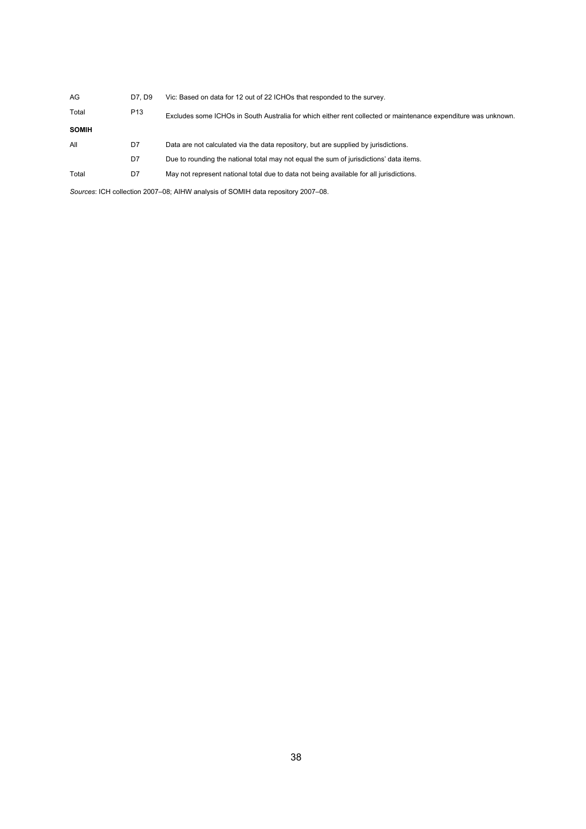| AG           | D7. D9          | Vic: Based on data for 12 out of 22 ICHOs that responded to the survey.                                        |
|--------------|-----------------|----------------------------------------------------------------------------------------------------------------|
| Total        | P <sub>13</sub> | Excludes some ICHOs in South Australia for which either rent collected or maintenance expenditure was unknown. |
| <b>SOMIH</b> |                 |                                                                                                                |
| All          | D7              | Data are not calculated via the data repository, but are supplied by jurisdictions.                            |
|              | D7              | Due to rounding the national total may not equal the sum of jurisdictions' data items.                         |
| Total        | D7              | May not represent national total due to data not being available for all jurisdictions.                        |
|              |                 |                                                                                                                |

*Sources*: ICH collection 2007–08; AIHW analysis of SOMIH data repository 2007–08.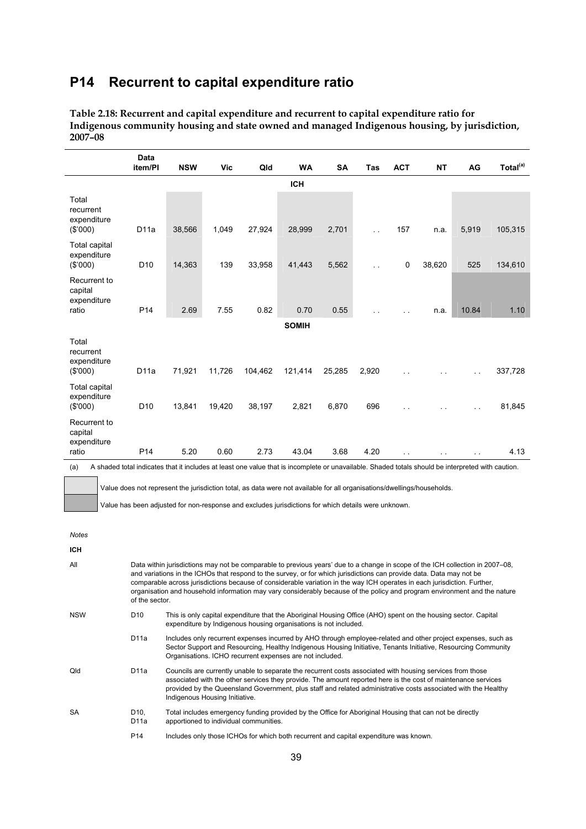### **P14 Recurrent to capital expenditure ratio**

|                                                 | <b>Data</b><br>item/PI | <b>NSW</b> | Vic    | Qld     | <b>WA</b>    | <b>SA</b> | Tas                  | <b>ACT</b>           | <b>NT</b>     | AG                   | Total <sup>(a)</sup> |
|-------------------------------------------------|------------------------|------------|--------|---------|--------------|-----------|----------------------|----------------------|---------------|----------------------|----------------------|
|                                                 |                        |            |        |         | <b>ICH</b>   |           |                      |                      |               |                      |                      |
| Total<br>recurrent<br>expenditure<br>(\$'000)   | D11a                   | 38,566     | 1,049  | 27,924  | 28,999       | 2,701     | $\sim$               | 157                  | n.a.          | 5,919                | 105,315              |
| <b>Total capital</b><br>expenditure<br>(\$000)  | D <sub>10</sub>        | 14,363     | 139    | 33,958  | 41,443       | 5,562     | $\ddot{\phantom{1}}$ | $\mathbf 0$          | 38,620        | 525                  | 134,610              |
| Recurrent to<br>capital<br>expenditure<br>ratio | P <sub>14</sub>        | 2.69       | 7.55   | 0.82    | 0.70         | 0.55      |                      | $\ddot{\phantom{1}}$ | n.a.          | 10.84                | 1.10                 |
|                                                 |                        |            |        |         | <b>SOMIH</b> |           |                      |                      |               |                      |                      |
| Total<br>recurrent<br>expenditure<br>(\$'000)   | D11a                   | 71,921     | 11,726 | 104,462 | 121,414      | 25,285    | 2,920                |                      |               | $\sim$ $\sim$        | 337,728              |
| <b>Total capital</b><br>expenditure<br>(\$'000) | D <sub>10</sub>        | 13,841     | 19,420 | 38,197  | 2,821        | 6,870     | 696                  |                      |               | $\ddot{\phantom{a}}$ | 81,845               |
| Recurrent to<br>capital<br>expenditure<br>ratio | P <sub>14</sub>        | 5.20       | 0.60   | 2.73    | 43.04        | 3.68      | 4.20                 | . .                  | $\sim$ $\sim$ | $\sim$ $\sim$        | 4.13                 |

**Table 2.18: Recurrent and capital expenditure and recurrent to capital expenditure ratio for Indigenous community housing and state owned and managed Indigenous housing, by jurisdiction, 2007–08** 

(a) A shaded total indicates that it includes at least one value that is incomplete or unavailable. Shaded totals should be interpreted with caution.

Value does not represent the jurisdiction total, as data were not available for all organisations/dwellings/households.

Value has been adjusted for non-response and excludes jurisdictions for which details were unknown.

*Notes* 

| <b>ICH</b> |                         |                                                                                                                                                                                                                                                                                                                                                                                                                                                                                                                |
|------------|-------------------------|----------------------------------------------------------------------------------------------------------------------------------------------------------------------------------------------------------------------------------------------------------------------------------------------------------------------------------------------------------------------------------------------------------------------------------------------------------------------------------------------------------------|
| All        | of the sector.          | Data within jurisdictions may not be comparable to previous years' due to a change in scope of the ICH collection in 2007–08,<br>and variations in the ICHOs that respond to the survey, or for which jurisdictions can provide data. Data may not be<br>comparable across jurisdictions because of considerable variation in the way ICH operates in each jurisdiction. Further,<br>organisation and household information may vary considerably because of the policy and program environment and the nature |
| <b>NSW</b> | D <sub>10</sub>         | This is only capital expenditure that the Aboriginal Housing Office (AHO) spent on the housing sector. Capital<br>expenditure by Indigenous housing organisations is not included.                                                                                                                                                                                                                                                                                                                             |
|            | D11a                    | Includes only recurrent expenses incurred by AHO through employee-related and other project expenses, such as<br>Sector Support and Resourcing, Healthy Indigenous Housing Initiative, Tenants Initiative, Resourcing Community<br>Organisations. ICHO recurrent expenses are not included.                                                                                                                                                                                                                    |
| Qld        | D11a                    | Councils are currently unable to separate the recurrent costs associated with housing services from those<br>associated with the other services they provide. The amount reported here is the cost of maintenance services<br>provided by the Queensland Government, plus staff and related administrative costs associated with the Healthy<br>Indigenous Housing Initiative.                                                                                                                                 |
| <b>SA</b>  | D <sub>10</sub><br>D11a | Total includes emergency funding provided by the Office for Aboriginal Housing that can not be directly<br>apportioned to individual communities.                                                                                                                                                                                                                                                                                                                                                              |
|            | P <sub>14</sub>         | Includes only those ICHOs for which both recurrent and capital expenditure was known.                                                                                                                                                                                                                                                                                                                                                                                                                          |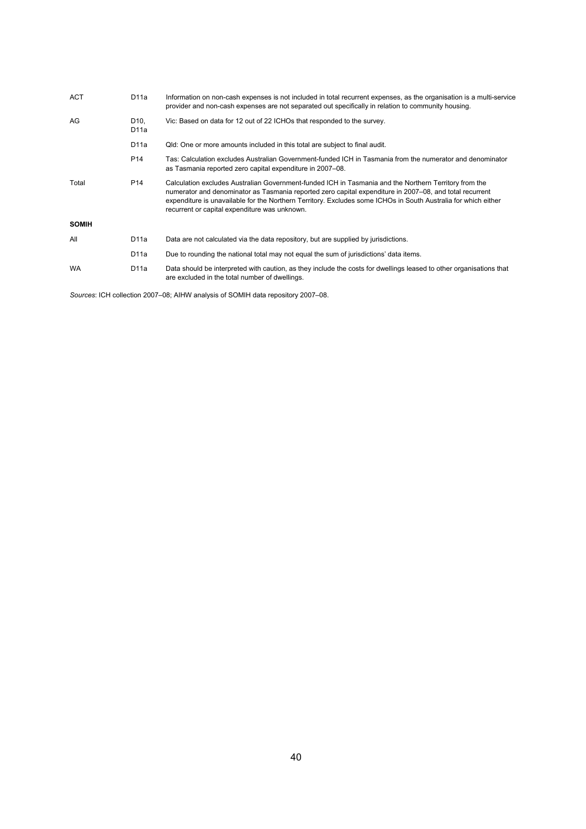| <b>ACT</b>   | D11a                    | Information on non-cash expenses is not included in total recurrent expenses, as the organisation is a multi-service<br>provider and non-cash expenses are not separated out specifically in relation to community housing.                                                                                                                                                         |
|--------------|-------------------------|-------------------------------------------------------------------------------------------------------------------------------------------------------------------------------------------------------------------------------------------------------------------------------------------------------------------------------------------------------------------------------------|
| AG           | D <sub>10</sub><br>D11a | Vic: Based on data for 12 out of 22 ICHOs that responded to the survey.                                                                                                                                                                                                                                                                                                             |
|              | D11a                    | Qld: One or more amounts included in this total are subject to final audit.                                                                                                                                                                                                                                                                                                         |
|              | P <sub>14</sub>         | Tas: Calculation excludes Australian Government-funded ICH in Tasmania from the numerator and denominator<br>as Tasmania reported zero capital expenditure in 2007–08.                                                                                                                                                                                                              |
| Total        | P <sub>14</sub>         | Calculation excludes Australian Government-funded ICH in Tasmania and the Northern Territory from the<br>numerator and denominator as Tasmania reported zero capital expenditure in 2007–08, and total recurrent<br>expenditure is unavailable for the Northern Territory. Excludes some ICHOs in South Australia for which either<br>recurrent or capital expenditure was unknown. |
| <b>SOMIH</b> |                         |                                                                                                                                                                                                                                                                                                                                                                                     |
| All          | D11a                    | Data are not calculated via the data repository, but are supplied by jurisdictions.                                                                                                                                                                                                                                                                                                 |
|              | D11a                    | Due to rounding the national total may not equal the sum of jurisdictions' data items.                                                                                                                                                                                                                                                                                              |
| <b>WA</b>    | D11a                    | Data should be interpreted with caution, as they include the costs for dwellings leased to other organisations that<br>are excluded in the total number of dwellings.                                                                                                                                                                                                               |

*Sources*: ICH collection 2007–08; AIHW analysis of SOMIH data repository 2007–08.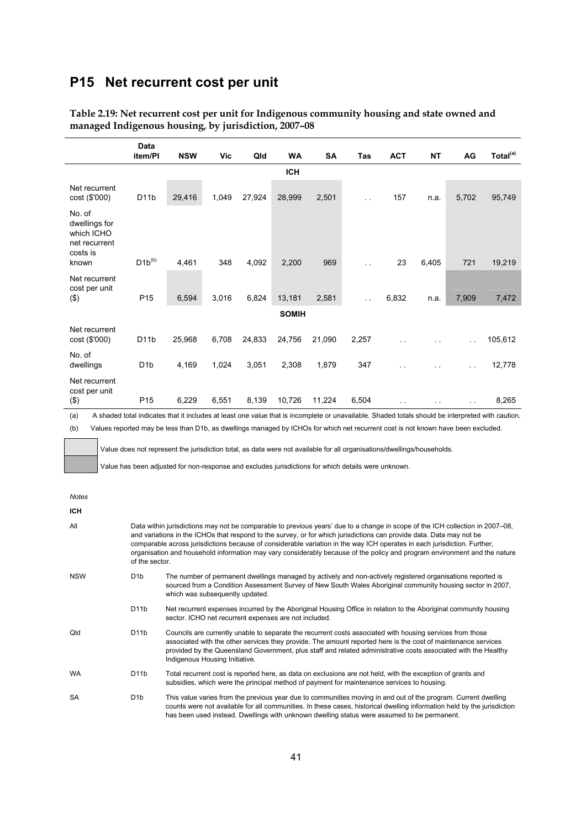### **P15 Net recurrent cost per unit**

|                                                                    | Data<br>item/PI                                                                                                                                       | <b>NSW</b> | <b>Vic</b> | Qld    | <b>WA</b>    | <b>SA</b> | Tas                  | <b>ACT</b>           | <b>NT</b> | AG            | Total <sup>(a)</sup> |
|--------------------------------------------------------------------|-------------------------------------------------------------------------------------------------------------------------------------------------------|------------|------------|--------|--------------|-----------|----------------------|----------------------|-----------|---------------|----------------------|
|                                                                    |                                                                                                                                                       |            |            |        | <b>ICH</b>   |           |                      |                      |           |               |                      |
| Net recurrent<br>cost (\$'000)                                     | D <sub>11</sub> b                                                                                                                                     | 29,416     | 1,049      | 27,924 | 28,999       | 2,501     | $\ddot{\phantom{1}}$ | 157                  | n.a.      | 5,702         | 95,749               |
| No. of<br>dwellings for<br>which ICHO<br>net recurrent<br>costs is |                                                                                                                                                       |            |            |        |              |           |                      |                      |           |               |                      |
| known                                                              | $D1b^{(b)}$                                                                                                                                           | 4,461      | 348        | 4,092  | 2,200        | 969       | . .                  | 23                   | 6,405     | 721           | 19,219               |
| Net recurrent<br>cost per unit<br>$($ \$)                          | P <sub>15</sub>                                                                                                                                       | 6,594      | 3,016      | 6,824  | 13,181       | 2,581     | $\sim$ .             | 6,832                | n.a.      | 7,909         | 7,472                |
|                                                                    |                                                                                                                                                       |            |            |        | <b>SOMIH</b> |           |                      |                      |           |               |                      |
| Net recurrent                                                      |                                                                                                                                                       |            |            |        |              |           |                      |                      |           |               |                      |
| cost (\$'000)                                                      | D <sub>1</sub> 1b                                                                                                                                     | 25,968     | 6,708      | 24,833 | 24,756       | 21,090    | 2,257                | . .                  |           | $\sim$ $\sim$ | 105,612              |
| No. of<br>dwellings                                                | D <sub>1</sub> b                                                                                                                                      | 4,169      | 1,024      | 3,051  | 2,308        | 1,879     | 347                  |                      |           |               | 12,778               |
| Net recurrent<br>cost per unit                                     |                                                                                                                                                       |            |            |        |              |           |                      |                      |           |               |                      |
| (3)<br>$\ell = 1$                                                  | P <sub>15</sub><br>A shadrad taid baileata dhat it baileata at lagat agus cuideadha in agusalata agusadhaha. Obadhad tatala shaddha batasanatad coith | 6,229      | 6,551      | 8,139  | 10,726       | 11,224    | 6,504                | $\ddot{\phantom{1}}$ |           | $\ddotsc$     | 8,265                |

**Table 2.19: Net recurrent cost per unit for Indigenous community housing and state owned and managed Indigenous housing, by jurisdiction, 2007–08** 

(a) A shaded total indicates that it includes at least one value that is incomplete or unavailable. Shaded totals should be interpreted with caution.

(b) Values reported may be less than D1b, as dwellings managed by ICHOs for which net recurrent cost is not known have been excluded.

Value does not represent the jurisdiction total, as data were not available for all organisations/dwellings/households.

Value has been adjusted for non-response and excludes jurisdictions for which details were unknown.

#### *Notes*

| <b>ICH</b> |                   |                                                                                                                                                                                                                                                                                                                                                                                                                                                                                                                |
|------------|-------------------|----------------------------------------------------------------------------------------------------------------------------------------------------------------------------------------------------------------------------------------------------------------------------------------------------------------------------------------------------------------------------------------------------------------------------------------------------------------------------------------------------------------|
| All        | of the sector.    | Data within jurisdictions may not be comparable to previous years' due to a change in scope of the ICH collection in 2007–08.<br>and variations in the ICHOs that respond to the survey, or for which jurisdictions can provide data. Data may not be<br>comparable across jurisdictions because of considerable variation in the way ICH operates in each jurisdiction. Further,<br>organisation and household information may vary considerably because of the policy and program environment and the nature |
| <b>NSW</b> | D <sub>1</sub> b  | The number of permanent dwellings managed by actively and non-actively registered organisations reported is<br>sourced from a Condition Assessment Survey of New South Wales Aboriginal community housing sector in 2007,<br>which was subsequently updated.                                                                                                                                                                                                                                                   |
|            | D <sub>11</sub> b | Net recurrent expenses incurred by the Aboriginal Housing Office in relation to the Aboriginal community housing<br>sector. ICHO net recurrent expenses are not included.                                                                                                                                                                                                                                                                                                                                      |
| Qld        | D <sub>1</sub> 1b | Councils are currently unable to separate the recurrent costs associated with housing services from those<br>associated with the other services they provide. The amount reported here is the cost of maintenance services<br>provided by the Queensland Government, plus staff and related administrative costs associated with the Healthy<br>Indigenous Housing Initiative.                                                                                                                                 |
| <b>WA</b>  | D <sub>1</sub> 1b | Total recurrent cost is reported here, as data on exclusions are not held, with the exception of grants and<br>subsidies, which were the principal method of payment for maintenance services to housing.                                                                                                                                                                                                                                                                                                      |
| SA         | D <sub>1</sub> b  | This value varies from the previous year due to communities moving in and out of the program. Current dwelling<br>counts were not available for all communities. In these cases, historical dwelling information held by the jurisdiction                                                                                                                                                                                                                                                                      |

has been used instead. Dwellings with unknown dwelling status were assumed to be permanent.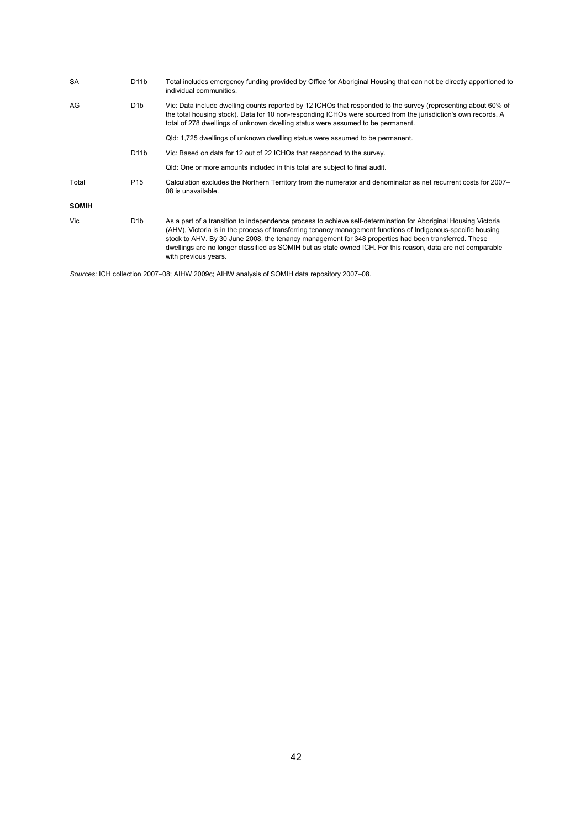| SA           | D <sub>1</sub> 1b | Total includes emergency funding provided by Office for Aboriginal Housing that can not be directly apportioned to<br>individual communities.                                                                                                                                                                                                                                                                                                                                    |
|--------------|-------------------|----------------------------------------------------------------------------------------------------------------------------------------------------------------------------------------------------------------------------------------------------------------------------------------------------------------------------------------------------------------------------------------------------------------------------------------------------------------------------------|
| AG           | D <sub>1</sub> b  | Vic: Data include dwelling counts reported by 12 ICHOs that responded to the survey (representing about 60% of<br>the total housing stock). Data for 10 non-responding ICHOs were sourced from the jurisdiction's own records. A<br>total of 278 dwellings of unknown dwelling status were assumed to be permanent.                                                                                                                                                              |
|              |                   | Qld: 1,725 dwellings of unknown dwelling status were assumed to be permanent.                                                                                                                                                                                                                                                                                                                                                                                                    |
|              | D <sub>1</sub> 1b | Vic: Based on data for 12 out of 22 ICHOs that responded to the survey.                                                                                                                                                                                                                                                                                                                                                                                                          |
|              |                   | Qld: One or more amounts included in this total are subject to final audit.                                                                                                                                                                                                                                                                                                                                                                                                      |
| Total        | P <sub>15</sub>   | Calculation excludes the Northern Territory from the numerator and denominator as net recurrent costs for 2007–<br>08 is unavailable.                                                                                                                                                                                                                                                                                                                                            |
| <b>SOMIH</b> |                   |                                                                                                                                                                                                                                                                                                                                                                                                                                                                                  |
| Vic          | D <sub>1</sub> b  | As a part of a transition to independence process to achieve self-determination for Aboriginal Housing Victoria<br>(AHV), Victoria is in the process of transferring tenancy management functions of Indigenous-specific housing<br>stock to AHV. By 30 June 2008, the tenancy management for 348 properties had been transferred. These<br>dwellings are no longer classified as SOMIH but as state owned ICH. For this reason, data are not comparable<br>with previous years. |

*Sources*: ICH collection 2007–08; AIHW 2009c; AIHW analysis of SOMIH data repository 2007–08.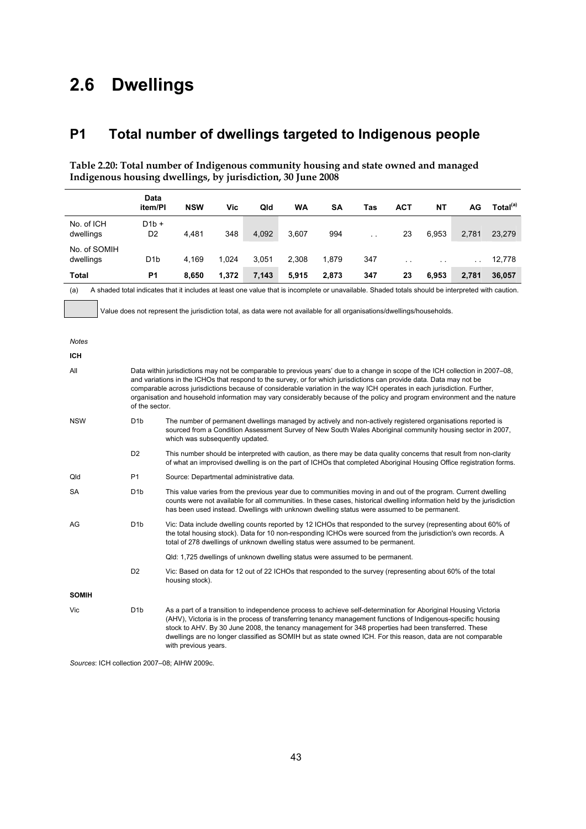# **2.6 Dwellings**

# **P1 Total number of dwellings targeted to Indigenous people**

**Table 2.20: Total number of Indigenous community housing and state owned and managed Indigenous housing dwellings, by jurisdiction, 30 June 2008** 

|                           | Data                                                                                                                                                                                                                                                                    |                                                                                                                                                                                                                                                                                                                                                                                                                                                                                  |                                         |       |       |       |     |            |       |       |                      |
|---------------------------|-------------------------------------------------------------------------------------------------------------------------------------------------------------------------------------------------------------------------------------------------------------------------|----------------------------------------------------------------------------------------------------------------------------------------------------------------------------------------------------------------------------------------------------------------------------------------------------------------------------------------------------------------------------------------------------------------------------------------------------------------------------------|-----------------------------------------|-------|-------|-------|-----|------------|-------|-------|----------------------|
|                           | item/PI                                                                                                                                                                                                                                                                 | <b>NSW</b>                                                                                                                                                                                                                                                                                                                                                                                                                                                                       | Vic                                     | Qld   | WA    | SΑ    | Tas | <b>ACT</b> | NΤ    | AG    | Total <sup>(a)</sup> |
| No. of ICH                | $D1b +$                                                                                                                                                                                                                                                                 |                                                                                                                                                                                                                                                                                                                                                                                                                                                                                  |                                         |       |       |       |     |            |       |       |                      |
| dwellings                 | D <sub>2</sub>                                                                                                                                                                                                                                                          | 4,481                                                                                                                                                                                                                                                                                                                                                                                                                                                                            | 348                                     | 4,092 | 3,607 | 994   |     | 23         | 6,953 | 2,781 | 23,279               |
| No. of SOMIH<br>dwellings | D <sub>1</sub> b                                                                                                                                                                                                                                                        | 4,169                                                                                                                                                                                                                                                                                                                                                                                                                                                                            | 1,024<br>3,051<br>2,308<br>1,879<br>347 |       |       |       |     |            |       |       | 12,778               |
| <b>Total</b>              | <b>P1</b>                                                                                                                                                                                                                                                               | 8,650                                                                                                                                                                                                                                                                                                                                                                                                                                                                            | 1,372                                   | 7,143 | 5,915 | 2,873 | 347 | 23         | 6,953 | 2,781 | 36,057               |
| (a)                       |                                                                                                                                                                                                                                                                         | A shaded total indicates that it includes at least one value that is incomplete or unavailable. Shaded totals should be interpreted with caution.                                                                                                                                                                                                                                                                                                                                |                                         |       |       |       |     |            |       |       |                      |
|                           |                                                                                                                                                                                                                                                                         |                                                                                                                                                                                                                                                                                                                                                                                                                                                                                  |                                         |       |       |       |     |            |       |       |                      |
|                           |                                                                                                                                                                                                                                                                         | Value does not represent the jurisdiction total, as data were not available for all organisations/dwellings/households.                                                                                                                                                                                                                                                                                                                                                          |                                         |       |       |       |     |            |       |       |                      |
| Notes                     |                                                                                                                                                                                                                                                                         |                                                                                                                                                                                                                                                                                                                                                                                                                                                                                  |                                         |       |       |       |     |            |       |       |                      |
| <b>ICH</b>                |                                                                                                                                                                                                                                                                         |                                                                                                                                                                                                                                                                                                                                                                                                                                                                                  |                                         |       |       |       |     |            |       |       |                      |
| All                       |                                                                                                                                                                                                                                                                         | Data within jurisdictions may not be comparable to previous years' due to a change in scope of the ICH collection in 2007–08.                                                                                                                                                                                                                                                                                                                                                    |                                         |       |       |       |     |            |       |       |                      |
|                           |                                                                                                                                                                                                                                                                         | and variations in the ICHOs that respond to the survey, or for which jurisdictions can provide data. Data may not be                                                                                                                                                                                                                                                                                                                                                             |                                         |       |       |       |     |            |       |       |                      |
|                           | comparable across jurisdictions because of considerable variation in the way ICH operates in each jurisdiction. Further,<br>organisation and household information may vary considerably because of the policy and program environment and the nature<br>of the sector. |                                                                                                                                                                                                                                                                                                                                                                                                                                                                                  |                                         |       |       |       |     |            |       |       |                      |
| <b>NSW</b>                | D <sub>1</sub> b                                                                                                                                                                                                                                                        | The number of permanent dwellings managed by actively and non-actively registered organisations reported is                                                                                                                                                                                                                                                                                                                                                                      |                                         |       |       |       |     |            |       |       |                      |
|                           |                                                                                                                                                                                                                                                                         | sourced from a Condition Assessment Survey of New South Wales Aboriginal community housing sector in 2007,<br>which was subsequently updated.                                                                                                                                                                                                                                                                                                                                    |                                         |       |       |       |     |            |       |       |                      |
|                           | D <sub>2</sub>                                                                                                                                                                                                                                                          | This number should be interpreted with caution, as there may be data quality concerns that result from non-clarity<br>of what an improvised dwelling is on the part of ICHOs that completed Aboriginal Housing Office registration forms.                                                                                                                                                                                                                                        |                                         |       |       |       |     |            |       |       |                      |
| Qld                       | <b>P1</b>                                                                                                                                                                                                                                                               | Source: Departmental administrative data.                                                                                                                                                                                                                                                                                                                                                                                                                                        |                                         |       |       |       |     |            |       |       |                      |
| SA                        | D <sub>1</sub> b                                                                                                                                                                                                                                                        | This value varies from the previous year due to communities moving in and out of the program. Current dwelling<br>counts were not available for all communities. In these cases, historical dwelling information held by the jurisdiction<br>has been used instead. Dwellings with unknown dwelling status were assumed to be permanent.                                                                                                                                         |                                         |       |       |       |     |            |       |       |                      |
| AG                        | D <sub>1</sub> b                                                                                                                                                                                                                                                        | Vic: Data include dwelling counts reported by 12 ICHOs that responded to the survey (representing about 60% of<br>the total housing stock). Data for 10 non-responding ICHOs were sourced from the jurisdiction's own records. A<br>total of 278 dwellings of unknown dwelling status were assumed to be permanent.                                                                                                                                                              |                                         |       |       |       |     |            |       |       |                      |
|                           |                                                                                                                                                                                                                                                                         |                                                                                                                                                                                                                                                                                                                                                                                                                                                                                  |                                         |       |       |       |     |            |       |       |                      |
|                           | D <sub>2</sub>                                                                                                                                                                                                                                                          | Qld: 1,725 dwellings of unknown dwelling status were assumed to be permanent.<br>Vic: Based on data for 12 out of 22 ICHOs that responded to the survey (representing about 60% of the total<br>housing stock).                                                                                                                                                                                                                                                                  |                                         |       |       |       |     |            |       |       |                      |
| <b>SOMIH</b>              |                                                                                                                                                                                                                                                                         |                                                                                                                                                                                                                                                                                                                                                                                                                                                                                  |                                         |       |       |       |     |            |       |       |                      |
| Vic                       | D <sub>1</sub> b                                                                                                                                                                                                                                                        | As a part of a transition to independence process to achieve self-determination for Aboriginal Housing Victoria<br>(AHV), Victoria is in the process of transferring tenancy management functions of Indigenous-specific housing<br>stock to AHV. By 30 June 2008, the tenancy management for 348 properties had been transferred. These<br>dwellings are no longer classified as SOMIH but as state owned ICH. For this reason, data are not comparable<br>with previous years. |                                         |       |       |       |     |            |       |       |                      |

*Sources*: ICH collection 2007–08; AIHW 2009c.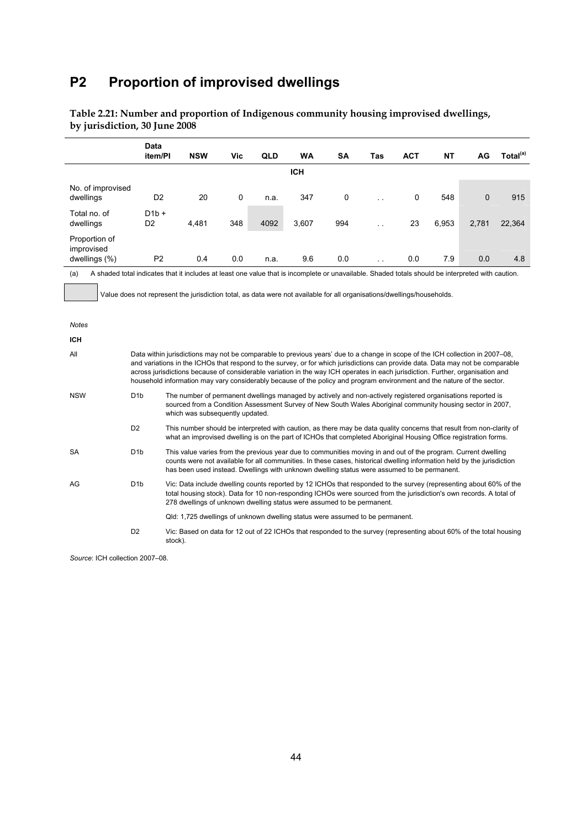# **P2 Proportion of improvised dwellings**

|                                   | <b>Data</b><br>item/PI                                                                                                                                                                                                                                                                                                                                       | <b>NSW</b>                                                                                                                                                                                                                                                                                                                                                                                                                                                                                                                    | Vic | QLD  | <b>WA</b>  | <b>SA</b> | Tas | <b>ACT</b> | <b>NT</b> | AG          | Total <sup>(a)</sup> |
|-----------------------------------|--------------------------------------------------------------------------------------------------------------------------------------------------------------------------------------------------------------------------------------------------------------------------------------------------------------------------------------------------------------|-------------------------------------------------------------------------------------------------------------------------------------------------------------------------------------------------------------------------------------------------------------------------------------------------------------------------------------------------------------------------------------------------------------------------------------------------------------------------------------------------------------------------------|-----|------|------------|-----------|-----|------------|-----------|-------------|----------------------|
|                                   |                                                                                                                                                                                                                                                                                                                                                              |                                                                                                                                                                                                                                                                                                                                                                                                                                                                                                                               |     |      | <b>ICH</b> |           |     |            |           |             |                      |
| No. of improvised<br>dwellings    | D <sub>2</sub>                                                                                                                                                                                                                                                                                                                                               | 20                                                                                                                                                                                                                                                                                                                                                                                                                                                                                                                            | 0   | n.a. | 347        | $\pmb{0}$ |     | 0          | 548       | $\mathbf 0$ | 915                  |
| Total no. of<br>dwellings         | $D1b +$<br>D <sub>2</sub>                                                                                                                                                                                                                                                                                                                                    | 4,481                                                                                                                                                                                                                                                                                                                                                                                                                                                                                                                         | 348 | 4092 | 3,607      | 994       |     | 23         | 6,953     | 2,781       | 22,364               |
| Proportion of<br>improvised       |                                                                                                                                                                                                                                                                                                                                                              |                                                                                                                                                                                                                                                                                                                                                                                                                                                                                                                               |     |      |            |           |     |            |           |             |                      |
| dwellings (%)                     | P <sub>2</sub>                                                                                                                                                                                                                                                                                                                                               | 0.4                                                                                                                                                                                                                                                                                                                                                                                                                                                                                                                           | 0.0 | n.a. | 9.6        | 0.0       |     | 0.0        | 7.9       | 0.0         | 4.8                  |
| (a)<br><b>Notes</b><br><b>ICH</b> |                                                                                                                                                                                                                                                                                                                                                              | A shaded total indicates that it includes at least one value that is incomplete or unavailable. Shaded totals should be interpreted with caution.<br>Value does not represent the jurisdiction total, as data were not available for all organisations/dwellings/households.                                                                                                                                                                                                                                                  |     |      |            |           |     |            |           |             |                      |
| All                               |                                                                                                                                                                                                                                                                                                                                                              | Data within jurisdictions may not be comparable to previous years' due to a change in scope of the ICH collection in 2007–08,<br>and variations in the ICHOs that respond to the survey, or for which jurisdictions can provide data. Data may not be comparable<br>across jurisdictions because of considerable variation in the way ICH operates in each jurisdiction. Further, organisation and<br>household information may vary considerably because of the policy and program environment and the nature of the sector. |     |      |            |           |     |            |           |             |                      |
| <b>NSW</b>                        | D <sub>1</sub> b                                                                                                                                                                                                                                                                                                                                             | The number of permanent dwellings managed by actively and non-actively registered organisations reported is<br>sourced from a Condition Assessment Survey of New South Wales Aboriginal community housing sector in 2007,<br>which was subsequently updated.                                                                                                                                                                                                                                                                  |     |      |            |           |     |            |           |             |                      |
|                                   | D <sub>2</sub>                                                                                                                                                                                                                                                                                                                                               | This number should be interpreted with caution, as there may be data quality concerns that result from non-clarity of<br>what an improvised dwelling is on the part of ICHOs that completed Aboriginal Housing Office registration forms.                                                                                                                                                                                                                                                                                     |     |      |            |           |     |            |           |             |                      |
| <b>SA</b>                         | D <sub>1</sub> b<br>This value varies from the previous year due to communities moving in and out of the program. Current dwelling<br>counts were not available for all communities. In these cases, historical dwelling information held by the jurisdiction<br>has been used instead. Dwellings with unknown dwelling status were assumed to be permanent. |                                                                                                                                                                                                                                                                                                                                                                                                                                                                                                                               |     |      |            |           |     |            |           |             |                      |
| AG                                | D <sub>1</sub> b                                                                                                                                                                                                                                                                                                                                             | Vic: Data include dwelling counts reported by 12 ICHOs that responded to the survey (representing about 60% of the<br>total housing stock). Data for 10 non-responding ICHOs were sourced from the jurisdiction's own records. A total of<br>278 dwellings of unknown dwelling status were assumed to be permanent.                                                                                                                                                                                                           |     |      |            |           |     |            |           |             |                      |
|                                   |                                                                                                                                                                                                                                                                                                                                                              | Qld: 1,725 dwellings of unknown dwelling status were assumed to be permanent.                                                                                                                                                                                                                                                                                                                                                                                                                                                 |     |      |            |           |     |            |           |             |                      |

**Table 2.21: Number and proportion of Indigenous community housing improvised dwellings, by jurisdiction, 30 June 2008** 

D2 Vic: Based on data for 12 out of 22 ICHOs that responded to the survey (representing about 60% of the total housing stock).

*Source*: ICH collection 2007–08.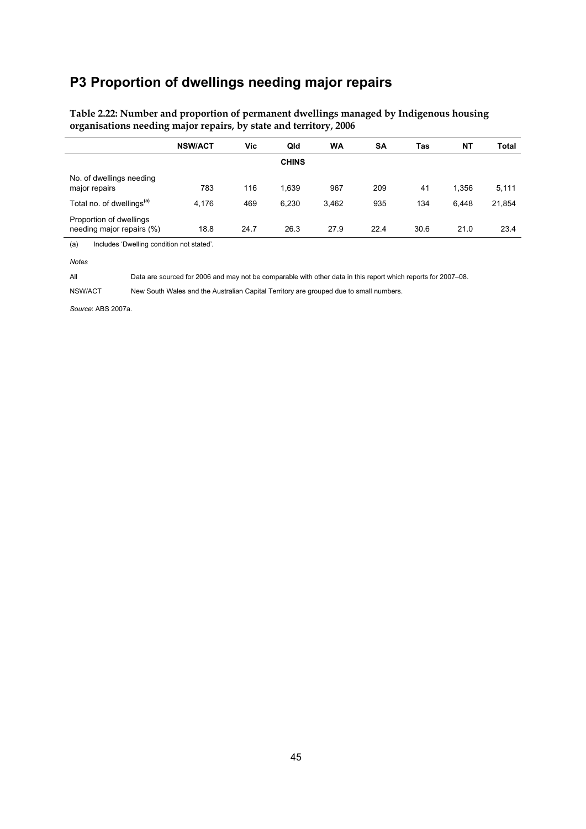### **P3 Proportion of dwellings needing major repairs**

|                                                      | <b>NSW/ACT</b> | Vic  | Qld          | WA    | <b>SA</b> | Tas  | NΤ    | <b>Total</b> |
|------------------------------------------------------|----------------|------|--------------|-------|-----------|------|-------|--------------|
|                                                      |                |      | <b>CHINS</b> |       |           |      |       |              |
| No. of dwellings needing<br>major repairs            | 783            | 116  | 1,639        | 967   | 209       | 41   | 1,356 | 5,111        |
| Total no. of dwellings <sup>(a)</sup>                | 4,176          | 469  | 6,230        | 3,462 | 935       | 134  | 6.448 | 21,854       |
| Proportion of dwellings<br>needing major repairs (%) | 18.8           | 24.7 | 26.3         | 27.9  | 22.4      | 30.6 | 21.0  | 23.4         |

### **Table 2.22: Number and proportion of permanent dwellings managed by Indigenous housing organisations needing major repairs, by state and territory, 2006**

(a) Includes 'Dwelling condition not stated'.

*Notes* 

All Data are sourced for 2006 and may not be comparable with other data in this report which reports for 2007–08.

NSW/ACT New South Wales and the Australian Capital Territory are grouped due to small numbers.

*Source*: ABS 2007a.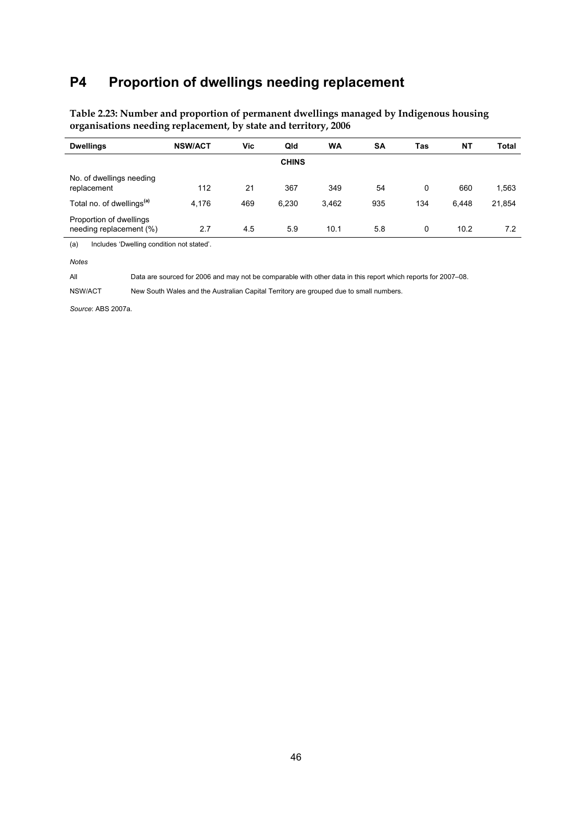### **P4 Proportion of dwellings needing replacement**

| <b>Dwellings</b>                                   | <b>NSW/ACT</b> | Vic | Qld          | <b>WA</b> | <b>SA</b> | Tas | NΤ    | <b>Total</b> |
|----------------------------------------------------|----------------|-----|--------------|-----------|-----------|-----|-------|--------------|
|                                                    |                |     | <b>CHINS</b> |           |           |     |       |              |
| No. of dwellings needing<br>replacement            | 112            | 21  | 367          | 349       | 54        | 0   | 660   | 1,563        |
| Total no. of dwellings <sup>(a)</sup>              | 4,176          | 469 | 6,230        | 3,462     | 935       | 134 | 6,448 | 21,854       |
| Proportion of dwellings<br>needing replacement (%) | 2.7            | 4.5 | 5.9          | 10.1      | 5.8       | 0   | 10.2  | 7.2          |

**Table 2.23: Number and proportion of permanent dwellings managed by Indigenous housing organisations needing replacement, by state and territory, 2006** 

(a) Includes 'Dwelling condition not stated'.

*Notes* 

All Data are sourced for 2006 and may not be comparable with other data in this report which reports for 2007–08.

NSW/ACT New South Wales and the Australian Capital Territory are grouped due to small numbers.

*Source*: ABS 2007a.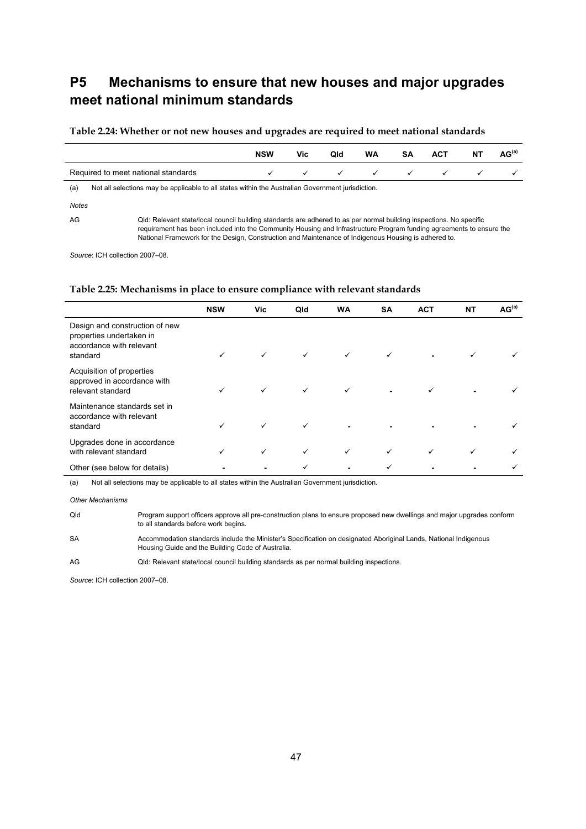## **P5 Mechanisms to ensure that new houses and major upgrades meet national minimum standards**

#### **Table 2.24: Whether or not new houses and upgrades are required to meet national standards**

|                                     | <b>NSW</b> | Vic | Qld | <b>WA</b> | SA | <b>ACT</b> | NT | AG <sup>(a)</sup> |
|-------------------------------------|------------|-----|-----|-----------|----|------------|----|-------------------|
| Required to meet national standards |            |     |     |           |    |            |    |                   |

(a) Not all selections may be applicable to all states within the Australian Government jurisdiction.

*Notes* 

AG Qld: Relevant state/local council building standards are adhered to as per normal building inspections. No specific requirement has been included into the Community Housing and Infrastructure Program funding agreements to ensure the

National Framework for the Design, Construction and Maintenance of Indigenous Housing is adhered to.

*Source*: ICH collection 2007–08.

#### **Table 2.25: Mechanisms in place to ensure compliance with relevant standards**

|                                                                                                    | <b>NSW</b> | Vic          | Qld          | <b>WA</b>    | <b>SA</b>    | <b>ACT</b> | <b>NT</b> | AG <sup>(a)</sup> |
|----------------------------------------------------------------------------------------------------|------------|--------------|--------------|--------------|--------------|------------|-----------|-------------------|
| Design and construction of new<br>properties undertaken in<br>accordance with relevant<br>standard | ✓          | $\checkmark$ | $\checkmark$ | $\checkmark$ | $\checkmark$ |            | ✓         |                   |
| Acquisition of properties<br>approved in accordance with<br>relevant standard                      | ✓          | ✓            | $\checkmark$ |              |              |            |           |                   |
| Maintenance standards set in<br>accordance with relevant<br>standard                               | ✓          | ✓            | $\checkmark$ | ۰.           |              |            |           |                   |
| Upgrades done in accordance<br>with relevant standard                                              |            | $\checkmark$ | ✓            |              | ✓            | ✓          | ✓         |                   |
| Other (see below for details)                                                                      |            |              |              |              | ✓            |            |           |                   |

(a) Not all selections may be applicable to all states within the Australian Government jurisdiction.

*Other Mechanisms* 

Qld Program support officers approve all pre-construction plans to ensure proposed new dwellings and major upgrades conform to all standards before work begins. SA Accommodation standards include the Minister's Specification on designated Aboriginal Lands, National Indigenous Housing Guide and the Building Code of Australia.

AG Qld: Relevant state/local council building standards as per normal building inspections.

*Source*: ICH collection 2007–08.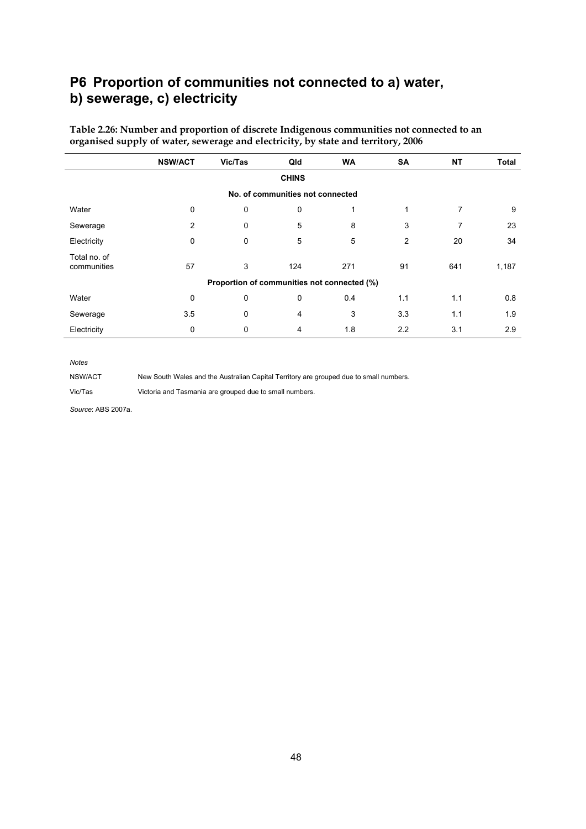### **P6 Proportion of communities not connected to a) water, b) sewerage, c) electricity**

|                                  | <b>NSW/ACT</b> | Vic/Tas                                     | Qld | <b>WA</b> | SA  | <b>NT</b> | <b>Total</b> |  |  |  |  |
|----------------------------------|----------------|---------------------------------------------|-----|-----------|-----|-----------|--------------|--|--|--|--|
| <b>CHINS</b>                     |                |                                             |     |           |     |           |              |  |  |  |  |
| No. of communities not connected |                |                                             |     |           |     |           |              |  |  |  |  |
| Water                            | 0              | 0                                           | 0   |           | 1   | 7         | 9            |  |  |  |  |
| Sewerage                         | 2              | 0                                           | 5   | 8         | 3   | 7         | 23           |  |  |  |  |
| Electricity                      | 0              | 0                                           | 5   | 5         | 2   | 20        | 34           |  |  |  |  |
| Total no. of<br>communities      | 57             | 3                                           | 124 | 271       | 91  | 641       | 1,187        |  |  |  |  |
|                                  |                | Proportion of communities not connected (%) |     |           |     |           |              |  |  |  |  |
| Water                            | 0              | 0                                           | 0   | 0.4       | 1.1 | 1.1       | 0.8          |  |  |  |  |
| Sewerage                         | 3.5            | 0                                           | 4   | 3         | 3.3 | 1.1       | 1.9          |  |  |  |  |
| Electricity                      | 0              | 0                                           | 4   | 1.8       | 2.2 | 3.1       | 2.9          |  |  |  |  |

**Table 2.26: Number and proportion of discrete Indigenous communities not connected to an organised supply of water, sewerage and electricity, by state and territory, 2006** 

#### *Notes*

NSW/ACT New South Wales and the Australian Capital Territory are grouped due to small numbers.

Vic/Tas Victoria and Tasmania are grouped due to small numbers.

*Source*: ABS 2007a.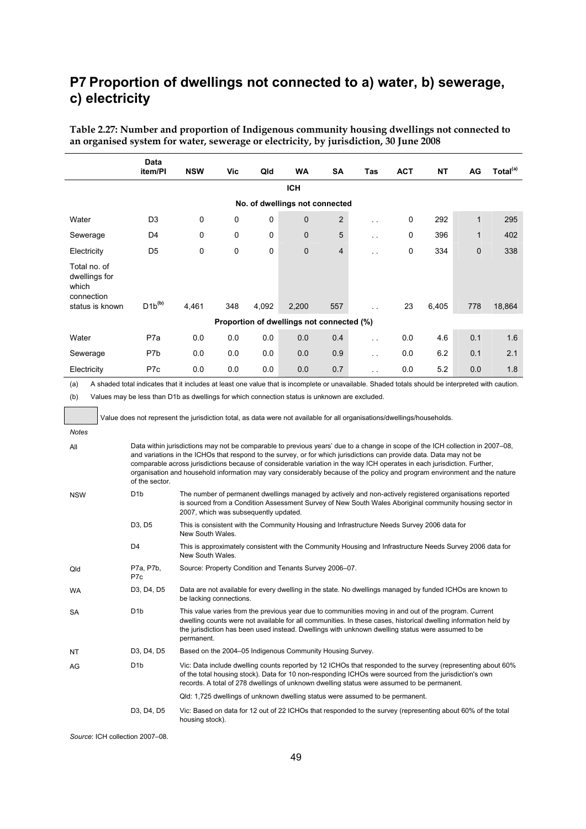## **P7 Proportion of dwellings not connected to a) water, b) sewerage, c) electricity**

**Table 2.27: Number and proportion of Indigenous community housing dwellings not connected to an organised system for water, sewerage or electricity, by jurisdiction, 30 June 2008** 

|                                                                                                                                                                                                                                                                                                                                                                                                                                                                                                                                         | Data<br>item/PI                                                                                                         | <b>NSW</b>                            | Vic | Qld   | WA                                                                                                                                                                                                                                                                                                                            | SΑ             | Tas           | АСТ        | NΤ    | AG           | Total <sup>(a)</sup> |
|-----------------------------------------------------------------------------------------------------------------------------------------------------------------------------------------------------------------------------------------------------------------------------------------------------------------------------------------------------------------------------------------------------------------------------------------------------------------------------------------------------------------------------------------|-------------------------------------------------------------------------------------------------------------------------|---------------------------------------|-----|-------|-------------------------------------------------------------------------------------------------------------------------------------------------------------------------------------------------------------------------------------------------------------------------------------------------------------------------------|----------------|---------------|------------|-------|--------------|----------------------|
|                                                                                                                                                                                                                                                                                                                                                                                                                                                                                                                                         |                                                                                                                         |                                       |     |       | <b>ICH</b>                                                                                                                                                                                                                                                                                                                    |                |               |            |       |              |                      |
|                                                                                                                                                                                                                                                                                                                                                                                                                                                                                                                                         |                                                                                                                         |                                       |     |       | No. of dwellings not connected                                                                                                                                                                                                                                                                                                |                |               |            |       |              |                      |
| Water                                                                                                                                                                                                                                                                                                                                                                                                                                                                                                                                   | D3                                                                                                                      | 0                                     | 0   | 0     | $\mathbf{0}$                                                                                                                                                                                                                                                                                                                  | $\overline{2}$ | i.            | 0          | 292   | $\mathbf{1}$ | 295                  |
| Sewerage                                                                                                                                                                                                                                                                                                                                                                                                                                                                                                                                | D4                                                                                                                      | 0                                     | 0   | 0     | 0                                                                                                                                                                                                                                                                                                                             | 5              |               | 0          | 396   | 1            | 402                  |
| Electricity                                                                                                                                                                                                                                                                                                                                                                                                                                                                                                                             | D <sub>5</sub>                                                                                                          | 0                                     | 0   | 0     | 0                                                                                                                                                                                                                                                                                                                             | 4              |               | 0          | 334   | 0            | 338                  |
| Total no. of<br>dwellings for<br>which<br>connection                                                                                                                                                                                                                                                                                                                                                                                                                                                                                    | $D1b^{(b)}$                                                                                                             |                                       |     |       |                                                                                                                                                                                                                                                                                                                               |                |               |            |       |              |                      |
| status is known                                                                                                                                                                                                                                                                                                                                                                                                                                                                                                                         |                                                                                                                         | 4,461                                 | 348 | 4,092 | 2,200                                                                                                                                                                                                                                                                                                                         | 557            |               | 23         | 6,405 | 778          | 18,864               |
| Water                                                                                                                                                                                                                                                                                                                                                                                                                                                                                                                                   | P7a                                                                                                                     |                                       | 0.0 | 0.0   | Proportion of dwellings not connected (%)<br>0.0                                                                                                                                                                                                                                                                              | 0.4            |               |            | 4.6   | 0.1          | 1.6                  |
| Sewerage                                                                                                                                                                                                                                                                                                                                                                                                                                                                                                                                | P7b                                                                                                                     | 0.0<br>0.0                            | 0.0 | 0.0   | 0.0                                                                                                                                                                                                                                                                                                                           | 0.9            | $\sim$ $\sim$ | 0.0<br>0.0 | 6.2   | 0.1          | 2.1                  |
| Electricity                                                                                                                                                                                                                                                                                                                                                                                                                                                                                                                             | P7c                                                                                                                     | 0.0                                   | 0.0 | 0.0   | 0.0                                                                                                                                                                                                                                                                                                                           | 0.7            |               | 0.0        | 5.2   | 0.0          | 1.8                  |
| (a)                                                                                                                                                                                                                                                                                                                                                                                                                                                                                                                                     |                                                                                                                         |                                       |     |       |                                                                                                                                                                                                                                                                                                                               |                |               |            |       |              |                      |
| A shaded total indicates that it includes at least one value that is incomplete or unavailable. Shaded totals should be interpreted with caution.<br>Values may be less than D1b as dwellings for which connection status is unknown are excluded.<br>(b)                                                                                                                                                                                                                                                                               |                                                                                                                         |                                       |     |       |                                                                                                                                                                                                                                                                                                                               |                |               |            |       |              |                      |
|                                                                                                                                                                                                                                                                                                                                                                                                                                                                                                                                         | Value does not represent the jurisdiction total, as data were not available for all organisations/dwellings/households. |                                       |     |       |                                                                                                                                                                                                                                                                                                                               |                |               |            |       |              |                      |
| <b>Notes</b>                                                                                                                                                                                                                                                                                                                                                                                                                                                                                                                            |                                                                                                                         |                                       |     |       |                                                                                                                                                                                                                                                                                                                               |                |               |            |       |              |                      |
| Data within jurisdictions may not be comparable to previous years' due to a change in scope of the ICH collection in 2007–08,<br>All<br>and variations in the ICHOs that respond to the survey, or for which jurisdictions can provide data. Data may not be<br>comparable across jurisdictions because of considerable variation in the way ICH operates in each jurisdiction. Further,<br>organisation and household information may vary considerably because of the policy and program environment and the nature<br>of the sector. |                                                                                                                         |                                       |     |       |                                                                                                                                                                                                                                                                                                                               |                |               |            |       |              |                      |
| <b>NSW</b>                                                                                                                                                                                                                                                                                                                                                                                                                                                                                                                              | D <sub>1</sub> b                                                                                                        | 2007, which was subsequently updated. |     |       | The number of permanent dwellings managed by actively and non-actively registered organisations reported<br>is sourced from a Condition Assessment Survey of New South Wales Aboriginal community housing sector in                                                                                                           |                |               |            |       |              |                      |
|                                                                                                                                                                                                                                                                                                                                                                                                                                                                                                                                         | D <sub>3</sub> , D <sub>5</sub>                                                                                         | New South Wales.                      |     |       | This is consistent with the Community Housing and Infrastructure Needs Survey 2006 data for                                                                                                                                                                                                                                   |                |               |            |       |              |                      |
|                                                                                                                                                                                                                                                                                                                                                                                                                                                                                                                                         | D <sub>4</sub>                                                                                                          | New South Wales.                      |     |       | This is approximately consistent with the Community Housing and Infrastructure Needs Survey 2006 data for                                                                                                                                                                                                                     |                |               |            |       |              |                      |
| Qld                                                                                                                                                                                                                                                                                                                                                                                                                                                                                                                                     | P7a, P7b,<br>P7c                                                                                                        |                                       |     |       | Source: Property Condition and Tenants Survey 2006-07.                                                                                                                                                                                                                                                                        |                |               |            |       |              |                      |
| <b>WA</b>                                                                                                                                                                                                                                                                                                                                                                                                                                                                                                                               | D3, D4, D5                                                                                                              | be lacking connections.               |     |       | Data are not available for every dwelling in the state. No dwellings managed by funded ICHOs are known to                                                                                                                                                                                                                     |                |               |            |       |              |                      |
| SA                                                                                                                                                                                                                                                                                                                                                                                                                                                                                                                                      | D <sub>1</sub> b                                                                                                        | permanent.                            |     |       | This value varies from the previous year due to communities moving in and out of the program. Current<br>dwelling counts were not available for all communities. In these cases, historical dwelling information held by<br>the jurisdiction has been used instead. Dwellings with unknown dwelling status were assumed to be |                |               |            |       |              |                      |
| ΝT                                                                                                                                                                                                                                                                                                                                                                                                                                                                                                                                      | D3, D4, D5                                                                                                              |                                       |     |       | Based on the 2004–05 Indigenous Community Housing Survey.                                                                                                                                                                                                                                                                     |                |               |            |       |              |                      |
| AG                                                                                                                                                                                                                                                                                                                                                                                                                                                                                                                                      | D1b                                                                                                                     |                                       |     |       | Vic: Data include dwelling counts reported by 12 ICHOs that responded to the survey (representing about 60%)<br>of the total housing stock). Data for 10 non-responding ICHOs were sourced from the jurisdiction's own<br>records. A total of 278 dwellings of unknown dwelling status were assumed to be permanent.          |                |               |            |       |              |                      |
|                                                                                                                                                                                                                                                                                                                                                                                                                                                                                                                                         |                                                                                                                         |                                       |     |       | Qld: 1,725 dwellings of unknown dwelling status were assumed to be permanent.                                                                                                                                                                                                                                                 |                |               |            |       |              |                      |
|                                                                                                                                                                                                                                                                                                                                                                                                                                                                                                                                         | D3, D4, D5                                                                                                              | housing stock).                       |     |       | Vic: Based on data for 12 out of 22 ICHOs that responded to the survey (representing about 60% of the total                                                                                                                                                                                                                   |                |               |            |       |              |                      |

*Source*: ICH collection 2007–08.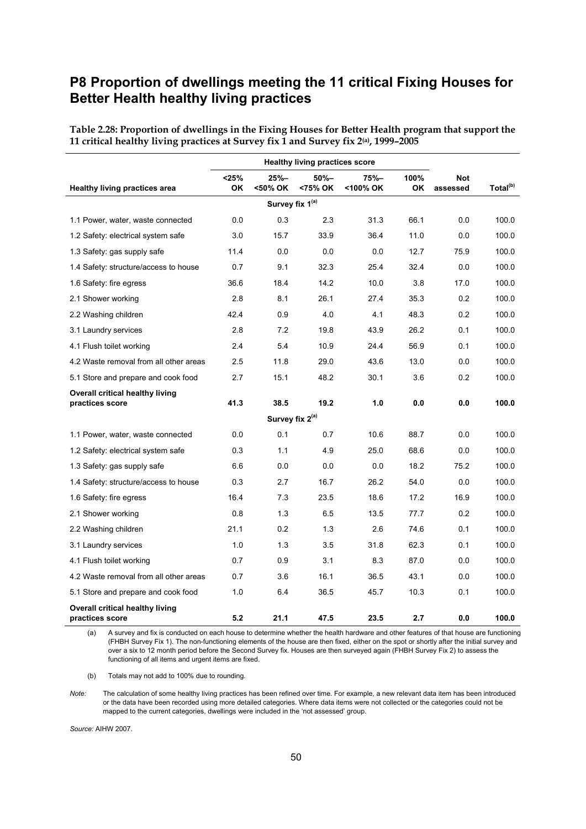### **P8 Proportion of dwellings meeting the 11 critical Fixing Houses for Better Health healthy living practices**

|                                                    |                      | <b>Healthy living practices score</b> |                    |                  |             |                        |                      |
|----------------------------------------------------|----------------------|---------------------------------------|--------------------|------------------|-------------|------------------------|----------------------|
| <b>Healthy living practices area</b>               | $<$ 25%<br><b>OK</b> | 25%–<br><50% OK                       | $50% -$<br><75% OK | 75%–<br><100% OK | 100%<br>OK. | <b>Not</b><br>assessed | Total <sup>(b)</sup> |
|                                                    |                      | Survey fix 1 <sup>(a)</sup>           |                    |                  |             |                        |                      |
| 1.1 Power, water, waste connected                  | 0.0                  | 0.3                                   | 2.3                | 31.3             | 66.1        | 0.0                    | 100.0                |
| 1.2 Safety: electrical system safe                 | 3.0                  | 15.7                                  | 33.9               | 36.4             | 11.0        | 0.0                    | 100.0                |
| 1.3 Safety: gas supply safe                        | 11.4                 | 0.0                                   | 0.0                | 0.0              | 12.7        | 75.9                   | 100.0                |
| 1.4 Safety: structure/access to house              | 0.7                  | 9.1                                   | 32.3               | 25.4             | 32.4        | 0.0                    | 100.0                |
| 1.6 Safety: fire egress                            | 36.6                 | 18.4                                  | 14.2               | 10.0             | 3.8         | 17.0                   | 100.0                |
| 2.1 Shower working                                 | 2.8                  | 8.1                                   | 26.1               | 27.4             | 35.3        | 0.2                    | 100.0                |
| 2.2 Washing children                               | 42.4                 | 0.9                                   | 4.0                | 4.1              | 48.3        | 0.2                    | 100.0                |
| 3.1 Laundry services                               | 2.8                  | 7.2                                   | 19.8               | 43.9             | 26.2        | 0.1                    | 100.0                |
| 4.1 Flush toilet working                           | 2.4                  | 5.4                                   | 10.9               | 24.4             | 56.9        | 0.1                    | 100.0                |
| 4.2 Waste removal from all other areas             | 2.5                  | 11.8                                  | 29.0               | 43.6             | 13.0        | 0.0                    | 100.0                |
| 5.1 Store and prepare and cook food                | 2.7                  | 15.1                                  | 48.2               | 30.1             | 3.6         | 0.2                    | 100.0                |
| Overall critical healthy living<br>practices score | 41.3                 | 38.5                                  | 19.2               | 1.0              | 0.0         | 0.0                    | 100.0                |
|                                                    |                      | Survey fix 2 <sup>(a)</sup>           |                    |                  |             |                        |                      |
| 1.1 Power, water, waste connected                  | 0.0                  | 0.1                                   | 0.7                | 10.6             | 88.7        | 0.0                    | 100.0                |
| 1.2 Safety: electrical system safe                 | 0.3                  | 1.1                                   | 4.9                | 25.0             | 68.6        | 0.0                    | 100.0                |
| 1.3 Safety: gas supply safe                        | 6.6                  | 0.0                                   | 0.0                | 0.0              | 18.2        | 75.2                   | 100.0                |
| 1.4 Safety: structure/access to house              | 0.3                  | 2.7                                   | 16.7               | 26.2             | 54.0        | 0.0                    | 100.0                |
| 1.6 Safety: fire egress                            | 16.4                 | 7.3                                   | 23.5               | 18.6             | 17.2        | 16.9                   | 100.0                |
| 2.1 Shower working                                 | 0.8                  | 1.3                                   | 6.5                | 13.5             | 77.7        | 0.2                    | 100.0                |
| 2.2 Washing children                               | 21.1                 | 0.2                                   | 1.3                | 2.6              | 74.6        | 0.1                    | 100.0                |
| 3.1 Laundry services                               | 1.0                  | 1.3                                   | 3.5                | 31.8             | 62.3        | 0.1                    | 100.0                |
| 4.1 Flush toilet working                           | 0.7                  | 0.9                                   | 3.1                | 8.3              | 87.0        | 0.0                    | 100.0                |
| 4.2 Waste removal from all other areas             | 0.7                  | 3.6                                   | 16.1               | 36.5             | 43.1        | 0.0                    | 100.0                |
| 5.1 Store and prepare and cook food                | 1.0                  | 6.4                                   | 36.5               | 45.7             | 10.3        | 0.1                    | 100.0                |
| Overall critical healthy living<br>practices score | 5.2                  | 21.1                                  | 47.5               | 23.5             | 2.7         | 0.0                    | 100.0                |

**Table 2.28: Proportion of dwellings in the Fixing Houses for Better Health program that support the 11 critical healthy living practices at Survey fix 1 and Survey fix 2(a), 1999–2005** 

(a) A survey and fix is conducted on each house to determine whether the health hardware and other features of that house are functioning (FHBH Survey Fix 1). The non-functioning elements of the house are then fixed, either on the spot or shortly after the initial survey and over a six to 12 month period before the Second Survey fix. Houses are then surveyed again (FHBH Survey Fix 2) to assess the functioning of all items and urgent items are fixed.

(b) Totals may not add to 100% due to rounding.

*Note:* The calculation of some healthy living practices has been refined over time. For example, a new relevant data item has been introduced or the data have been recorded using more detailed categories. Where data items were not collected or the categories could not be mapped to the current categories, dwellings were included in the 'not assessed' group.

*Source:* AIHW 2007.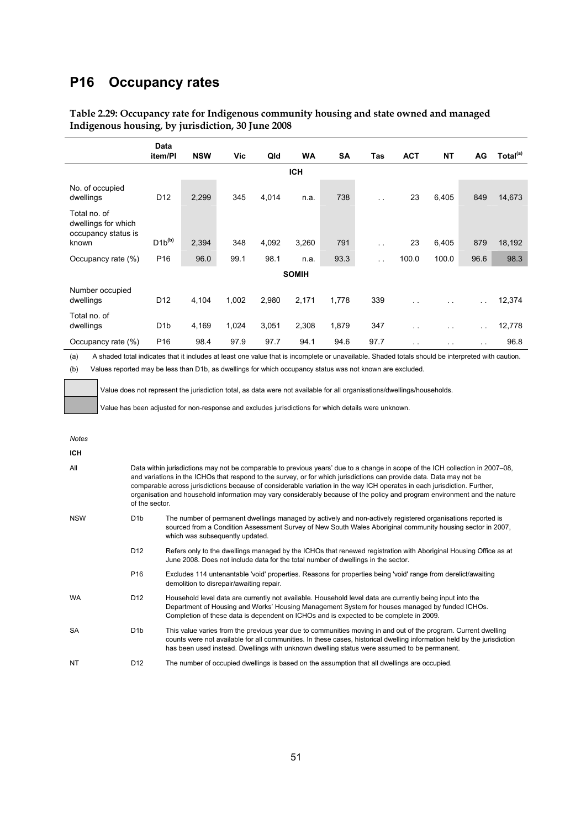### **P16 Occupancy rates**

|                                                            | Data<br>item/Pl  | <b>NSW</b> | Vic   | Qld   | <b>WA</b>    | SA    | Tas                  | <b>ACT</b> | <b>NT</b> | AG                   | Total <sup>(a)</sup> |
|------------------------------------------------------------|------------------|------------|-------|-------|--------------|-------|----------------------|------------|-----------|----------------------|----------------------|
|                                                            |                  |            |       |       | <b>ICH</b>   |       |                      |            |           |                      |                      |
| No. of occupied<br>dwellings                               | D <sub>12</sub>  | 2,299      | 345   | 4,014 | n.a.         | 738   | $\ddot{\phantom{1}}$ | 23         | 6,405     | 849                  | 14,673               |
| Total no. of<br>dwellings for which<br>occupancy status is |                  |            |       |       |              |       |                      |            |           |                      |                      |
| known                                                      | $D1b^{(b)}$      | 2,394      | 348   | 4,092 | 3,260        | 791   | $\ddot{\phantom{1}}$ | 23         | 6,405     | 879                  | 18,192               |
| Occupancy rate (%)                                         | P <sub>16</sub>  | 96.0       | 99.1  | 98.1  | n.a.         | 93.3  | $\sim$ $\sim$        | 100.0      | 100.0     | 96.6                 | 98.3                 |
|                                                            |                  |            |       |       | <b>SOMIH</b> |       |                      |            |           |                      |                      |
| Number occupied<br>dwellings                               | D <sub>12</sub>  | 4,104      | 1,002 | 2,980 | 2,171        | 1,778 | 339                  | . .        | $\sim$    | $\ddot{\phantom{a}}$ | 12,374               |
| Total no. of<br>dwellings                                  | D <sub>1</sub> b | 4,169      | 1,024 | 3,051 | 2,308        | 1,879 | 347                  | . .        | $\sim$    | $\ddot{\phantom{1}}$ | 12,778               |
| Occupancy rate (%)                                         | P <sub>16</sub>  | 98.4       | 97.9  | 97.7  | 94.1         | 94.6  | 97.7                 | . .        | . .       | $\ddotsc$            | 96.8                 |

### **Table 2.29: Occupancy rate for Indigenous community housing and state owned and managed Indigenous housing, by jurisdiction, 30 June 2008**

(a) A shaded total indicates that it includes at least one value that is incomplete or unavailable. Shaded totals should be interpreted with caution.

(b) Values reported may be less than D1b, as dwellings for which occupancy status was not known are excluded.

Value does not represent the jurisdiction total, as data were not available for all organisations/dwellings/households.

Value has been adjusted for non-response and excludes jurisdictions for which details were unknown.

| <b>ICH</b> |                  |                                                                                                                                                                                                                                                                                                                                                                                                                                                                                                                                  |  |  |  |  |  |  |  |  |
|------------|------------------|----------------------------------------------------------------------------------------------------------------------------------------------------------------------------------------------------------------------------------------------------------------------------------------------------------------------------------------------------------------------------------------------------------------------------------------------------------------------------------------------------------------------------------|--|--|--|--|--|--|--|--|
| All        |                  | Data within jurisdictions may not be comparable to previous years' due to a change in scope of the ICH collection in 2007–08,<br>and variations in the ICHOs that respond to the survey, or for which jurisdictions can provide data. Data may not be<br>comparable across jurisdictions because of considerable variation in the way ICH operates in each jurisdiction. Further,<br>organisation and household information may vary considerably because of the policy and program environment and the nature<br>of the sector. |  |  |  |  |  |  |  |  |
| <b>NSW</b> | D <sub>1</sub> b | The number of permanent dwellings managed by actively and non-actively registered organisations reported is<br>sourced from a Condition Assessment Survey of New South Wales Aboriginal community housing sector in 2007,<br>which was subsequently updated.                                                                                                                                                                                                                                                                     |  |  |  |  |  |  |  |  |
|            | D <sub>12</sub>  | Refers only to the dwellings managed by the ICHOs that renewed registration with Aboriginal Housing Office as at<br>June 2008. Does not include data for the total number of dwellings in the sector.                                                                                                                                                                                                                                                                                                                            |  |  |  |  |  |  |  |  |
|            | P <sub>16</sub>  | Excludes 114 untenantable 'void' properties. Reasons for properties being 'void' range from derelict/awaiting<br>demolition to disrepair/awaiting repair.                                                                                                                                                                                                                                                                                                                                                                        |  |  |  |  |  |  |  |  |
| <b>WA</b>  | D <sub>12</sub>  | Household level data are currently not available. Household level data are currently being input into the<br>Department of Housing and Works' Housing Management System for houses managed by funded ICHOs.<br>Completion of these data is dependent on ICHOs and is expected to be complete in 2009.                                                                                                                                                                                                                            |  |  |  |  |  |  |  |  |
| <b>SA</b>  | D <sub>1</sub> b | This value varies from the previous year due to communities moving in and out of the program. Current dwelling<br>counts were not available for all communities. In these cases, historical dwelling information held by the jurisdiction<br>has been used instead. Dwellings with unknown dwelling status were assumed to be permanent.                                                                                                                                                                                         |  |  |  |  |  |  |  |  |

NT D12 The number of occupied dwellings is based on the assumption that all dwellings are occupied.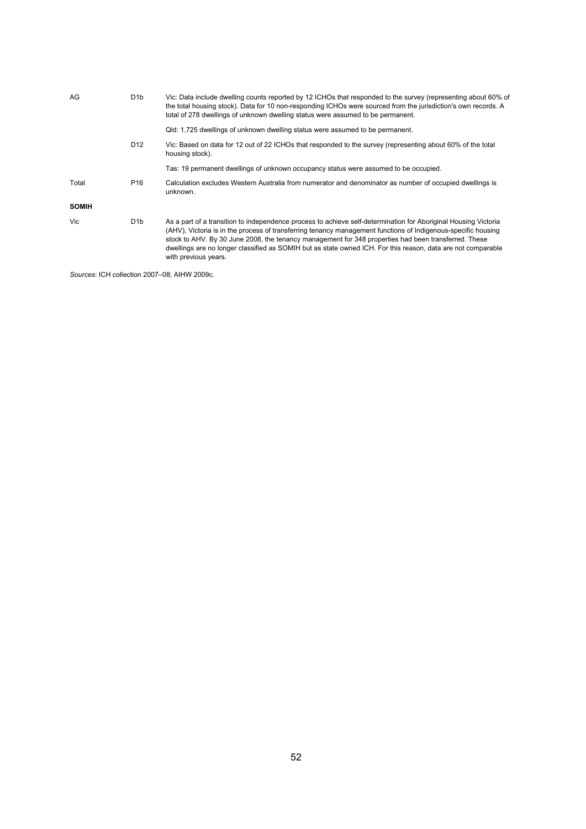| D <sub>1</sub> b | Vic: Data include dwelling counts reported by 12 ICHOs that responded to the survey (representing about 60% of<br>the total housing stock). Data for 10 non-responding ICHOs were sourced from the jurisdiction's own records. A<br>total of 278 dwellings of unknown dwelling status were assumed to be permanent.                                                                                                                                                              |
|------------------|----------------------------------------------------------------------------------------------------------------------------------------------------------------------------------------------------------------------------------------------------------------------------------------------------------------------------------------------------------------------------------------------------------------------------------------------------------------------------------|
|                  | Qld: 1,725 dwellings of unknown dwelling status were assumed to be permanent.                                                                                                                                                                                                                                                                                                                                                                                                    |
| D <sub>12</sub>  | Vic: Based on data for 12 out of 22 ICHOs that responded to the survey (representing about 60% of the total<br>housing stock).                                                                                                                                                                                                                                                                                                                                                   |
|                  | Tas: 19 permanent dwellings of unknown occupancy status were assumed to be occupied.                                                                                                                                                                                                                                                                                                                                                                                             |
| P <sub>16</sub>  | Calculation excludes Western Australia from numerator and denominator as number of occupied dwellings is<br>unknown.                                                                                                                                                                                                                                                                                                                                                             |
|                  |                                                                                                                                                                                                                                                                                                                                                                                                                                                                                  |
| D <sub>1</sub> b | As a part of a transition to independence process to achieve self-determination for Aboriginal Housing Victoria<br>(AHV), Victoria is in the process of transferring tenancy management functions of Indigenous-specific housing<br>stock to AHV. By 30 June 2008, the tenancy management for 348 properties had been transferred. These<br>dwellings are no longer classified as SOMIH but as state owned ICH. For this reason, data are not comparable<br>with previous years. |
|                  |                                                                                                                                                                                                                                                                                                                                                                                                                                                                                  |

*Sources*: ICH collection 2007–08; AIHW 2009c.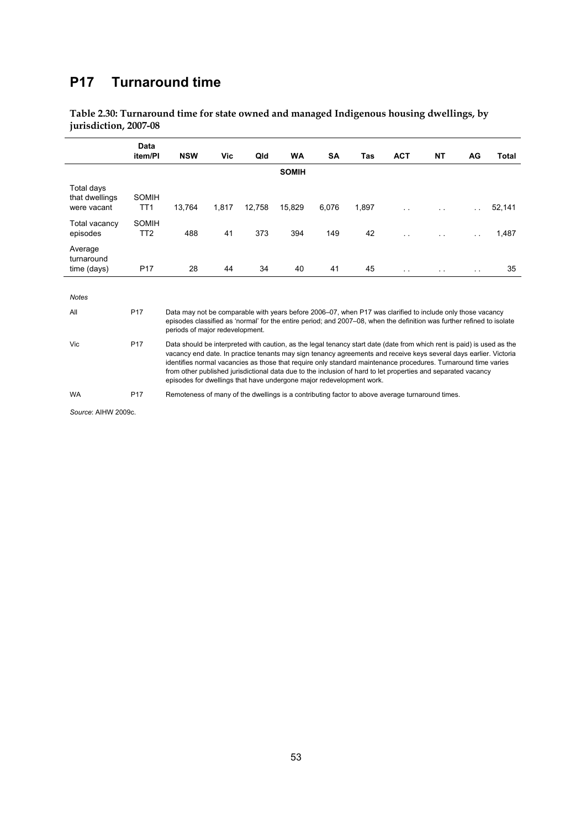## **P17 Turnaround time**

**Table 2.30: Turnaround time for state owned and managed Indigenous housing dwellings, by jurisdiction, 2007-08** 

|                                             | Data                     |                                                                                                                                                                                                                                                                                                                                                                                                                                                                                                                                                        |            |        |              |       |       |                      |    |     |        |  |
|---------------------------------------------|--------------------------|--------------------------------------------------------------------------------------------------------------------------------------------------------------------------------------------------------------------------------------------------------------------------------------------------------------------------------------------------------------------------------------------------------------------------------------------------------------------------------------------------------------------------------------------------------|------------|--------|--------------|-------|-------|----------------------|----|-----|--------|--|
|                                             | item/PI                  | <b>NSW</b>                                                                                                                                                                                                                                                                                                                                                                                                                                                                                                                                             | <b>Vic</b> | Qld    | WA           | SA    | Tas   | <b>ACT</b>           | NΤ | AG  | Total  |  |
|                                             |                          |                                                                                                                                                                                                                                                                                                                                                                                                                                                                                                                                                        |            |        | <b>SOMIH</b> |       |       |                      |    |     |        |  |
| Total days<br>that dwellings<br>were vacant | SOMIH<br>TT <sub>1</sub> | 13,764                                                                                                                                                                                                                                                                                                                                                                                                                                                                                                                                                 | 1,817      | 12,758 | 15,829       | 6,076 | 1,897 |                      |    |     | 52,141 |  |
| Total vacancy<br>episodes                   | SOMIH<br>TT <sub>2</sub> | 488                                                                                                                                                                                                                                                                                                                                                                                                                                                                                                                                                    | 41         | 373    | 394          | 149   | 42    |                      |    | . . | 1,487  |  |
| Average<br>turnaround<br>time (days)        | P <sub>17</sub>          | 28                                                                                                                                                                                                                                                                                                                                                                                                                                                                                                                                                     | 44         | 34     | 40           | 41    | 45    | $\ddot{\phantom{1}}$ |    | . . | 35     |  |
| <b>Notes</b>                                |                          |                                                                                                                                                                                                                                                                                                                                                                                                                                                                                                                                                        |            |        |              |       |       |                      |    |     |        |  |
| All                                         | P <sub>17</sub>          | Data may not be comparable with years before 2006–07, when P17 was clarified to include only those vacancy<br>episodes classified as 'normal' for the entire period; and 2007–08, when the definition was further refined to isolate<br>periods of major redevelopment.                                                                                                                                                                                                                                                                                |            |        |              |       |       |                      |    |     |        |  |
| Vic                                         | P <sub>17</sub>          | Data should be interpreted with caution, as the legal tenancy start date (date from which rent is paid) is used as the<br>vacancy end date. In practice tenants may sign tenancy agreements and receive keys several days earlier. Victoria<br>identifies normal vacancies as those that require only standard maintenance procedures. Turnaround time varies<br>from other published jurisdictional data due to the inclusion of hard to let properties and separated vacancy<br>episodes for dwellings that have undergone major redevelopment work. |            |        |              |       |       |                      |    |     |        |  |

WA P17 Remoteness of many of the dwellings is a contributing factor to above average turnaround times.

*Source*: AIHW 2009c.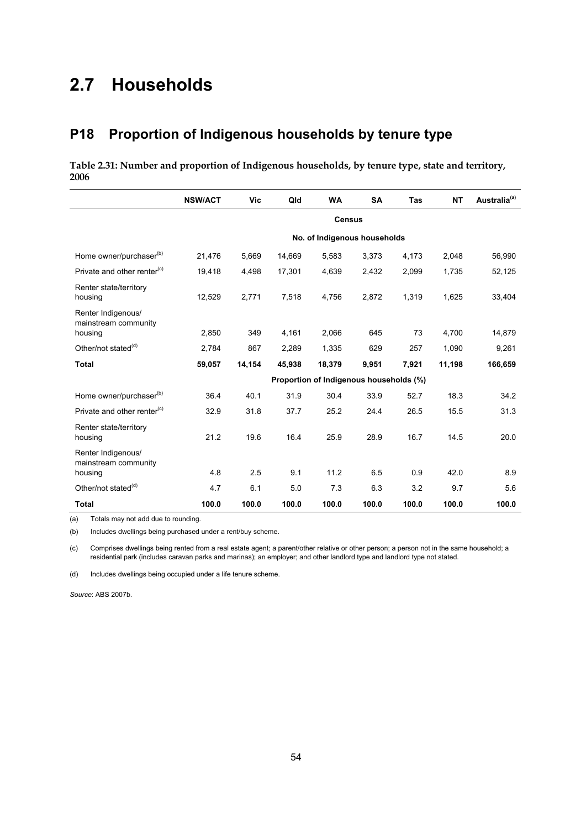# **2.7 Households**

### **P18 Proportion of Indigenous households by tenure type**

**Table 2.31: Number and proportion of Indigenous households, by tenure type, state and territory, 2006** 

|                                                       | <b>NSW/ACT</b> | Vic    | Qld    | <b>WA</b>                               | <b>SA</b> | Tas   | <b>NT</b> | Australia <sup>(a)</sup> |  |  |  |
|-------------------------------------------------------|----------------|--------|--------|-----------------------------------------|-----------|-------|-----------|--------------------------|--|--|--|
|                                                       | <b>Census</b>  |        |        |                                         |           |       |           |                          |  |  |  |
|                                                       |                |        |        | No. of Indigenous households            |           |       |           |                          |  |  |  |
| Home owner/purchaser <sup>(b)</sup>                   | 21,476         | 5,669  | 14,669 | 5,583                                   | 3,373     | 4,173 | 2,048     | 56,990                   |  |  |  |
| Private and other renter <sup>(c)</sup>               | 19,418         | 4,498  | 17,301 | 4,639                                   | 2,432     | 2,099 | 1,735     | 52,125                   |  |  |  |
| Renter state/territory<br>housing                     | 12,529         | 2,771  | 7,518  | 4,756                                   | 2,872     | 1,319 | 1,625     | 33,404                   |  |  |  |
| Renter Indigenous/<br>mainstream community<br>housing | 2,850          | 349    | 4,161  | 2,066                                   | 645       | 73    | 4,700     | 14,879                   |  |  |  |
| Other/not stated <sup>(d)</sup>                       |                |        |        |                                         |           |       |           |                          |  |  |  |
|                                                       | 2.784          | 867    | 2,289  | 1.335                                   | 629       | 257   | 1.090     | 9,261                    |  |  |  |
| <b>Total</b>                                          | 59,057         | 14,154 | 45,938 | 18,379                                  | 9,951     | 7,921 | 11,198    | 166,659                  |  |  |  |
|                                                       |                |        |        | Proportion of Indigenous households (%) |           |       |           |                          |  |  |  |
| Home owner/purchaser <sup>(b)</sup>                   | 36.4           | 40.1   | 31.9   | 30.4                                    | 33.9      | 52.7  | 18.3      | 34.2                     |  |  |  |
| Private and other renter <sup>(c)</sup>               | 32.9           | 31.8   | 37.7   | 25.2                                    | 24.4      | 26.5  | 15.5      | 31.3                     |  |  |  |
| Renter state/territory<br>housing                     | 21.2           | 19.6   | 16.4   | 25.9                                    | 28.9      | 16.7  | 14.5      | 20.0                     |  |  |  |
| Renter Indigenous/<br>mainstream community            | 4.8            | 2.5    | 9.1    | 11.2                                    | 6.5       | 0.9   | 42.0      | 8.9                      |  |  |  |
| housing                                               |                |        |        |                                         |           |       |           |                          |  |  |  |
| Other/not stated <sup>(d)</sup>                       | 4.7            | 6.1    | 5.0    | 7.3                                     | 6.3       | 3.2   | 9.7       | 5.6                      |  |  |  |
| <b>Total</b>                                          | 100.0          | 100.0  | 100.0  | 100.0                                   | 100.0     | 100.0 | 100.0     | 100.0                    |  |  |  |

(a) Totals may not add due to rounding.

(b) Includes dwellings being purchased under a rent/buy scheme.

(c) Comprises dwellings being rented from a real estate agent; a parent/other relative or other person; a person not in the same household; a residential park (includes caravan parks and marinas); an employer; and other landlord type and landlord type not stated.

(d) Includes dwellings being occupied under a life tenure scheme.

*Source*: ABS 2007b.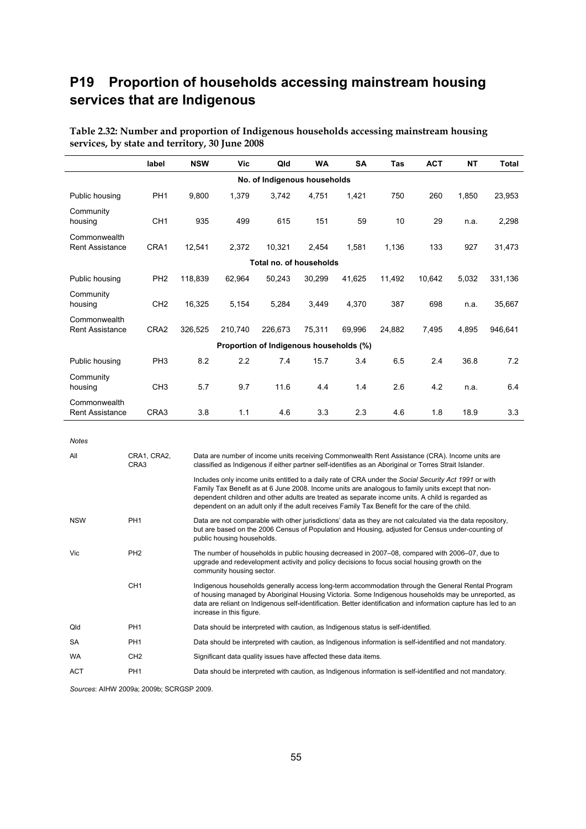# **P19 Proportion of households accessing mainstream housing services that are Indigenous**

|                                        | label            | <b>NSW</b> | Vic     | Qld                                     | WA     | SΑ     | Tas    | <b>ACT</b> | <b>NT</b> | Total   |  |  |  |
|----------------------------------------|------------------|------------|---------|-----------------------------------------|--------|--------|--------|------------|-----------|---------|--|--|--|
|                                        |                  |            |         | No. of Indigenous households            |        |        |        |            |           |         |  |  |  |
| Public housing                         | PH <sub>1</sub>  | 9,800      | 1,379   | 3,742                                   | 4,751  | 1,421  | 750    | 260        | 1,850     | 23,953  |  |  |  |
| Community<br>housing                   | CH <sub>1</sub>  | 935        | 499     | 615                                     | 151    | 59     | 10     | 29         | n.a.      | 2,298   |  |  |  |
| Commonwealth<br><b>Rent Assistance</b> | CRA1             | 12,541     | 2,372   | 10,321                                  | 2,454  | 1,581  | 1,136  | 133        | 927       | 31,473  |  |  |  |
| Total no. of households                |                  |            |         |                                         |        |        |        |            |           |         |  |  |  |
| Public housing                         | PH <sub>2</sub>  | 118,839    | 62,964  | 50,243                                  | 30,299 | 41,625 | 11,492 | 10,642     | 5,032     | 331,136 |  |  |  |
| Community<br>housing                   | CH <sub>2</sub>  | 16,325     | 5,154   | 5,284                                   | 3,449  | 4,370  | 387    | 698        | n.a.      | 35,667  |  |  |  |
| Commonwealth<br><b>Rent Assistance</b> | CRA <sub>2</sub> | 326,525    | 210,740 | 226,673                                 | 75,311 | 69,996 | 24,882 | 7,495      | 4,895     | 946,641 |  |  |  |
|                                        |                  |            |         | Proportion of Indigenous households (%) |        |        |        |            |           |         |  |  |  |
| Public housing                         | PH <sub>3</sub>  | 8.2        | 2.2     | 7.4                                     | 15.7   | 3.4    | 6.5    | 2.4        | 36.8      | 7.2     |  |  |  |
| Community<br>housing                   | CH <sub>3</sub>  | 5.7        | 9.7     | 11.6                                    | 4.4    | 1.4    | 2.6    | 4.2        | n.a.      | 6.4     |  |  |  |
| Commonwealth<br><b>Rent Assistance</b> | CRA3             | 3.8        | 1.1     | 4.6                                     | 3.3    | 2.3    | 4.6    | 1.8        | 18.9      | 3.3     |  |  |  |

**Table 2.32: Number and proportion of Indigenous households accessing mainstream housing services, by state and territory, 30 June 2008** 

| <b>Notes</b> |                     |                                                                                                                                                                                                                                                                                                                                                                                                                  |
|--------------|---------------------|------------------------------------------------------------------------------------------------------------------------------------------------------------------------------------------------------------------------------------------------------------------------------------------------------------------------------------------------------------------------------------------------------------------|
| All          | CRA1, CRA2,<br>CRA3 | Data are number of income units receiving Commonwealth Rent Assistance (CRA). Income units are<br>classified as Indigenous if either partner self-identifies as an Aboriginal or Torres Strait Islander.                                                                                                                                                                                                         |
|              |                     | Includes only income units entitled to a daily rate of CRA under the Social Security Act 1991 or with<br>Family Tax Benefit as at 6 June 2008. Income units are analogous to family units except that non-<br>dependent children and other adults are treated as separate income units. A child is regarded as<br>dependent on an adult only if the adult receives Family Tax Benefit for the care of the child. |
| <b>NSW</b>   | PH <sub>1</sub>     | Data are not comparable with other jurisdictions' data as they are not calculated via the data repository,<br>but are based on the 2006 Census of Population and Housing, adjusted for Census under-counting of<br>public housing households.                                                                                                                                                                    |
| <b>Vic</b>   | PH <sub>2</sub>     | The number of households in public housing decreased in 2007–08, compared with 2006–07, due to<br>upgrade and redevelopment activity and policy decisions to focus social housing growth on the<br>community housing sector.                                                                                                                                                                                     |
|              | CH <sub>1</sub>     | Indigenous households generally access long-term accommodation through the General Rental Program<br>of housing managed by Aboriginal Housing Victoria. Some Indigenous households may be unreported, as<br>data are reliant on Indigenous self-identification. Better identification and information capture has led to an<br>increase in this figure.                                                          |
| Qld          | PH <sub>1</sub>     | Data should be interpreted with caution, as Indigenous status is self-identified.                                                                                                                                                                                                                                                                                                                                |
| <b>SA</b>    | PH <sub>1</sub>     | Data should be interpreted with caution, as Indigenous information is self-identified and not mandatory.                                                                                                                                                                                                                                                                                                         |
| <b>WA</b>    | CH <sub>2</sub>     | Significant data quality issues have affected these data items.                                                                                                                                                                                                                                                                                                                                                  |
| <b>ACT</b>   | PH <sub>1</sub>     | Data should be interpreted with caution, as Indigenous information is self-identified and not mandatory.                                                                                                                                                                                                                                                                                                         |

*Sources*: AIHW 2009a; 2009b; SCRGSP 2009.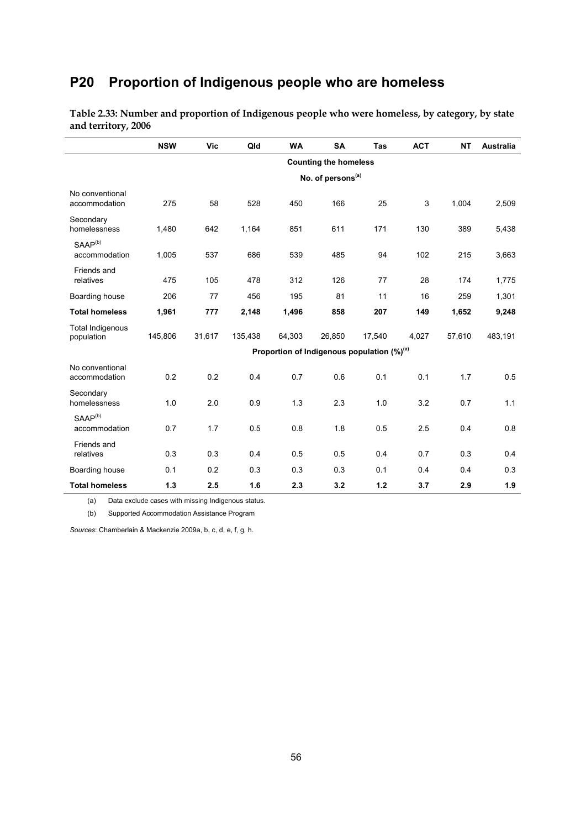# **P20 Proportion of Indigenous people who are homeless**

|                                       | <b>NSW</b> | Vic    | Qld     | <b>WA</b> | <b>SA</b>                     | <b>Tas</b>                                             | <b>ACT</b> | <b>NT</b> | <b>Australia</b> |
|---------------------------------------|------------|--------|---------|-----------|-------------------------------|--------------------------------------------------------|------------|-----------|------------------|
|                                       |            |        |         |           | <b>Counting the homeless</b>  |                                                        |            |           |                  |
|                                       |            |        |         |           | No. of persons <sup>(a)</sup> |                                                        |            |           |                  |
| No conventional<br>accommodation      | 275        | 58     | 528     | 450       | 166                           | 25                                                     | 3          | 1,004     | 2,509            |
| Secondary<br>homelessness             | 1,480      | 642    | 1,164   | 851       | 611                           | 171                                                    | 130        | 389       | 5,438            |
| SAAP <sup>(b)</sup><br>accommodation  | 1,005      | 537    | 686     | 539       | 485                           | 94                                                     | 102        | 215       | 3,663            |
| Friends and<br>relatives              | 475        | 105    | 478     | 312       | 126                           | 77                                                     | 28         | 174       | 1,775            |
| Boarding house                        | 206        | 77     | 456     | 195       | 81                            | 11                                                     | 16         | 259       | 1,301            |
| <b>Total homeless</b>                 | 1,961      | 777    | 2,148   | 1,496     | 858                           | 207                                                    | 149        | 1,652     | 9,248            |
| <b>Total Indigenous</b><br>population | 145,806    | 31,617 | 135,438 | 64,303    | 26,850                        | 17,540                                                 | 4,027      | 57,610    | 483,191          |
|                                       |            |        |         |           |                               | Proportion of Indigenous population (%) <sup>(a)</sup> |            |           |                  |
| No conventional<br>accommodation      | 0.2        | 0.2    | 0.4     | 0.7       | 0.6                           | 0.1                                                    | 0.1        | 1.7       | 0.5              |
| Secondary<br>homelessness             | 1.0        | 2.0    | 0.9     | 1.3       | 2.3                           | 1.0                                                    | 3.2        | 0.7       | 1.1              |
| SAAP <sup>(b)</sup><br>accommodation  | 0.7        | 1.7    | 0.5     | 0.8       | 1.8                           | 0.5                                                    | 2.5        | 0.4       | 0.8              |
| Friends and<br>relatives              | 0.3        | 0.3    | 0.4     | 0.5       | 0.5                           | 0.4                                                    | 0.7        | 0.3       | 0.4              |
| Boarding house                        | 0.1        | 0.2    | 0.3     | 0.3       | 0.3                           | 0.1                                                    | 0.4        | 0.4       | 0.3              |
| <b>Total homeless</b>                 | 1.3        | 2.5    | 1.6     | 2.3       | 3.2                           | 1.2                                                    | 3.7        | 2.9       | 1.9              |

**Table 2.33: Number and proportion of Indigenous people who were homeless, by category, by state and territory, 2006** 

(a) Data exclude cases with missing Indigenous status.

(b) Supported Accommodation Assistance Program

*Sources*: Chamberlain & Mackenzie 2009a, b, c, d, e, f, g, h.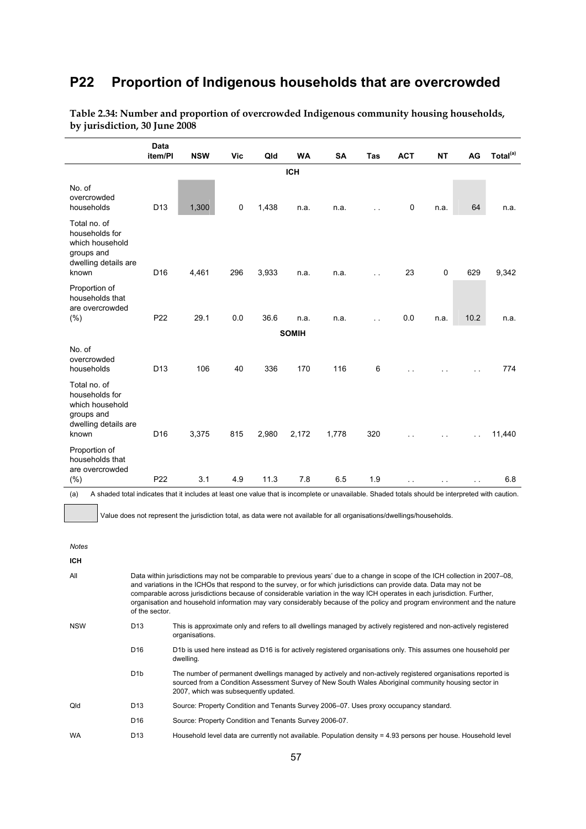### **P22 Proportion of Indigenous households that are overcrowded**

|                                                                                                                                                          | <b>Data</b><br>item/PI | <b>NSW</b> | <b>Vic</b> | Qld   | <b>WA</b>    | <b>SA</b> | Tas                  | <b>ACT</b>  | <b>NT</b> | AG   | Total <sup>(a)</sup> |
|----------------------------------------------------------------------------------------------------------------------------------------------------------|------------------------|------------|------------|-------|--------------|-----------|----------------------|-------------|-----------|------|----------------------|
|                                                                                                                                                          |                        |            |            |       | <b>ICH</b>   |           |                      |             |           |      |                      |
| No. of<br>overcrowded<br>households                                                                                                                      | D <sub>13</sub>        | 1,300      | 0          | 1,438 | n.a.         | n.a.      | $\ddot{\phantom{a}}$ | $\mathbf 0$ | n.a.      | 64   | n.a.                 |
| Total no. of<br>households for<br>which household<br>groups and<br>dwelling details are<br>known                                                         | D <sub>16</sub>        | 4,461      | 296        | 3,933 | n.a.         | n.a.      | i.                   | 23          | 0         | 629  | 9,342                |
| Proportion of<br>households that<br>are overcrowded<br>(%)                                                                                               | P <sub>22</sub>        | 29.1       | 0.0        | 36.6  | n.a.         | n.a.      | . .                  | 0.0         | n.a.      | 10.2 | n.a.                 |
|                                                                                                                                                          |                        |            |            |       | <b>SOMIH</b> |           |                      |             |           |      |                      |
| No. of<br>overcrowded<br>households                                                                                                                      | D <sub>13</sub>        | 106        | 40         | 336   | 170          | 116       | 6                    |             |           |      | 774                  |
| Total no. of<br>households for<br>which household<br>groups and<br>dwelling details are<br>known                                                         | D <sub>16</sub>        | 3,375      | 815        | 2,980 | 2,172        | 1,778     | 320                  |             |           |      | 11,440               |
| Proportion of<br>households that<br>are overcrowded                                                                                                      |                        |            |            |       |              |           |                      |             |           |      |                      |
| $(\% )$                                                                                                                                                  | P <sub>22</sub>        | 3.1        | 4.9        | 11.3  | 7.8          | 6.5       | 1.9                  |             |           |      | 6.8                  |
| A shaded total indicates that it includes at least one value that is incomplete or unavailable. Shaded totals should be interpreted with caution.<br>(a) |                        |            |            |       |              |           |                      |             |           |      |                      |

**Table 2.34: Number and proportion of overcrowded Indigenous community housing households, by jurisdiction, 30 June 2008** 

(a) A shaded total indicates that it includes at least one value that is incomplete or unavailable. Shaded totals should be interpreted with caution.

Value does not represent the jurisdiction total, as data were not available for all organisations/dwellings/households.

*Notes*  **ICH**  All Data within jurisdictions may not be comparable to previous years' due to a change in scope of the ICH collection in 2007–08, and variations in the ICHOs that respond to the survey, or for which jurisdictions can provide data. Data may not be comparable across jurisdictions because of considerable variation in the way ICH operates in each jurisdiction. Further, organisation and household information may vary considerably because of the policy and program environment and the nature of the sector. NSW D13 This is approximate only and refers to all dwellings managed by actively registered and non-actively registered organisations. D16 D1b is used here instead as D16 is for actively registered organisations only. This assumes one household per dwelling. D1b The number of permanent dwellings managed by actively and non-actively registered organisations reported is sourced from a Condition Assessment Survey of New South Wales Aboriginal community housing sector in 2007, which was subsequently updated. Qld D13 Source: Property Condition and Tenants Survey 2006–07. Uses proxy occupancy standard. D16 Source: Property Condition and Tenants Survey 2006-07. WA D13 Household level data are currently not available. Population density = 4.93 persons per house. Household level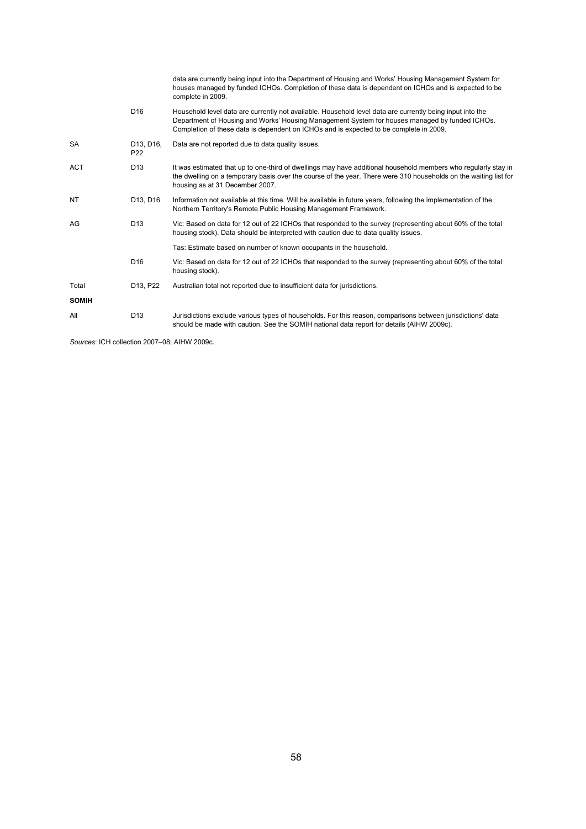|              |                              | data are currently being input into the Department of Housing and Works' Housing Management System for<br>houses managed by funded ICHOs. Completion of these data is dependent on ICHOs and is expected to be<br>complete in 2009.                                                                   |
|--------------|------------------------------|-------------------------------------------------------------------------------------------------------------------------------------------------------------------------------------------------------------------------------------------------------------------------------------------------------|
|              | D <sub>16</sub>              | Household level data are currently not available. Household level data are currently being input into the<br>Department of Housing and Works' Housing Management System for houses managed by funded ICHOs.<br>Completion of these data is dependent on ICHOs and is expected to be complete in 2009. |
| <b>SA</b>    | D13, D16,<br>P <sub>22</sub> | Data are not reported due to data quality issues.                                                                                                                                                                                                                                                     |
| <b>ACT</b>   | D <sub>13</sub>              | It was estimated that up to one-third of dwellings may have additional household members who regularly stay in<br>the dwelling on a temporary basis over the course of the year. There were 310 households on the waiting list for<br>housing as at 31 December 2007.                                 |
| NT           | D13, D16                     | Information not available at this time. Will be available in future years, following the implementation of the<br>Northern Territory's Remote Public Housing Management Framework.                                                                                                                    |
| AG           | D <sub>13</sub>              | Vic: Based on data for 12 out of 22 ICHOs that responded to the survey (representing about 60% of the total<br>housing stock). Data should be interpreted with caution due to data quality issues.                                                                                                    |
|              |                              | Tas: Estimate based on number of known occupants in the household.                                                                                                                                                                                                                                    |
|              | D <sub>16</sub>              | Vic: Based on data for 12 out of 22 ICHOs that responded to the survey (representing about 60% of the total<br>housing stock).                                                                                                                                                                        |
| Total        | D13, P22                     | Australian total not reported due to insufficient data for jurisdictions.                                                                                                                                                                                                                             |
| <b>SOMIH</b> |                              |                                                                                                                                                                                                                                                                                                       |
| All          | D <sub>13</sub>              | Jurisdictions exclude various types of households. For this reason, comparisons between jurisdictions' data<br>should be made with caution. See the SOMIH national data report for details (AIHW 2009c).                                                                                              |

*Sources*: ICH collection 2007–08; AIHW 2009c.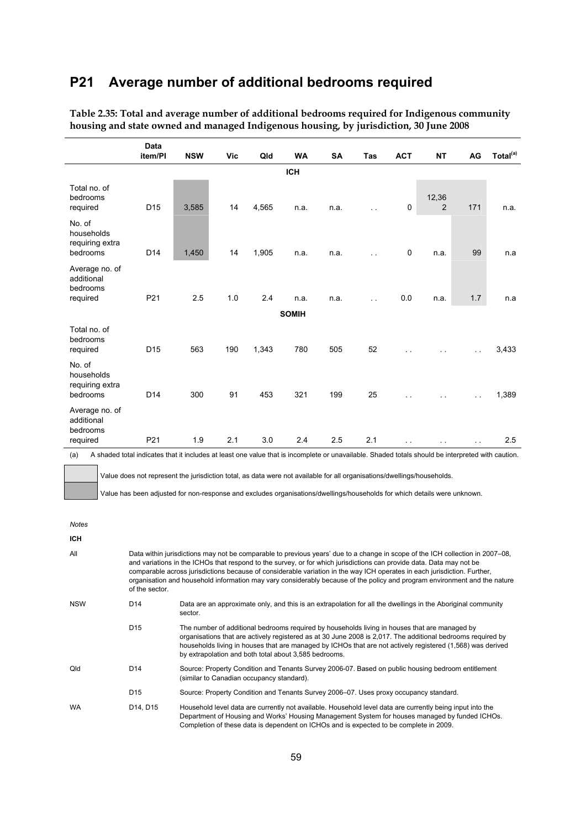### **P21 Average number of additional bedrooms required**

|                                                      | <b>Data</b><br>item/PI | <b>NSW</b> | <b>Vic</b> | Qld   | <b>WA</b>    | SA   | Tas           | <b>ACT</b>           | <b>NT</b>            | AG        | Total <sup>(a)</sup> |
|------------------------------------------------------|------------------------|------------|------------|-------|--------------|------|---------------|----------------------|----------------------|-----------|----------------------|
|                                                      |                        |            |            |       |              |      |               |                      |                      |           |                      |
|                                                      |                        |            |            |       | <b>ICH</b>   |      |               |                      |                      |           |                      |
| Total no. of<br>bedrooms<br>required                 | D <sub>15</sub>        | 3,585      | 14         | 4,565 | n.a.         | n.a. | $\sim$ $\sim$ | 0                    | 12,36<br>2           | 171       | n.a.                 |
| No. of<br>households<br>requiring extra<br>bedrooms  | D <sub>14</sub>        | 1,450      | 14         | 1,905 | n.a.         | n.a. | $\sim$        | $\mathsf 0$          | n.a.                 | 99        | n.a                  |
| Average no. of<br>additional<br>bedrooms<br>required | P21                    | 2.5        | 1.0        | 2.4   | n.a.         | n.a. | $\sim$ $\sim$ | 0.0                  | n.a.                 | 1.7       | n.a                  |
|                                                      |                        |            |            |       |              |      |               |                      |                      |           |                      |
|                                                      |                        |            |            |       | <b>SOMIH</b> |      |               |                      |                      |           |                      |
| Total no. of<br>bedrooms<br>required                 | D <sub>15</sub>        | 563        | 190        | 1,343 | 780          | 505  | 52            |                      |                      | $\ddotsc$ | 3,433                |
| No. of<br>households<br>requiring extra<br>bedrooms  | D <sub>14</sub>        | 300        | 91         | 453   | 321          | 199  | 25            |                      |                      | $\ddotsc$ | 1,389                |
| Average no. of<br>additional<br>bedrooms             |                        |            |            |       |              |      |               |                      |                      |           |                      |
| required                                             | P21                    | 1.9        | 2.1        | 3.0   | 2.4          | 2.5  | 2.1           | $\ddot{\phantom{a}}$ | $\ddot{\phantom{a}}$ | $\ddotsc$ | 2.5                  |

**Table 2.35: Total and average number of additional bedrooms required for Indigenous community housing and state owned and managed Indigenous housing, by jurisdiction, 30 June 2008** 

(a) A shaded total indicates that it includes at least one value that is incomplete or unavailable. Shaded totals should be interpreted with caution.

Value does not represent the jurisdiction total, as data were not available for all organisations/dwellings/households.

Value has been adjusted for non-response and excludes organisations/dwellings/households for which details were unknown.

*Notes* 

| <b>ICH</b> |                 |                                                                                                                                                                                                                                                                                                                                                                                                                                                                                                                |
|------------|-----------------|----------------------------------------------------------------------------------------------------------------------------------------------------------------------------------------------------------------------------------------------------------------------------------------------------------------------------------------------------------------------------------------------------------------------------------------------------------------------------------------------------------------|
| All        | of the sector.  | Data within jurisdictions may not be comparable to previous years' due to a change in scope of the ICH collection in 2007–08,<br>and variations in the ICHOs that respond to the survey, or for which jurisdictions can provide data. Data may not be<br>comparable across jurisdictions because of considerable variation in the way ICH operates in each jurisdiction. Further,<br>organisation and household information may vary considerably because of the policy and program environment and the nature |
| <b>NSW</b> | D <sub>14</sub> | Data are an approximate only, and this is an extrapolation for all the dwellings in the Aboriginal community<br>sector.                                                                                                                                                                                                                                                                                                                                                                                        |
|            | D <sub>15</sub> | The number of additional bedrooms required by households living in houses that are managed by<br>organisations that are actively registered as at 30 June 2008 is 2,017. The additional bedrooms reguired by<br>households living in houses that are managed by ICHOs that are not actively registered (1,568) was derived<br>by extrapolation and both total about 3,585 bedrooms.                                                                                                                            |
| Qld        | D <sub>14</sub> | Source: Property Condition and Tenants Survey 2006-07. Based on public housing bedroom entitlement<br>(similar to Canadian occupancy standard).                                                                                                                                                                                                                                                                                                                                                                |
|            | D <sub>15</sub> | Source: Property Condition and Tenants Survey 2006–07. Uses proxy occupancy standard.                                                                                                                                                                                                                                                                                                                                                                                                                          |
| <b>WA</b>  | D14, D15        | Household level data are currently not available. Household level data are currently being input into the<br>Department of Housing and Works' Housing Management System for houses managed by funded ICHOs.<br>Completion of these data is dependent on ICHOs and is expected to be complete in 2009.                                                                                                                                                                                                          |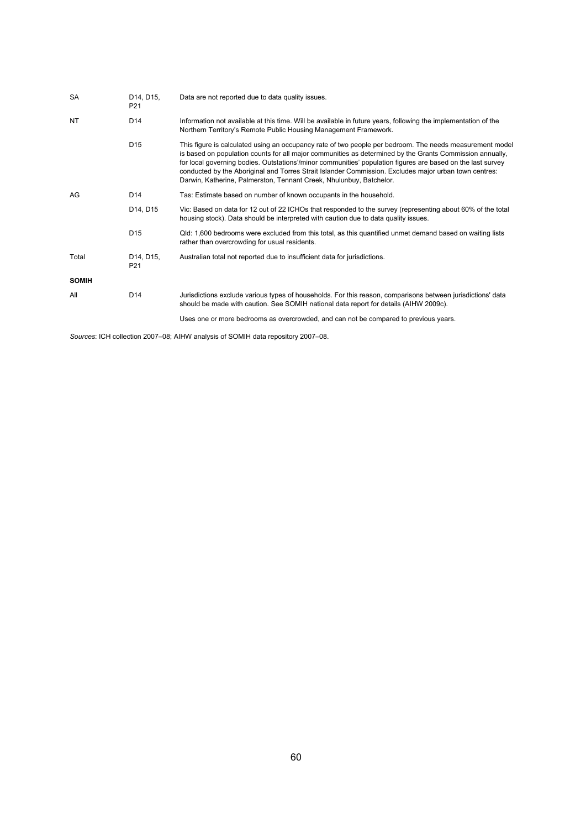| <b>SA</b>    | D14, D15,<br>P <sub>21</sub> | Data are not reported due to data quality issues.                                                                                                                                                                                                                                                                                                                                                                                                                                                                   |
|--------------|------------------------------|---------------------------------------------------------------------------------------------------------------------------------------------------------------------------------------------------------------------------------------------------------------------------------------------------------------------------------------------------------------------------------------------------------------------------------------------------------------------------------------------------------------------|
| <b>NT</b>    | D <sub>14</sub>              | Information not available at this time. Will be available in future years, following the implementation of the<br>Northern Territory's Remote Public Housing Management Framework.                                                                                                                                                                                                                                                                                                                                  |
|              | D <sub>15</sub>              | This figure is calculated using an occupancy rate of two people per bedroom. The needs measurement model<br>is based on population counts for all major communities as determined by the Grants Commission annually,<br>for local governing bodies. Outstations'/minor communities' population figures are based on the last survey<br>conducted by the Aboriginal and Torres Strait Islander Commission. Excludes major urban town centres:<br>Darwin, Katherine, Palmerston, Tennant Creek, Nhulunbuy, Batchelor. |
| AG           | D <sub>14</sub>              | Tas: Estimate based on number of known occupants in the household.                                                                                                                                                                                                                                                                                                                                                                                                                                                  |
|              | D14, D15                     | Vic: Based on data for 12 out of 22 ICHOs that responded to the survey (representing about 60% of the total<br>housing stock). Data should be interpreted with caution due to data quality issues.                                                                                                                                                                                                                                                                                                                  |
|              | D <sub>15</sub>              | Qld: 1,600 bedrooms were excluded from this total, as this quantified unmet demand based on waiting lists<br>rather than overcrowding for usual residents.                                                                                                                                                                                                                                                                                                                                                          |
| Total        | D14, D15,<br>P <sub>21</sub> | Australian total not reported due to insufficient data for jurisdictions.                                                                                                                                                                                                                                                                                                                                                                                                                                           |
| <b>SOMIH</b> |                              |                                                                                                                                                                                                                                                                                                                                                                                                                                                                                                                     |
| All          | D <sub>14</sub>              | Jurisdictions exclude various types of households. For this reason, comparisons between jurisdictions' data<br>should be made with caution. See SOMIH national data report for details (AIHW 2009c).                                                                                                                                                                                                                                                                                                                |
|              |                              | Uses one or more bedrooms as overcrowded, and can not be compared to previous years.                                                                                                                                                                                                                                                                                                                                                                                                                                |

*Sources*: ICH collection 2007–08; AIHW analysis of SOMIH data repository 2007–08.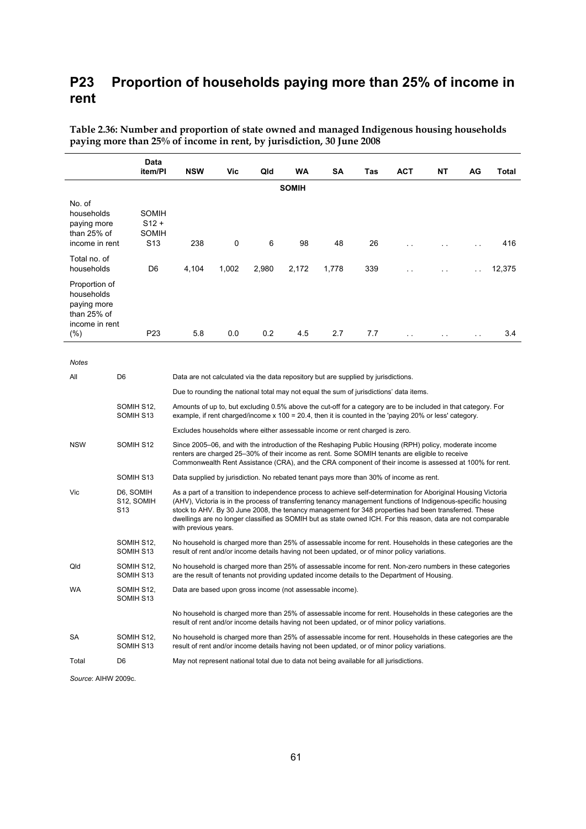### **P23 Proportion of households paying more than 25% of income in rent**

|                                                                               | Data<br>item/PI                              | <b>NSW</b>                                                                                                                                                                                                                                                                                                                                                                                                                                                                       | Vic                                                                                                                                                                                                                        | Qld   | WA           | SΑ    | Tas | ACT                  | NT        | AG     | Total  |  |  |
|-------------------------------------------------------------------------------|----------------------------------------------|----------------------------------------------------------------------------------------------------------------------------------------------------------------------------------------------------------------------------------------------------------------------------------------------------------------------------------------------------------------------------------------------------------------------------------------------------------------------------------|----------------------------------------------------------------------------------------------------------------------------------------------------------------------------------------------------------------------------|-------|--------------|-------|-----|----------------------|-----------|--------|--------|--|--|
|                                                                               |                                              |                                                                                                                                                                                                                                                                                                                                                                                                                                                                                  |                                                                                                                                                                                                                            |       | <b>SOMIH</b> |       |     |                      |           |        |        |  |  |
| No. of<br>households<br>paying more<br>than $25%$ of<br>income in rent        | SOMIH<br>$S12 +$<br>SOMIH<br>S <sub>13</sub> | 238                                                                                                                                                                                                                                                                                                                                                                                                                                                                              | 0                                                                                                                                                                                                                          | 6     | 98           | 48    | 26  | i.                   | $\sim$    |        | 416    |  |  |
| Total no. of<br>households                                                    | D <sub>6</sub>                               | 4,104                                                                                                                                                                                                                                                                                                                                                                                                                                                                            | 1,002                                                                                                                                                                                                                      | 2,980 | 2,172        | 1,778 | 339 |                      |           |        | 12,375 |  |  |
| Proportion of<br>households<br>paying more<br>than $25%$ of<br>income in rent |                                              |                                                                                                                                                                                                                                                                                                                                                                                                                                                                                  |                                                                                                                                                                                                                            |       |              |       |     |                      |           |        |        |  |  |
| $(\%)$                                                                        | P <sub>23</sub>                              | 5.8                                                                                                                                                                                                                                                                                                                                                                                                                                                                              | 0.0                                                                                                                                                                                                                        | 0.2   | 4.5          | 2.7   | 7.7 | $\ddot{\phantom{0}}$ | $\ddotsc$ | $\sim$ | 3.4    |  |  |
| Notes                                                                         |                                              |                                                                                                                                                                                                                                                                                                                                                                                                                                                                                  |                                                                                                                                                                                                                            |       |              |       |     |                      |           |        |        |  |  |
| All                                                                           | D <sub>6</sub>                               | Data are not calculated via the data repository but are supplied by jurisdictions.                                                                                                                                                                                                                                                                                                                                                                                               |                                                                                                                                                                                                                            |       |              |       |     |                      |           |        |        |  |  |
|                                                                               |                                              | Due to rounding the national total may not equal the sum of jurisdictions' data items.                                                                                                                                                                                                                                                                                                                                                                                           |                                                                                                                                                                                                                            |       |              |       |     |                      |           |        |        |  |  |
|                                                                               | SOMIH S12,<br>SOMIH S13                      |                                                                                                                                                                                                                                                                                                                                                                                                                                                                                  | Amounts of up to, but excluding 0.5% above the cut-off for a category are to be included in that category. For<br>example, if rent charged/income $x$ 100 = 20.4, then it is counted in the 'paying 20% or less' category. |       |              |       |     |                      |           |        |        |  |  |
|                                                                               |                                              | Excludes households where either assessable income or rent charged is zero.                                                                                                                                                                                                                                                                                                                                                                                                      |                                                                                                                                                                                                                            |       |              |       |     |                      |           |        |        |  |  |
| <b>NSW</b>                                                                    | SOMIH S12                                    | Since 2005–06, and with the introduction of the Reshaping Public Housing (RPH) policy, moderate income<br>renters are charged 25–30% of their income as rent. Some SOMIH tenants are eligible to receive<br>Commonwealth Rent Assistance (CRA), and the CRA component of their income is assessed at 100% for rent.                                                                                                                                                              |                                                                                                                                                                                                                            |       |              |       |     |                      |           |        |        |  |  |
|                                                                               | SOMIH S13                                    | Data supplied by jurisdiction. No rebated tenant pays more than 30% of income as rent.                                                                                                                                                                                                                                                                                                                                                                                           |                                                                                                                                                                                                                            |       |              |       |     |                      |           |        |        |  |  |
| Vic                                                                           | D6, SOMIH<br>S12, SOMIH<br>S <sub>13</sub>   | As a part of a transition to independence process to achieve self-determination for Aboriginal Housing Victoria<br>(AHV), Victoria is in the process of transferring tenancy management functions of Indigenous-specific housing<br>stock to AHV. By 30 June 2008, the tenancy management for 348 properties had been transferred. These<br>dwellings are no longer classified as SOMIH but as state owned ICH. For this reason, data are not comparable<br>with previous years. |                                                                                                                                                                                                                            |       |              |       |     |                      |           |        |        |  |  |
|                                                                               | SOMIH S12,<br>SOMIH S13                      |                                                                                                                                                                                                                                                                                                                                                                                                                                                                                  | No household is charged more than 25% of assessable income for rent. Households in these categories are the<br>result of rent and/or income details having not been updated, or of minor policy variations.                |       |              |       |     |                      |           |        |        |  |  |
| Qld                                                                           | SOMIH S12,<br>SOMIH S13                      |                                                                                                                                                                                                                                                                                                                                                                                                                                                                                  | No household is charged more than 25% of assessable income for rent. Non-zero numbers in these categories<br>are the result of tenants not providing updated income details to the Department of Housing.                  |       |              |       |     |                      |           |        |        |  |  |
| WA                                                                            | SOMIH S12,<br>SOMIH S13                      | Data are based upon gross income (not assessable income).                                                                                                                                                                                                                                                                                                                                                                                                                        |                                                                                                                                                                                                                            |       |              |       |     |                      |           |        |        |  |  |
|                                                                               |                                              | No household is charged more than 25% of assessable income for rent. Households in these categories are the<br>result of rent and/or income details having not been updated, or of minor policy variations.                                                                                                                                                                                                                                                                      |                                                                                                                                                                                                                            |       |              |       |     |                      |           |        |        |  |  |
| SA                                                                            | SOMIH S12,<br>SOMIH S13                      | No household is charged more than 25% of assessable income for rent. Households in these categories are the<br>result of rent and/or income details having not been updated, or of minor policy variations.                                                                                                                                                                                                                                                                      |                                                                                                                                                                                                                            |       |              |       |     |                      |           |        |        |  |  |
| Total                                                                         | D <sub>6</sub>                               | May not represent national total due to data not being available for all jurisdictions.                                                                                                                                                                                                                                                                                                                                                                                          |                                                                                                                                                                                                                            |       |              |       |     |                      |           |        |        |  |  |

**Table 2.36: Number and proportion of state owned and managed Indigenous housing households paying more than 25% of income in rent, by jurisdiction, 30 June 2008** 

*Source*: AIHW 2009c.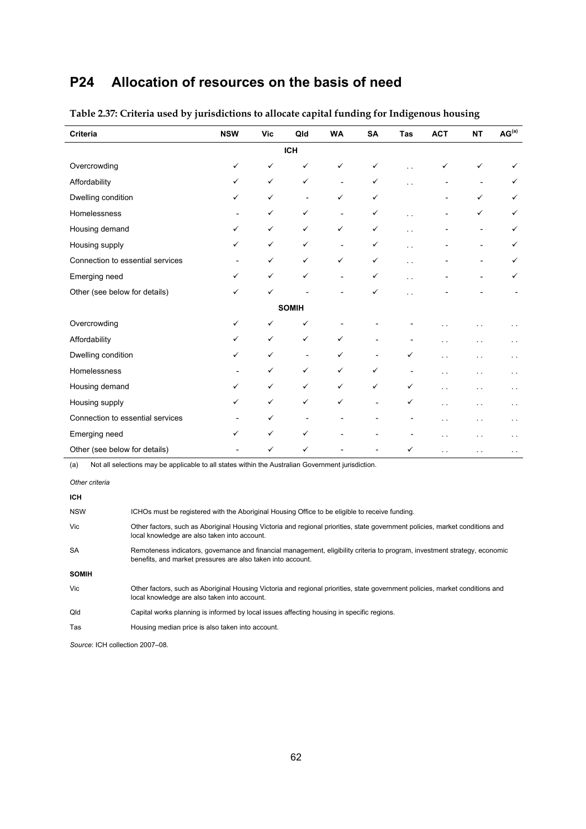## **P24 Allocation of resources on the basis of need**

| <b>Criteria</b>                  | <b>NSW</b> | <b>Vic</b>   | Qld                      | <b>WA</b>                | <b>SA</b>                | <b>Tas</b>           | <b>ACT</b>           | <b>NT</b>      | AG <sup>(a)</sup>    |
|----------------------------------|------------|--------------|--------------------------|--------------------------|--------------------------|----------------------|----------------------|----------------|----------------------|
|                                  |            |              | <b>ICH</b>               |                          |                          |                      |                      |                |                      |
| Overcrowding                     | ✓          | ✓            | ✓                        | $\checkmark$             | $\checkmark$             |                      | ✓                    | ✓              |                      |
| Affordability                    | ✓          | ✓            | ✓                        | $\overline{\phantom{a}}$ | $\checkmark$             |                      |                      |                | ✓                    |
| Dwelling condition               | ✓          | $\checkmark$ | $\overline{\phantom{a}}$ | $\checkmark$             | $\checkmark$             |                      |                      | ✓              | ✓                    |
| Homelessness                     |            | ✓            | ✓                        | $\overline{\phantom{a}}$ | $\checkmark$             | $\ddot{\phantom{1}}$ |                      | ✓              | ✓                    |
| Housing demand                   | ✓          | $\checkmark$ | ✓                        | $\checkmark$             | $\checkmark$             | $\sim$               |                      |                | ✓                    |
| Housing supply                   | ✓          | $\checkmark$ | ✓                        | $\overline{\phantom{a}}$ | ✓                        | . .                  |                      |                | ✓                    |
| Connection to essential services |            | ✓            | ✓                        | $\checkmark$             | $\checkmark$             | . .                  |                      |                | ✓                    |
| Emerging need                    | ✓          | ✓            | ✓                        | $\overline{\phantom{a}}$ | $\checkmark$             | . .                  |                      | $\overline{a}$ | ✓                    |
| Other (see below for details)    | ✓          | $\checkmark$ |                          |                          | ✓                        |                      |                      |                |                      |
|                                  |            |              | <b>SOMIH</b>             |                          |                          |                      |                      |                |                      |
| Overcrowding                     | ✓          | ✓            | ✓                        |                          |                          |                      |                      |                |                      |
| Affordability                    | ✓          | $\checkmark$ | ✓                        | $\checkmark$             | $\overline{\phantom{0}}$ |                      |                      |                | $\ddot{\phantom{0}}$ |
| Dwelling condition               | ✓          | $\checkmark$ | $\overline{\phantom{a}}$ | ✓                        | $\overline{\phantom{a}}$ | ✓                    | $\ddot{\phantom{1}}$ | . .            | г.                   |
| Homelessness                     |            | ✓            | ✓                        | $\checkmark$             | $\checkmark$             |                      |                      |                | г.                   |
| Housing demand                   | ✓          | $\checkmark$ | ✓                        | $\checkmark$             | $\checkmark$             | ✓                    | . .                  |                | $\ddot{\phantom{1}}$ |
| Housing supply                   | ✓          | $\checkmark$ | ✓                        | $\checkmark$             | $\overline{\phantom{a}}$ | ✓                    |                      |                | г.                   |
| Connection to essential services |            | ✓            | $\overline{\phantom{a}}$ |                          |                          |                      | . .                  | . .            | $\ddot{\phantom{1}}$ |
| Emerging need                    | ✓          | $\checkmark$ | ✓                        |                          |                          |                      |                      |                | . .                  |
| Other (see below for details)    |            | ✓            | ✓                        |                          |                          | ✓                    | . .                  | . .            | $\ddot{\phantom{1}}$ |

### **Table 2.37: Criteria used by jurisdictions to allocate capital funding for Indigenous housing**

(a) Not all selections may be applicable to all states within the Australian Government jurisdiction.

| Other criteria |
|----------------|
|                |

| ICH.         |                                                                                                                                                                                           |
|--------------|-------------------------------------------------------------------------------------------------------------------------------------------------------------------------------------------|
| <b>NSW</b>   | ICHOs must be registered with the Aboriginal Housing Office to be eligible to receive funding.                                                                                            |
| Vic          | Other factors, such as Aboriginal Housing Victoria and regional priorities, state government policies, market conditions and<br>local knowledge are also taken into account.              |
| <b>SA</b>    | Remoteness indicators, governance and financial management, eligibility criteria to program, investment strategy, economic<br>benefits, and market pressures are also taken into account. |
| <b>SOMIH</b> |                                                                                                                                                                                           |
| Vic          | Other factors, such as Aboriginal Housing Victoria and regional priorities, state government policies, market conditions and<br>local knowledge are also taken into account.              |
| Qld          | Capital works planning is informed by local issues affecting housing in specific regions.                                                                                                 |
| Tas          | Housing median price is also taken into account.                                                                                                                                          |

*Source*: ICH collection 2007–08.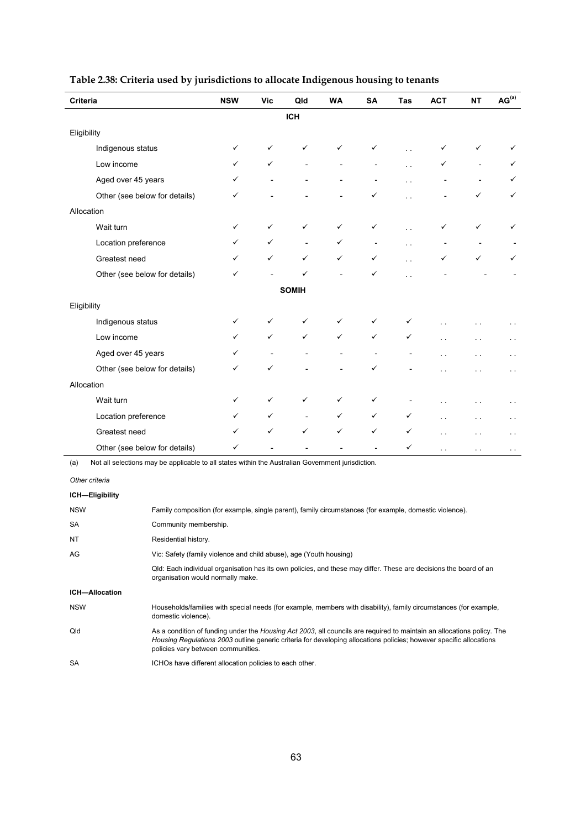| Criteria                                                                                                              | <b>NSW</b>   | <b>Vic</b> | Qld          | <b>WA</b> | <b>SA</b>      | Tas    | <b>ACT</b> | <b>NT</b> | AG <sup>(a)</sup> |
|-----------------------------------------------------------------------------------------------------------------------|--------------|------------|--------------|-----------|----------------|--------|------------|-----------|-------------------|
|                                                                                                                       |              |            | <b>ICH</b>   |           |                |        |            |           |                   |
| Eligibility                                                                                                           |              |            |              |           |                |        |            |           |                   |
| Indigenous status                                                                                                     | ✓            | ✓          |              | ✓         | ✓              |        | ✓          | ✓         |                   |
| Low income                                                                                                            | ✓            | ✓          |              |           |                |        |            |           | ✓                 |
| Aged over 45 years                                                                                                    | $\checkmark$ |            |              |           |                |        |            |           | ✓                 |
| Other (see below for details)                                                                                         | ✓            |            |              |           | ✓              | $\sim$ |            | ✓         | ✓                 |
| Allocation                                                                                                            |              |            |              |           |                |        |            |           |                   |
| Wait turn                                                                                                             | ✓            | ✓          | ✓            | ✓         | ✓              | $\sim$ | ✓          | ✓         | ✓                 |
| Location preference                                                                                                   | ✓            | ✓          |              | ✓         | $\centerdot$   |        |            |           |                   |
| Greatest need                                                                                                         | ✓            | ✓          | ✓            | ✓         | ✓              |        | ✓          |           | ✓                 |
| Other (see below for details)                                                                                         | ✓            |            | ✓            |           | ✓              |        |            |           |                   |
|                                                                                                                       |              |            | <b>SOMIH</b> |           |                |        |            |           |                   |
| Eligibility                                                                                                           |              |            |              |           |                |        |            |           |                   |
| Indigenous status                                                                                                     | $\checkmark$ | ✓          | ✓            | ✓         | ✓              | ✓      |            |           |                   |
| Low income                                                                                                            | ✓            | ✓          | ✓            | ✓         | ✓              | ✓      |            |           |                   |
| Aged over 45 years                                                                                                    | ✓            |            |              |           |                |        |            |           | $\sim$            |
| Other (see below for details)                                                                                         | ✓            | ✓          |              |           | ✓              |        |            |           | $\sim$            |
| Allocation                                                                                                            |              |            |              |           |                |        |            |           |                   |
| Wait turn                                                                                                             | ✓            | ✓          | ✓            | ✓         | ✓              |        |            |           | $\ddotsc$         |
| Location preference                                                                                                   | ✓            | ✓          |              | ✓         | ✓              | ✓      |            |           | $\ddotsc$         |
| Greatest need                                                                                                         | ✓            | ✓          | ✓            | ✓         | ✓              | ✓      |            |           | $\sim$            |
| Other (see below for details)                                                                                         | ✓            |            |              |           | $\overline{a}$ | ✓      | . .        |           |                   |
| Not all selections may be applicable to all states within the Australian Government jurisdiction.<br>(a)              |              |            |              |           |                |        |            |           |                   |
| Other criteria                                                                                                        |              |            |              |           |                |        |            |           |                   |
| ICH-Eligibility                                                                                                       |              |            |              |           |                |        |            |           |                   |
| <b>NSW</b><br>Family composition (for example, single parent), family circumstances (for example, domestic violence). |              |            |              |           |                |        |            |           |                   |
| SА<br>Community membership.                                                                                           |              |            |              |           |                |        |            |           |                   |

### **Table 2.38: Criteria used by jurisdictions to allocate Indigenous housing to tenants**

| <b>NSW</b>            | Family composition (for example, single parent), family circumstances (for example, domestic violence).                                                                                                                                                                             |
|-----------------------|-------------------------------------------------------------------------------------------------------------------------------------------------------------------------------------------------------------------------------------------------------------------------------------|
| <b>SA</b>             | Community membership.                                                                                                                                                                                                                                                               |
| <b>NT</b>             | Residential history.                                                                                                                                                                                                                                                                |
| AG                    | Vic: Safety (family violence and child abuse), age (Youth housing)                                                                                                                                                                                                                  |
|                       | Qld: Each individual organisation has its own policies, and these may differ. These are decisions the board of an<br>organisation would normally make.                                                                                                                              |
| <b>ICH-Allocation</b> |                                                                                                                                                                                                                                                                                     |
| <b>NSW</b>            | Households/families with special needs (for example, members with disability), family circumstances (for example,<br>domestic violence).                                                                                                                                            |
| Qld                   | As a condition of funding under the Housing Act 2003, all councils are required to maintain an allocations policy. The<br>Housing Regulations 2003 outline generic criteria for developing allocations policies; however specific allocations<br>policies vary between communities. |
| <b>SA</b>             | ICHOs have different allocation policies to each other.                                                                                                                                                                                                                             |
|                       |                                                                                                                                                                                                                                                                                     |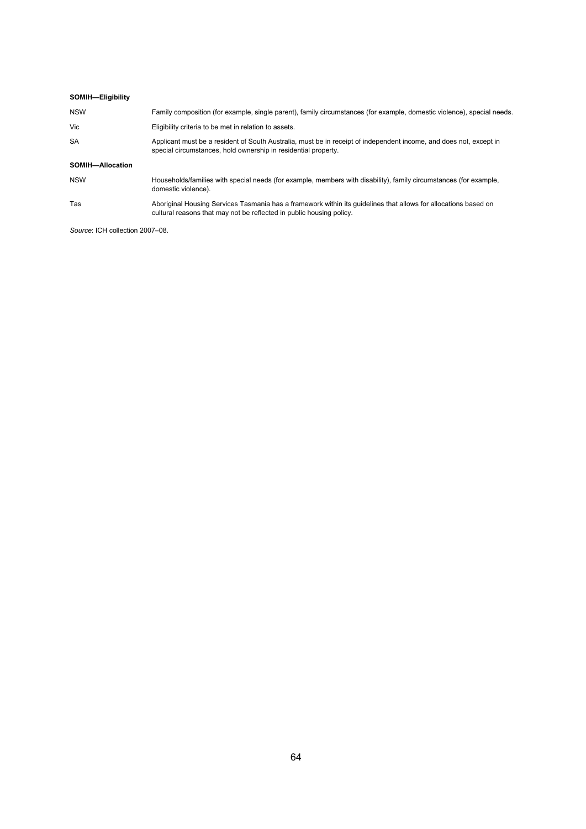| SOMIH-Eligibility |                                                                                                                                                                                         |
|-------------------|-----------------------------------------------------------------------------------------------------------------------------------------------------------------------------------------|
| <b>NSW</b>        | Family composition (for example, single parent), family circumstances (for example, domestic violence), special needs.                                                                  |
| Vic               | Eligibility criteria to be met in relation to assets.                                                                                                                                   |
| <b>SA</b>         | Applicant must be a resident of South Australia, must be in receipt of independent income, and does not, except in<br>special circumstances, hold ownership in residential property.    |
| SOMIH-Allocation  |                                                                                                                                                                                         |
| <b>NSW</b>        | Households/families with special needs (for example, members with disability), family circumstances (for example,<br>domestic violence).                                                |
| Tas               | Aboriginal Housing Services Tasmania has a framework within its quidelines that allows for allocations based on<br>cultural reasons that may not be reflected in public housing policy. |

*Source*: ICH collection 2007–08.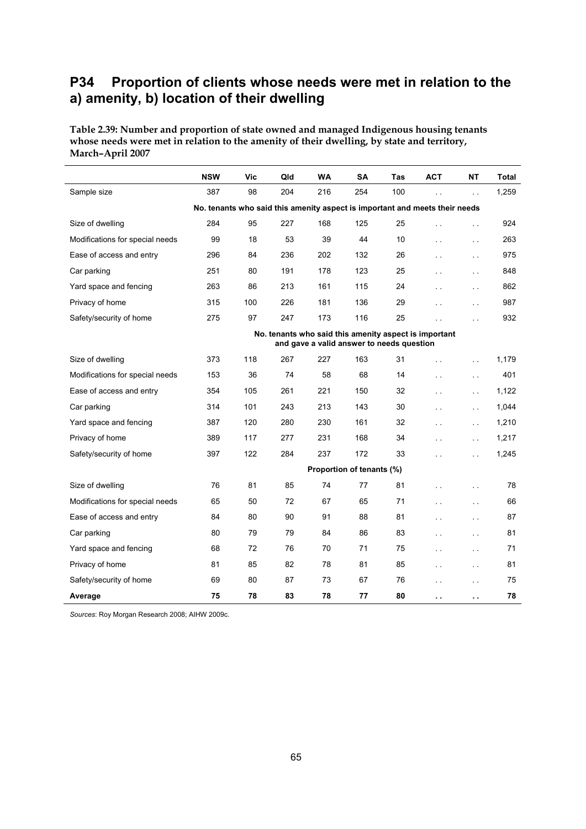### **P34 Proportion of clients whose needs were met in relation to the a) amenity, b) location of their dwelling**

**Table 2.39: Number and proportion of state owned and managed Indigenous housing tenants whose needs were met in relation to the amenity of their dwelling, by state and territory, March–April 2007** 

|                                                                             | <b>NSW</b>                                                                                         | Vic | Qld | <b>WA</b> | <b>SA</b> | Tas | <b>ACT</b>           | NΤ                   | Total |  |  |  |
|-----------------------------------------------------------------------------|----------------------------------------------------------------------------------------------------|-----|-----|-----------|-----------|-----|----------------------|----------------------|-------|--|--|--|
| Sample size                                                                 | 387                                                                                                | 98  | 204 | 216       | 254       | 100 | г.                   | $\ddot{\phantom{a}}$ | 1,259 |  |  |  |
| No. tenants who said this amenity aspect is important and meets their needs |                                                                                                    |     |     |           |           |     |                      |                      |       |  |  |  |
| Size of dwelling                                                            | 284                                                                                                | 95  | 227 | 168       | 125       | 25  | $\ddot{\phantom{a}}$ | i.                   | 924   |  |  |  |
| Modifications for special needs                                             | 99                                                                                                 | 18  | 53  | 39        | 44        | 10  | $\ddot{\phantom{a}}$ | $\ddot{\phantom{a}}$ | 263   |  |  |  |
| Ease of access and entry                                                    | 296                                                                                                | 84  | 236 | 202       | 132       | 26  | $\sim$               | i.                   | 975   |  |  |  |
| Car parking                                                                 | 251                                                                                                | 80  | 191 | 178       | 123       | 25  | $\sim$ $\sim$        | $\ddot{\phantom{a}}$ | 848   |  |  |  |
| Yard space and fencing                                                      | 263                                                                                                | 86  | 213 | 161       | 115       | 24  | $\ddot{\phantom{a}}$ | $\sim$               | 862   |  |  |  |
| Privacy of home                                                             | 315                                                                                                | 100 | 226 | 181       | 136       | 29  | $\ddot{\phantom{a}}$ | $\sim$ $\sim$        | 987   |  |  |  |
| Safety/security of home                                                     | 275                                                                                                | 97  | 247 | 173       | 116       | 25  | $\sim$               | $\ddot{\phantom{a}}$ | 932   |  |  |  |
|                                                                             | No. tenants who said this amenity aspect is important<br>and gave a valid answer to needs question |     |     |           |           |     |                      |                      |       |  |  |  |
| Size of dwelling                                                            | 373                                                                                                | 118 | 267 | 227       | 163       | 31  | $\sim$ $\sim$        | $\sim$               | 1,179 |  |  |  |
| Modifications for special needs                                             | 153                                                                                                | 36  | 74  | 58        | 68        | 14  | $\sim$ $\sim$        | $\sim$ .             | 401   |  |  |  |
| Ease of access and entry                                                    | 354                                                                                                | 105 | 261 | 221       | 150       | 32  | $\ddot{\phantom{a}}$ | $\ddot{\phantom{a}}$ | 1,122 |  |  |  |
| Car parking                                                                 | 314                                                                                                | 101 | 243 | 213       | 143       | 30  | $\sim$ $\sim$        | $\sim$               | 1,044 |  |  |  |
| Yard space and fencing                                                      | 387                                                                                                | 120 | 280 | 230       | 161       | 32  | $\sim$ $\sim$        | $\sim$               | 1,210 |  |  |  |
| Privacy of home                                                             | 389                                                                                                | 117 | 277 | 231       | 168       | 34  | $\sim$               | $\sim$               | 1,217 |  |  |  |
| Safety/security of home                                                     | 397                                                                                                | 122 | 284 | 237       | 172       | 33  | $\sim$ $\sim$        | $\sim$ $\sim$        | 1,245 |  |  |  |
|                                                                             | Proportion of tenants (%)                                                                          |     |     |           |           |     |                      |                      |       |  |  |  |
| Size of dwelling                                                            | 76                                                                                                 | 81  | 85  | 74        | 77        | 81  | $\sim$               | i.                   | 78    |  |  |  |
| Modifications for special needs                                             | 65                                                                                                 | 50  | 72  | 67        | 65        | 71  | $\ddot{\phantom{a}}$ | i.                   | 66    |  |  |  |
| Ease of access and entry                                                    | 84                                                                                                 | 80  | 90  | 91        | 88        | 81  | $\ddot{\phantom{a}}$ | $\sim$               | 87    |  |  |  |
| Car parking                                                                 | 80                                                                                                 | 79  | 79  | 84        | 86        | 83  | $\sim$ $\sim$        | $\ddot{\phantom{0}}$ | 81    |  |  |  |
| Yard space and fencing                                                      | 68                                                                                                 | 72  | 76  | 70        | 71        | 75  | $\sim$ $\sim$        | $\ddot{\phantom{a}}$ | 71    |  |  |  |
| Privacy of home                                                             | 81                                                                                                 | 85  | 82  | 78        | 81        | 85  | $\ddotsc$            | $\ddot{\phantom{1}}$ | 81    |  |  |  |
| Safety/security of home                                                     | 69                                                                                                 | 80  | 87  | 73        | 67        | 76  | $\ddot{\phantom{a}}$ | . .                  | 75    |  |  |  |
| Average                                                                     | 75                                                                                                 | 78  | 83  | 78        | 77        | 80  | $\sim$ $\sim$        | . .                  | 78    |  |  |  |

*Sources*: Roy Morgan Research 2008; AIHW 2009c.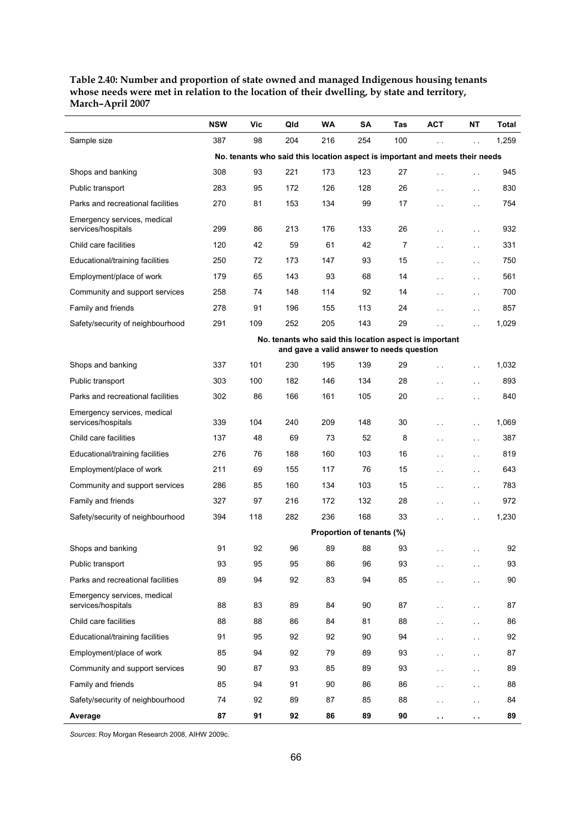**Table 2.40: Number and proportion of state owned and managed Indigenous housing tenants whose needs were met in relation to the location of their dwelling, by state and territory, March–April 2007** 

|                                                   | <b>NSW</b>                                                                                          | Vic | Qld | <b>WA</b> | SΑ  | Tas | ACT                  | NΤ                   | Total |  |  |  |
|---------------------------------------------------|-----------------------------------------------------------------------------------------------------|-----|-----|-----------|-----|-----|----------------------|----------------------|-------|--|--|--|
| Sample size                                       | 387                                                                                                 | 98  | 204 | 216       | 254 | 100 |                      | $\ddot{\phantom{a}}$ | 1,259 |  |  |  |
|                                                   | No. tenants who said this location aspect is important and meets their needs                        |     |     |           |     |     |                      |                      |       |  |  |  |
| Shops and banking                                 | 308                                                                                                 | 93  | 221 | 173       | 123 | 27  | i.                   | $\sim$               | 945   |  |  |  |
| Public transport                                  | 283                                                                                                 | 95  | 172 | 126       | 128 | 26  | ù,                   | $\sim$ $\sim$        | 830   |  |  |  |
| Parks and recreational facilities                 | 270                                                                                                 | 81  | 153 | 134       | 99  | 17  | i.                   | $\sim$ $\sim$        | 754   |  |  |  |
| Emergency services, medical<br>services/hospitals | 299                                                                                                 | 86  | 213 | 176       | 133 | 26  | . .                  | $\sim$ $\sim$        | 932   |  |  |  |
| Child care facilities                             | 120                                                                                                 | 42  | 59  | 61        | 42  | 7   | ùч                   | $\sim$ $\sim$        | 331   |  |  |  |
| Educational/training facilities                   | 250                                                                                                 | 72  | 173 | 147       | 93  | 15  | $\ddot{\phantom{0}}$ | $\sim$ $\sim$        | 750   |  |  |  |
| Employment/place of work                          | 179                                                                                                 | 65  | 143 | 93        | 68  | 14  | . .                  | $\sim$ $\sim$        | 561   |  |  |  |
| Community and support services                    | 258                                                                                                 | 74  | 148 | 114       | 92  | 14  | i.                   | $\sim$ $\sim$        | 700   |  |  |  |
| Family and friends                                | 278                                                                                                 | 91  | 196 | 155       | 113 | 24  | i.                   | $\sim$ $\sim$        | 857   |  |  |  |
| Safety/security of neighbourhood                  | 291                                                                                                 | 109 | 252 | 205       | 143 | 29  | i.                   | $\ddot{\phantom{a}}$ | 1,029 |  |  |  |
|                                                   | No. tenants who said this location aspect is important<br>and gave a valid answer to needs question |     |     |           |     |     |                      |                      |       |  |  |  |
| Shops and banking                                 | 337                                                                                                 | 101 | 230 | 195       | 139 | 29  | ù,                   | $\sim$ $\sim$        | 1,032 |  |  |  |
| Public transport                                  | 303                                                                                                 | 100 | 182 | 146       | 134 | 28  | $\sim$               | $\sim$ $\sim$        | 893   |  |  |  |
| Parks and recreational facilities                 | 302                                                                                                 | 86  | 166 | 161       | 105 | 20  | i.                   | $\ddot{\phantom{a}}$ | 840   |  |  |  |
| Emergency services, medical                       |                                                                                                     |     |     |           |     |     |                      |                      |       |  |  |  |
| services/hospitals                                | 339                                                                                                 | 104 | 240 | 209       | 148 | 30  | $\ddot{\phantom{0}}$ | $\sim$ $\sim$        | 1,069 |  |  |  |
| Child care facilities                             | 137                                                                                                 | 48  | 69  | 73        | 52  | 8   | $\sim$               | $\sim$ $\sim$        | 387   |  |  |  |
| Educational/training facilities                   | 276                                                                                                 | 76  | 188 | 160       | 103 | 16  | . .                  | $\sim$ $\sim$        | 819   |  |  |  |
| Employment/place of work                          | 211                                                                                                 | 69  | 155 | 117       | 76  | 15  | ù,                   | $\sim$ $\sim$        | 643   |  |  |  |
| Community and support services                    | 286                                                                                                 | 85  | 160 | 134       | 103 | 15  | $\mathbf{r}$         | $\sim$ $\sim$        | 783   |  |  |  |
| Family and friends                                | 327                                                                                                 | 97  | 216 | 172       | 132 | 28  | . .                  | $\sim$ $\sim$        | 972   |  |  |  |
| Safety/security of neighbourhood                  | 394                                                                                                 | 118 | 282 | 236       | 168 | 33  | . .                  | $\sim$ $\sim$        | 1,230 |  |  |  |
|                                                   | Proportion of tenants (%)                                                                           |     |     |           |     |     |                      |                      |       |  |  |  |
| Shops and banking                                 | 91                                                                                                  | 92  | 96  | 89        | 88  | 93  | μ.                   |                      | 92    |  |  |  |
| Public transport                                  | 93                                                                                                  | 95  | 95  | 86        | 96  | 93  | . .                  | $\sim$               | 93    |  |  |  |
| Parks and recreational facilities                 | 89                                                                                                  | 94  | 92  | 83        | 94  | 85  | i.                   | $\sim$ $\sim$        | 90    |  |  |  |
| Emergency services, medical<br>services/hospitals | 88                                                                                                  | 83  | 89  | 84        | 90  | 87  | ù,                   | $\sim$ $\sim$        | 87    |  |  |  |
| Child care facilities                             | 88                                                                                                  | 88  | 86  | 84        | 81  | 88  | $\sim$               | $\sim$ .             | 86    |  |  |  |
| Educational/training facilities                   | 91                                                                                                  | 95  | 92  | 92        | 90  | 94  | . .                  | $\sim$ $\sim$        | 92    |  |  |  |
| Employment/place of work                          | 85                                                                                                  | 94  | 92  | 79        | 89  | 93  | ù,                   | $\sim$ $\sim$        | 87    |  |  |  |
| Community and support services                    | 90                                                                                                  | 87  | 93  | 85        | 89  | 93  | $\sim$               | $\sim$ $\sim$        | 89    |  |  |  |
| Family and friends                                | 85                                                                                                  | 94  | 91  | 90        | 86  | 86  |                      | $\sim$ $\sim$        | 88    |  |  |  |
| Safety/security of neighbourhood                  | 74                                                                                                  | 92  | 89  | 87        | 85  | 88  | . .                  | $\sim$               | 84    |  |  |  |
| Average                                           | 87                                                                                                  | 91  | 92  | 86        | 89  | 90  |                      |                      | 89    |  |  |  |

*Sources*: Roy Morgan Research 2008, AIHW 2009c.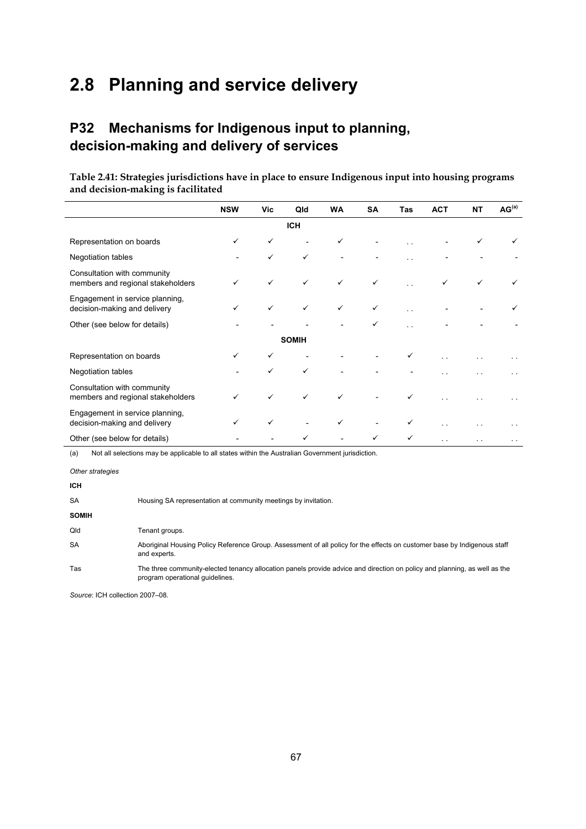# **2.8 Planning and service delivery**

# **P32 Mechanisms for Indigenous input to planning, decision-making and delivery of services**

**Table 2.41: Strategies jurisdictions have in place to ensure Indigenous input into housing programs and decision-making is facilitated** 

|                                                                  | <b>NSW</b> | Vic          | Qld                      | WA           | SA           | Tas                  | <b>ACT</b>    | NT | AG <sup>(a)</sup> |
|------------------------------------------------------------------|------------|--------------|--------------------------|--------------|--------------|----------------------|---------------|----|-------------------|
|                                                                  |            |              | <b>ICH</b>               |              |              |                      |               |    |                   |
| Representation on boards                                         | ✓          | ✓            |                          | $\checkmark$ |              |                      |               | ✓  |                   |
| Negotiation tables                                               |            | $\checkmark$ | $\checkmark$             |              |              |                      |               |    |                   |
| Consultation with community<br>members and regional stakeholders |            | $\checkmark$ | $\checkmark$             | $\checkmark$ | $\checkmark$ |                      | ✓             | ✓  |                   |
| Engagement in service planning,<br>decision-making and delivery  | ✓          | $\checkmark$ | $\checkmark$             | $\checkmark$ | $\checkmark$ |                      |               |    |                   |
| Other (see below for details)                                    |            |              |                          |              | ✓            | $\ddot{\phantom{1}}$ |               |    |                   |
|                                                                  |            |              | <b>SOMIH</b>             |              |              |                      |               |    |                   |
| Representation on boards                                         |            | ✓            |                          |              |              | ✓                    |               |    |                   |
| Negotiation tables                                               |            |              | $\checkmark$             |              |              |                      |               |    |                   |
| Consultation with community<br>members and regional stakeholders |            | $\checkmark$ | $\checkmark$             | $\checkmark$ |              | ✓                    |               |    |                   |
| Engagement in service planning,<br>decision-making and delivery  | ✓          | $\checkmark$ | $\overline{\phantom{a}}$ | $\checkmark$ |              | ✓                    | $\sim$ $\sim$ |    | $\sim$ $\sim$     |
| Other (see below for details)                                    |            |              |                          |              | $\checkmark$ | ✓                    |               |    | $\sim$ $\sim$     |

(a) Not all selections may be applicable to all states within the Australian Government jurisdiction.

*Other strategies* 

| <b>ICH</b>   |                                                                                                                                                              |
|--------------|--------------------------------------------------------------------------------------------------------------------------------------------------------------|
| <b>SA</b>    | Housing SA representation at community meetings by invitation.                                                                                               |
| <b>SOMIH</b> |                                                                                                                                                              |
| Qld          | Tenant groups.                                                                                                                                               |
| <b>SA</b>    | Aboriginal Housing Policy Reference Group. Assessment of all policy for the effects on customer base by Indigenous staff<br>and experts.                     |
| Tas          | The three community-elected tenancy allocation panels provide advice and direction on policy and planning, as well as the<br>program operational quidelines. |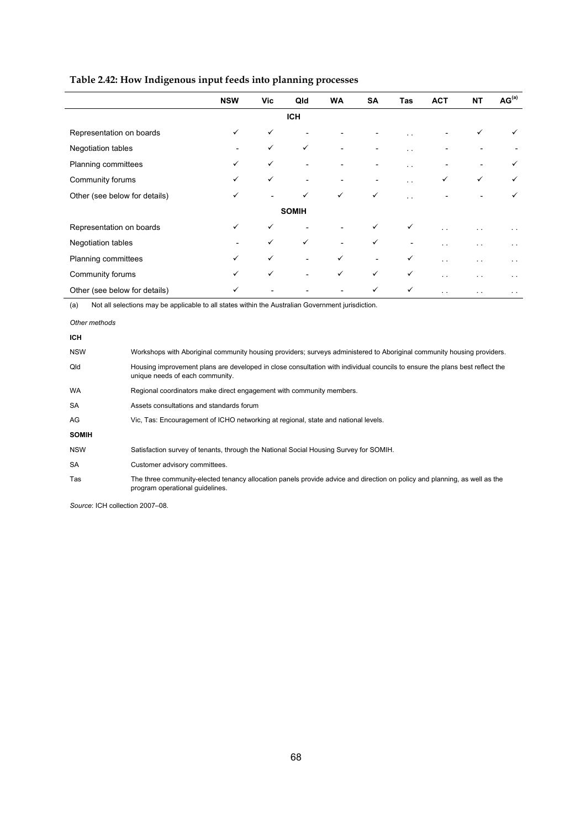| Table 2.42: How Indigenous input feeds into planning processes |
|----------------------------------------------------------------|
|                                                                |

|                               | <b>NSW</b>   | Vic          | Qld                      | <b>WA</b>                | SA                       | <b>Tas</b>           | <b>ACT</b>               | <b>NT</b>            | AG <sup>(a)</sup> |
|-------------------------------|--------------|--------------|--------------------------|--------------------------|--------------------------|----------------------|--------------------------|----------------------|-------------------|
|                               |              |              | <b>ICH</b>               |                          |                          |                      |                          |                      |                   |
| Representation on boards      | $\checkmark$ | ✓            |                          |                          |                          |                      | $\overline{\phantom{0}}$ | ✓                    | ✓                 |
| Negotiation tables            |              | $\checkmark$ | $\checkmark$             | $\overline{\phantom{0}}$ |                          | . .                  |                          |                      |                   |
| Planning committees           | $\checkmark$ | $\checkmark$ | $\overline{a}$           |                          | ۰                        | $\ddot{\phantom{0}}$ |                          |                      | ✓                 |
| Community forums              | $\checkmark$ | $\checkmark$ | $\overline{a}$           |                          |                          |                      | ✓                        | ✓                    | ✓                 |
| Other (see below for details) | ✓            |              | ✓                        | $\checkmark$             | $\checkmark$             | $\ddot{\phantom{1}}$ |                          |                      | ✓                 |
|                               |              |              | <b>SOMIH</b>             |                          |                          |                      |                          |                      |                   |
| Representation on boards      | $\checkmark$ | $\checkmark$ |                          |                          | $\checkmark$             | $\checkmark$         |                          |                      |                   |
| Negotiation tables            |              | $\checkmark$ | $\checkmark$             | $\overline{\phantom{a}}$ | $\checkmark$             |                      | $\sim$                   | $\ddot{\phantom{1}}$ | $\sim$ $\sim$     |
| Planning committees           | $\checkmark$ | $\checkmark$ | $\overline{\phantom{a}}$ | ✓                        | $\overline{\phantom{a}}$ | $\checkmark$         | $\sim$ $\sim$            |                      | $\sim$ $\sim$     |
| Community forums              | ✓            | $\checkmark$ | $\overline{\phantom{a}}$ | $\checkmark$             | $\checkmark$             | $\checkmark$         | $\sim$ $\sim$            |                      | $\sim$ $\sim$     |
| Other (see below for details) | ✓            |              |                          |                          | $\checkmark$             | $\checkmark$         | $\sim$ $\sim$            | $\ddot{\phantom{1}}$ | $\sim$ $\sim$     |

(a) Not all selections may be applicable to all states within the Australian Government jurisdiction.

**ICH** 

| יישו         |                                                                                                                                                                |
|--------------|----------------------------------------------------------------------------------------------------------------------------------------------------------------|
| <b>NSW</b>   | Workshops with Aboriginal community housing providers; surveys administered to Aboriginal community housing providers.                                         |
| Qld          | Housing improvement plans are developed in close consultation with individual councils to ensure the plans best reflect the<br>unique needs of each community. |
| <b>WA</b>    | Regional coordinators make direct engagement with community members.                                                                                           |
| <b>SA</b>    | Assets consultations and standards forum                                                                                                                       |
| AG           | Vic, Tas: Encouragement of ICHO networking at regional, state and national levels.                                                                             |
| <b>SOMIH</b> |                                                                                                                                                                |
| <b>NSW</b>   | Satisfaction survey of tenants, through the National Social Housing Survey for SOMIH.                                                                          |
| <b>SA</b>    | Customer advisory committees.                                                                                                                                  |
| Tas          | The three community-elected tenancy allocation panels provide advice and direction on policy and planning, as well as the<br>program operational quidelines.   |

*Other methods*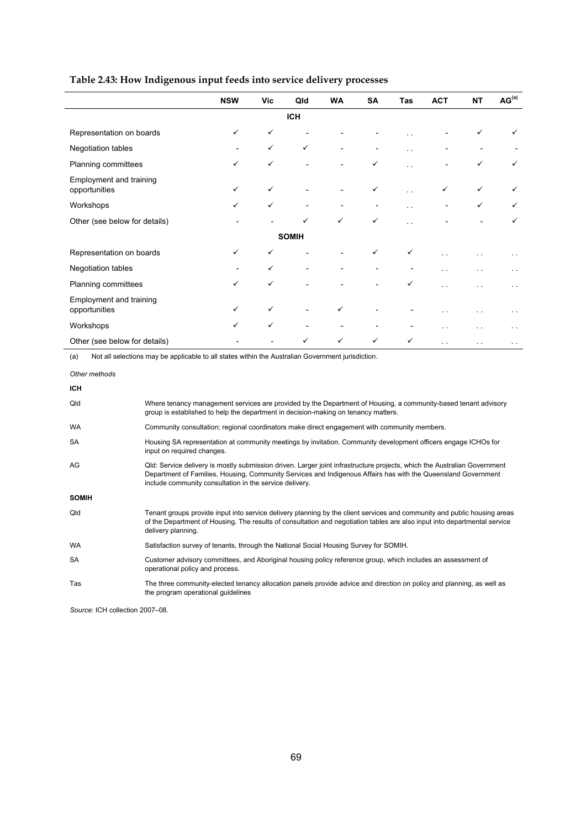#### **Table 2.43: How Indigenous input feeds into service delivery processes**

|                                          | <b>NSW</b> | <b>Vic</b>   | Qld                          | <b>WA</b>    | SA                       | Tas                  | <b>ACT</b>   | <b>NT</b> | AG <sup>(a)</sup>    |
|------------------------------------------|------------|--------------|------------------------------|--------------|--------------------------|----------------------|--------------|-----------|----------------------|
|                                          |            |              | <b>ICH</b>                   |              |                          |                      |              |           |                      |
| Representation on boards                 | ✓          | $\checkmark$ |                              |              |                          |                      |              | ✓         | ✓                    |
| Negotiation tables                       |            | $\checkmark$ | $\checkmark$                 |              |                          | $\sim$ $\sim$        |              |           |                      |
| Planning committees                      | ✓          | $\checkmark$ |                              |              | $\checkmark$             |                      |              | ✓         | ✓                    |
| Employment and training<br>opportunities | ✓          | $\checkmark$ | $\overline{\phantom{0}}$     |              | $\checkmark$             | . .                  | $\checkmark$ | ✓         | $\checkmark$         |
| Workshops                                | ✓          | $\checkmark$ | $\qquad \qquad \blacksquare$ |              |                          | $\ddot{\phantom{0}}$ |              | ✓         | ✓                    |
| Other (see below for details)            |            |              | $\checkmark$                 | $\checkmark$ | $\checkmark$             | . .                  |              |           | ✓                    |
|                                          |            |              | <b>SOMIH</b>                 |              |                          |                      |              |           |                      |
| Representation on boards                 | ✓          | $\checkmark$ |                              |              | $\checkmark$             | ✓                    |              |           | $\ddot{\phantom{1}}$ |
| Negotiation tables                       |            | $\checkmark$ | $\overline{a}$               |              |                          |                      |              |           | $\ddot{\phantom{1}}$ |
| Planning committees                      | ✓          | ✓            | $\overline{a}$               |              |                          | ✓                    |              |           | $\ddot{\phantom{1}}$ |
| Employment and training<br>opportunities | ✓          | $\checkmark$ |                              | $\checkmark$ |                          |                      |              |           | $\ddot{\phantom{1}}$ |
| Workshops                                | ✓          | $\checkmark$ | $\overline{\phantom{a}}$     |              | $\overline{\phantom{0}}$ |                      |              | . .       | $\ddot{\phantom{1}}$ |
| Other (see below for details)            |            |              | ✓                            | $\checkmark$ | $\checkmark$             | $\checkmark$         | . .          | . .       | $\sim$ $\sim$        |

(a) Not all selections may be applicable to all states within the Australian Government jurisdiction.

*Other methods*  **ICH**  Qld Where tenancy management services are provided by the Department of Housing, a community-based tenant advisory group is established to help the department in decision-making on tenancy matters. WA Community consultation; regional coordinators make direct engagement with community members. SA Housing SA representation at community meetings by invitation. Community development officers engage ICHOs for input on required changes. AG Qld: Service delivery is mostly submission driven. Larger joint infrastructure projects, which the Australian Government Department of Families, Housing, Community Services and Indigenous Affairs has with the Queensland Government include community consultation in the service delivery. **SOMIH**  Qld Tenant groups provide input into service delivery planning by the client services and community and public housing areas of the Department of Housing. The results of consultation and negotiation tables are also input into departmental service delivery planning. WA Satisfaction survey of tenants, through the National Social Housing Survey for SOMIH. SA Customer advisory committees, and Aboriginal housing policy reference group, which includes an assessment of operational policy and process. Tas The three community-elected tenancy allocation panels provide advice and direction on policy and planning, as well as the program operational guidelines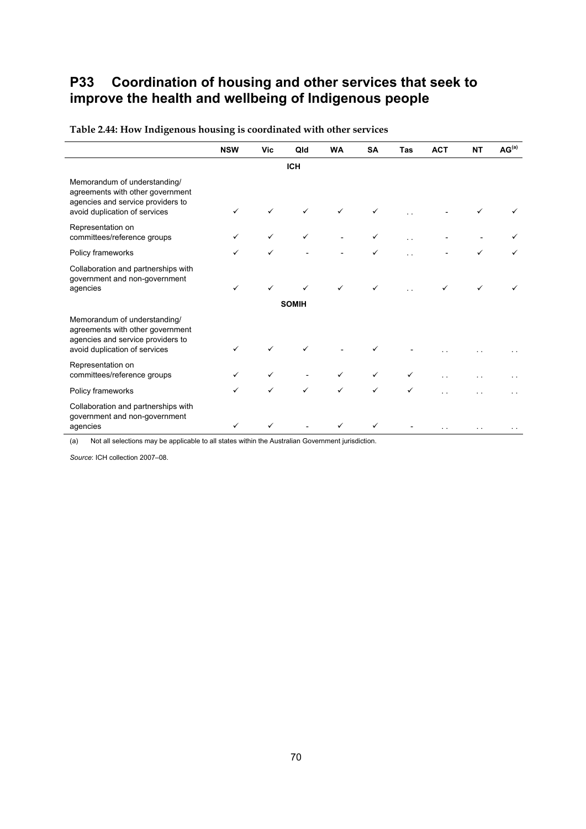# **P33 Coordination of housing and other services that seek to improve the health and wellbeing of Indigenous people**

|                                                                                                                                        | <b>NSW</b> | Vic          | Qld               | <b>WA</b>    | <b>SA</b>    | Tas | <b>ACT</b> | <b>NT</b> | AG <sup>(a)</sup> |
|----------------------------------------------------------------------------------------------------------------------------------------|------------|--------------|-------------------|--------------|--------------|-----|------------|-----------|-------------------|
|                                                                                                                                        |            |              | <b>ICH</b>        |              |              |     |            |           |                   |
| Memorandum of understanding/<br>agreements with other government<br>agencies and service providers to<br>avoid duplication of services |            |              |                   | $\checkmark$ | ✓            |     |            |           |                   |
| Representation on<br>committees/reference groups                                                                                       | ✓          | $\checkmark$ | ✓                 |              |              |     |            |           |                   |
| Policy frameworks                                                                                                                      | ✓          | $\checkmark$ |                   |              |              |     |            |           |                   |
| Collaboration and partnerships with<br>government and non-government<br>agencies                                                       | ✓          | ✓            | ✓<br><b>SOMIH</b> | $\checkmark$ | ✓            |     |            |           |                   |
| Memorandum of understanding/<br>agreements with other government<br>agencies and service providers to<br>avoid duplication of services |            |              |                   |              |              |     |            |           |                   |
| Representation on<br>committees/reference groups                                                                                       |            |              |                   | $\checkmark$ | $\checkmark$ |     |            |           |                   |
| Policy frameworks                                                                                                                      | ✓          | $\checkmark$ | ✓                 | $\checkmark$ | $\checkmark$ | ✓   |            |           |                   |
| Collaboration and partnerships with<br>government and non-government<br>agencies                                                       | ✓          | ✓            |                   | $\checkmark$ | ✓            |     |            |           |                   |

**Table 2.44: How Indigenous housing is coordinated with other services** 

(a) Not all selections may be applicable to all states within the Australian Government jurisdiction.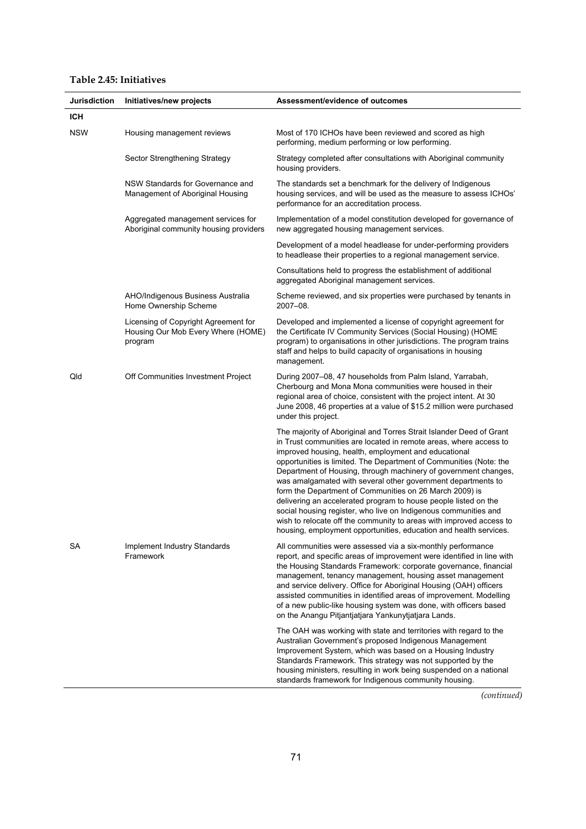#### **Table 2.45: Initiatives**

| Jurisdiction | Initiatives/new projects                                                              | Assessment/evidence of outcomes                                                                                                                                                                                                                                                                                                                                                                                                                                                                                                                                                                                                                                                                                                                        |
|--------------|---------------------------------------------------------------------------------------|--------------------------------------------------------------------------------------------------------------------------------------------------------------------------------------------------------------------------------------------------------------------------------------------------------------------------------------------------------------------------------------------------------------------------------------------------------------------------------------------------------------------------------------------------------------------------------------------------------------------------------------------------------------------------------------------------------------------------------------------------------|
| <b>ICH</b>   |                                                                                       |                                                                                                                                                                                                                                                                                                                                                                                                                                                                                                                                                                                                                                                                                                                                                        |
| <b>NSW</b>   | Housing management reviews                                                            | Most of 170 ICHOs have been reviewed and scored as high<br>performing, medium performing or low performing.                                                                                                                                                                                                                                                                                                                                                                                                                                                                                                                                                                                                                                            |
|              | Sector Strengthening Strategy                                                         | Strategy completed after consultations with Aboriginal community<br>housing providers.                                                                                                                                                                                                                                                                                                                                                                                                                                                                                                                                                                                                                                                                 |
|              | NSW Standards for Governance and<br>Management of Aboriginal Housing                  | The standards set a benchmark for the delivery of Indigenous<br>housing services, and will be used as the measure to assess ICHOs'<br>performance for an accreditation process.                                                                                                                                                                                                                                                                                                                                                                                                                                                                                                                                                                        |
|              | Aggregated management services for<br>Aboriginal community housing providers          | Implementation of a model constitution developed for governance of<br>new aggregated housing management services.                                                                                                                                                                                                                                                                                                                                                                                                                                                                                                                                                                                                                                      |
|              |                                                                                       | Development of a model headlease for under-performing providers<br>to headlease their properties to a regional management service.                                                                                                                                                                                                                                                                                                                                                                                                                                                                                                                                                                                                                     |
|              |                                                                                       | Consultations held to progress the establishment of additional<br>aggregated Aboriginal management services.                                                                                                                                                                                                                                                                                                                                                                                                                                                                                                                                                                                                                                           |
|              | AHO/Indigenous Business Australia<br>Home Ownership Scheme                            | Scheme reviewed, and six properties were purchased by tenants in<br>2007-08.                                                                                                                                                                                                                                                                                                                                                                                                                                                                                                                                                                                                                                                                           |
|              | Licensing of Copyright Agreement for<br>Housing Our Mob Every Where (HOME)<br>program | Developed and implemented a license of copyright agreement for<br>the Certificate IV Community Services (Social Housing) (HOME<br>program) to organisations in other jurisdictions. The program trains<br>staff and helps to build capacity of organisations in housing<br>management.                                                                                                                                                                                                                                                                                                                                                                                                                                                                 |
| Qld          | Off Communities Investment Project                                                    | During 2007-08, 47 households from Palm Island, Yarrabah,<br>Cherbourg and Mona Mona communities were housed in their<br>regional area of choice, consistent with the project intent. At 30<br>June 2008, 46 properties at a value of \$15.2 million were purchased<br>under this project.                                                                                                                                                                                                                                                                                                                                                                                                                                                             |
|              |                                                                                       | The majority of Aboriginal and Torres Strait Islander Deed of Grant<br>in Trust communities are located in remote areas, where access to<br>improved housing, health, employment and educational<br>opportunities is limited. The Department of Communities (Note: the<br>Department of Housing, through machinery of government changes,<br>was amalgamated with several other government departments to<br>form the Department of Communities on 26 March 2009) is<br>delivering an accelerated program to house people listed on the<br>social housing register, who live on Indigenous communities and<br>wish to relocate off the community to areas with improved access to<br>housing, employment opportunities, education and health services. |
| SА           | Implement Industry Standards<br>Framework                                             | All communities were assessed via a six-monthly performance<br>report, and specific areas of improvement were identified in line with<br>the Housing Standards Framework: corporate governance, financial<br>management, tenancy management, housing asset management<br>and service delivery. Office for Aboriginal Housing (OAH) officers<br>assisted communities in identified areas of improvement. Modelling<br>of a new public-like housing system was done, with officers based<br>on the Anangu Pitjantjatjara Yankunytjatjara Lands.                                                                                                                                                                                                          |
|              |                                                                                       | The OAH was working with state and territories with regard to the<br>Australian Government's proposed Indigenous Management<br>Improvement System, which was based on a Housing Industry<br>Standards Framework. This strategy was not supported by the<br>housing ministers, resulting in work being suspended on a national<br>standards framework for Indigenous community housing.                                                                                                                                                                                                                                                                                                                                                                 |

*(continued)*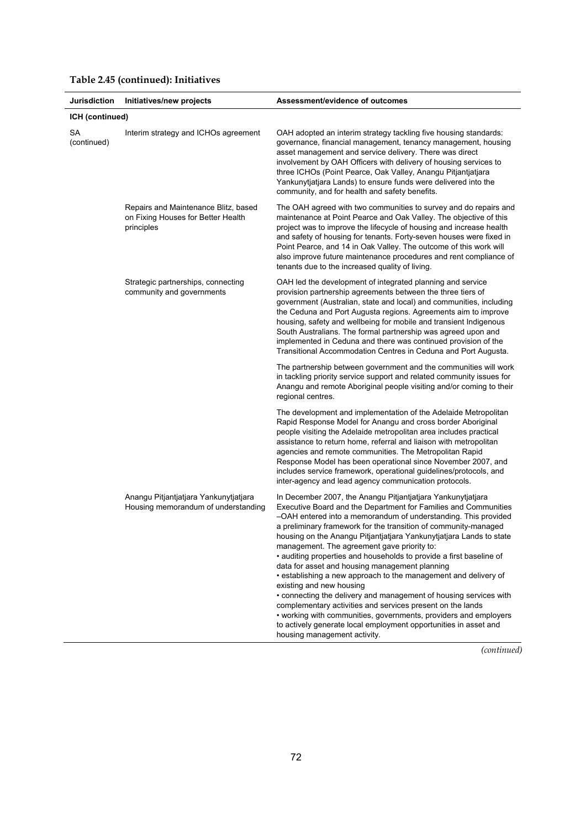| Jurisdiction      | Initiatives/new projects                                                                 | Assessment/evidence of outcomes                                                                                                                                                                                                                                                                                                                                                                                                                                                                                                                                                                                                                                                                                                                                                                                                                                                                                              |
|-------------------|------------------------------------------------------------------------------------------|------------------------------------------------------------------------------------------------------------------------------------------------------------------------------------------------------------------------------------------------------------------------------------------------------------------------------------------------------------------------------------------------------------------------------------------------------------------------------------------------------------------------------------------------------------------------------------------------------------------------------------------------------------------------------------------------------------------------------------------------------------------------------------------------------------------------------------------------------------------------------------------------------------------------------|
| ICH (continued)   |                                                                                          |                                                                                                                                                                                                                                                                                                                                                                                                                                                                                                                                                                                                                                                                                                                                                                                                                                                                                                                              |
| SА<br>(continued) | Interim strategy and ICHOs agreement                                                     | OAH adopted an interim strategy tackling five housing standards:<br>governance, financial management, tenancy management, housing<br>asset management and service delivery. There was direct<br>involvement by OAH Officers with delivery of housing services to<br>three ICHOs (Point Pearce, Oak Valley, Anangu Pitjantjatjara<br>Yankunytjatjara Lands) to ensure funds were delivered into the<br>community, and for health and safety benefits.                                                                                                                                                                                                                                                                                                                                                                                                                                                                         |
|                   | Repairs and Maintenance Blitz, based<br>on Fixing Houses for Better Health<br>principles | The OAH agreed with two communities to survey and do repairs and<br>maintenance at Point Pearce and Oak Valley. The objective of this<br>project was to improve the lifecycle of housing and increase health<br>and safety of housing for tenants. Forty-seven houses were fixed in<br>Point Pearce, and 14 in Oak Valley. The outcome of this work will<br>also improve future maintenance procedures and rent compliance of<br>tenants due to the increased quality of living.                                                                                                                                                                                                                                                                                                                                                                                                                                             |
|                   | Strategic partnerships, connecting<br>community and governments                          | OAH led the development of integrated planning and service<br>provision partnership agreements between the three tiers of<br>government (Australian, state and local) and communities, including<br>the Ceduna and Port Augusta regions. Agreements aim to improve<br>housing, safety and wellbeing for mobile and transient Indigenous<br>South Australians. The formal partnership was agreed upon and<br>implemented in Ceduna and there was continued provision of the<br>Transitional Accommodation Centres in Ceduna and Port Augusta.                                                                                                                                                                                                                                                                                                                                                                                 |
|                   |                                                                                          | The partnership between government and the communities will work<br>in tackling priority service support and related community issues for<br>Anangu and remote Aboriginal people visiting and/or coming to their<br>regional centres.                                                                                                                                                                                                                                                                                                                                                                                                                                                                                                                                                                                                                                                                                        |
|                   |                                                                                          | The development and implementation of the Adelaide Metropolitan<br>Rapid Response Model for Anangu and cross border Aboriginal<br>people visiting the Adelaide metropolitan area includes practical<br>assistance to return home, referral and liaison with metropolitan<br>agencies and remote communities. The Metropolitan Rapid<br>Response Model has been operational since November 2007, and<br>includes service framework, operational guidelines/protocols, and<br>inter-agency and lead agency communication protocols.                                                                                                                                                                                                                                                                                                                                                                                            |
|                   | Anangu Pitjantjatjara Yankunytjatjara<br>Housing memorandum of understanding             | In December 2007, the Anangu Pitjantjatjara Yankunytjatjara<br>Executive Board and the Department for Families and Communities<br>-OAH entered into a memorandum of understanding. This provided<br>a preliminary framework for the transition of community-managed<br>housing on the Anangu Pitjantjatjara Yankunytjatjara Lands to state<br>management. The agreement gave priority to:<br>• auditing properties and households to provide a first baseline of<br>data for asset and housing management planning<br>• establishing a new approach to the management and delivery of<br>existing and new housing<br>• connecting the delivery and management of housing services with<br>complementary activities and services present on the lands<br>• working with communities, governments, providers and employers<br>to actively generate local employment opportunities in asset and<br>housing management activity. |

# **Table 2.45 (continued): Initiatives**

*(continued)*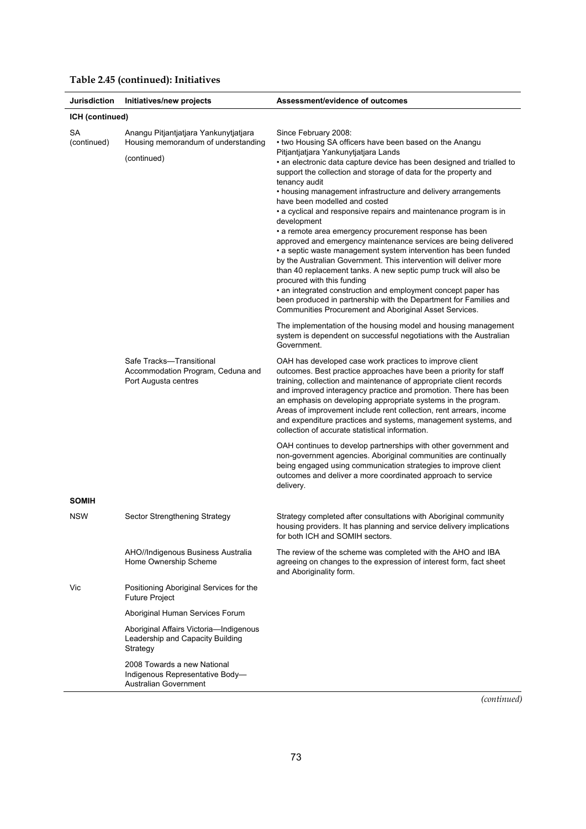| Jurisdiction             | Initiatives/new projects                                                                | Assessment/evidence of outcomes                                                                                                                                                                                                                                                                                                                                                                                                                                                                                                                                                                                                                                                                                                                                                                                                                                                                                                                                |
|--------------------------|-----------------------------------------------------------------------------------------|----------------------------------------------------------------------------------------------------------------------------------------------------------------------------------------------------------------------------------------------------------------------------------------------------------------------------------------------------------------------------------------------------------------------------------------------------------------------------------------------------------------------------------------------------------------------------------------------------------------------------------------------------------------------------------------------------------------------------------------------------------------------------------------------------------------------------------------------------------------------------------------------------------------------------------------------------------------|
| ICH (continued)          |                                                                                         |                                                                                                                                                                                                                                                                                                                                                                                                                                                                                                                                                                                                                                                                                                                                                                                                                                                                                                                                                                |
| <b>SA</b><br>(continued) | Anangu Pitjantjatjara Yankunytjatjara<br>Housing memorandum of understanding            | Since February 2008:<br>• two Housing SA officers have been based on the Anangu                                                                                                                                                                                                                                                                                                                                                                                                                                                                                                                                                                                                                                                                                                                                                                                                                                                                                |
|                          | (continued)                                                                             | Pitjantjatjara Yankunytjatjara Lands<br>• an electronic data capture device has been designed and trialled to<br>support the collection and storage of data for the property and<br>tenancy audit<br>• housing management infrastructure and delivery arrangements<br>have been modelled and costed<br>• a cyclical and responsive repairs and maintenance program is in<br>development<br>• a remote area emergency procurement response has been<br>approved and emergency maintenance services are being delivered<br>• a septic waste management system intervention has been funded<br>by the Australian Government. This intervention will deliver more<br>than 40 replacement tanks. A new septic pump truck will also be<br>procured with this funding<br>• an integrated construction and employment concept paper has<br>been produced in partnership with the Department for Families and<br>Communities Procurement and Aboriginal Asset Services. |
|                          |                                                                                         | The implementation of the housing model and housing management<br>system is dependent on successful negotiations with the Australian<br>Government.                                                                                                                                                                                                                                                                                                                                                                                                                                                                                                                                                                                                                                                                                                                                                                                                            |
|                          | Safe Tracks-Transitional<br>Accommodation Program, Ceduna and<br>Port Augusta centres   | OAH has developed case work practices to improve client<br>outcomes. Best practice approaches have been a priority for staff<br>training, collection and maintenance of appropriate client records<br>and improved interagency practice and promotion. There has been<br>an emphasis on developing appropriate systems in the program.<br>Areas of improvement include rent collection, rent arrears, income<br>and expenditure practices and systems, management systems, and<br>collection of accurate statistical information.                                                                                                                                                                                                                                                                                                                                                                                                                              |
|                          |                                                                                         | OAH continues to develop partnerships with other government and<br>non-government agencies. Aboriginal communities are continually<br>being engaged using communication strategies to improve client<br>outcomes and deliver a more coordinated approach to service<br>delivery.                                                                                                                                                                                                                                                                                                                                                                                                                                                                                                                                                                                                                                                                               |
| <b>SOMIH</b>             |                                                                                         |                                                                                                                                                                                                                                                                                                                                                                                                                                                                                                                                                                                                                                                                                                                                                                                                                                                                                                                                                                |
| <b>NSW</b>               | Sector Strengthening Strategy                                                           | Strategy completed after consultations with Aboriginal community<br>housing providers. It has planning and service delivery implications<br>for both ICH and SOMIH sectors.                                                                                                                                                                                                                                                                                                                                                                                                                                                                                                                                                                                                                                                                                                                                                                                    |
|                          | AHO//Indigenous Business Australia<br>Home Ownership Scheme                             | The review of the scheme was completed with the AHO and IBA<br>agreeing on changes to the expression of interest form, fact sheet<br>and Aboriginality form.                                                                                                                                                                                                                                                                                                                                                                                                                                                                                                                                                                                                                                                                                                                                                                                                   |
| Vic                      | Positioning Aboriginal Services for the<br><b>Future Project</b>                        |                                                                                                                                                                                                                                                                                                                                                                                                                                                                                                                                                                                                                                                                                                                                                                                                                                                                                                                                                                |
|                          | Aboriginal Human Services Forum                                                         |                                                                                                                                                                                                                                                                                                                                                                                                                                                                                                                                                                                                                                                                                                                                                                                                                                                                                                                                                                |
|                          | Aboriginal Affairs Victoria-Indigenous<br>Leadership and Capacity Building<br>Strategy  |                                                                                                                                                                                                                                                                                                                                                                                                                                                                                                                                                                                                                                                                                                                                                                                                                                                                                                                                                                |
|                          | 2008 Towards a new National<br>Indigenous Representative Body-<br>Australian Government |                                                                                                                                                                                                                                                                                                                                                                                                                                                                                                                                                                                                                                                                                                                                                                                                                                                                                                                                                                |

# **Table 2.45 (continued): Initiatives**

*(continued)*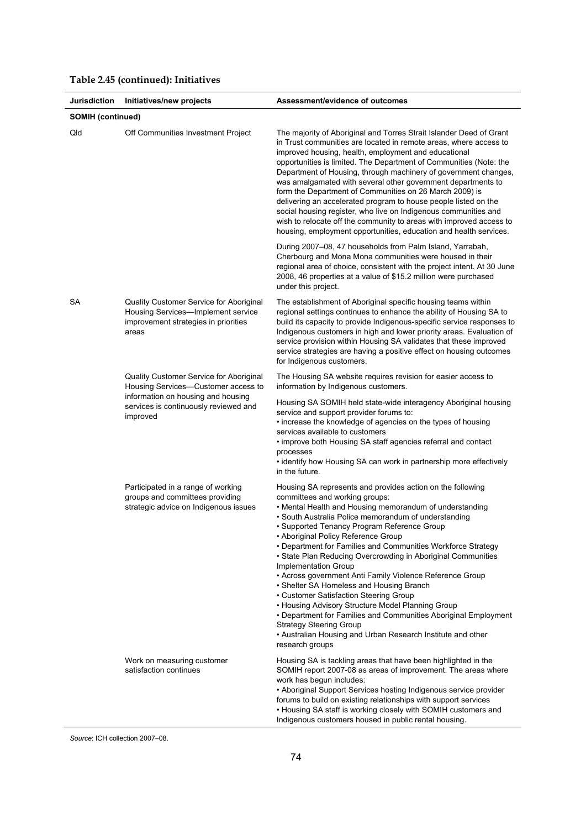| Jurisdiction             | Initiatives/new projects                                                                                                       | Assessment/evidence of outcomes                                                                                                                                                                                                                                                                                                                                                                                                                                                                                                                                                                                                                                                                                                                                                                                                                             |
|--------------------------|--------------------------------------------------------------------------------------------------------------------------------|-------------------------------------------------------------------------------------------------------------------------------------------------------------------------------------------------------------------------------------------------------------------------------------------------------------------------------------------------------------------------------------------------------------------------------------------------------------------------------------------------------------------------------------------------------------------------------------------------------------------------------------------------------------------------------------------------------------------------------------------------------------------------------------------------------------------------------------------------------------|
| <b>SOMIH (continued)</b> |                                                                                                                                |                                                                                                                                                                                                                                                                                                                                                                                                                                                                                                                                                                                                                                                                                                                                                                                                                                                             |
| Qld                      | Off Communities Investment Project                                                                                             | The majority of Aboriginal and Torres Strait Islander Deed of Grant<br>in Trust communities are located in remote areas, where access to<br>improved housing, health, employment and educational<br>opportunities is limited. The Department of Communities (Note: the<br>Department of Housing, through machinery of government changes,<br>was amalgamated with several other government departments to<br>form the Department of Communities on 26 March 2009) is<br>delivering an accelerated program to house people listed on the<br>social housing register, who live on Indigenous communities and<br>wish to relocate off the community to areas with improved access to<br>housing, employment opportunities, education and health services.                                                                                                      |
|                          |                                                                                                                                | During 2007-08, 47 households from Palm Island, Yarrabah,<br>Cherbourg and Mona Mona communities were housed in their<br>regional area of choice, consistent with the project intent. At 30 June<br>2008, 46 properties at a value of \$15.2 million were purchased<br>under this project.                                                                                                                                                                                                                                                                                                                                                                                                                                                                                                                                                                  |
| SА                       | Quality Customer Service for Aboriginal<br>Housing Services-Implement service<br>improvement strategies in priorities<br>areas | The establishment of Aboriginal specific housing teams within<br>regional settings continues to enhance the ability of Housing SA to<br>build its capacity to provide Indigenous-specific service responses to<br>Indigenous customers in high and lower priority areas. Evaluation of<br>service provision within Housing SA validates that these improved<br>service strategies are having a positive effect on housing outcomes<br>for Indigenous customers.                                                                                                                                                                                                                                                                                                                                                                                             |
|                          | Quality Customer Service for Aboriginal<br>Housing Services-Customer access to                                                 | The Housing SA website requires revision for easier access to<br>information by Indigenous customers.                                                                                                                                                                                                                                                                                                                                                                                                                                                                                                                                                                                                                                                                                                                                                       |
|                          | information on housing and housing<br>services is continuously reviewed and<br>improved                                        | Housing SA SOMIH held state-wide interagency Aboriginal housing<br>service and support provider forums to:<br>• increase the knowledge of agencies on the types of housing<br>services available to customers<br>• improve both Housing SA staff agencies referral and contact<br>processes<br>• identify how Housing SA can work in partnership more effectively<br>in the future.                                                                                                                                                                                                                                                                                                                                                                                                                                                                         |
|                          | Participated in a range of working<br>groups and committees providing<br>strategic advice on Indigenous issues                 | Housing SA represents and provides action on the following<br>committees and working groups:<br>• Mental Health and Housing memorandum of understanding<br>• South Australia Police memorandum of understanding<br>• Supported Tenancy Program Reference Group<br>• Aboriginal Policy Reference Group<br>• Department for Families and Communities Workforce Strategy<br>• State Plan Reducing Overcrowding in Aboriginal Communities<br>Implementation Group<br>• Across government Anti Family Violence Reference Group<br>• Shelter SA Homeless and Housing Branch<br>• Customer Satisfaction Steering Group<br>• Housing Advisory Structure Model Planning Group<br>• Department for Families and Communities Aboriginal Employment<br><b>Strategy Steering Group</b><br>• Australian Housing and Urban Research Institute and other<br>research groups |
|                          | Work on measuring customer<br>satisfaction continues                                                                           | Housing SA is tackling areas that have been highlighted in the<br>SOMIH report 2007-08 as areas of improvement. The areas where<br>work has begun includes:<br>• Aboriginal Support Services hosting Indigenous service provider<br>forums to build on existing relationships with support services<br>• Housing SA staff is working closely with SOMIH customers and<br>Indigenous customers housed in public rental housing.                                                                                                                                                                                                                                                                                                                                                                                                                              |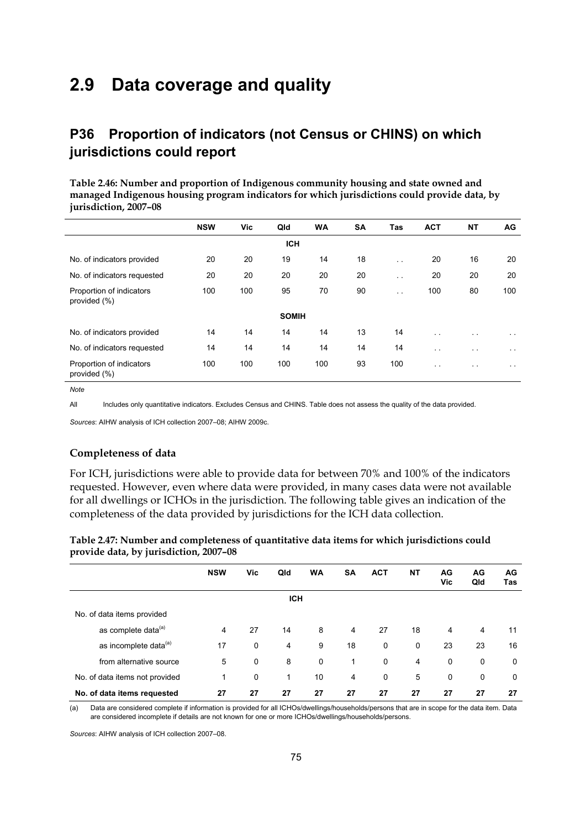# **2.9 Data coverage and quality**

# **P36 Proportion of indicators (not Census or CHINS) on which jurisdictions could report**

**Table 2.46: Number and proportion of Indigenous community housing and state owned and managed Indigenous housing program indicators for which jurisdictions could provide data, by jurisdiction, 2007–08** 

|                                          | <b>NSW</b> | Vic | Qld          | <b>WA</b> | <b>SA</b> | Tas                  | <b>ACT</b>           | <b>NT</b>            | AG.             |
|------------------------------------------|------------|-----|--------------|-----------|-----------|----------------------|----------------------|----------------------|-----------------|
|                                          |            |     | <b>ICH</b>   |           |           |                      |                      |                      |                 |
| No. of indicators provided               | 20         | 20  | 19           | 14        | 18        | $\ddot{\phantom{0}}$ | 20                   | 16                   | 20              |
| No. of indicators requested              | 20         | 20  | 20           | 20        | 20        | $\ddot{\phantom{0}}$ | 20                   | 20                   | 20              |
| Proportion of indicators<br>provided (%) | 100        | 100 | 95           | 70        | 90        | $\ddot{\phantom{0}}$ | 100                  | 80                   | 100             |
|                                          |            |     | <b>SOMIH</b> |           |           |                      |                      |                      |                 |
| No. of indicators provided               | 14         | 14  | 14           | 14        | 13        | 14                   | $\sim$ $\sim$        | $\sim$               | $\sim$ 10 $\pm$ |
| No. of indicators requested              | 14         | 14  | 14           | 14        | 14        | 14                   | $\sim$ $\sim$        | $\ddot{\phantom{1}}$ | $\sim$ $\sim$   |
| Proportion of indicators<br>provided (%) | 100        | 100 | 100          | 100       | 93        | 100                  | $\ddot{\phantom{0}}$ | $\ddot{\phantom{0}}$ | $\sim$ $\sim$   |

*Note* 

All Includes only quantitative indicators. Excludes Census and CHINS. Table does not assess the quality of the data provided.

*Sources*: AIHW analysis of ICH collection 2007–08; AIHW 2009c.

#### **Completeness of data**

For ICH, jurisdictions were able to provide data for between 70% and 100% of the indicators requested. However, even where data were provided, in many cases data were not available for all dwellings or ICHOs in the jurisdiction. The following table gives an indication of the completeness of the data provided by jurisdictions for the ICH data collection.

| Table 2.47: Number and completeness of quantitative data items for which jurisdictions could |  |
|----------------------------------------------------------------------------------------------|--|
| provide data, by jurisdiction, 2007-08                                                       |  |

|                                   | <b>NSW</b> | Vic | Qld            | <b>WA</b> | <b>SA</b>   | <b>ACT</b>  | <b>NT</b> | AG<br>Vic | AG<br>Qld      | AG<br>Tas |
|-----------------------------------|------------|-----|----------------|-----------|-------------|-------------|-----------|-----------|----------------|-----------|
|                                   |            |     | <b>ICH</b>     |           |             |             |           |           |                |           |
| No. of data items provided        |            |     |                |           |             |             |           |           |                |           |
| as complete data <sup>(a)</sup>   | 4          | 27  | 14             | 8         | 4           | 27          | 18        | 4         | $\overline{4}$ | 11        |
| as incomplete data <sup>(a)</sup> | 17         | 0   | $\overline{4}$ | 9         | 18          | $\mathbf 0$ | 0         | 23        | 23             | 16        |
| from alternative source           | 5          | 0   | 8              | 0         | $\mathbf 1$ | $\mathbf 0$ | 4         | 0         | 0              | 0         |
| No. of data items not provided    | 1          | 0   | 1              | 10        | 4           | 0           | 5         | 0         | 0              | 0         |
| No. of data items requested       | 27         | 27  | 27             | 27        | 27          | 27          | 27        | 27        | 27             | 27        |

(a) Data are considered complete if information is provided for all ICHOs/dwellings/households/persons that are in scope for the data item. Data are considered incomplete if details are not known for one or more ICHOs/dwellings/households/persons.

*Sources*: AIHW analysis of ICH collection 2007–08.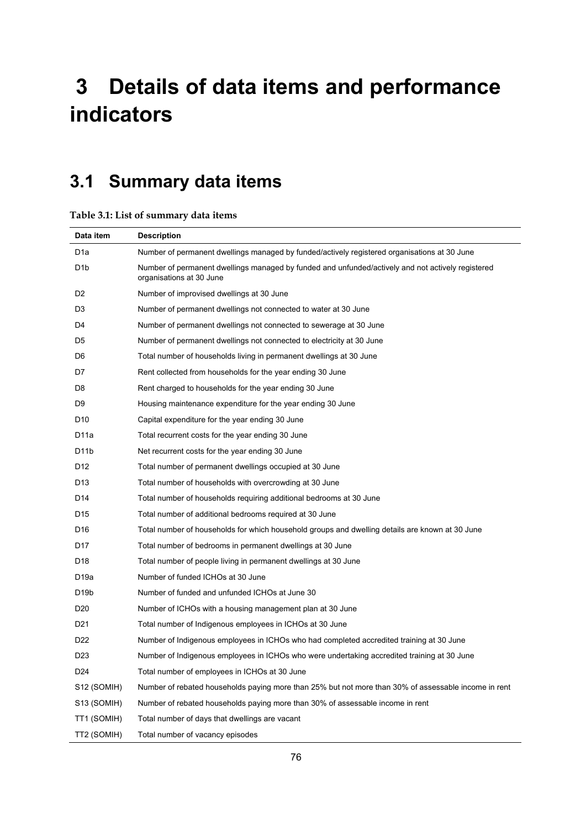# **3 Details of data items and performance indicators**

# **3.1 Summary data items**

#### **Table 3.1: List of summary data items**

| Data item         | <b>Description</b>                                                                                                            |
|-------------------|-------------------------------------------------------------------------------------------------------------------------------|
| D <sub>1</sub> a  | Number of permanent dwellings managed by funded/actively registered organisations at 30 June                                  |
| D <sub>1</sub> b  | Number of permanent dwellings managed by funded and unfunded/actively and not actively registered<br>organisations at 30 June |
| D2                | Number of improvised dwellings at 30 June                                                                                     |
| D3                | Number of permanent dwellings not connected to water at 30 June                                                               |
| D4                | Number of permanent dwellings not connected to sewerage at 30 June                                                            |
| D5                | Number of permanent dwellings not connected to electricity at 30 June                                                         |
| D6                | Total number of households living in permanent dwellings at 30 June                                                           |
| D7                | Rent collected from households for the year ending 30 June                                                                    |
| D8                | Rent charged to households for the year ending 30 June                                                                        |
| D9                | Housing maintenance expenditure for the year ending 30 June                                                                   |
| D <sub>10</sub>   | Capital expenditure for the year ending 30 June                                                                               |
| D11a              | Total recurrent costs for the year ending 30 June                                                                             |
| D <sub>1</sub> 1b | Net recurrent costs for the year ending 30 June                                                                               |
| D12               | Total number of permanent dwellings occupied at 30 June                                                                       |
| D <sub>13</sub>   | Total number of households with overcrowding at 30 June                                                                       |
| D14               | Total number of households requiring additional bedrooms at 30 June                                                           |
| D <sub>15</sub>   | Total number of additional bedrooms required at 30 June                                                                       |
| D <sub>16</sub>   | Total number of households for which household groups and dwelling details are known at 30 June                               |
| D17               | Total number of bedrooms in permanent dwellings at 30 June                                                                    |
| D <sub>18</sub>   | Total number of people living in permanent dwellings at 30 June                                                               |
| D <sub>19a</sub>  | Number of funded ICHOs at 30 June                                                                                             |
| D <sub>19</sub> b | Number of funded and unfunded ICHOs at June 30                                                                                |
| D <sub>20</sub>   | Number of ICHOs with a housing management plan at 30 June                                                                     |
| D <sub>21</sub>   | Total number of Indigenous employees in ICHOs at 30 June                                                                      |
| D <sub>22</sub>   | Number of Indigenous employees in ICHOs who had completed accredited training at 30 June                                      |
| D <sub>23</sub>   | Number of Indigenous employees in ICHOs who were undertaking accredited training at 30 June                                   |
| D <sub>24</sub>   | Total number of employees in ICHOs at 30 June                                                                                 |
| S12 (SOMIH)       | Number of rebated households paying more than 25% but not more than 30% of assessable income in rent                          |
| S13 (SOMIH)       | Number of rebated households paying more than 30% of assessable income in rent                                                |
| TT1 (SOMIH)       | Total number of days that dwellings are vacant                                                                                |
| TT2 (SOMIH)       | Total number of vacancy episodes                                                                                              |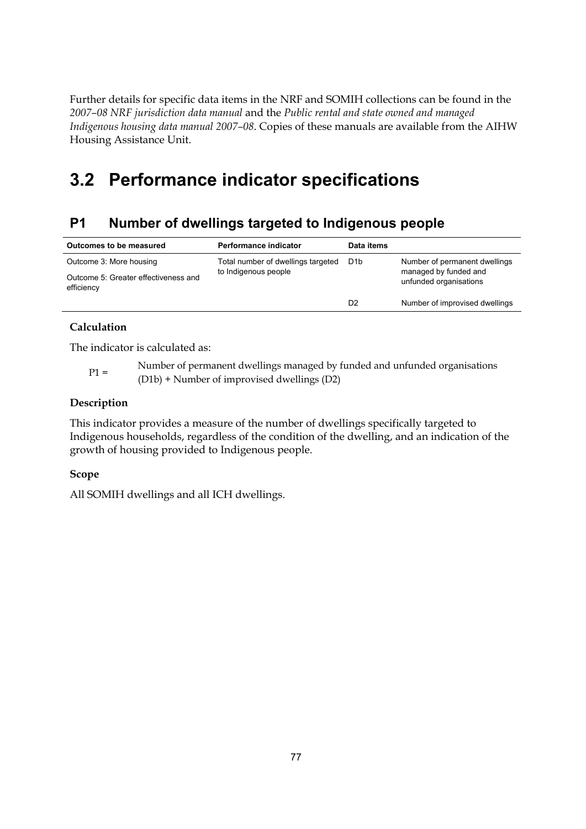Further details for specific data items in the NRF and SOMIH collections can be found in the *2007–08 NRF jurisdiction data manual* and the *Public rental and state owned and managed Indigenous housing data manual 2007–08*. Copies of these manuals are available from the AIHW Housing Assistance Unit.

# **3.2 Performance indicator specifications**

# **P1 Number of dwellings targeted to Indigenous people**

| Outcomes to be measured                            | Performance indicator              | Data items       |                                                 |
|----------------------------------------------------|------------------------------------|------------------|-------------------------------------------------|
| Outcome 3: More housing                            | Total number of dwellings targeted | D <sub>1</sub> b | Number of permanent dwellings                   |
| Outcome 5: Greater effectiveness and<br>efficiency | to Indigenous people               |                  | managed by funded and<br>unfunded organisations |
|                                                    |                                    | D <sub>2</sub>   | Number of improvised dwellings                  |

### **Calculation**

The indicator is calculated as:

P1 = Number of permanent dwellings managed by funded and unfunded organisations (D1b) + Number of improvised dwellings (D2)

#### **Description**

This indicator provides a measure of the number of dwellings specifically targeted to Indigenous households, regardless of the condition of the dwelling, and an indication of the growth of housing provided to Indigenous people.

#### **Scope**

All SOMIH dwellings and all ICH dwellings.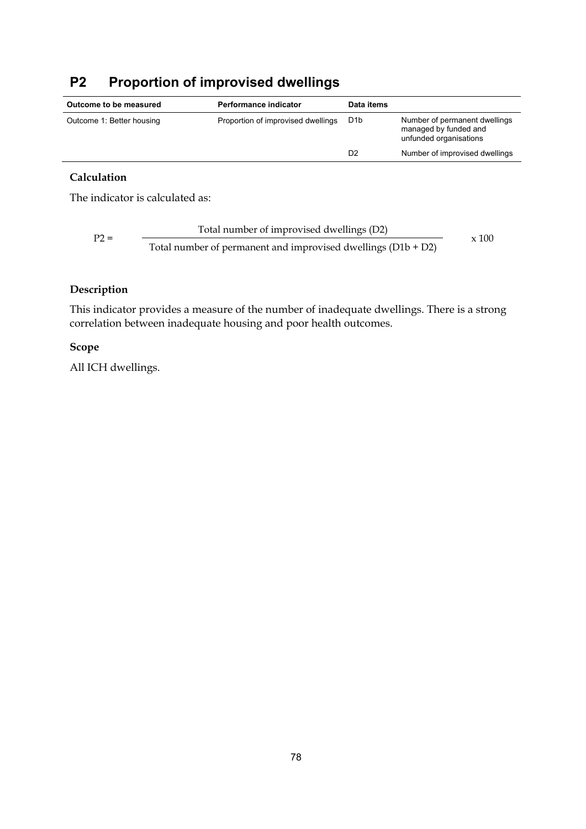# **P2 Proportion of improvised dwellings**

| Outcome to be measured    | <b>Performance indicator</b>       | Data items       |                                                                                  |
|---------------------------|------------------------------------|------------------|----------------------------------------------------------------------------------|
| Outcome 1: Better housing | Proportion of improvised dwellings | D <sub>1</sub> b | Number of permanent dwellings<br>managed by funded and<br>unfunded organisations |
|                           |                                    | D2               | Number of improvised dwellings                                                   |

### **Calculation**

The indicator is calculated as:

Total number of improvised dwellings (D2) P2 = Total number of permanent and improvised dwellings (D1b + D2) x 100

### **Description**

This indicator provides a measure of the number of inadequate dwellings. There is a strong correlation between inadequate housing and poor health outcomes.

#### **Scope**

All ICH dwellings.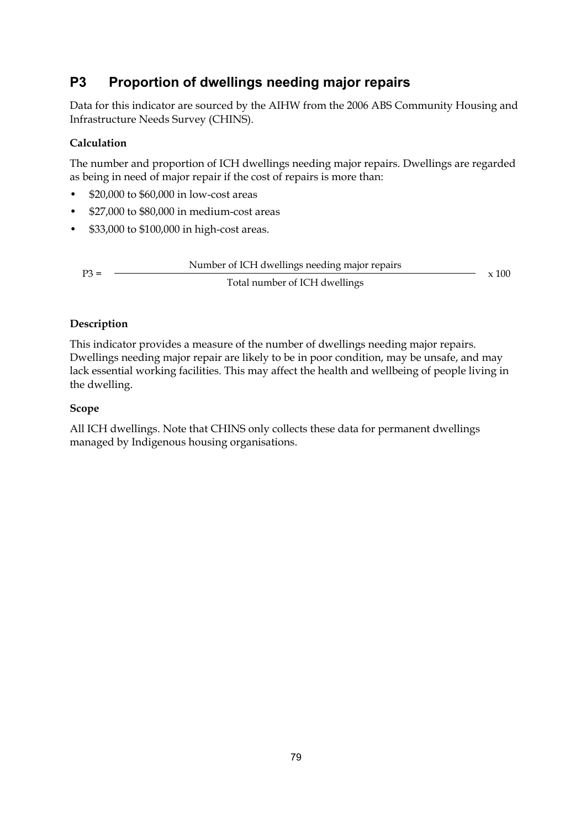# **P3 Proportion of dwellings needing major repairs**

Data for this indicator are sourced by the AIHW from the 2006 ABS Community Housing and Infrastructure Needs Survey (CHINS).

# **Calculation**

The number and proportion of ICH dwellings needing major repairs. Dwellings are regarded as being in need of major repair if the cost of repairs is more than:

- \$20,000 to \$60,000 in low-cost areas
- \$27,000 to \$80,000 in medium-cost areas
- \$33,000 to \$100,000 in high-cost areas.

| $P3 =$ | Number of ICH dwellings needing major repairs |              |
|--------|-----------------------------------------------|--------------|
|        | Total number of ICH dwellings                 | $\times$ 100 |

### **Description**

This indicator provides a measure of the number of dwellings needing major repairs. Dwellings needing major repair are likely to be in poor condition, may be unsafe, and may lack essential working facilities. This may affect the health and wellbeing of people living in the dwelling.

## **Scope**

All ICH dwellings. Note that CHINS only collects these data for permanent dwellings managed by Indigenous housing organisations.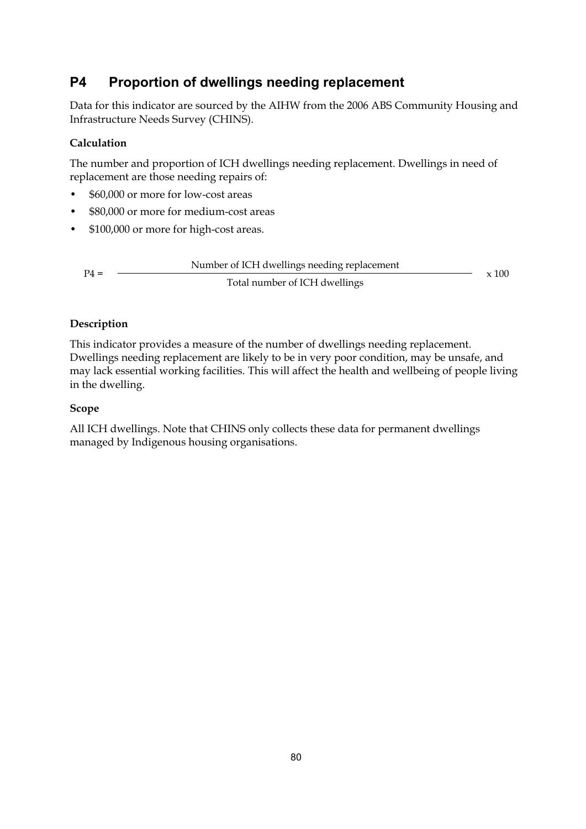# **P4 Proportion of dwellings needing replacement**

Data for this indicator are sourced by the AIHW from the 2006 ABS Community Housing and Infrastructure Needs Survey (CHINS).

## **Calculation**

The number and proportion of ICH dwellings needing replacement. Dwellings in need of replacement are those needing repairs of:

- \$60,000 or more for low-cost areas
- \$80,000 or more for medium-cost areas
- \$100,000 or more for high-cost areas.

|        | Number of ICH dwellings needing replacement |       |
|--------|---------------------------------------------|-------|
| $P4 =$ | Total number of ICH dwellings               | x 100 |

### **Description**

This indicator provides a measure of the number of dwellings needing replacement. Dwellings needing replacement are likely to be in very poor condition, may be unsafe, and may lack essential working facilities. This will affect the health and wellbeing of people living in the dwelling.

### **Scope**

All ICH dwellings. Note that CHINS only collects these data for permanent dwellings managed by Indigenous housing organisations.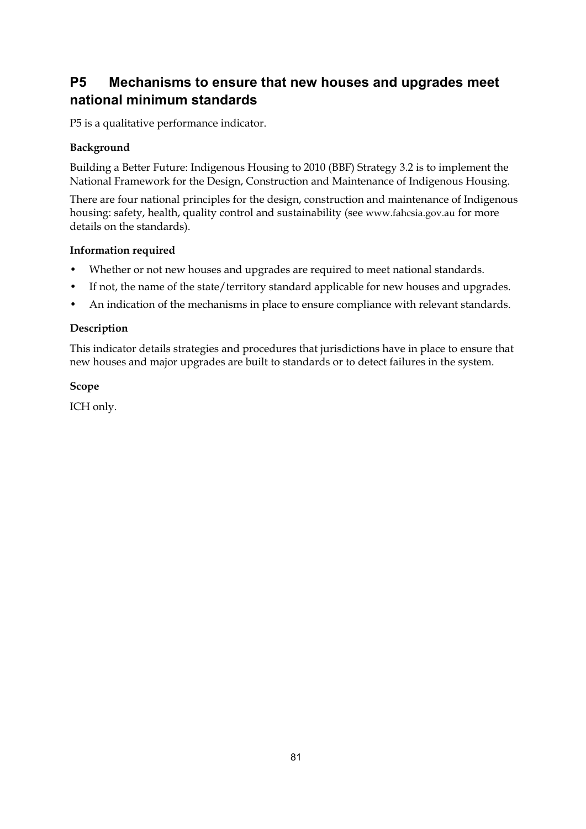# **P5 Mechanisms to ensure that new houses and upgrades meet national minimum standards**

P5 is a qualitative performance indicator.

### **Background**

Building a Better Future: Indigenous Housing to 2010 (BBF) Strategy 3.2 is to implement the National Framework for the Design, Construction and Maintenance of Indigenous Housing.

There are four national principles for the design, construction and maintenance of Indigenous housing: safety, health, quality control and sustainability (see www.fahcsia.gov.au for more details on the standards).

#### **Information required**

- Whether or not new houses and upgrades are required to meet national standards.
- If not, the name of the state/territory standard applicable for new houses and upgrades.
- An indication of the mechanisms in place to ensure compliance with relevant standards.

### **Description**

This indicator details strategies and procedures that jurisdictions have in place to ensure that new houses and major upgrades are built to standards or to detect failures in the system.

### **Scope**

ICH only.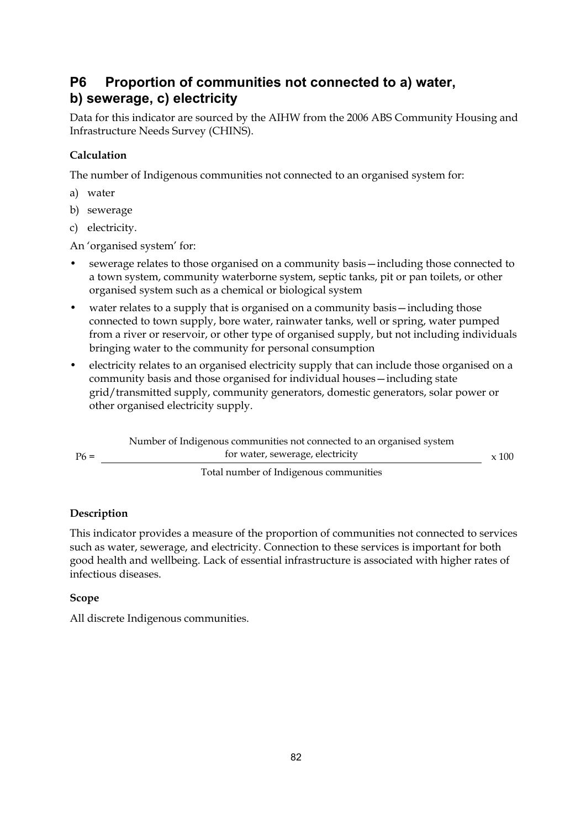# **P6 Proportion of communities not connected to a) water, b) sewerage, c) electricity**

Data for this indicator are sourced by the AIHW from the 2006 ABS Community Housing and Infrastructure Needs Survey (CHINS).

# **Calculation**

The number of Indigenous communities not connected to an organised system for:

- a) water
- b) sewerage
- c) electricity.

An 'organised system' for:

- sewerage relates to those organised on a community basis—including those connected to a town system, community waterborne system, septic tanks, pit or pan toilets, or other organised system such as a chemical or biological system
- water relates to a supply that is organised on a community basis—including those connected to town supply, bore water, rainwater tanks, well or spring, water pumped from a river or reservoir, or other type of organised supply, but not including individuals bringing water to the community for personal consumption
- electricity relates to an organised electricity supply that can include those organised on a community basis and those organised for individual houses—including state grid/transmitted supply, community generators, domestic generators, solar power or other organised electricity supply.

|        | Number of Indigenous communities not connected to an organised system |              |
|--------|-----------------------------------------------------------------------|--------------|
| $P6 =$ | for water, sewerage, electricity                                      | $\times$ 100 |
|        | Total number of Indicanous communities                                |              |

Total number of Indigenous communities

# **Description**

This indicator provides a measure of the proportion of communities not connected to services such as water, sewerage, and electricity. Connection to these services is important for both good health and wellbeing. Lack of essential infrastructure is associated with higher rates of infectious diseases.

### **Scope**

All discrete Indigenous communities.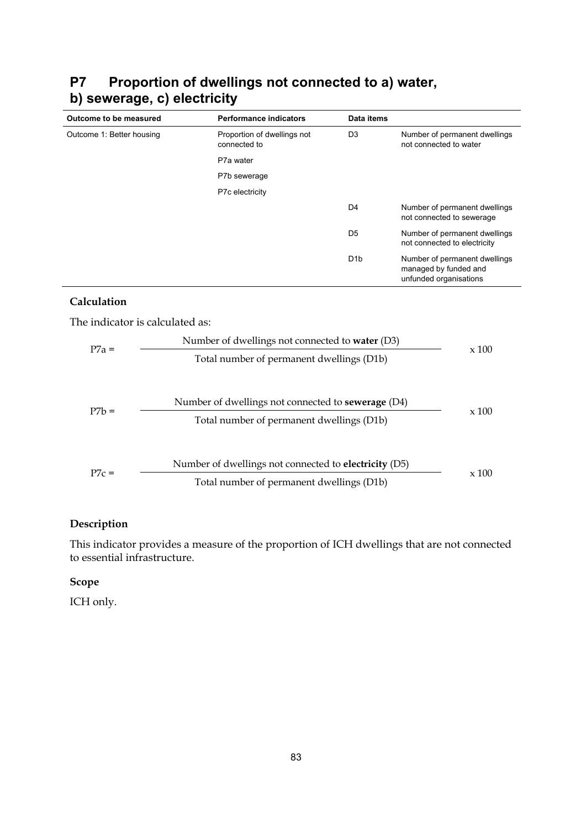| Outcome to be measured    | <b>Performance indicators</b>               | Data items       |                                                                                  |
|---------------------------|---------------------------------------------|------------------|----------------------------------------------------------------------------------|
| Outcome 1: Better housing | Proportion of dwellings not<br>connected to | D <sub>3</sub>   | Number of permanent dwellings<br>not connected to water                          |
|                           | P7a water                                   |                  |                                                                                  |
|                           | P7b sewerage                                |                  |                                                                                  |
|                           | P7c electricity                             |                  |                                                                                  |
|                           |                                             | D <sub>4</sub>   | Number of permanent dwellings<br>not connected to sewerage                       |
|                           |                                             | D <sub>5</sub>   | Number of permanent dwellings<br>not connected to electricity                    |
|                           |                                             | D <sub>1</sub> b | Number of permanent dwellings<br>managed by funded and<br>unfunded organisations |

# **P7 Proportion of dwellings not connected to a) water, b) sewerage, c) electricity**

### **Calculation**

The indicator is calculated as:

| $P7a =$ | Number of dwellings not connected to <b>water</b> (D3)       |              |  |  |  |
|---------|--------------------------------------------------------------|--------------|--|--|--|
|         | Total number of permanent dwellings (D1b)                    | $\times$ 100 |  |  |  |
|         |                                                              |              |  |  |  |
| $P7h =$ | Number of dwellings not connected to <b>sewerage</b> (D4)    |              |  |  |  |
|         | Total number of permanent dwellings (D1b)                    | $\times$ 100 |  |  |  |
|         |                                                              |              |  |  |  |
|         | Number of dwellings not connected to <b>electricity</b> (D5) |              |  |  |  |
| $P7c =$ | Total number of permanent dwellings (D1b)                    | x 100        |  |  |  |

### **Description**

This indicator provides a measure of the proportion of ICH dwellings that are not connected to essential infrastructure.

# **Scope**

ICH only.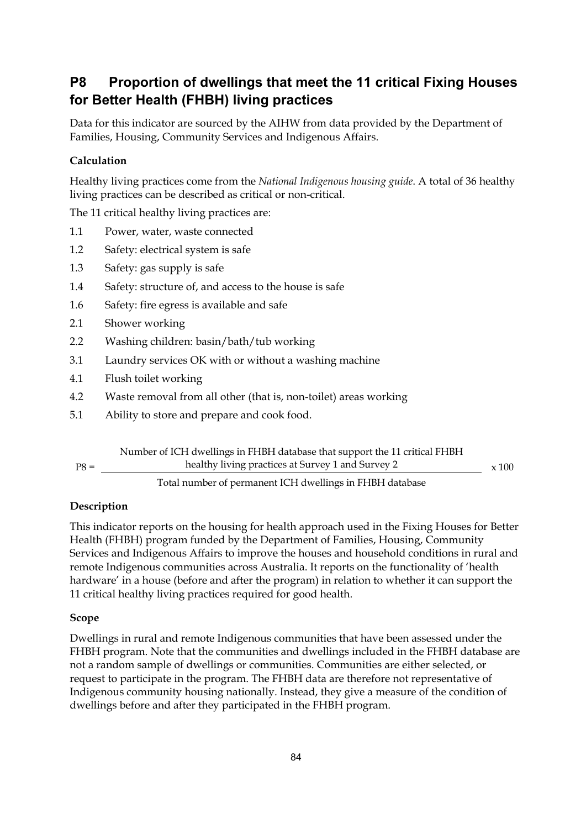# **P8 Proportion of dwellings that meet the 11 critical Fixing Houses for Better Health (FHBH) living practices**

Data for this indicator are sourced by the AIHW from data provided by the Department of Families, Housing, Community Services and Indigenous Affairs.

### **Calculation**

Healthy living practices come from the *National Indigenous housing guide*. A total of 36 healthy living practices can be described as critical or non-critical.

The 11 critical healthy living practices are:

- 1.1 Power, water, waste connected
- 1.2 Safety: electrical system is safe
- 1.3 Safety: gas supply is safe
- 1.4 Safety: structure of, and access to the house is safe
- 1.6 Safety: fire egress is available and safe
- 2.1 Shower working
- 2.2 Washing children: basin/bath/tub working
- 3.1 Laundry services OK with or without a washing machine
- 4.1 Flush toilet working
- 4.2 Waste removal from all other (that is, non-toilet) areas working
- 5.1 Ability to store and prepare and cook food.

|        | Number of ICH dwellings in FHBH database that support the 11 critical FHBH |              |
|--------|----------------------------------------------------------------------------|--------------|
| $P8 =$ | healthy living practices at Survey 1 and Survey 2                          | $\times$ 100 |
|        |                                                                            |              |

Total number of permanent ICH dwellings in FHBH database

#### **Description**

This indicator reports on the housing for health approach used in the Fixing Houses for Better Health (FHBH) program funded by the Department of Families, Housing, Community Services and Indigenous Affairs to improve the houses and household conditions in rural and remote Indigenous communities across Australia. It reports on the functionality of 'health hardware' in a house (before and after the program) in relation to whether it can support the 11 critical healthy living practices required for good health.

#### **Scope**

Dwellings in rural and remote Indigenous communities that have been assessed under the FHBH program. Note that the communities and dwellings included in the FHBH database are not a random sample of dwellings or communities. Communities are either selected, or request to participate in the program. The FHBH data are therefore not representative of Indigenous community housing nationally. Instead, they give a measure of the condition of dwellings before and after they participated in the FHBH program.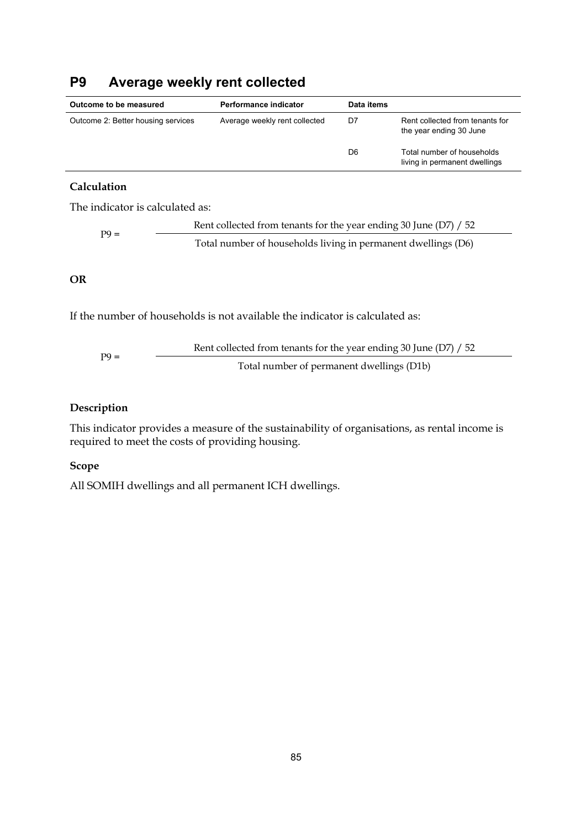# **P9 Average weekly rent collected**

| Outcome to be measured             | Performance indicator         | Data items |                                                             |
|------------------------------------|-------------------------------|------------|-------------------------------------------------------------|
| Outcome 2: Better housing services | Average weekly rent collected | D7         | Rent collected from tenants for<br>the year ending 30 June  |
|                                    |                               | D6         | Total number of households<br>living in permanent dwellings |

#### **Calculation**

The indicator is calculated as:

Rent collected from tenants for the year ending 30 June (D7) / 52 Total number of households living in permanent dwellings (D6)

### **OR**

If the number of households is not available the indicator is calculated as:

Rent collected from tenants for the year ending 30 June (D7) / 52 Total number of permanent dwellings (D1b)

### **Description**

This indicator provides a measure of the sustainability of organisations, as rental income is required to meet the costs of providing housing.

#### **Scope**

All SOMIH dwellings and all permanent ICH dwellings.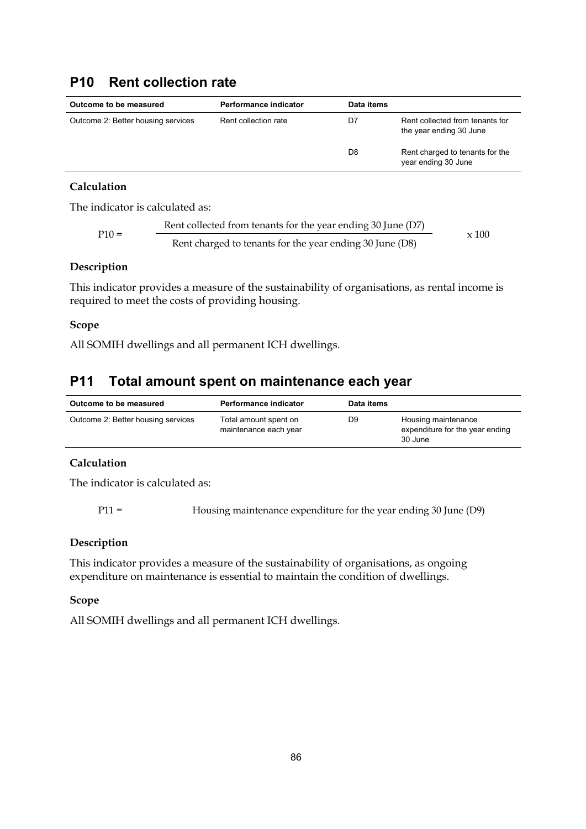# **P10 Rent collection rate**

| Outcome to be measured             | Performance indicator | Data items |                                                            |
|------------------------------------|-----------------------|------------|------------------------------------------------------------|
| Outcome 2: Better housing services | Rent collection rate  | D7         | Rent collected from tenants for<br>the year ending 30 June |
|                                    |                       | D8         | Rent charged to tenants for the<br>year ending 30 June     |

### **Calculation**

The indicator is calculated as:

$$
P10 = \frac{Rent collected from tenants for the year ending 30 June (D7)}{Rent charged to tenants for the year ending 30 June (D8)} \times 100
$$

#### **Description**

This indicator provides a measure of the sustainability of organisations, as rental income is required to meet the costs of providing housing.

#### **Scope**

All SOMIH dwellings and all permanent ICH dwellings.

# **P11 Total amount spent on maintenance each year**

| Outcome to be measured             | Performance indicator                          | Data items     |                                                                   |
|------------------------------------|------------------------------------------------|----------------|-------------------------------------------------------------------|
| Outcome 2: Better housing services | Total amount spent on<br>maintenance each year | D <sub>9</sub> | Housing maintenance<br>expenditure for the year ending<br>30 June |

### **Calculation**

The indicator is calculated as:

P11 = Housing maintenance expenditure for the year ending 30 June (D9)

#### **Description**

This indicator provides a measure of the sustainability of organisations, as ongoing expenditure on maintenance is essential to maintain the condition of dwellings.

#### **Scope**

All SOMIH dwellings and all permanent ICH dwellings.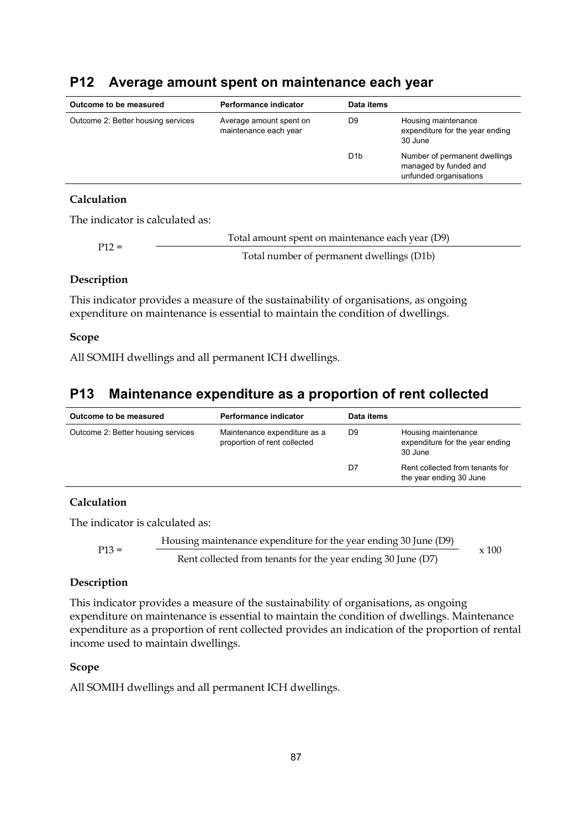| Outcome to be measured             | Performance indicator                            | Data items       |                                                                                  |
|------------------------------------|--------------------------------------------------|------------------|----------------------------------------------------------------------------------|
| Outcome 2: Better housing services | Average amount spent on<br>maintenance each year | D9               | Housing maintenance<br>expenditure for the year ending<br>30 June                |
|                                    |                                                  | D <sub>1</sub> b | Number of permanent dwellings<br>managed by funded and<br>unfunded organisations |
|                                    |                                                  |                  |                                                                                  |

# **P12 Average amount spent on maintenance each year**

#### **Calculation**

The indicator is calculated as:

| $P12 =$ | Total amount spent on maintenance each year (D9) |
|---------|--------------------------------------------------|
|         | Total number of permanent dwellings (D1b)        |

#### **Description**

This indicator provides a measure of the sustainability of organisations, as ongoing expenditure on maintenance is essential to maintain the condition of dwellings.

#### **Scope**

All SOMIH dwellings and all permanent ICH dwellings.

# **P13 Maintenance expenditure as a proportion of rent collected**

| Outcome to be measured                                                                             | Performance indicator | Data items                                                        |                                                            |
|----------------------------------------------------------------------------------------------------|-----------------------|-------------------------------------------------------------------|------------------------------------------------------------|
| Outcome 2: Better housing services<br>Maintenance expenditure as a<br>proportion of rent collected | D9                    | Housing maintenance<br>expenditure for the year ending<br>30 June |                                                            |
|                                                                                                    |                       | D7                                                                | Rent collected from tenants for<br>the year ending 30 June |

#### **Calculation**

The indicator is calculated as:

Housing maintenance expenditure for the year ending 30 June (D9) P13 = Rent collected from tenants for the year ending 30 June (D7) x 100

#### **Description**

This indicator provides a measure of the sustainability of organisations, as ongoing expenditure on maintenance is essential to maintain the condition of dwellings. Maintenance expenditure as a proportion of rent collected provides an indication of the proportion of rental income used to maintain dwellings.

#### **Scope**

All SOMIH dwellings and all permanent ICH dwellings.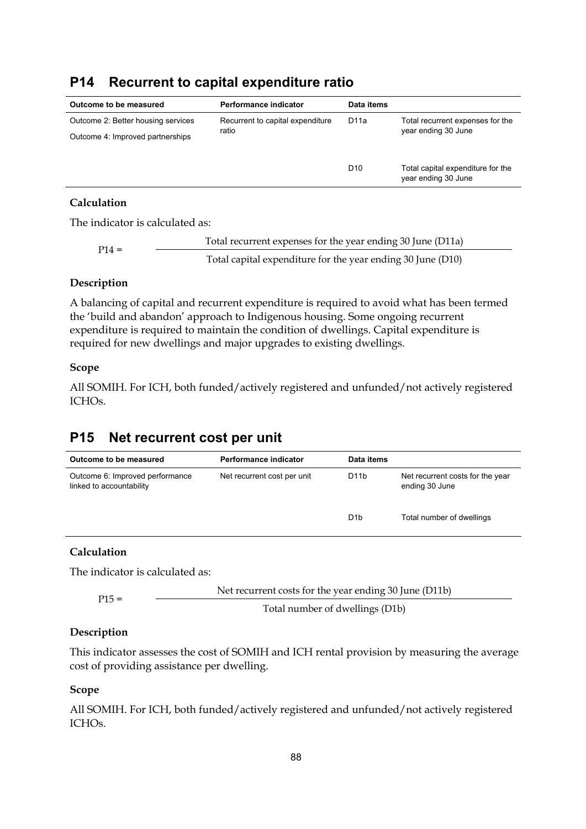# **P14 Recurrent to capital expenditure ratio**

| Outcome to be measured             | Performance indicator            | Data items          |                                   |
|------------------------------------|----------------------------------|---------------------|-----------------------------------|
| Outcome 2: Better housing services | Recurrent to capital expenditure | D <sub>11</sub> a   | Total recurrent expenses for the  |
| Outcome 4: Improved partnerships   | ratio                            | year ending 30 June |                                   |
|                                    |                                  |                     |                                   |
|                                    |                                  | D <sub>10</sub>     | Total capital expenditure for the |
|                                    |                                  |                     | year ending 30 June               |

### **Calculation**

The indicator is calculated as:

Total recurrent expenses for the year ending 30 June (D11a) P14 = Total capital expenditure for the year ending 30 June (D10)

#### **Description**

A balancing of capital and recurrent expenditure is required to avoid what has been termed the 'build and abandon' approach to Indigenous housing. Some ongoing recurrent expenditure is required to maintain the condition of dwellings. Capital expenditure is required for new dwellings and major upgrades to existing dwellings.

#### **Scope**

All SOMIH. For ICH, both funded/actively registered and unfunded/not actively registered ICHOs.

# **P15 Net recurrent cost per unit**

| Outcome to be measured                                      | Performance indicator       | Data items        |                                                    |
|-------------------------------------------------------------|-----------------------------|-------------------|----------------------------------------------------|
| Outcome 6: Improved performance<br>linked to accountability | Net recurrent cost per unit | D <sub>1</sub> 1b | Net recurrent costs for the year<br>ending 30 June |
|                                                             |                             | D <sub>1</sub> b  | Total number of dwellings                          |

#### **Calculation**

The indicator is calculated as:

P15 = Net recurrent costs for the year ending 30 June (D11b)

Total number of dwellings (D1b)

### **Description**

This indicator assesses the cost of SOMIH and ICH rental provision by measuring the average cost of providing assistance per dwelling.

#### **Scope**

All SOMIH. For ICH, both funded/actively registered and unfunded/not actively registered ICHOs.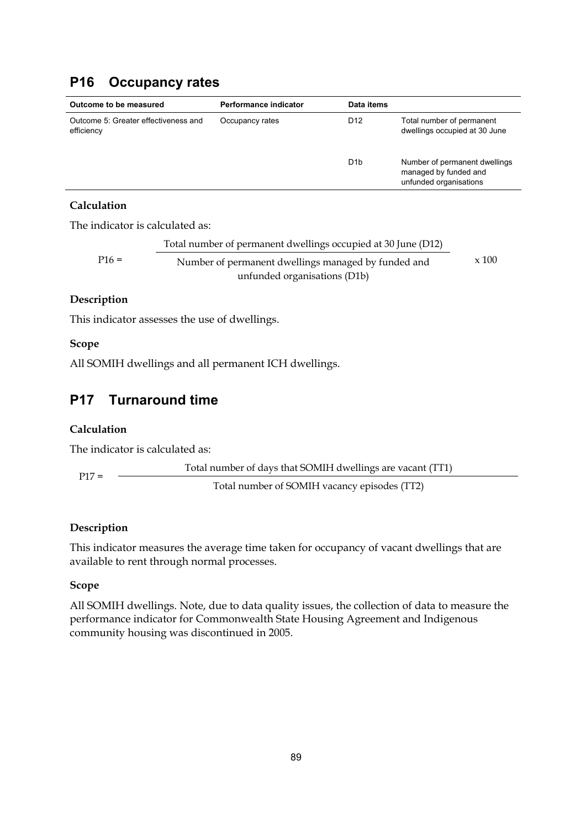# **P16 Occupancy rates**

| Outcome to be measured                             | Performance indicator | Data items       |                                                                                  |
|----------------------------------------------------|-----------------------|------------------|----------------------------------------------------------------------------------|
| Outcome 5: Greater effectiveness and<br>efficiency | Occupancy rates       | D <sub>12</sub>  | Total number of permanent<br>dwellings occupied at 30 June                       |
|                                                    |                       | D <sub>1</sub> b | Number of permanent dwellings<br>managed by funded and<br>unfunded organisations |

### **Calculation**

The indicator is calculated as:

Total number of permanent dwellings occupied at 30 June (D12) P16 = Number of permanent dwellings managed by funded and unfunded organisations (D1b) x 100

### **Description**

This indicator assesses the use of dwellings.

### **Scope**

All SOMIH dwellings and all permanent ICH dwellings.

# **P17 Turnaround time**

### **Calculation**

The indicator is calculated as:

Total number of days that SOMIH dwellings are vacant (TT1) P17 = Total number of SOMIH vacancy episodes (TT2)

### **Description**

This indicator measures the average time taken for occupancy of vacant dwellings that are available to rent through normal processes.

#### **Scope**

All SOMIH dwellings. Note, due to data quality issues, the collection of data to measure the performance indicator for Commonwealth State Housing Agreement and Indigenous community housing was discontinued in 2005.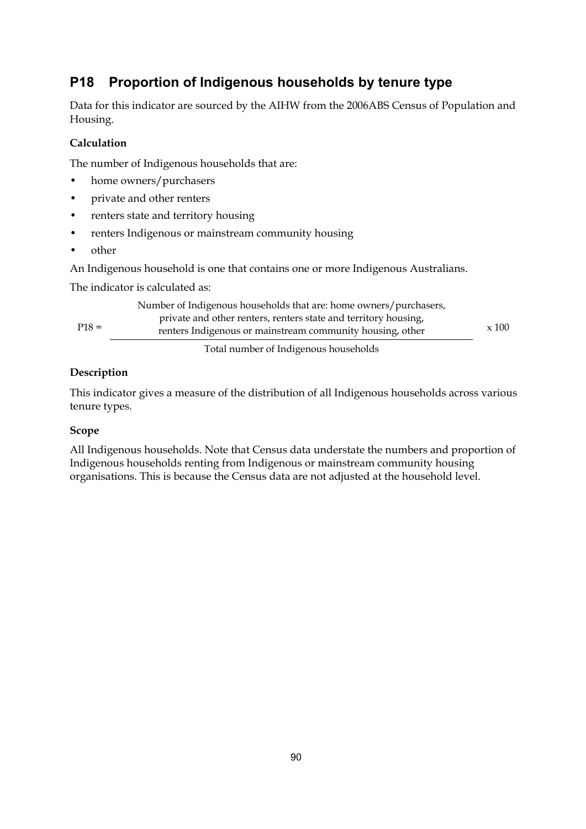# **P18 Proportion of Indigenous households by tenure type**

Data for this indicator are sourced by the AIHW from the 2006ABS Census of Population and Housing.

### **Calculation**

The number of Indigenous households that are:

- home owners/purchasers
- private and other renters
- renters state and territory housing
- renters Indigenous or mainstream community housing
- other

An Indigenous household is one that contains one or more Indigenous Australians.

The indicator is calculated as:

| $P18 =$ | Number of Indigenous households that are: home owners/purchasers,<br>private and other renters, renters state and territory housing,<br>renters Indigenous or mainstream community housing, other | $\times$ 100 |
|---------|---------------------------------------------------------------------------------------------------------------------------------------------------------------------------------------------------|--------------|
|         | Total number of Indigenous households                                                                                                                                                             |              |

### **Description**

This indicator gives a measure of the distribution of all Indigenous households across various tenure types.

#### **Scope**

All Indigenous households. Note that Census data understate the numbers and proportion of Indigenous households renting from Indigenous or mainstream community housing organisations. This is because the Census data are not adjusted at the household level.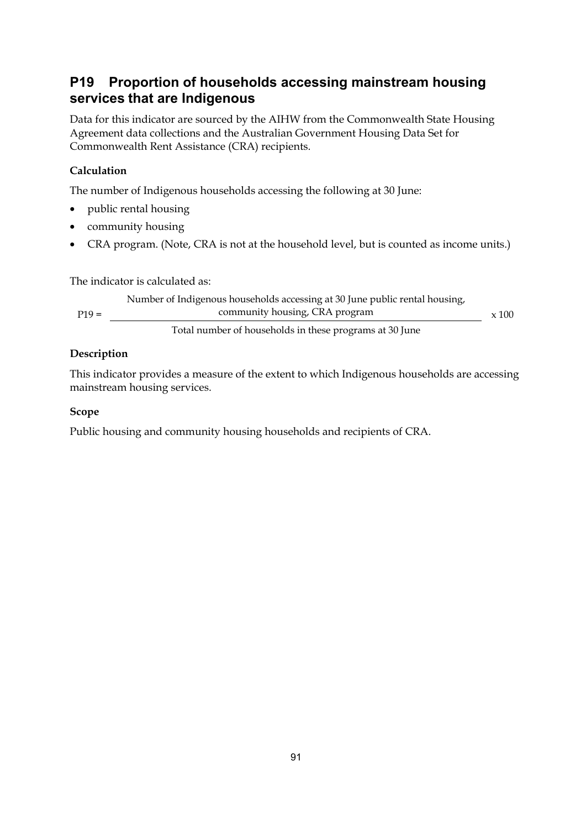# **P19 Proportion of households accessing mainstream housing services that are Indigenous**

Data for this indicator are sourced by the AIHW from the Commonwealth State Housing Agreement data collections and the Australian Government Housing Data Set for Commonwealth Rent Assistance (CRA) recipients.

## **Calculation**

The number of Indigenous households accessing the following at 30 June:

- public rental housing
- community housing
- CRA program. (Note, CRA is not at the household level, but is counted as income units.)

The indicator is calculated as:

Number of Indigenous households accessing at 30 June public rental housing, P19 = community housing, CRA program Total number of households in these programs at 30 June x 100

### **Description**

This indicator provides a measure of the extent to which Indigenous households are accessing mainstream housing services.

#### **Scope**

Public housing and community housing households and recipients of CRA.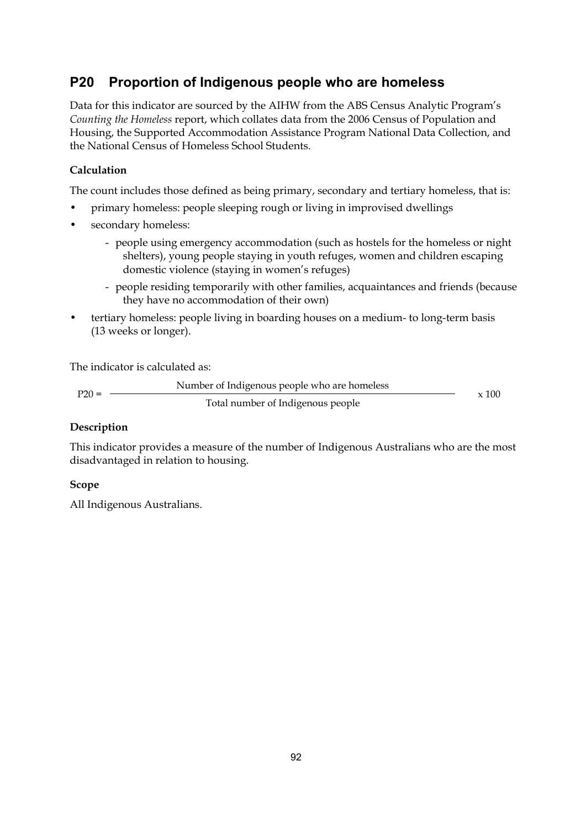# **P20 Proportion of Indigenous people who are homeless**

Data for this indicator are sourced by the AIHW from the ABS Census Analytic Program's *Counting the Homeless* report, which collates data from the 2006 Census of Population and Housing, the Supported Accommodation Assistance Program National Data Collection, and the National Census of Homeless School Students.

# **Calculation**

The count includes those defined as being primary, secondary and tertiary homeless, that is:

- primary homeless: people sleeping rough or living in improvised dwellings
- secondary homeless:
	- people using emergency accommodation (such as hostels for the homeless or night shelters), young people staying in youth refuges, women and children escaping domestic violence (staying in women's refuges)
	- people residing temporarily with other families, acquaintances and friends (because they have no accommodation of their own)
- tertiary homeless: people living in boarding houses on a medium- to long-term basis (13 weeks or longer).

The indicator is calculated as:

```
Number of Indigenous people who are homeless P20 =
            Total number of Indigenous people 
                                                              x 100
```
### **Description**

This indicator provides a measure of the number of Indigenous Australians who are the most disadvantaged in relation to housing.

#### **Scope**

All Indigenous Australians.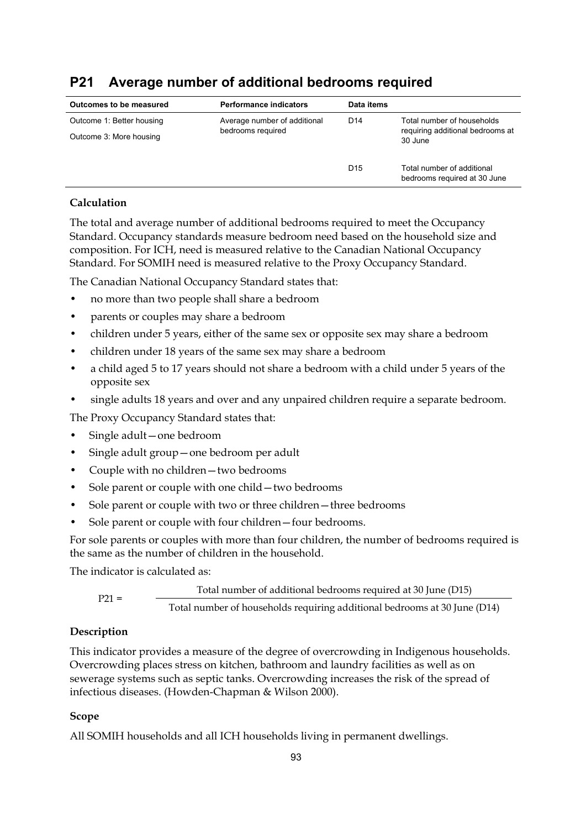# **P21 Average number of additional bedrooms required**

| Outcomes to be measured   | <b>Performance indicators</b> | Data items      |                                                            |
|---------------------------|-------------------------------|-----------------|------------------------------------------------------------|
| Outcome 1: Better housing | Average number of additional  | D <sub>14</sub> | Total number of households                                 |
| Outcome 3: More housing   | bedrooms required             |                 | requiring additional bedrooms at<br>30 June                |
|                           |                               | D <sub>15</sub> | Total number of additional<br>bedrooms required at 30 June |

### **Calculation**

The total and average number of additional bedrooms required to meet the Occupancy Standard. Occupancy standards measure bedroom need based on the household size and composition. For ICH, need is measured relative to the Canadian National Occupancy Standard. For SOMIH need is measured relative to the Proxy Occupancy Standard.

The Canadian National Occupancy Standard states that:

- no more than two people shall share a bedroom
- parents or couples may share a bedroom
- children under 5 years, either of the same sex or opposite sex may share a bedroom
- children under 18 years of the same sex may share a bedroom
- a child aged 5 to 17 years should not share a bedroom with a child under 5 years of the opposite sex
- single adults 18 years and over and any unpaired children require a separate bedroom.

The Proxy Occupancy Standard states that:

- Single adult—one bedroom
- Single adult group—one bedroom per adult
- Couple with no children—two bedrooms
- Sole parent or couple with one child two bedrooms
- Sole parent or couple with two or three children three bedrooms
- Sole parent or couple with four children–four bedrooms.

For sole parents or couples with more than four children, the number of bedrooms required is the same as the number of children in the household.

The indicator is calculated as:

Total number of additional bedrooms required at 30 June (D15) P21 = Total number of households requiring additional bedrooms at 30 June (D14)

### **Description**

This indicator provides a measure of the degree of overcrowding in Indigenous households. Overcrowding places stress on kitchen, bathroom and laundry facilities as well as on sewerage systems such as septic tanks. Overcrowding increases the risk of the spread of infectious diseases. (Howden-Chapman & Wilson 2000).

#### **Scope**

All SOMIH households and all ICH households living in permanent dwellings.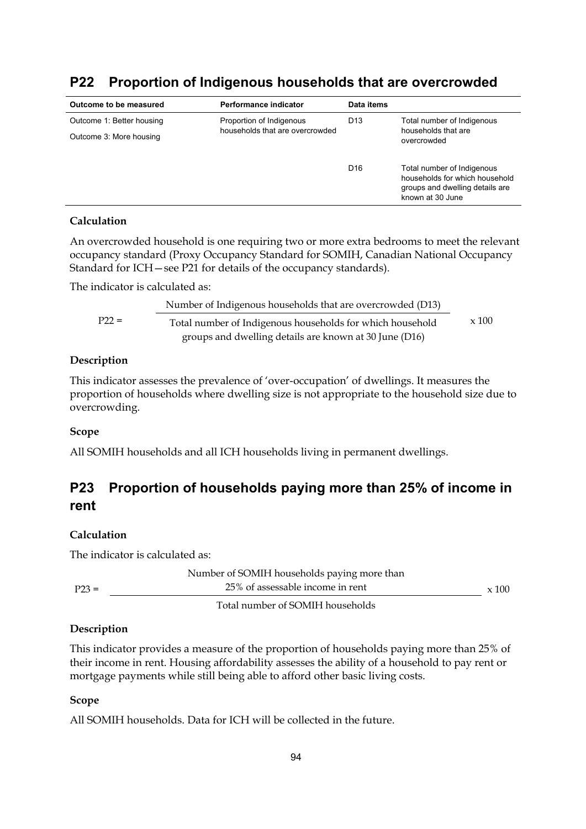| Outcome to be measured    | Performance indicator                                       | Data items      |                                                                                                                     |
|---------------------------|-------------------------------------------------------------|-----------------|---------------------------------------------------------------------------------------------------------------------|
| Outcome 1: Better housing | Proportion of Indigenous<br>households that are overcrowded | D <sub>13</sub> | Total number of Indigenous<br>households that are<br>overcrowded                                                    |
| Outcome 3: More housing   |                                                             |                 |                                                                                                                     |
|                           |                                                             | D <sub>16</sub> | Total number of Indigenous<br>households for which household<br>groups and dwelling details are<br>known at 30 June |

# **P22 Proportion of Indigenous households that are overcrowded**

#### **Calculation**

An overcrowded household is one requiring two or more extra bedrooms to meet the relevant occupancy standard (Proxy Occupancy Standard for SOMIH, Canadian National Occupancy Standard for ICH—see P21 for details of the occupancy standards).

The indicator is calculated as:

|         | Number of Indigenous households that are overcrowded (D13) |              |
|---------|------------------------------------------------------------|--------------|
| $P22 =$ | Total number of Indigenous households for which household  | $\times$ 100 |
|         | groups and dwelling details are known at 30 June (D16)     |              |

#### **Description**

This indicator assesses the prevalence of 'over-occupation' of dwellings. It measures the proportion of households where dwelling size is not appropriate to the household size due to overcrowding.

#### **Scope**

All SOMIH households and all ICH households living in permanent dwellings.

# **P23 Proportion of households paying more than 25% of income in rent**

#### **Calculation**

The indicator is calculated as:

|         | Number of SOMIH households paying more than |              |
|---------|---------------------------------------------|--------------|
| $P23 =$ | 25% of assessable income in rent            | $\times$ 100 |
|         | Total number of SOMIH households            |              |

#### **Description**

This indicator provides a measure of the proportion of households paying more than 25% of their income in rent. Housing affordability assesses the ability of a household to pay rent or mortgage payments while still being able to afford other basic living costs.

#### **Scope**

All SOMIH households. Data for ICH will be collected in the future.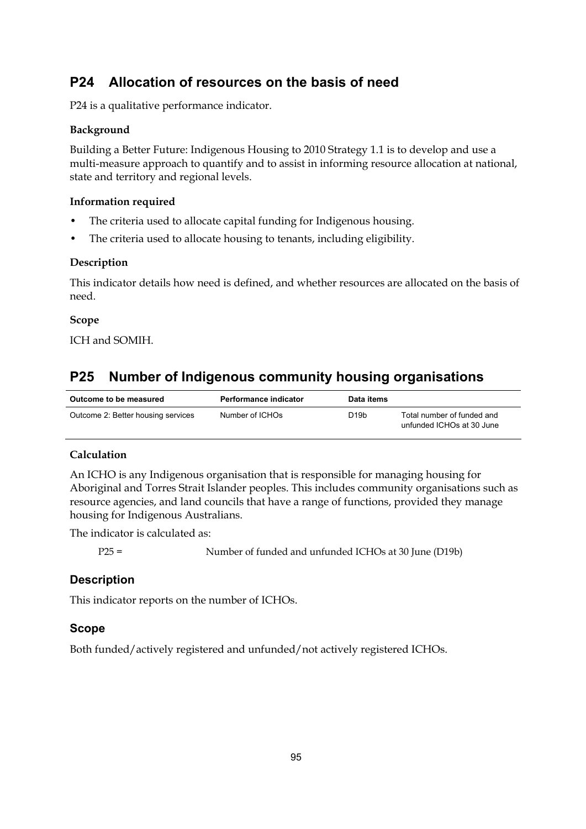# **P24 Allocation of resources on the basis of need**

P24 is a qualitative performance indicator.

### **Background**

Building a Better Future: Indigenous Housing to 2010 Strategy 1.1 is to develop and use a multi-measure approach to quantify and to assist in informing resource allocation at national, state and territory and regional levels.

#### **Information required**

- The criteria used to allocate capital funding for Indigenous housing.
- The criteria used to allocate housing to tenants, including eligibility.

#### **Description**

This indicator details how need is defined, and whether resources are allocated on the basis of need.

#### **Scope**

ICH and SOMIH.

# **P25 Number of Indigenous community housing organisations**

| Outcome to be measured             | Performance indicator | Data items |                                                         |
|------------------------------------|-----------------------|------------|---------------------------------------------------------|
| Outcome 2: Better housing services | Number of ICHOs       | D19b       | Total number of funded and<br>unfunded ICHOs at 30 June |

### **Calculation**

An ICHO is any Indigenous organisation that is responsible for managing housing for Aboriginal and Torres Strait Islander peoples. This includes community organisations such as resource agencies, and land councils that have a range of functions, provided they manage housing for Indigenous Australians.

The indicator is calculated as:

P25 = Number of funded and unfunded ICHOs at 30 June (D19b)

### **Description**

This indicator reports on the number of ICHOs.

### **Scope**

Both funded/actively registered and unfunded/not actively registered ICHOs.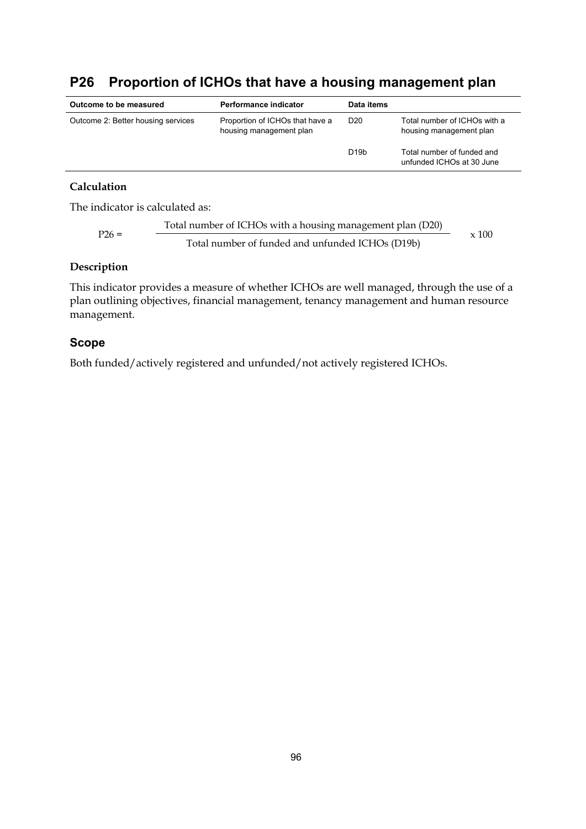# **P26 Proportion of ICHOs that have a housing management plan**

| Outcome to be measured                                                                                              | Performance indicator | Data items        |                                                         |
|---------------------------------------------------------------------------------------------------------------------|-----------------------|-------------------|---------------------------------------------------------|
| Outcome 2: Better housing services<br>Proportion of ICHOs that have a<br>D <sub>20</sub><br>housing management plan |                       |                   | Total number of ICHOs with a<br>housing management plan |
|                                                                                                                     |                       | D <sub>19</sub> b | Total number of funded and<br>unfunded ICHOs at 30 June |

#### **Calculation**

The indicator is calculated as:

P26 = Total number of ICHOs with a housing management plan (D20) 
$$
x
$$
 100  $x$  100

# **Description**

This indicator provides a measure of whether ICHOs are well managed, through the use of a plan outlining objectives, financial management, tenancy management and human resource management.

### **Scope**

Both funded/actively registered and unfunded/not actively registered ICHOs.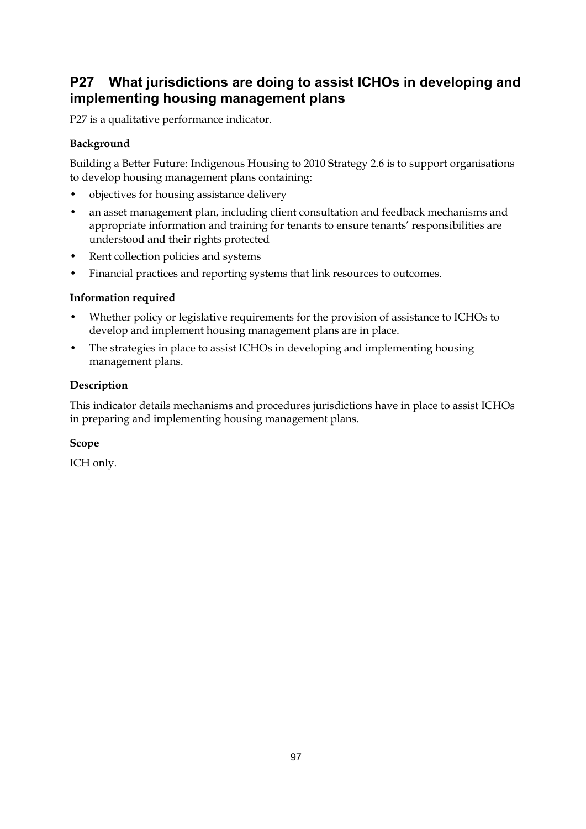# **P27 What jurisdictions are doing to assist ICHOs in developing and implementing housing management plans**

P27 is a qualitative performance indicator.

### **Background**

Building a Better Future: Indigenous Housing to 2010 Strategy 2.6 is to support organisations to develop housing management plans containing:

- objectives for housing assistance delivery
- an asset management plan, including client consultation and feedback mechanisms and appropriate information and training for tenants to ensure tenants' responsibilities are understood and their rights protected
- Rent collection policies and systems
- Financial practices and reporting systems that link resources to outcomes.

### **Information required**

- Whether policy or legislative requirements for the provision of assistance to ICHOs to develop and implement housing management plans are in place.
- The strategies in place to assist ICHOs in developing and implementing housing management plans.

### **Description**

This indicator details mechanisms and procedures jurisdictions have in place to assist ICHOs in preparing and implementing housing management plans.

### **Scope**

ICH only.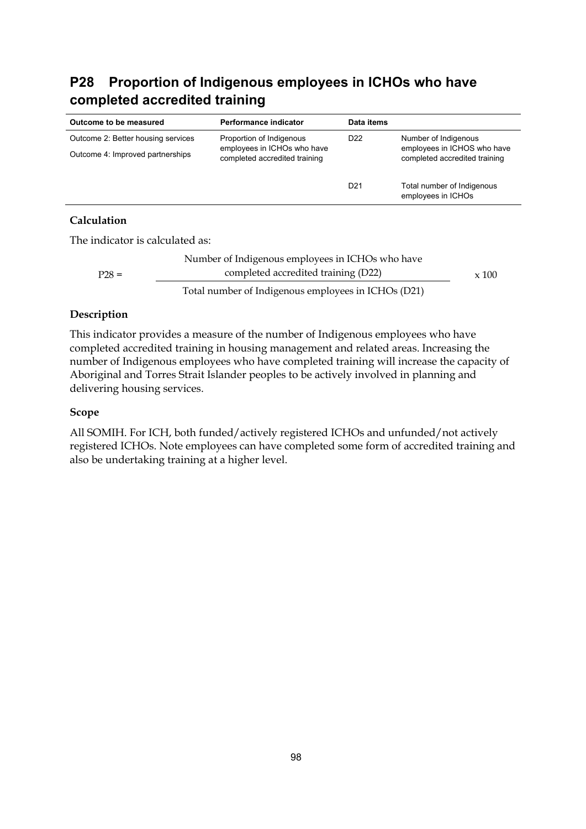# **P28 Proportion of Indigenous employees in ICHOs who have completed accredited training**

| Outcome to be measured             | Performance indicator                                        | Data items      |                                                              |
|------------------------------------|--------------------------------------------------------------|-----------------|--------------------------------------------------------------|
| Outcome 2: Better housing services | Proportion of Indigenous                                     | D <sub>22</sub> | Number of Indigenous                                         |
| Outcome 4: Improved partnerships   | employees in ICHOs who have<br>completed accredited training |                 | employees in ICHOS who have<br>completed accredited training |
|                                    |                                                              | D <sub>21</sub> | Total number of Indigenous<br>employees in ICHOs             |
| ----                               |                                                              |                 |                                                              |

### **Calculation**

The indicator is calculated as:

|         | Number of Indigenous employees in ICHOs who have    |  |
|---------|-----------------------------------------------------|--|
| $P28 =$ | completed accredited training (D22)                 |  |
|         | Total number of Indigenous employees in ICHOs (D21) |  |

### **Description**

This indicator provides a measure of the number of Indigenous employees who have completed accredited training in housing management and related areas. Increasing the number of Indigenous employees who have completed training will increase the capacity of Aboriginal and Torres Strait Islander peoples to be actively involved in planning and delivering housing services.

#### **Scope**

All SOMIH. For ICH, both funded/actively registered ICHOs and unfunded/not actively registered ICHOs. Note employees can have completed some form of accredited training and also be undertaking training at a higher level.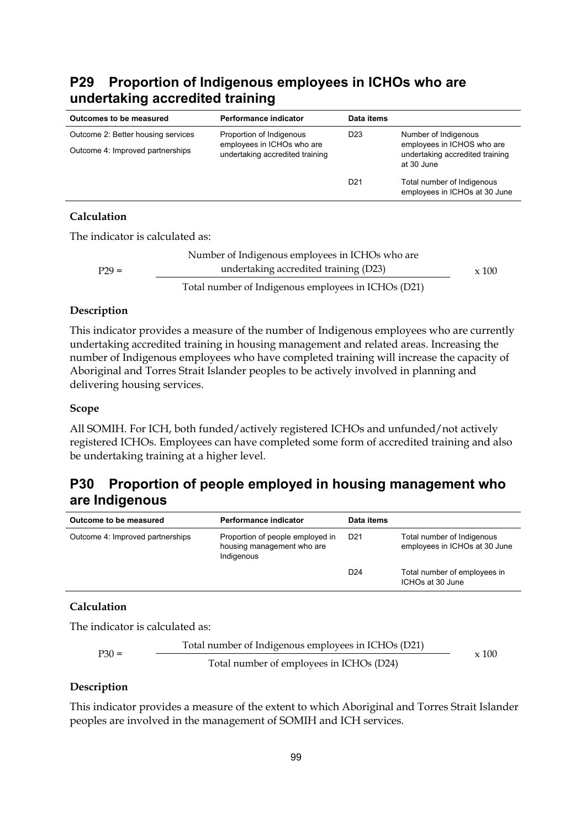# **P29 Proportion of Indigenous employees in ICHOs who are undertaking accredited training**

| Outcomes to be measured            | Performance indicator                                                                     | Data items      |                                                                                                     |  |
|------------------------------------|-------------------------------------------------------------------------------------------|-----------------|-----------------------------------------------------------------------------------------------------|--|
| Outcome 2: Better housing services | Proportion of Indigenous<br>employees in ICHOs who are<br>undertaking accredited training | D <sub>23</sub> | Number of Indigenous<br>employees in ICHOS who are<br>undertaking accredited training<br>at 30 June |  |
| Outcome 4: Improved partnerships   |                                                                                           |                 |                                                                                                     |  |
|                                    |                                                                                           | D <sub>21</sub> | Total number of Indigenous<br>employees in ICHOs at 30 June                                         |  |
| $C1111212$                         |                                                                                           |                 |                                                                                                     |  |

### **Calculation**

The indicator is calculated as:

|         | Number of Indigenous employees in ICHOs who are     |              |
|---------|-----------------------------------------------------|--------------|
| $P29 =$ | undertaking accredited training (D23)               | $\times$ 100 |
|         | Total number of Indigenous employees in ICHOs (D21) |              |

#### **Description**

This indicator provides a measure of the number of Indigenous employees who are currently undertaking accredited training in housing management and related areas. Increasing the number of Indigenous employees who have completed training will increase the capacity of Aboriginal and Torres Strait Islander peoples to be actively involved in planning and delivering housing services.

#### **Scope**

All SOMIH. For ICH, both funded/actively registered ICHOs and unfunded/not actively registered ICHOs. Employees can have completed some form of accredited training and also be undertaking training at a higher level.

# **P30 Proportion of people employed in housing management who are Indigenous**

| Outcome to be measured           | Performance indicator                                                        | Data items      |                                                             |
|----------------------------------|------------------------------------------------------------------------------|-----------------|-------------------------------------------------------------|
| Outcome 4: Improved partnerships | Proportion of people employed in<br>housing management who are<br>Indigenous | D <sub>21</sub> | Total number of Indigenous<br>employees in ICHOs at 30 June |
|                                  |                                                                              | D <sub>24</sub> | Total number of employees in<br>ICHOs at 30 June            |

### **Calculation**

The indicator is calculated as:

$$
P30 = \frac{\text{Total number of Indigenous employees in ICHOs (D21)}}{\text{Total number of employees in ICHOs (D24)} \times 100}
$$

#### **Description**

This indicator provides a measure of the extent to which Aboriginal and Torres Strait Islander peoples are involved in the management of SOMIH and ICH services.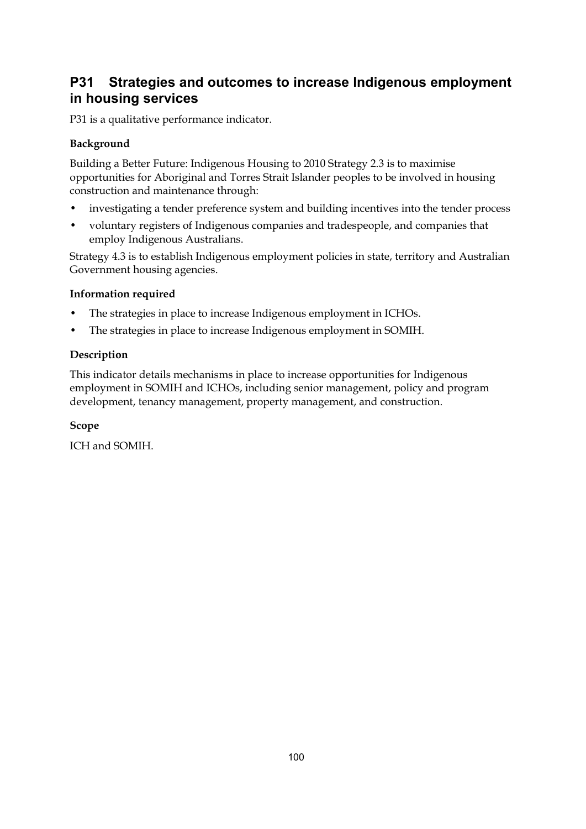# **P31 Strategies and outcomes to increase Indigenous employment in housing services**

P31 is a qualitative performance indicator.

## **Background**

Building a Better Future: Indigenous Housing to 2010 Strategy 2.3 is to maximise opportunities for Aboriginal and Torres Strait Islander peoples to be involved in housing construction and maintenance through:

- investigating a tender preference system and building incentives into the tender process
- voluntary registers of Indigenous companies and tradespeople, and companies that employ Indigenous Australians.

Strategy 4.3 is to establish Indigenous employment policies in state, territory and Australian Government housing agencies.

### **Information required**

- The strategies in place to increase Indigenous employment in ICHOs.
- The strategies in place to increase Indigenous employment in SOMIH.

### **Description**

This indicator details mechanisms in place to increase opportunities for Indigenous employment in SOMIH and ICHOs, including senior management, policy and program development, tenancy management, property management, and construction.

### **Scope**

ICH and SOMIH.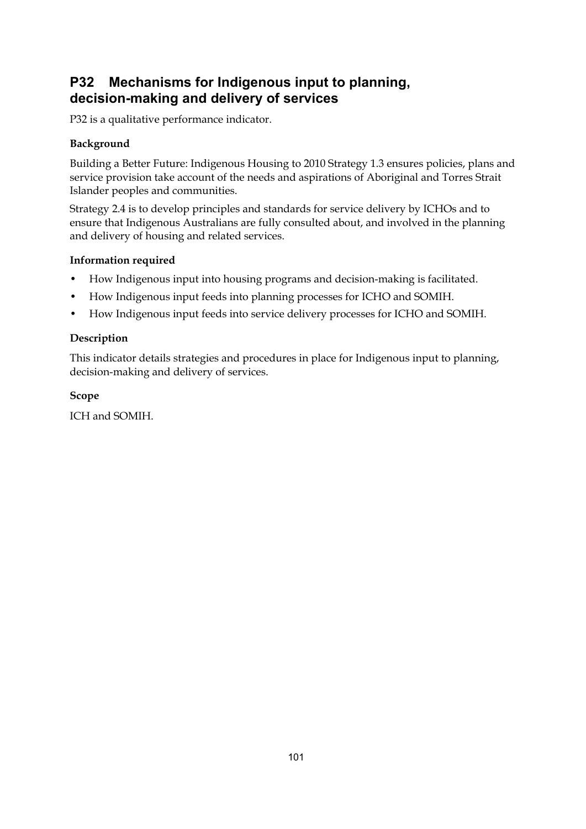# **P32 Mechanisms for Indigenous input to planning, decision-making and delivery of services**

P32 is a qualitative performance indicator.

## **Background**

Building a Better Future: Indigenous Housing to 2010 Strategy 1.3 ensures policies, plans and service provision take account of the needs and aspirations of Aboriginal and Torres Strait Islander peoples and communities.

Strategy 2.4 is to develop principles and standards for service delivery by ICHOs and to ensure that Indigenous Australians are fully consulted about, and involved in the planning and delivery of housing and related services.

### **Information required**

- How Indigenous input into housing programs and decision-making is facilitated.
- How Indigenous input feeds into planning processes for ICHO and SOMIH.
- How Indigenous input feeds into service delivery processes for ICHO and SOMIH.

### **Description**

This indicator details strategies and procedures in place for Indigenous input to planning, decision-making and delivery of services.

### **Scope**

ICH and SOMIH.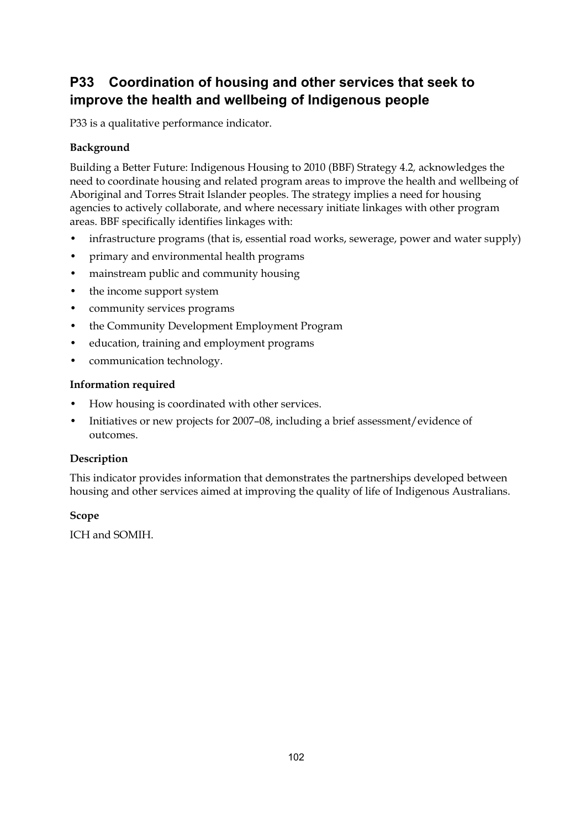# **P33 Coordination of housing and other services that seek to improve the health and wellbeing of Indigenous people**

P33 is a qualitative performance indicator.

### **Background**

Building a Better Future: Indigenous Housing to 2010 (BBF) Strategy 4.2*,* acknowledges the need to coordinate housing and related program areas to improve the health and wellbeing of Aboriginal and Torres Strait Islander peoples. The strategy implies a need for housing agencies to actively collaborate, and where necessary initiate linkages with other program areas. BBF specifically identifies linkages with:

- infrastructure programs (that is, essential road works, sewerage, power and water supply)
- primary and environmental health programs
- mainstream public and community housing
- the income support system
- community services programs
- the Community Development Employment Program
- education, training and employment programs
- communication technology.

#### **Information required**

- How housing is coordinated with other services.
- Initiatives or new projects for 2007–08, including a brief assessment/evidence of outcomes.

#### **Description**

This indicator provides information that demonstrates the partnerships developed between housing and other services aimed at improving the quality of life of Indigenous Australians.

#### **Scope**

ICH and SOMIH.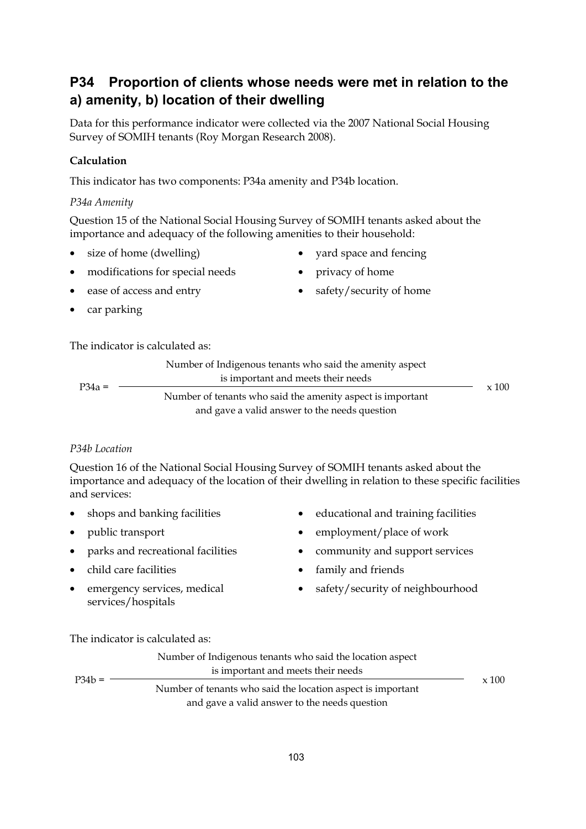### **P34 Proportion of clients whose needs were met in relation to the a) amenity, b) location of their dwelling**

Data for this performance indicator were collected via the 2007 National Social Housing Survey of SOMIH tenants (Roy Morgan Research 2008).

#### **Calculation**

This indicator has two components: P34a amenity and P34b location.

#### *P34a Amenity*

Question 15 of the National Social Housing Survey of SOMIH tenants asked about the importance and adequacy of the following amenities to their household:

- size of home (dwelling) yard space and fencing
- 
- modifications for special needs privacy of home
- ease of access and entry safety/security of home
- car parking

The indicator is calculated as:

|          | Number of Indigenous tenants who said the amenity aspect   |              |
|----------|------------------------------------------------------------|--------------|
|          | is important and meets their needs                         |              |
| $P34a =$ | Number of tenants who said the amenity aspect is important | $\times$ 100 |
|          | and gave a valid answer to the needs question              |              |

#### *P34b Location*

Question 16 of the National Social Housing Survey of SOMIH tenants asked about the importance and adequacy of the location of their dwelling in relation to these specific facilities and services:

- 
- 
- 
- child care facilities family and friends
- emergency services, medical services/hospitals
- shops and banking facilities educational and training facilities
	- public transport employment/place of work
- parks and recreational facilities community and support services
	-
	- safety/security of neighbourhood

The indicator is calculated as:

| $P34b =$ | Number of Indigenous tenants who said the location aspect<br>is important and meets their needs              |              |
|----------|--------------------------------------------------------------------------------------------------------------|--------------|
|          | Number of tenants who said the location aspect is important<br>and gave a valid answer to the needs question | $\times$ 100 |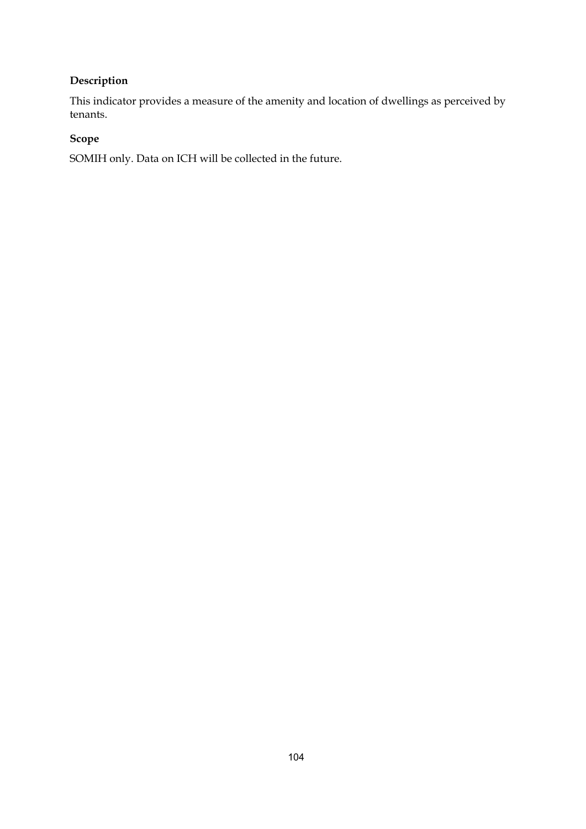#### **Description**

This indicator provides a measure of the amenity and location of dwellings as perceived by tenants.

#### **Scope**

SOMIH only. Data on ICH will be collected in the future.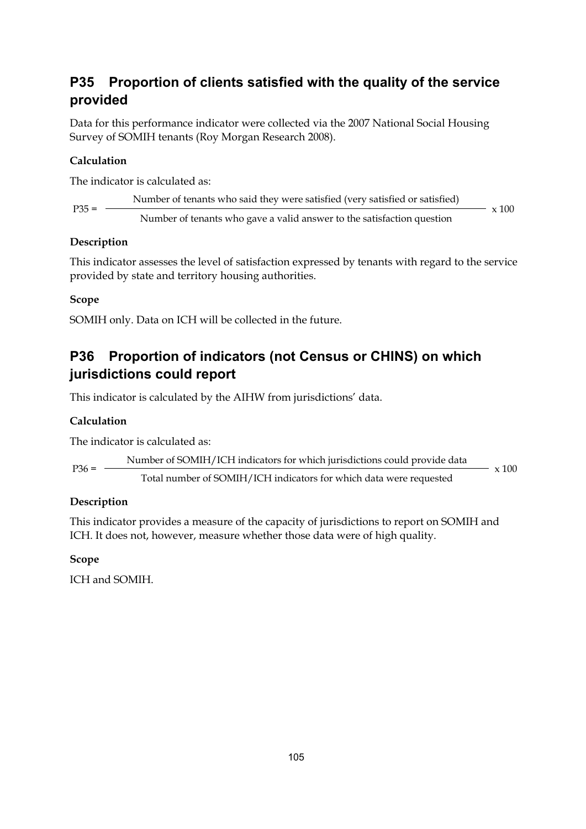### **P35 Proportion of clients satisfied with the quality of the service provided**

Data for this performance indicator were collected via the 2007 National Social Housing Survey of SOMIH tenants (Roy Morgan Research 2008).

#### **Calculation**

The indicator is calculated as:

| $P35 =$ | Number of tenants who said they were satisfied (very satisfied or satisfied) | x 100 |
|---------|------------------------------------------------------------------------------|-------|
|         | Number of tenants who gave a valid answer to the satisfaction question       |       |

#### **Description**

This indicator assesses the level of satisfaction expressed by tenants with regard to the service provided by state and territory housing authorities.

#### **Scope**

SOMIH only. Data on ICH will be collected in the future.

## **P36 Proportion of indicators (not Census or CHINS) on which jurisdictions could report**

This indicator is calculated by the AIHW from jurisdictions' data.

#### **Calculation**

The indicator is calculated as:

Number of SOMIH/ICH indicators for which jurisdictions could provide data P36 = Total number of SOMIH/ICH indicators for which data were requested  $- x 100$ 

#### **Description**

This indicator provides a measure of the capacity of jurisdictions to report on SOMIH and ICH. It does not, however, measure whether those data were of high quality.

#### **Scope**

ICH and SOMIH.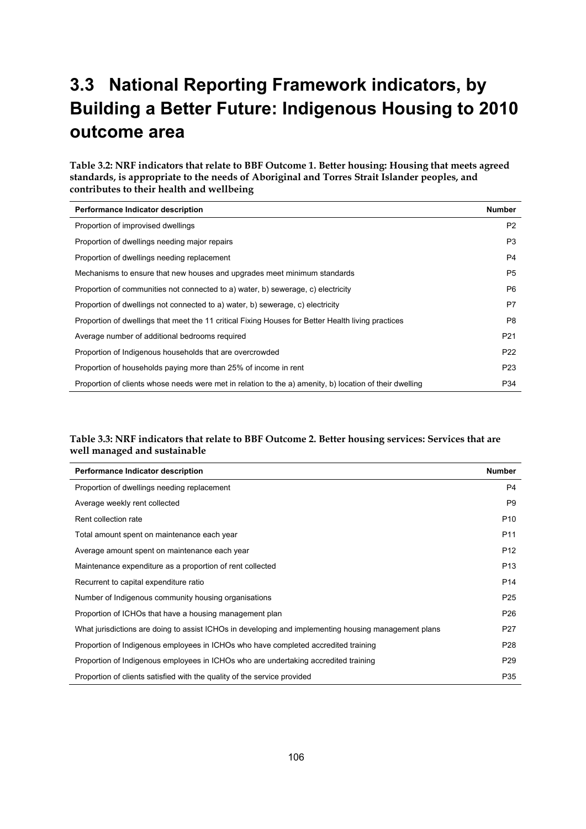## **3.3 National Reporting Framework indicators, by Building a Better Future: Indigenous Housing to 2010 outcome area**

**Table 3.2: NRF indicators that relate to BBF Outcome 1. Better housing: Housing that meets agreed standards, is appropriate to the needs of Aboriginal and Torres Strait Islander peoples, and contributes to their health and wellbeing** 

| Performance Indicator description                                                                       | <b>Number</b>   |
|---------------------------------------------------------------------------------------------------------|-----------------|
| Proportion of improvised dwellings                                                                      | P <sub>2</sub>  |
| Proportion of dwellings needing major repairs                                                           | P <sub>3</sub>  |
| Proportion of dwellings needing replacement                                                             | P4              |
| Mechanisms to ensure that new houses and upgrades meet minimum standards                                | P <sub>5</sub>  |
| Proportion of communities not connected to a) water, b) sewerage, c) electricity                        | P <sub>6</sub>  |
| Proportion of dwellings not connected to a) water, b) sewerage, c) electricity                          | P7              |
| Proportion of dwellings that meet the 11 critical Fixing Houses for Better Health living practices      | P8              |
| Average number of additional bedrooms required                                                          | P <sub>21</sub> |
| Proportion of Indigenous households that are overcrowded                                                | P <sub>22</sub> |
| Proportion of households paying more than 25% of income in rent                                         | P <sub>23</sub> |
| Proportion of clients whose needs were met in relation to the a) amenity, b) location of their dwelling | P34             |

#### **Table 3.3: NRF indicators that relate to BBF Outcome 2. Better housing services: Services that are well managed and sustainable**

| Performance Indicator description                                                                    | <b>Number</b>   |
|------------------------------------------------------------------------------------------------------|-----------------|
| Proportion of dwellings needing replacement                                                          | P4              |
| Average weekly rent collected                                                                        | P <sub>9</sub>  |
| Rent collection rate                                                                                 | P <sub>10</sub> |
| Total amount spent on maintenance each year                                                          | P <sub>11</sub> |
| Average amount spent on maintenance each year                                                        | P <sub>12</sub> |
| Maintenance expenditure as a proportion of rent collected                                            | P <sub>13</sub> |
| Recurrent to capital expenditure ratio                                                               | P <sub>14</sub> |
| Number of Indigenous community housing organisations                                                 | P <sub>25</sub> |
| Proportion of ICHOs that have a housing management plan                                              | P <sub>26</sub> |
| What jurisdictions are doing to assist ICHOs in developing and implementing housing management plans | P <sub>27</sub> |
| Proportion of Indigenous employees in ICHOs who have completed accredited training                   | P <sub>28</sub> |
| Proportion of Indigenous employees in ICHOs who are undertaking accredited training                  | P <sub>29</sub> |
| Proportion of clients satisfied with the quality of the service provided                             | P35             |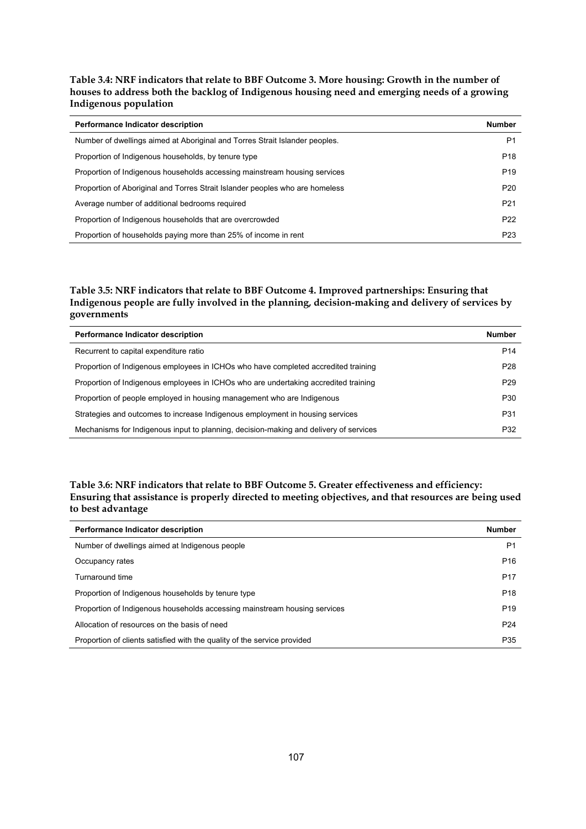**Table 3.4: NRF indicators that relate to BBF Outcome 3. More housing: Growth in the number of houses to address both the backlog of Indigenous housing need and emerging needs of a growing Indigenous population** 

| <b>Performance Indicator description</b>                                     | <b>Number</b>   |
|------------------------------------------------------------------------------|-----------------|
| Number of dwellings aimed at Aboriginal and Torres Strait Islander peoples.  | P1              |
| Proportion of Indigenous households, by tenure type                          | P <sub>18</sub> |
| Proportion of Indigenous households accessing mainstream housing services    | P <sub>19</sub> |
| Proportion of Aboriginal and Torres Strait Islander peoples who are homeless | P <sub>20</sub> |
| Average number of additional bedrooms required                               | P <sub>21</sub> |
| Proportion of Indigenous households that are overcrowded                     | P <sub>22</sub> |
| Proportion of households paying more than 25% of income in rent              | P <sub>23</sub> |

#### **Table 3.5: NRF indicators that relate to BBF Outcome 4. Improved partnerships: Ensuring that Indigenous people are fully involved in the planning, decision-making and delivery of services by governments**

| Performance Indicator description                                                     | <b>Number</b>   |
|---------------------------------------------------------------------------------------|-----------------|
| Recurrent to capital expenditure ratio                                                | P <sub>14</sub> |
| Proportion of Indigenous employees in ICHOs who have completed accredited training    | P <sub>28</sub> |
| Proportion of Indigenous employees in ICHOs who are undertaking accredited training   | P <sub>29</sub> |
| Proportion of people employed in housing management who are Indigenous                | P30             |
| Strategies and outcomes to increase Indigenous employment in housing services         | P31             |
| Mechanisms for Indigenous input to planning, decision-making and delivery of services | P32             |

#### **Table 3.6: NRF indicators that relate to BBF Outcome 5. Greater effectiveness and efficiency: Ensuring that assistance is properly directed to meeting objectives, and that resources are being used to best advantage**

| Performance Indicator description                                         | <b>Number</b>   |
|---------------------------------------------------------------------------|-----------------|
| Number of dwellings aimed at Indigenous people                            | P1              |
| Occupancy rates                                                           | P <sub>16</sub> |
| Turnaround time                                                           | P <sub>17</sub> |
| Proportion of Indigenous households by tenure type                        | P <sub>18</sub> |
| Proportion of Indigenous households accessing mainstream housing services | P <sub>19</sub> |
| Allocation of resources on the basis of need                              | P <sub>24</sub> |
| Proportion of clients satisfied with the quality of the service provided  | P35             |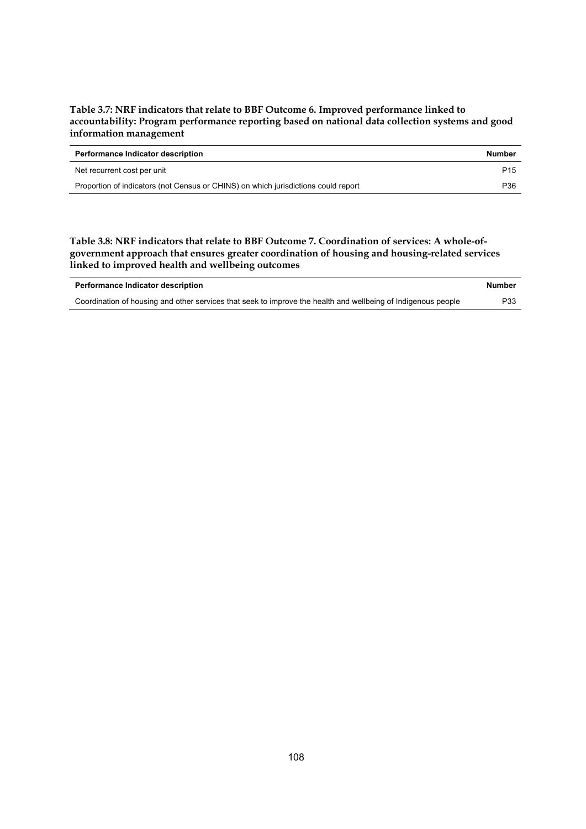#### **Table 3.7: NRF indicators that relate to BBF Outcome 6. Improved performance linked to accountability: Program performance reporting based on national data collection systems and good information management**

| <b>Performance Indicator description</b>                                           | <b>Number</b>   |
|------------------------------------------------------------------------------------|-----------------|
| Net recurrent cost per unit                                                        | P <sub>15</sub> |
| Proportion of indicators (not Census or CHINS) on which jurisdictions could report | P36             |

#### **Table 3.8: NRF indicators that relate to BBF Outcome 7. Coordination of services: A whole-ofgovernment approach that ensures greater coordination of housing and housing-related services linked to improved health and wellbeing outcomes**

| Performance Indicator description                                                                             | <b>Number</b> |
|---------------------------------------------------------------------------------------------------------------|---------------|
| Coordination of housing and other services that seek to improve the health and wellbeing of Indigenous people | P33           |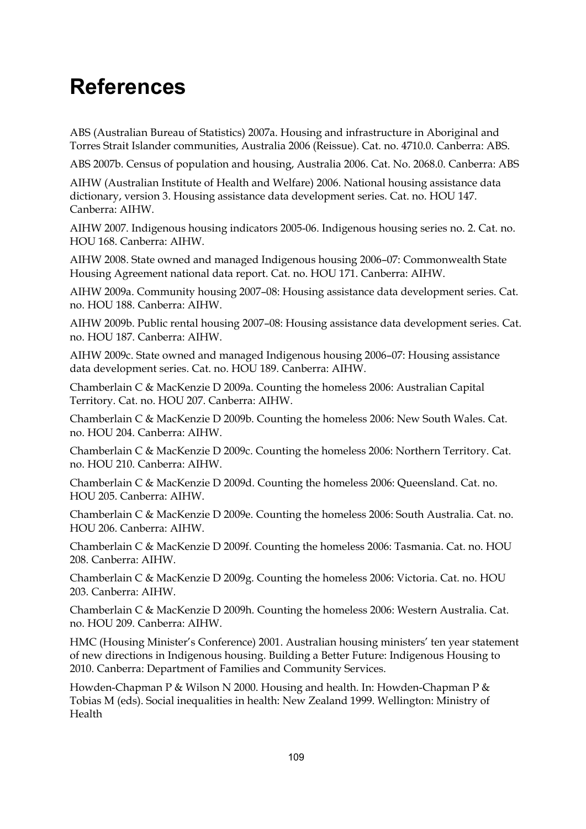## **References**

ABS (Australian Bureau of Statistics) 2007a. Housing and infrastructure in Aboriginal and Torres Strait Islander communities, Australia 2006 (Reissue). Cat. no. 4710.0. Canberra: ABS.

ABS 2007b. Census of population and housing, Australia 2006. Cat. No. 2068.0. Canberra: ABS

AIHW (Australian Institute of Health and Welfare) 2006. National housing assistance data dictionary, version 3. Housing assistance data development series. Cat. no. HOU 147. Canberra: AIHW.

AIHW 2007. Indigenous housing indicators 2005-06. Indigenous housing series no. 2. Cat. no. HOU 168. Canberra: AIHW.

AIHW 2008. State owned and managed Indigenous housing 2006–07: Commonwealth State Housing Agreement national data report. Cat. no. HOU 171. Canberra: AIHW.

AIHW 2009a. Community housing 2007–08: Housing assistance data development series. Cat. no. HOU 188. Canberra: AIHW.

AIHW 2009b. Public rental housing 2007–08: Housing assistance data development series. Cat. no. HOU 187. Canberra: AIHW.

AIHW 2009c. State owned and managed Indigenous housing 2006–07: Housing assistance data development series. Cat. no. HOU 189. Canberra: AIHW.

Chamberlain C & MacKenzie D 2009a. Counting the homeless 2006: Australian Capital Territory. Cat. no. HOU 207. Canberra: AIHW.

Chamberlain C & MacKenzie D 2009b. Counting the homeless 2006: New South Wales. Cat. no. HOU 204. Canberra: AIHW.

Chamberlain C & MacKenzie D 2009c. Counting the homeless 2006: Northern Territory. Cat. no. HOU 210. Canberra: AIHW.

Chamberlain C & MacKenzie D 2009d. Counting the homeless 2006: Queensland. Cat. no. HOU 205. Canberra: AIHW.

Chamberlain C & MacKenzie D 2009e. Counting the homeless 2006: South Australia. Cat. no. HOU 206. Canberra: AIHW.

Chamberlain C & MacKenzie D 2009f. Counting the homeless 2006: Tasmania. Cat. no. HOU 208. Canberra: AIHW.

Chamberlain C & MacKenzie D 2009g. Counting the homeless 2006: Victoria. Cat. no. HOU 203. Canberra: AIHW.

Chamberlain C & MacKenzie D 2009h. Counting the homeless 2006: Western Australia. Cat. no. HOU 209. Canberra: AIHW.

HMC (Housing Minister's Conference) 2001. Australian housing ministers' ten year statement of new directions in Indigenous housing. Building a Better Future: Indigenous Housing to 2010. Canberra: Department of Families and Community Services.

Howden-Chapman P & Wilson N 2000. Housing and health. In: Howden-Chapman P & Tobias M (eds). Social inequalities in health: New Zealand 1999. Wellington: Ministry of Health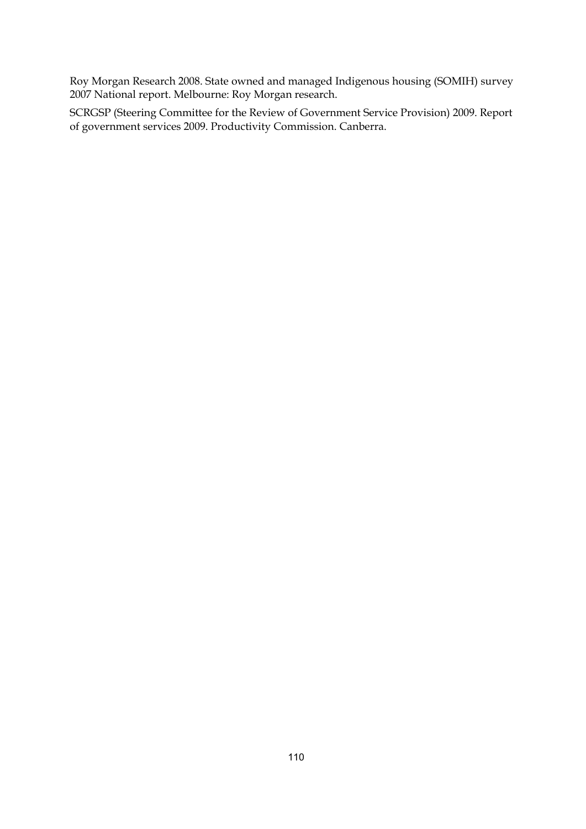Roy Morgan Research 2008. State owned and managed Indigenous housing (SOMIH) survey 2007 National report. Melbourne: Roy Morgan research.

SCRGSP (Steering Committee for the Review of Government Service Provision) 2009. Report of government services 2009. Productivity Commission. Canberra.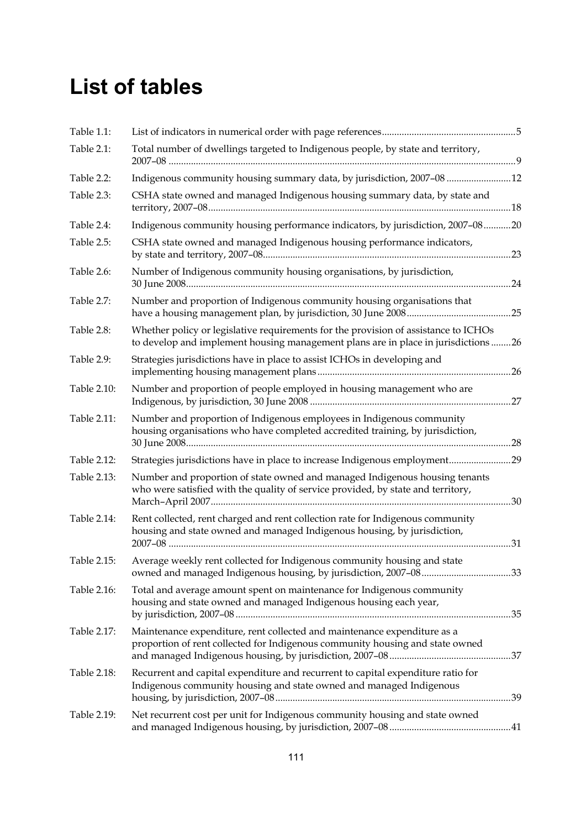# **List of tables**

| Table 1.1:  |                                                                                                                                                                          |  |
|-------------|--------------------------------------------------------------------------------------------------------------------------------------------------------------------------|--|
| Table 2.1:  | Total number of dwellings targeted to Indigenous people, by state and territory,                                                                                         |  |
| Table 2.2:  | Indigenous community housing summary data, by jurisdiction, 2007-08  12                                                                                                  |  |
| Table 2.3:  | CSHA state owned and managed Indigenous housing summary data, by state and                                                                                               |  |
| Table 2.4:  | Indigenous community housing performance indicators, by jurisdiction, 2007-0820                                                                                          |  |
| Table 2.5:  | CSHA state owned and managed Indigenous housing performance indicators,                                                                                                  |  |
| Table 2.6:  | Number of Indigenous community housing organisations, by jurisdiction,                                                                                                   |  |
| Table 2.7:  | Number and proportion of Indigenous community housing organisations that                                                                                                 |  |
| Table 2.8:  | Whether policy or legislative requirements for the provision of assistance to ICHOs<br>to develop and implement housing management plans are in place in jurisdictions26 |  |
| Table 2.9:  | Strategies jurisdictions have in place to assist ICHOs in developing and                                                                                                 |  |
| Table 2.10: | Number and proportion of people employed in housing management who are                                                                                                   |  |
| Table 2.11: | Number and proportion of Indigenous employees in Indigenous community<br>housing organisations who have completed accredited training, by jurisdiction,                  |  |
| Table 2.12: | Strategies jurisdictions have in place to increase Indigenous employment 29                                                                                              |  |
| Table 2.13: | Number and proportion of state owned and managed Indigenous housing tenants<br>who were satisfied with the quality of service provided, by state and territory,          |  |
| Table 2.14: | Rent collected, rent charged and rent collection rate for Indigenous community<br>housing and state owned and managed Indigenous housing, by jurisdiction,               |  |
| Table 2.15: | Average weekly rent collected for Indigenous community housing and state                                                                                                 |  |
| Table 2.16: | Total and average amount spent on maintenance for Indigenous community<br>housing and state owned and managed Indigenous housing each year,                              |  |
| Table 2.17: | Maintenance expenditure, rent collected and maintenance expenditure as a<br>proportion of rent collected for Indigenous community housing and state owned                |  |
| Table 2.18: | Recurrent and capital expenditure and recurrent to capital expenditure ratio for<br>Indigenous community housing and state owned and managed Indigenous                  |  |
| Table 2.19: | Net recurrent cost per unit for Indigenous community housing and state owned                                                                                             |  |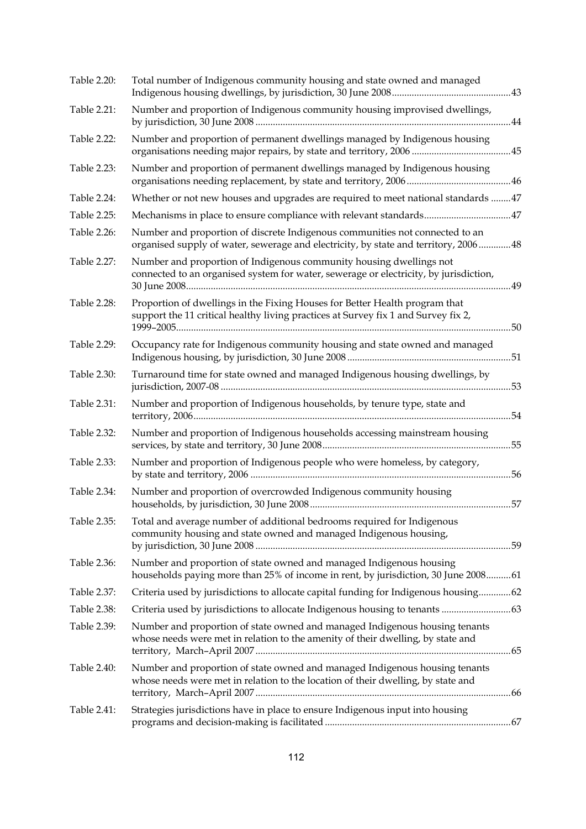| Table 2.20: | Total number of Indigenous community housing and state owned and managed                                                                                            |  |
|-------------|---------------------------------------------------------------------------------------------------------------------------------------------------------------------|--|
| Table 2.21: | Number and proportion of Indigenous community housing improvised dwellings,                                                                                         |  |
| Table 2.22: | Number and proportion of permanent dwellings managed by Indigenous housing                                                                                          |  |
| Table 2.23: | Number and proportion of permanent dwellings managed by Indigenous housing                                                                                          |  |
| Table 2.24: | Whether or not new houses and upgrades are required to meet national standards  47                                                                                  |  |
| Table 2.25: |                                                                                                                                                                     |  |
| Table 2.26: | Number and proportion of discrete Indigenous communities not connected to an<br>organised supply of water, sewerage and electricity, by state and territory, 200648 |  |
| Table 2.27: | Number and proportion of Indigenous community housing dwellings not<br>connected to an organised system for water, sewerage or electricity, by jurisdiction,        |  |
| Table 2.28: | Proportion of dwellings in the Fixing Houses for Better Health program that<br>support the 11 critical healthy living practices at Survey fix 1 and Survey fix 2,   |  |
| Table 2.29: | Occupancy rate for Indigenous community housing and state owned and managed                                                                                         |  |
| Table 2.30: | Turnaround time for state owned and managed Indigenous housing dwellings, by                                                                                        |  |
| Table 2.31: | Number and proportion of Indigenous households, by tenure type, state and                                                                                           |  |
| Table 2.32: | Number and proportion of Indigenous households accessing mainstream housing                                                                                         |  |
| Table 2.33: | Number and proportion of Indigenous people who were homeless, by category,                                                                                          |  |
| Table 2.34: | Number and proportion of overcrowded Indigenous community housing                                                                                                   |  |
| Table 2.35: | Total and average number of additional bedrooms required for Indigenous<br>community housing and state owned and managed Indigenous housing,                        |  |
| Table 2.36: | Number and proportion of state owned and managed Indigenous housing<br>households paying more than 25% of income in rent, by jurisdiction, 30 June 200861           |  |
| Table 2.37: | Criteria used by jurisdictions to allocate capital funding for Indigenous housing62                                                                                 |  |
| Table 2.38: |                                                                                                                                                                     |  |
| Table 2.39: | Number and proportion of state owned and managed Indigenous housing tenants<br>whose needs were met in relation to the amenity of their dwelling, by state and      |  |
| Table 2.40: | Number and proportion of state owned and managed Indigenous housing tenants<br>whose needs were met in relation to the location of their dwelling, by state and     |  |
| Table 2.41: | Strategies jurisdictions have in place to ensure Indigenous input into housing                                                                                      |  |